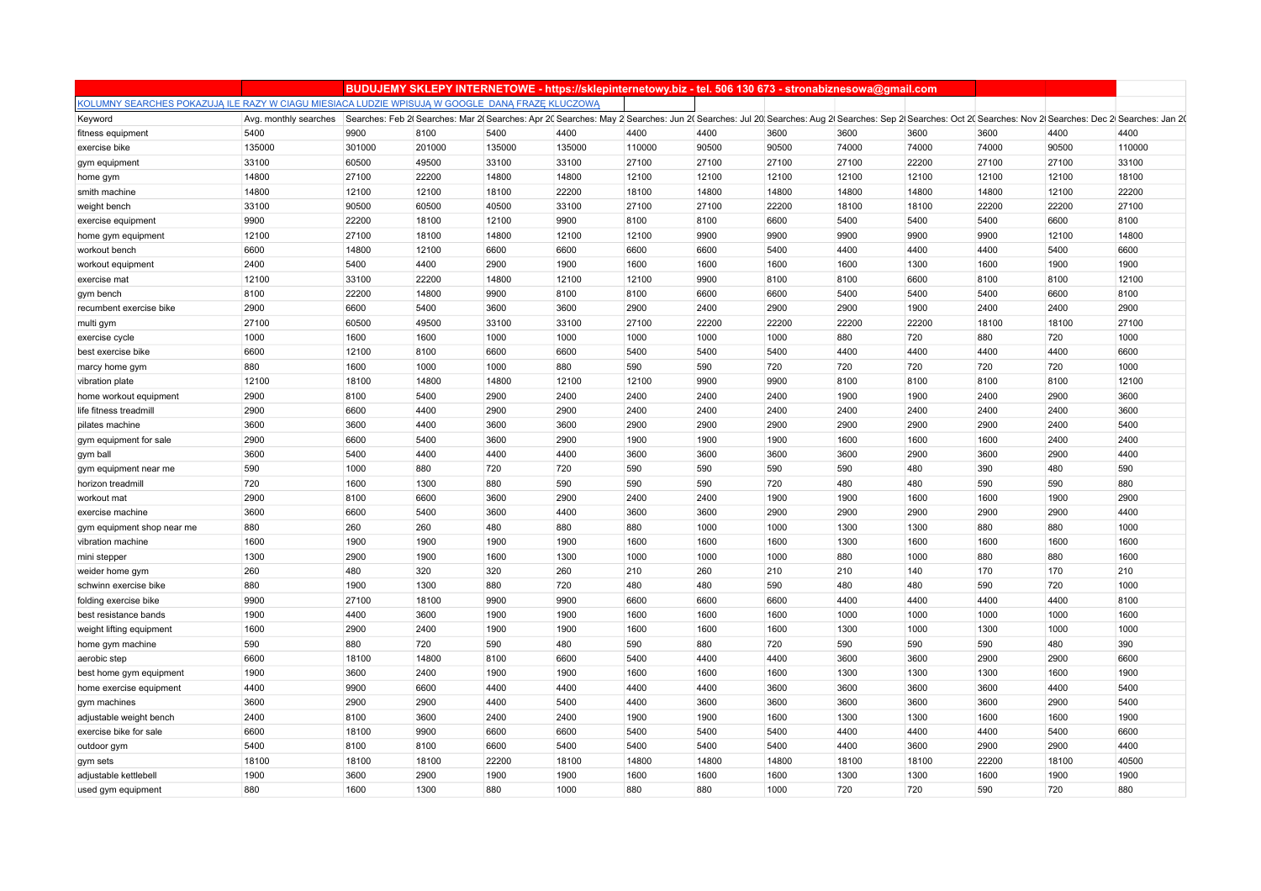|                                                                                                 |                       |        |        |        | BUDUJEMY SKLEPY INTERNETOWE - https://sklepinternetowy.biz - tel. 506 130 673 - stronabiznesowa@gmail.com                                                                                             |        |       |       |       |       |       |       |        |
|-------------------------------------------------------------------------------------------------|-----------------------|--------|--------|--------|-------------------------------------------------------------------------------------------------------------------------------------------------------------------------------------------------------|--------|-------|-------|-------|-------|-------|-------|--------|
| KOLUMNY SEARCHES POKAZUJA ILE RAZY W CIAGU MIESIACA LUDZIE WPISUJA W GOOGLE DANA FRAZE KLUCZOWA |                       |        |        |        |                                                                                                                                                                                                       |        |       |       |       |       |       |       |        |
| Keyword                                                                                         | Avg. monthly searches |        |        |        | Searches: Feb 2(Searches: Mar 2(Searches: Apr 20 Searches: May 2 Searches: Jun 2(Searches: Jul 20 Searches: Aug 2(Searches: Sep 2) Searches: Oct 20 Searches: Nov 2(Searches: Dec 2) Searches: Jun 20 |        |       |       |       |       |       |       |        |
| fitness equipment                                                                               | 5400                  | 9900   | 8100   | 5400   | 4400                                                                                                                                                                                                  | 4400   | 4400  | 3600  | 3600  | 3600  | 3600  | 4400  | 4400   |
| exercise bike                                                                                   | 135000                | 301000 | 201000 | 135000 | 135000                                                                                                                                                                                                | 110000 | 90500 | 90500 | 74000 | 74000 | 74000 | 90500 | 110000 |
| gym equipment                                                                                   | 33100                 | 60500  | 49500  | 33100  | 33100                                                                                                                                                                                                 | 27100  | 27100 | 27100 | 27100 | 22200 | 27100 | 27100 | 33100  |
| home gym                                                                                        | 14800                 | 27100  | 22200  | 14800  | 14800                                                                                                                                                                                                 | 12100  | 12100 | 12100 | 12100 | 12100 | 12100 | 12100 | 18100  |
| smith machine                                                                                   | 14800                 | 12100  | 12100  | 18100  | 22200                                                                                                                                                                                                 | 18100  | 14800 | 14800 | 14800 | 14800 | 14800 | 12100 | 22200  |
| weight bench                                                                                    | 33100                 | 90500  | 60500  | 40500  | 33100                                                                                                                                                                                                 | 27100  | 27100 | 22200 | 18100 | 18100 | 22200 | 22200 | 27100  |
| exercise equipment                                                                              | 9900                  | 22200  | 18100  | 12100  | 9900                                                                                                                                                                                                  | 8100   | 8100  | 6600  | 5400  | 5400  | 5400  | 6600  | 8100   |
| home gym equipment                                                                              | 12100                 | 27100  | 18100  | 14800  | 12100                                                                                                                                                                                                 | 12100  | 9900  | 9900  | 9900  | 9900  | 9900  | 12100 | 14800  |
| workout bench                                                                                   | 6600                  | 14800  | 12100  | 6600   | 6600                                                                                                                                                                                                  | 6600   | 6600  | 5400  | 4400  | 4400  | 4400  | 5400  | 6600   |
| workout equipment                                                                               | 2400                  | 5400   | 4400   | 2900   | 1900                                                                                                                                                                                                  | 1600   | 1600  | 1600  | 1600  | 1300  | 1600  | 1900  | 1900   |
| exercise mat                                                                                    | 12100                 | 33100  | 22200  | 14800  | 12100                                                                                                                                                                                                 | 12100  | 9900  | 8100  | 8100  | 6600  | 8100  | 8100  | 12100  |
| gym bench                                                                                       | 8100                  | 22200  | 14800  | 9900   | 8100                                                                                                                                                                                                  | 8100   | 6600  | 6600  | 5400  | 5400  | 5400  | 6600  | 8100   |
| recumbent exercise bike                                                                         | 2900                  | 6600   | 5400   | 3600   | 3600                                                                                                                                                                                                  | 2900   | 2400  | 2900  | 2900  | 1900  | 2400  | 2400  | 2900   |
| multi gym                                                                                       | 27100                 | 60500  | 49500  | 33100  | 33100                                                                                                                                                                                                 | 27100  | 22200 | 22200 | 22200 | 22200 | 18100 | 18100 | 27100  |
| exercise cycle                                                                                  | 1000                  | 1600   | 1600   | 1000   | 1000                                                                                                                                                                                                  | 1000   | 1000  | 1000  | 880   | 720   | 880   | 720   | 1000   |
| best exercise bike                                                                              | 6600                  | 12100  | 8100   | 6600   | 6600                                                                                                                                                                                                  | 5400   | 5400  | 5400  | 4400  | 4400  | 4400  | 4400  | 6600   |
| marcy home gym                                                                                  | 880                   | 1600   | 1000   | 1000   | 880                                                                                                                                                                                                   | 590    | 590   | 720   | 720   | 720   | 720   | 720   | 1000   |
| vibration plate                                                                                 | 12100                 | 18100  | 14800  | 14800  | 12100                                                                                                                                                                                                 | 12100  | 9900  | 9900  | 8100  | 8100  | 8100  | 8100  | 12100  |
| home workout equipment                                                                          | 2900                  | 8100   | 5400   | 2900   | 2400                                                                                                                                                                                                  | 2400   | 2400  | 2400  | 1900  | 1900  | 2400  | 2900  | 3600   |
| life fitness treadmil                                                                           | 2900                  | 6600   | 4400   | 2900   | 2900                                                                                                                                                                                                  | 2400   | 2400  | 2400  | 2400  | 2400  | 2400  | 2400  | 3600   |
| pilates machine                                                                                 | 3600                  | 3600   | 4400   | 3600   | 3600                                                                                                                                                                                                  | 2900   | 2900  | 2900  | 2900  | 2900  | 2900  | 2400  | 5400   |
| gym equipment for sale                                                                          | 2900                  | 6600   | 5400   | 3600   | 2900                                                                                                                                                                                                  | 1900   | 1900  | 1900  | 1600  | 1600  | 1600  | 2400  | 2400   |
| gym ball                                                                                        | 3600                  | 5400   | 4400   | 4400   | 4400                                                                                                                                                                                                  | 3600   | 3600  | 3600  | 3600  | 2900  | 3600  | 2900  | 4400   |
| gym equipment near me                                                                           | 590                   | 1000   | 880    | 720    | 720                                                                                                                                                                                                   | 590    | 590   | 590   | 590   | 480   | 390   | 480   | 590    |
| horizon treadmill                                                                               | 720                   | 1600   | 1300   | 880    | 590                                                                                                                                                                                                   | 590    | 590   | 720   | 480   | 480   | 590   | 590   | 880    |
| workout mat                                                                                     | 2900                  | 8100   | 6600   | 3600   | 2900                                                                                                                                                                                                  | 2400   | 2400  | 1900  | 1900  | 1600  | 1600  | 1900  | 2900   |
| exercise machine                                                                                | 3600                  | 6600   | 5400   | 3600   | 4400                                                                                                                                                                                                  | 3600   | 3600  | 2900  | 2900  | 2900  | 2900  | 2900  | 4400   |
| gym equipment shop near me                                                                      | 880                   | 260    | 260    | 480    | 880                                                                                                                                                                                                   | 880    | 1000  | 1000  | 1300  | 1300  | 880   | 880   | 1000   |
| vibration machine                                                                               | 1600                  | 1900   | 1900   | 1900   | 1900                                                                                                                                                                                                  | 1600   | 1600  | 1600  | 1300  | 1600  | 1600  | 1600  | 1600   |
| mini stepper                                                                                    | 1300                  | 2900   | 1900   | 1600   | 1300                                                                                                                                                                                                  | 1000   | 1000  | 1000  | 880   | 1000  | 880   | 880   | 1600   |
| weider home gym                                                                                 | 260                   | 480    | 320    | 320    | 260                                                                                                                                                                                                   | 210    | 260   | 210   | 210   | 140   | 170   | 170   | 210    |
| schwinn exercise bike                                                                           | 880                   | 1900   | 1300   | 880    | 720                                                                                                                                                                                                   | 480    | 480   | 590   | 480   | 480   | 590   | 720   | 1000   |
| folding exercise bike                                                                           | 9900                  | 27100  | 18100  | 9900   | 9900                                                                                                                                                                                                  | 6600   | 6600  | 6600  | 4400  | 4400  | 4400  | 4400  | 8100   |
| best resistance bands                                                                           | 1900                  | 4400   | 3600   | 1900   | 1900                                                                                                                                                                                                  | 1600   | 1600  | 1600  | 1000  | 1000  | 1000  | 1000  | 1600   |
| weight lifting equipment                                                                        | 1600                  | 2900   | 2400   | 1900   | 1900                                                                                                                                                                                                  | 1600   | 1600  | 1600  | 1300  | 1000  | 1300  | 1000  | 1000   |
| home gym machine                                                                                | 590                   | 880    | 720    | 590    | 480                                                                                                                                                                                                   | 590    | 880   | 720   | 590   | 590   | 590   | 480   | 390    |
| aerobic step                                                                                    | 6600                  | 18100  | 14800  | 8100   | 6600                                                                                                                                                                                                  | 5400   | 4400  | 4400  | 3600  | 3600  | 2900  | 2900  | 6600   |
| best home gym equipment                                                                         | 1900                  | 3600   | 2400   | 1900   | 1900                                                                                                                                                                                                  | 1600   | 1600  | 1600  | 1300  | 1300  | 1300  | 1600  | 1900   |
| home exercise equipment                                                                         | 4400                  | 9900   | 6600   | 4400   | 4400                                                                                                                                                                                                  | 4400   | 4400  | 3600  | 3600  | 3600  | 3600  | 4400  | 5400   |
| gym machines                                                                                    | 3600                  | 2900   | 2900   | 4400   | 5400                                                                                                                                                                                                  | 4400   | 3600  | 3600  | 3600  | 3600  | 3600  | 2900  | 5400   |
| adjustable weight bench                                                                         | 2400                  | 8100   | 3600   | 2400   | 2400                                                                                                                                                                                                  | 1900   | 1900  | 1600  | 1300  | 1300  | 1600  | 1600  | 1900   |
| exercise bike for sale                                                                          | 6600                  | 18100  | 9900   | 6600   |                                                                                                                                                                                                       | 5400   | 5400  | 5400  | 4400  | 4400  | 4400  | 5400  | 6600   |
|                                                                                                 |                       |        | 8100   |        | 6600                                                                                                                                                                                                  | 5400   |       |       | 4400  |       |       | 2900  | 4400   |
| outdoor gym                                                                                     | 5400                  | 8100   |        | 6600   | 5400                                                                                                                                                                                                  |        | 5400  | 5400  |       | 3600  | 2900  |       |        |
| gym sets                                                                                        | 18100                 | 18100  | 18100  | 22200  | 18100                                                                                                                                                                                                 | 14800  | 14800 | 14800 | 18100 | 18100 | 22200 | 18100 | 40500  |
| adjustable kettlebell                                                                           | 1900                  | 3600   | 2900   | 1900   | 1900                                                                                                                                                                                                  | 1600   | 1600  | 1600  | 1300  | 1300  | 1600  | 1900  | 1900   |
| used gym equipment                                                                              | 880                   | 1600   | 1300   | 880    | 1000                                                                                                                                                                                                  | 880    | 880   | 1000  | 720   | 720   | 590   | 720   | 880    |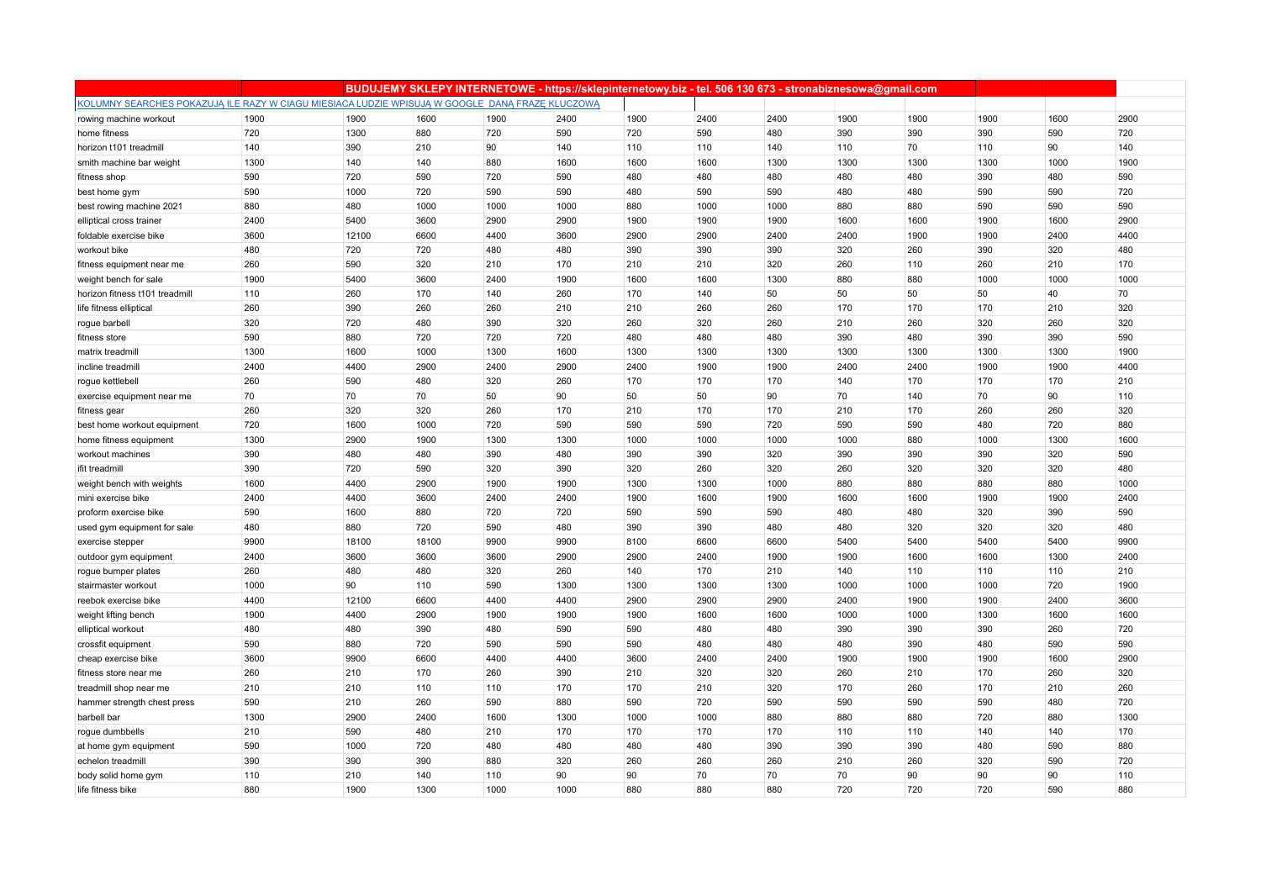|                                                                                                 |      |       |       |      | BUDUJEMY SKLEPY INTERNETOWE - https://sklepinternetowy.biz - tel. 506 130 673 - stronabiznesowa@gmail.com |      |      |      |      |      |      |      |      |
|-------------------------------------------------------------------------------------------------|------|-------|-------|------|-----------------------------------------------------------------------------------------------------------|------|------|------|------|------|------|------|------|
| KOLUMNY SEARCHES POKAZUJĄ ILE RAZY W CIAGU MIESIACA LUDZIE WPISUJĄ W GOOGLE DANĄ FRAZE KLUCZOWĄ |      |       |       |      |                                                                                                           |      |      |      |      |      |      |      |      |
| rowing machine workout                                                                          | 1900 | 1900  | 1600  | 1900 | 2400                                                                                                      | 1900 | 2400 | 2400 | 1900 | 1900 | 1900 | 1600 | 2900 |
| home fitness                                                                                    | 720  | 1300  | 880   | 720  | 590                                                                                                       | 720  | 590  | 480  | 390  | 390  | 390  | 590  | 720  |
| horizon t101 treadmill                                                                          | 140  | 390   | 210   | 90   | 140                                                                                                       | 110  | 110  | 140  | 110  | 70   | 110  | 90   | 140  |
| smith machine bar weight                                                                        | 1300 | 140   | 140   | 880  | 1600                                                                                                      | 1600 | 1600 | 1300 | 1300 | 1300 | 1300 | 1000 | 1900 |
| fitness shop                                                                                    | 590  | 720   | 590   | 720  | 590                                                                                                       | 480  | 480  | 480  | 480  | 480  | 390  | 480  | 590  |
| best home gym                                                                                   | 590  | 1000  | 720   | 590  | 590                                                                                                       | 480  | 590  | 590  | 480  | 480  | 590  | 590  | 720  |
| best rowing machine 2021                                                                        | 880  | 480   | 1000  | 1000 | 1000                                                                                                      | 880  | 1000 | 1000 | 880  | 880  | 590  | 590  | 590  |
| elliptical cross trainer                                                                        | 2400 | 5400  | 3600  | 2900 | 2900                                                                                                      | 1900 | 1900 | 1900 | 1600 | 1600 | 1900 | 1600 | 2900 |
| foldable exercise bike                                                                          | 3600 | 12100 | 6600  | 4400 | 3600                                                                                                      | 2900 | 2900 | 2400 | 2400 | 1900 | 1900 | 2400 | 4400 |
| workout bike                                                                                    | 480  | 720   | 720   | 480  | 480                                                                                                       | 390  | 390  | 390  | 320  | 260  | 390  | 320  | 480  |
| fitness equipment near me                                                                       | 260  | 590   | 320   | 210  | 170                                                                                                       | 210  | 210  | 320  | 260  | 110  | 260  | 210  | 170  |
| weight bench for sale                                                                           | 1900 | 5400  | 3600  | 2400 | 1900                                                                                                      | 1600 | 1600 | 1300 | 880  | 880  | 1000 | 1000 | 1000 |
| horizon fitness t101 treadmill                                                                  | 110  | 260   | 170   | 140  | 260                                                                                                       | 170  | 140  | 50   | 50   | 50   | 50   | 40   | 70   |
| life fitness elliptical                                                                         | 260  | 390   | 260   | 260  | 210                                                                                                       | 210  | 260  | 260  | 170  | 170  | 170  | 210  | 320  |
| rogue barbell                                                                                   | 320  | 720   | 480   | 390  | 320                                                                                                       | 260  | 320  | 260  | 210  | 260  | 320  | 260  | 320  |
| fitness store                                                                                   | 590  | 880   | 720   | 720  | 720                                                                                                       | 480  | 480  | 480  | 390  | 480  | 390  | 390  | 590  |
| matrix treadmill                                                                                | 1300 | 1600  | 1000  | 1300 | 1600                                                                                                      | 1300 | 1300 | 1300 | 1300 | 1300 | 1300 | 1300 | 1900 |
| incline treadmill                                                                               | 2400 | 4400  | 2900  | 2400 | 2900                                                                                                      | 2400 | 1900 | 1900 | 2400 | 2400 | 1900 | 1900 | 4400 |
| rogue kettlebell                                                                                | 260  | 590   | 480   | 320  | 260                                                                                                       | 170  | 170  | 170  | 140  | 170  | 170  | 170  | 210  |
| exercise equipment near me                                                                      | 70   | 70    | 70    | 50   | 90                                                                                                        | 50   | 50   | 90   | 70   | 140  | 70   | 90   | 110  |
| fitness gear                                                                                    | 260  | 320   | 320   | 260  | 170                                                                                                       | 210  | 170  | 170  | 210  | 170  | 260  | 260  | 320  |
| best home workout equipment                                                                     | 720  | 1600  | 1000  | 720  | 590                                                                                                       | 590  | 590  | 720  | 590  | 590  | 480  | 720  | 880  |
| home fitness equipment                                                                          | 1300 | 2900  | 1900  | 1300 | 1300                                                                                                      | 1000 | 1000 | 1000 | 1000 | 880  | 1000 | 1300 | 1600 |
| workout machines                                                                                | 390  | 480   | 480   | 390  | 480                                                                                                       | 390  | 390  | 320  | 390  | 390  | 390  | 320  | 590  |
| ifit treadmil                                                                                   | 390  | 720   | 590   | 320  | 390                                                                                                       | 320  | 260  | 320  | 260  | 320  | 320  | 320  | 480  |
| weight bench with weights                                                                       | 1600 | 4400  | 2900  | 1900 | 1900                                                                                                      | 1300 | 1300 | 1000 | 880  | 880  | 880  | 880  | 1000 |
| mini exercise bike                                                                              | 2400 | 4400  | 3600  | 2400 | 2400                                                                                                      | 1900 | 1600 | 1900 | 1600 | 1600 | 1900 | 1900 | 2400 |
| proform exercise bike                                                                           | 590  | 1600  | 880   | 720  | 720                                                                                                       | 590  | 590  | 590  | 480  | 480  | 320  | 390  | 590  |
| used gym equipment for sale                                                                     | 480  | 880   | 720   | 590  | 480                                                                                                       | 390  | 390  | 480  | 480  | 320  | 320  | 320  | 480  |
| exercise stepper                                                                                | 9900 | 18100 | 18100 | 9900 | 9900                                                                                                      | 8100 | 6600 | 6600 | 5400 | 5400 | 5400 | 5400 | 9900 |
| outdoor gym equipment                                                                           | 2400 | 3600  | 3600  | 3600 | 2900                                                                                                      | 2900 | 2400 | 1900 | 1900 | 1600 | 1600 | 1300 | 2400 |
| rogue bumper plates                                                                             | 260  | 480   | 480   | 320  | 260                                                                                                       | 140  | 170  | 210  | 140  | 110  | 110  | 110  | 210  |
| stairmaster workout                                                                             | 1000 | 90    | 110   | 590  | 1300                                                                                                      | 1300 | 1300 | 1300 | 1000 | 1000 | 1000 | 720  | 1900 |
| reebok exercise bike                                                                            | 4400 | 12100 | 6600  | 4400 | 4400                                                                                                      | 2900 | 2900 | 2900 | 2400 | 1900 | 1900 | 2400 | 3600 |
| weight lifting bench                                                                            | 1900 | 4400  | 2900  | 1900 | 1900                                                                                                      | 1900 | 1600 | 1600 | 1000 | 1000 | 1300 | 1600 | 1600 |
| elliptical workout                                                                              | 480  | 480   | 390   | 480  | 590                                                                                                       | 590  | 480  | 480  | 390  | 390  | 390  | 260  | 720  |
| crossfit equipment                                                                              | 590  | 880   | 720   | 590  | 590                                                                                                       | 590  | 480  | 480  | 480  | 390  | 480  | 590  | 590  |
| cheap exercise bike                                                                             | 3600 | 9900  | 6600  | 4400 | 4400                                                                                                      | 3600 | 2400 | 2400 | 1900 | 1900 | 1900 | 1600 | 2900 |
| fitness store near me                                                                           | 260  | 210   | 170   | 260  | 390                                                                                                       | 210  | 320  | 320  | 260  | 210  | 170  | 260  | 320  |
| treadmill shop near me                                                                          | 210  | 210   | 110   | 110  | 170                                                                                                       | 170  | 210  | 320  | 170  | 260  | 170  | 210  | 260  |
| hammer strength chest press                                                                     | 590  | 210   | 260   | 590  | 880                                                                                                       | 590  | 720  | 590  | 590  | 590  | 590  | 480  | 720  |
| barbell bar                                                                                     | 1300 | 2900  | 2400  | 1600 | 1300                                                                                                      | 1000 | 1000 | 880  | 880  | 880  | 720  | 880  | 1300 |
| rogue dumbbells                                                                                 | 210  | 590   | 480   | 210  | 170                                                                                                       | 170  | 170  | 170  | 110  | 110  | 140  | 140  | 170  |
| at home gym equipment                                                                           | 590  | 1000  | 720   | 480  | 480                                                                                                       | 480  | 480  | 390  | 390  | 390  | 480  | 590  | 880  |
| echelon treadmill                                                                               | 390  | 390   | 390   | 880  | 320                                                                                                       | 260  | 260  | 260  | 210  | 260  | 320  | 590  | 720  |
| body solid home gym                                                                             | 110  | 210   | 140   | 110  | 90                                                                                                        | 90   | 70   | 70   | 70   | 90   | 90   | 90   | 110  |
| life fitness bike                                                                               | 880  | 1900  | 1300  | 1000 | 1000                                                                                                      | 880  | 880  | 880  | 720  | 720  | 720  | 590  | 880  |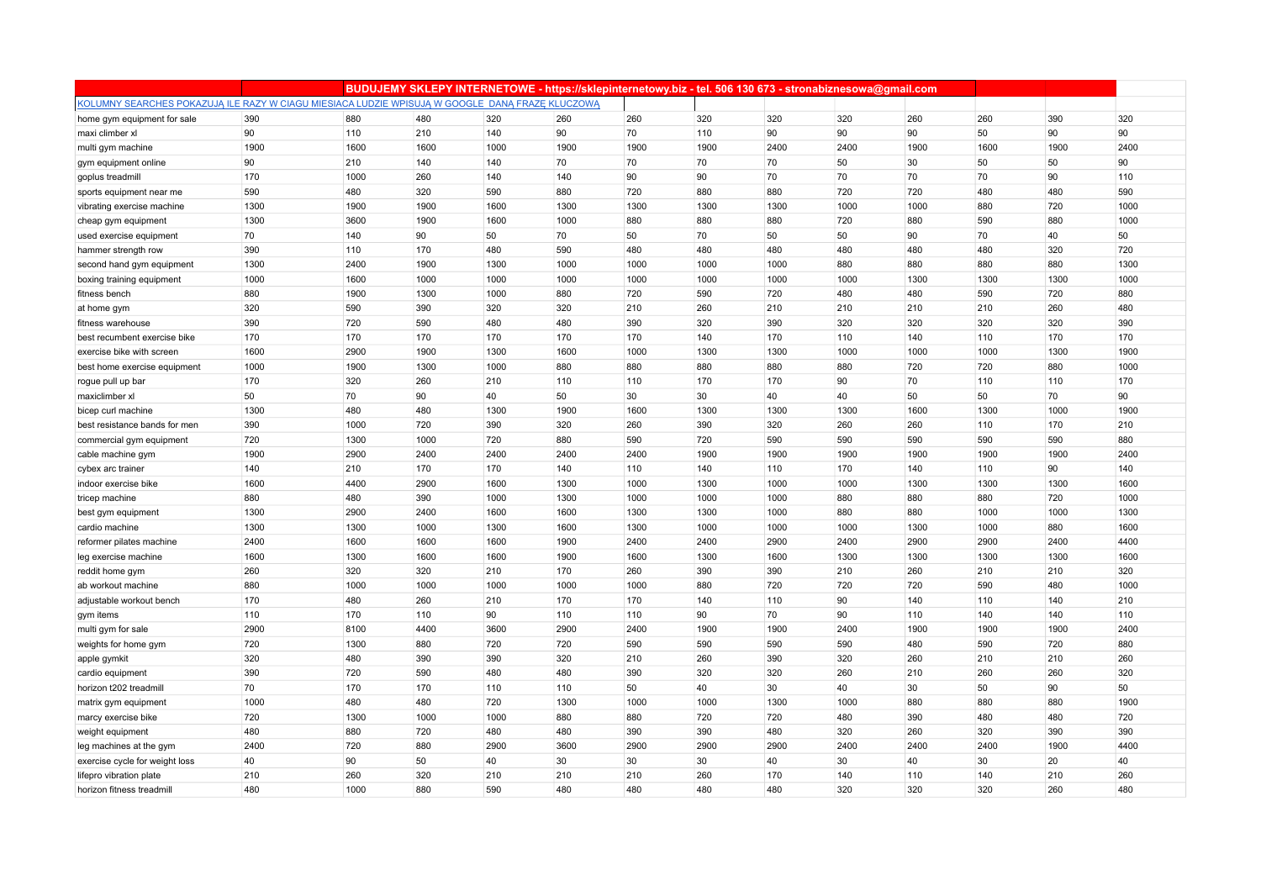|                                                                                                 |             |            |            |             |             |             | BUDUJEMY SKLEPY INTERNETOWE - https://sklepinternetowy.biz - tel. 506 130 673 - stronabiznesowa@gmail.com |             |             |             |             |             |             |
|-------------------------------------------------------------------------------------------------|-------------|------------|------------|-------------|-------------|-------------|-----------------------------------------------------------------------------------------------------------|-------------|-------------|-------------|-------------|-------------|-------------|
| KOLUMNY SEARCHES POKAZUJĄ ILE RAZY W CIAGU MIESIACA LUDZIE WPISUJĄ W GOOGLE DANĄ FRAZE KLUCZOWĄ |             |            |            |             |             |             |                                                                                                           |             |             |             |             |             |             |
| home gym equipment for sale                                                                     | 390         | 880        | 480        | 320         | 260         | 260         | 320                                                                                                       | 320         | 320         | 260         | 260         | 390         | 320         |
| maxi climber xl                                                                                 | 90          | 110        | 210        | 140         | 90          | 70          | 110                                                                                                       | 90          | 90          | 90          | 50          | 90          | 90          |
| multi gym machine                                                                               | 1900        | 1600       | 1600       | 1000        | 1900        | 1900        | 1900                                                                                                      | 2400        | 2400        | 1900        | 1600        | 1900        | 2400        |
| gym equipment online                                                                            | 90          | 210        | 140        | 140         | 70          | 70          | 70                                                                                                        | 70          | 50          | 30          | 50          | 50          | 90          |
| goplus treadmill                                                                                | 170         | 1000       | 260        | 140         | 140         | 90          | 90                                                                                                        | 70          | 70          | 70          | 70          | 90          | 110         |
| sports equipment near me                                                                        | 590         | 480        | 320        | 590         | 880         | 720         | 880                                                                                                       | 880         | 720         | 720         | 480         | 480         | 590         |
| vibrating exercise machine                                                                      | 1300        | 1900       | 1900       | 1600        | 1300        | 1300        | 1300                                                                                                      | 1300        | 1000        | 1000        | 880         | 720         | 1000        |
| cheap gym equipment                                                                             | 1300        | 3600       | 1900       | 1600        | 1000        | 880         | 880                                                                                                       | 880         | 720         | 880         | 590         | 880         | 1000        |
| used exercise equipment                                                                         | 70          | 140        | 90         | 50          | 70          | 50          | 70                                                                                                        | 50          | 50          | 90          | 70          | 40          | 50          |
| hammer strength row                                                                             | 390         | 110        | 170        | 480         | 590         | 480         | 480                                                                                                       | 480         | 480         | 480         | 480         | 320         | 720         |
| second hand gym equipment                                                                       | 1300        | 2400       | 1900       | 1300        | 1000        | 1000        | 1000                                                                                                      | 1000        | 880         | 880         | 880         | 880         | 1300        |
| boxing training equipment                                                                       | 1000        | 1600       | 1000       | 1000        | 1000        | 1000        | 1000                                                                                                      | 1000        | 1000        | 1300        | 1300        | 1300        | 1000        |
| fitness bench                                                                                   | 880         | 1900       | 1300       | 1000        | 880         | 720         | 590                                                                                                       | 720         | 480         | 480         | 590         | 720         | 880         |
| at home gym                                                                                     | 320         | 590        | 390        | 320         | 320         | 210         | 260                                                                                                       | 210         | 210         | 210         | 210         | 260         | 480         |
| fitness warehouse                                                                               | 390         | 720        | 590        | 480         | 480         | 390         | 320                                                                                                       | 390         | 320         | 320         | 320         | 320         | 390         |
| best recumbent exercise bike                                                                    | 170         | 170        | 170        | 170         | 170         | 170         | 140                                                                                                       | 170         | 110         | 140         | 110         | 170         | 170         |
| exercise bike with screen                                                                       | 1600        | 2900       | 1900       | 1300        | 1600        | 1000        | 1300                                                                                                      | 1300        | 1000        | 1000        | 1000        | 1300        | 1900        |
| best home exercise equipment                                                                    | 1000        | 1900       | 1300       | 1000        | 880         | 880         | 880                                                                                                       | 880         | 880         | 720         | 720         | 880         | 1000        |
| rogue pull up bar                                                                               | 170         | 320        | 260        | 210         | 110         | 110         | 170                                                                                                       | 170         | 90          | 70          | 110         | 110         | 170         |
| maxiclimber xl                                                                                  | 50          | 70         | 90         | 40          | 50          | 30          | 30                                                                                                        | 40          | 40          | 50          | 50          | 70          | 90          |
| bicep curl machine                                                                              | 1300        | 480        | 480        | 1300        | 1900        | 1600        | 1300                                                                                                      | 1300        | 1300        | 1600        | 1300        | 1000        | 1900        |
| best resistance bands for men                                                                   | 390         | 1000       | 720        | 390         | 320         | 260         | 390                                                                                                       | 320         | 260         | 260         | 110         | 170         | 210         |
| commercial gym equipment                                                                        | 720         | 1300       | 1000       | 720         | 880         | 590         | 720                                                                                                       | 590         | 590         | 590         | 590         | 590         | 880         |
| cable machine gym                                                                               | 1900        | 2900       | 2400       | 2400        | 2400        | 2400        | 1900                                                                                                      | 1900        | 1900        | 1900        | 1900        | 1900        | 2400        |
| cybex arc trainer                                                                               | 140         | 210        | 170        | 170         | 140         | 110         | 140                                                                                                       | 110         | 170         | 140         | 110         | 90          | 140         |
| indoor exercise bike                                                                            | 1600        | 4400       | 2900       | 1600        | 1300        | 1000        | 1300                                                                                                      | 1000        | 1000        | 1300        | 1300        | 1300        | 1600        |
| tricep machine                                                                                  | 880         | 480        | 390        | 1000        | 1300        | 1000        | 1000                                                                                                      | 1000        | 880         | 880         | 880         | 720         | 1000        |
| best gym equipment                                                                              | 1300        | 2900       | 2400       | 1600        | 1600        | 1300        | 1300                                                                                                      | 1000        | 880         | 880         | 1000        | 1000        | 1300        |
| cardio machine                                                                                  | 1300        | 1300       | 1000       | 1300        | 1600        | 1300        | 1000                                                                                                      | 1000        | 1000        | 1300        | 1000        | 880         | 1600        |
| reformer pilates machine                                                                        | 2400        | 1600       | 1600       | 1600        | 1900        | 2400        | 2400                                                                                                      | 2900        | 2400        | 2900        | 2900        | 2400        | 4400        |
| leg exercise machine                                                                            | 1600        | 1300       | 1600       | 1600        | 1900        | 1600        | 1300                                                                                                      | 1600        | 1300        | 1300        | 1300        | 1300        | 1600        |
| reddit home gym                                                                                 | 260         | 320        | 320        | 210         | 170         | 260         | 390                                                                                                       | 390         | 210         | 260         | 210         | 210         | 320         |
| ab workout machine                                                                              | 880         | 1000       | 1000       | 1000        | 1000        | 1000        | 880                                                                                                       | 720         | 720         | 720         | 590         | 480         | 1000        |
| adjustable workout bench                                                                        | 170         | 480        | 260        | 210         | 170         | 170         | 140                                                                                                       | 110         | 90          | 140         | 110         | 140         | 210         |
| gym items                                                                                       | 110         | 170        | 110        | 90          | 110         | 110         | 90                                                                                                        | 70          | 90          | 110         | 140         | 140         | 110         |
| multi gym for sale                                                                              | 2900        | 8100       | 4400       | 3600        | 2900        | 2400<br>590 | 1900                                                                                                      | 1900        | 2400        | 1900        | 1900        | 1900        | 2400        |
| weights for home gym                                                                            | 720         | 1300       | 880        | 720         | 720         |             | 590                                                                                                       | 590         | 590         | 480         | 590         | 720         | 880         |
| apple gymkit                                                                                    | 320         | 480        | 390        | 390         | 320         | 210         | 260                                                                                                       | 390         | 320         | 260         | 210         | 210         | 260         |
| cardio equipment                                                                                | 390         | 720        | 590        | 480         | 480         | 390         | 320                                                                                                       | 320         | 260         | 210         | 260         | 260         | 320         |
| horizon t202 treadmill                                                                          | 70          | 170<br>480 | 170        | 110         | 110         | 50          | 40                                                                                                        | 30          | 40          | 30          | 50          | 90          | 50          |
| matrix gym equipment                                                                            | 1000        |            | 480        | 720         | 1300        | 1000        | 1000                                                                                                      | 1300        | 1000        | 880         | 880         | 880         | 1900        |
| marcy exercise bike                                                                             | 720         | 1300       | 1000       | 1000        | 880         | 880         | 720                                                                                                       | 720         | 480         | 390         | 480         | 480         | 720         |
| weight equipment                                                                                | 480<br>2400 | 880<br>720 | 720<br>880 | 480<br>2900 | 480<br>3600 | 390<br>2900 | 390<br>2900                                                                                               | 480<br>2900 | 320<br>2400 | 260<br>2400 | 320<br>2400 | 390<br>1900 | 390<br>4400 |
| leg machines at the gym                                                                         | 40          | 90         | 50         | 40          | 30          | 30          | 30                                                                                                        | 40          | 30          | 40          | 30          | 20          | 40          |
| exercise cycle for weight loss                                                                  | 210         | 260        | 320        | 210         | 210         | 210         | 260                                                                                                       | 170         | 140         | 110         | 140         | 210         | 260         |
| lifepro vibration plate<br>horizon fitness treadmill                                            | 480         | 1000       | 880        | 590         | 480         | 480         | 480                                                                                                       | 480         | 320         | 320         | 320         | 260         | 480         |
|                                                                                                 |             |            |            |             |             |             |                                                                                                           |             |             |             |             |             |             |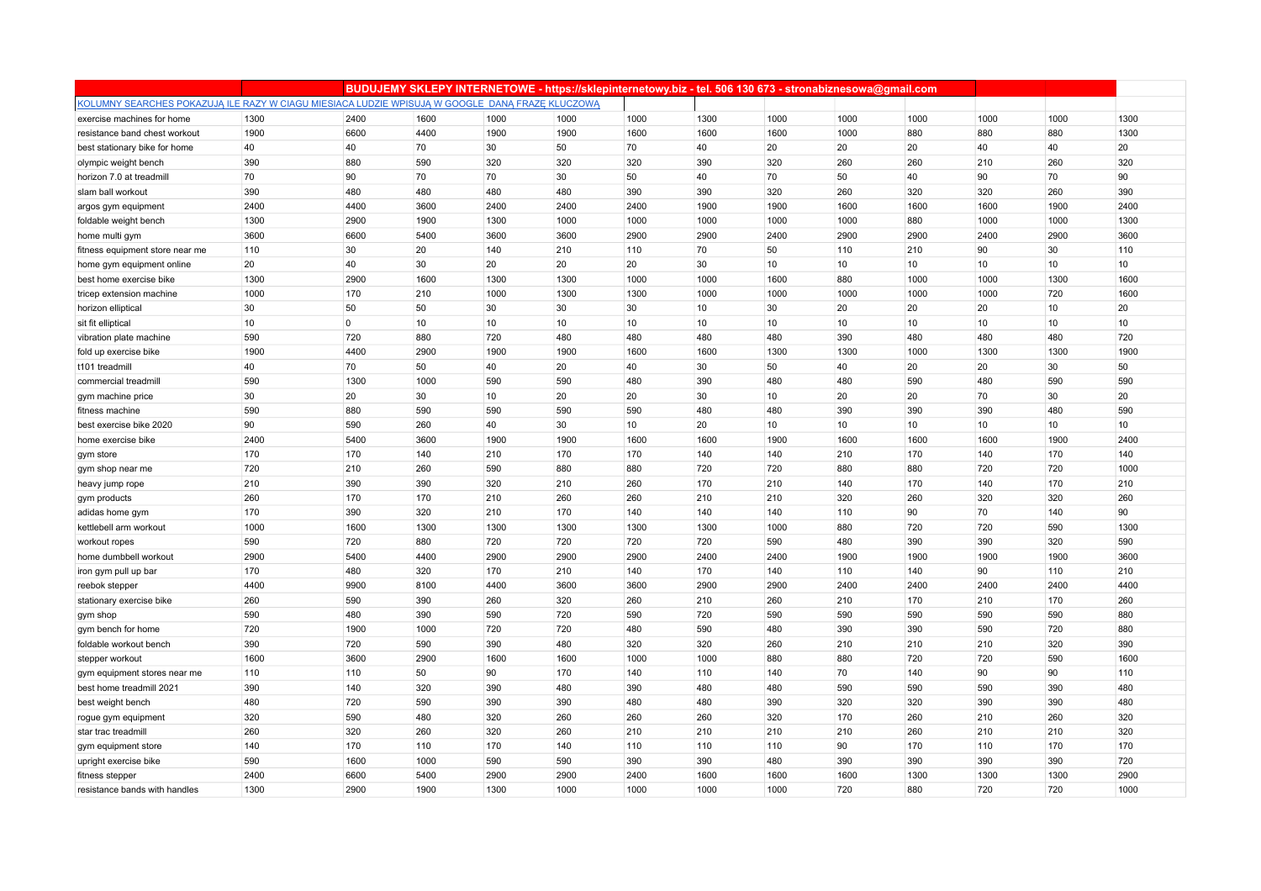|                                                                                                 |      |                | BUDUJEMY SKLEPY INTERNETOWE - https://sklepinternetowy.biz - tel. 506 130 673 - stronabiznesowa@gmail.com |      |      |      |      |      |      |      |      |      |      |
|-------------------------------------------------------------------------------------------------|------|----------------|-----------------------------------------------------------------------------------------------------------|------|------|------|------|------|------|------|------|------|------|
| KOLUMNY SEARCHES POKAZUJĄ ILE RAZY W CIAGU MIESIACA LUDZIE WPISUJĄ W GOOGLE DANĄ FRAZĘ KLUCZOWĄ |      |                |                                                                                                           |      |      |      |      |      |      |      |      |      |      |
| exercise machines for home                                                                      | 1300 | 2400           | 1600                                                                                                      | 1000 | 1000 | 1000 | 1300 | 1000 | 1000 | 1000 | 1000 | 1000 | 1300 |
| resistance band chest workout                                                                   | 1900 | 6600           | 4400                                                                                                      | 1900 | 1900 | 1600 | 1600 | 1600 | 1000 | 880  | 880  | 880  | 1300 |
| best stationary bike for home                                                                   | 40   | 40             | 70                                                                                                        | 30   | 50   | 70   | 40   | 20   | 20   | 20   | 40   | 40   | 20   |
| olympic weight bench                                                                            | 390  | 880            | 590                                                                                                       | 320  | 320  | 320  | 390  | 320  | 260  | 260  | 210  | 260  | 320  |
| horizon 7.0 at treadmill                                                                        | 70   | 90             | 70                                                                                                        | 70   | 30   | 50   | 40   | 70   | 50   | 40   | 90   | 70   | 90   |
| slam ball workout                                                                               | 390  | 480            | 480                                                                                                       | 480  | 480  | 390  | 390  | 320  | 260  | 320  | 320  | 260  | 390  |
| argos gym equipment                                                                             | 2400 | 4400           | 3600                                                                                                      | 2400 | 2400 | 2400 | 1900 | 1900 | 1600 | 1600 | 1600 | 1900 | 2400 |
| foldable weight bench                                                                           | 1300 | 2900           | 1900                                                                                                      | 1300 | 1000 | 1000 | 1000 | 1000 | 1000 | 880  | 1000 | 1000 | 1300 |
| home multi gym                                                                                  | 3600 | 6600           | 5400                                                                                                      | 3600 | 3600 | 2900 | 2900 | 2400 | 2900 | 2900 | 2400 | 2900 | 3600 |
| fitness equipment store near me                                                                 | 110  | 30             | 20                                                                                                        | 140  | 210  | 110  | 70   | 50   | 110  | 210  | 90   | 30   | 110  |
| home gym equipment online                                                                       | 20   | 40             | 30                                                                                                        | 20   | 20   | 20   | 30   | 10   | 10   | 10   | 10   | 10   | 10   |
| best home exercise bike                                                                         | 1300 | 2900           | 1600                                                                                                      | 1300 | 1300 | 1000 | 1000 | 1600 | 880  | 1000 | 1000 | 1300 | 1600 |
| tricep extension machine                                                                        | 1000 | 170            | 210                                                                                                       | 1000 | 1300 | 1300 | 1000 | 1000 | 1000 | 1000 | 1000 | 720  | 1600 |
| horizon elliptical                                                                              | 30   | 50             | 50                                                                                                        | 30   | 30   | 30   | 10   | 30   | 20   | 20   | 20   | 10   | 20   |
| sit fit elliptical                                                                              | 10   | $\overline{0}$ | 10                                                                                                        | 10   | 10   | 10   | 10   | 10   | 10   | 10   | 10   | 10   | 10   |
| vibration plate machine                                                                         | 590  | 720            | 880                                                                                                       | 720  | 480  | 480  | 480  | 480  | 390  | 480  | 480  | 480  | 720  |
| fold up exercise bike                                                                           | 1900 | 4400           | 2900                                                                                                      | 1900 | 1900 | 1600 | 1600 | 1300 | 1300 | 1000 | 1300 | 1300 | 1900 |
| t101 treadmill                                                                                  | 40   | 70             | 50                                                                                                        | 40   | 20   | 40   | 30   | 50   | 40   | 20   | 20   | 30   | 50   |
| commercial treadmill                                                                            | 590  | 1300           | 1000                                                                                                      | 590  | 590  | 480  | 390  | 480  | 480  | 590  | 480  | 590  | 590  |
| gym machine price                                                                               | 30   | 20             | 30                                                                                                        | 10   | 20   | 20   | 30   | 10   | 20   | 20   | 70   | 30   | 20   |
| fitness machine                                                                                 | 590  | 880            | 590                                                                                                       | 590  | 590  | 590  | 480  | 480  | 390  | 390  | 390  | 480  | 590  |
| best exercise bike 2020                                                                         | 90   | 590            | 260                                                                                                       | 40   | 30   | 10   | 20   | 10   | 10   | 10   | 10   | 10   | 10   |
| home exercise bike                                                                              | 2400 | 5400           | 3600                                                                                                      | 1900 | 1900 | 1600 | 1600 | 1900 | 1600 | 1600 | 1600 | 1900 | 2400 |
| gym store                                                                                       | 170  | 170            | 140                                                                                                       | 210  | 170  | 170  | 140  | 140  | 210  | 170  | 140  | 170  | 140  |
| gym shop near me                                                                                | 720  | 210            | 260                                                                                                       | 590  | 880  | 880  | 720  | 720  | 880  | 880  | 720  | 720  | 1000 |
| heavy jump rope                                                                                 | 210  | 390            | 390                                                                                                       | 320  | 210  | 260  | 170  | 210  | 140  | 170  | 140  | 170  | 210  |
| gym products                                                                                    | 260  | 170            | 170                                                                                                       | 210  | 260  | 260  | 210  | 210  | 320  | 260  | 320  | 320  | 260  |
| adidas home gym                                                                                 | 170  | 390            | 320                                                                                                       | 210  | 170  | 140  | 140  | 140  | 110  | 90   | 70   | 140  | 90   |
| kettlebell arm workout                                                                          | 1000 | 1600           | 1300                                                                                                      | 1300 | 1300 | 1300 | 1300 | 1000 | 880  | 720  | 720  | 590  | 1300 |
| workout ropes                                                                                   | 590  | 720            | 880                                                                                                       | 720  | 720  | 720  | 720  | 590  | 480  | 390  | 390  | 320  | 590  |
| home dumbbell workout                                                                           | 2900 | 5400           | 4400                                                                                                      | 2900 | 2900 | 2900 | 2400 | 2400 | 1900 | 1900 | 1900 | 1900 | 3600 |
| iron gym pull up bar                                                                            | 170  | 480            | 320                                                                                                       | 170  | 210  | 140  | 170  | 140  | 110  | 140  | 90   | 110  | 210  |
| reebok stepper                                                                                  | 4400 | 9900           | 8100                                                                                                      | 4400 | 3600 | 3600 | 2900 | 2900 | 2400 | 2400 | 2400 | 2400 | 4400 |
| stationary exercise bike                                                                        | 260  | 590            | 390                                                                                                       | 260  | 320  | 260  | 210  | 260  | 210  | 170  | 210  | 170  | 260  |
| gym shop                                                                                        | 590  | 480            | 390                                                                                                       | 590  | 720  | 590  | 720  | 590  | 590  | 590  | 590  | 590  | 880  |
| gym bench for home                                                                              | 720  | 1900           | 1000                                                                                                      | 720  | 720  | 480  | 590  | 480  | 390  | 390  | 590  | 720  | 880  |
| foldable workout bench                                                                          | 390  | 720            | 590                                                                                                       | 390  | 480  | 320  | 320  | 260  | 210  | 210  | 210  | 320  | 390  |
| stepper workout                                                                                 | 1600 | 3600           | 2900                                                                                                      | 1600 | 1600 | 1000 | 1000 | 880  | 880  | 720  | 720  | 590  | 1600 |
| gym equipment stores near me                                                                    | 110  | 110            | 50                                                                                                        | 90   | 170  | 140  | 110  | 140  | 70   | 140  | 90   | 90   | 110  |
| best home treadmill 2021                                                                        | 390  | 140            | 320                                                                                                       | 390  | 480  | 390  | 480  | 480  | 590  | 590  | 590  | 390  | 480  |
| best weight bench                                                                               | 480  | 720            | 590                                                                                                       | 390  | 390  | 480  | 480  | 390  | 320  | 320  | 390  | 390  | 480  |
| rogue gym equipment                                                                             | 320  | 590            | 480                                                                                                       | 320  | 260  | 260  | 260  | 320  | 170  | 260  | 210  | 260  | 320  |
| star trac treadmill                                                                             | 260  | 320            | 260                                                                                                       | 320  | 260  | 210  | 210  | 210  | 210  | 260  | 210  | 210  | 320  |
| gym equipment store                                                                             | 140  | 170            | 110                                                                                                       | 170  | 140  | 110  | 110  | 110  | 90   | 170  | 110  | 170  | 170  |
| upright exercise bike                                                                           | 590  | 1600           | 1000                                                                                                      | 590  | 590  | 390  | 390  | 480  | 390  | 390  | 390  | 390  | 720  |
| fitness stepper                                                                                 | 2400 | 6600           | 5400                                                                                                      | 2900 | 2900 | 2400 | 1600 | 1600 | 1600 | 1300 | 1300 | 1300 | 2900 |
| resistance bands with handles                                                                   | 1300 | 2900           | 1900                                                                                                      | 1300 | 1000 | 1000 | 1000 | 1000 | 720  | 880  | 720  | 720  | 1000 |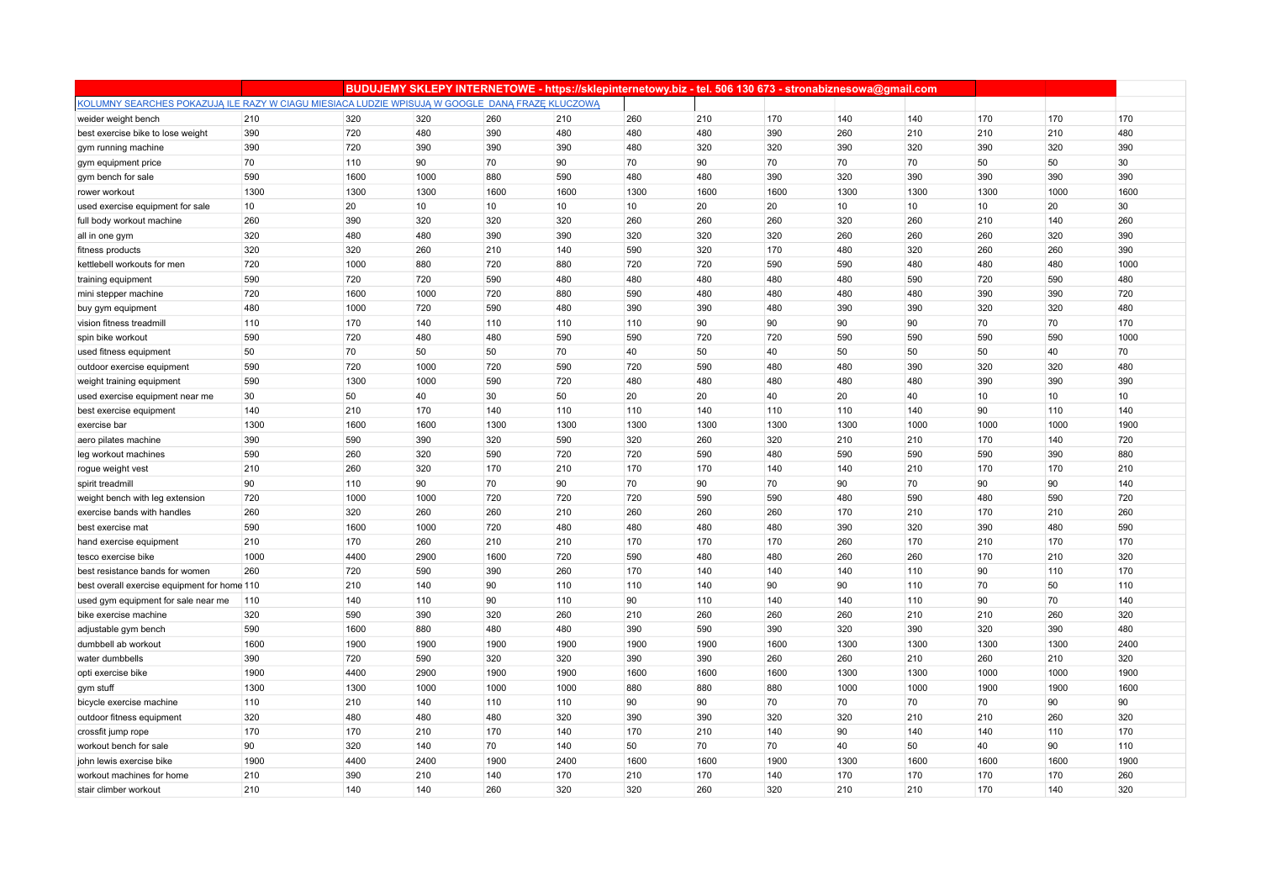|                                                                                                 |      |      |      |      | BUDUJEMY SKLEPY INTERNETOWE - https://sklepinternetowy.biz - tel. 506 130 673 - stronabiznesowa@gmail.com |      |      |      |      |      |      |      |      |
|-------------------------------------------------------------------------------------------------|------|------|------|------|-----------------------------------------------------------------------------------------------------------|------|------|------|------|------|------|------|------|
| KOLUMNY SEARCHES POKAZUJĄ ILE RAZY W CIAGU MIESIACA LUDZIE WPISUJĄ W GOOGLE DANĄ FRAZE KLUCZOWĄ |      |      |      |      |                                                                                                           |      |      |      |      |      |      |      |      |
| weider weight bench                                                                             | 210  | 320  | 320  | 260  | 210                                                                                                       | 260  | 210  | 170  | 140  | 140  | 170  | 170  | 170  |
| best exercise bike to lose weight                                                               | 390  | 720  | 480  | 390  | 480                                                                                                       | 480  | 480  | 390  | 260  | 210  | 210  | 210  | 480  |
| gym running machine                                                                             | 390  | 720  | 390  | 390  | 390                                                                                                       | 480  | 320  | 320  | 390  | 320  | 390  | 320  | 390  |
| gym equipment price                                                                             | 70   | 110  | 90   | 70   | 90                                                                                                        | 70   | 90   | 70   | 70   | 70   | 50   | 50   | 30   |
| gym bench for sale                                                                              | 590  | 1600 | 1000 | 880  | 590                                                                                                       | 480  | 480  | 390  | 320  | 390  | 390  | 390  | 390  |
| rower workout                                                                                   | 1300 | 1300 | 1300 | 1600 | 1600                                                                                                      | 1300 | 1600 | 1600 | 1300 | 1300 | 1300 | 1000 | 1600 |
| used exercise equipment for sale                                                                | 10   | 20   | 10   | 10   | 10                                                                                                        | 10   | 20   | 20   | 10   | 10   | 10   | 20   | 30   |
| full body workout machine                                                                       | 260  | 390  | 320  | 320  | 320                                                                                                       | 260  | 260  | 260  | 320  | 260  | 210  | 140  | 260  |
| all in one gym                                                                                  | 320  | 480  | 480  | 390  | 390                                                                                                       | 320  | 320  | 320  | 260  | 260  | 260  | 320  | 390  |
| fitness products                                                                                | 320  | 320  | 260  | 210  | 140                                                                                                       | 590  | 320  | 170  | 480  | 320  | 260  | 260  | 390  |
| kettlebell workouts for men                                                                     | 720  | 1000 | 880  | 720  | 880                                                                                                       | 720  | 720  | 590  | 590  | 480  | 480  | 480  | 1000 |
| training equipment                                                                              | 590  | 720  | 720  | 590  | 480                                                                                                       | 480  | 480  | 480  | 480  | 590  | 720  | 590  | 480  |
| mini stepper machine                                                                            | 720  | 1600 | 1000 | 720  | 880                                                                                                       | 590  | 480  | 480  | 480  | 480  | 390  | 390  | 720  |
| buy gym equipment                                                                               | 480  | 1000 | 720  | 590  | 480                                                                                                       | 390  | 390  | 480  | 390  | 390  | 320  | 320  | 480  |
| vision fitness treadmill                                                                        | 110  | 170  | 140  | 110  | 110                                                                                                       | 110  | 90   | 90   | 90   | 90   | 70   | 70   | 170  |
| spin bike workout                                                                               | 590  | 720  | 480  | 480  | 590                                                                                                       | 590  | 720  | 720  | 590  | 590  | 590  | 590  | 1000 |
| used fitness equipment                                                                          | 50   | 70   | 50   | 50   | 70                                                                                                        | 40   | 50   | 40   | 50   | 50   | 50   | 40   | 70   |
| outdoor exercise equipment                                                                      | 590  | 720  | 1000 | 720  | 590                                                                                                       | 720  | 590  | 480  | 480  | 390  | 320  | 320  | 480  |
| weight training equipment                                                                       | 590  | 1300 | 1000 | 590  | 720                                                                                                       | 480  | 480  | 480  | 480  | 480  | 390  | 390  | 390  |
| used exercise equipment near me                                                                 | 30   | 50   | 40   | 30   | 50                                                                                                        | 20   | 20   | 40   | 20   | 40   | 10   | 10   | 10   |
| best exercise equipment                                                                         | 140  | 210  | 170  | 140  | 110                                                                                                       | 110  | 140  | 110  | 110  | 140  | 90   | 110  | 140  |
| exercise bar                                                                                    | 1300 | 1600 | 1600 | 1300 | 1300                                                                                                      | 1300 | 1300 | 1300 | 1300 | 1000 | 1000 | 1000 | 1900 |
| aero pilates machine                                                                            | 390  | 590  | 390  | 320  | 590                                                                                                       | 320  | 260  | 320  | 210  | 210  | 170  | 140  | 720  |
| leg workout machines                                                                            | 590  | 260  | 320  | 590  | 720                                                                                                       | 720  | 590  | 480  | 590  | 590  | 590  | 390  | 880  |
| rogue weight vest                                                                               | 210  | 260  | 320  | 170  | 210                                                                                                       | 170  | 170  | 140  | 140  | 210  | 170  | 170  | 210  |
| spirit treadmill                                                                                | 90   | 110  | 90   | 70   | 90                                                                                                        | 70   | 90   | 70   | 90   | 70   | 90   | 90   | 140  |
| weight bench with leg extension                                                                 | 720  | 1000 | 1000 | 720  | 720                                                                                                       | 720  | 590  | 590  | 480  | 590  | 480  | 590  | 720  |
| exercise bands with handles                                                                     | 260  | 320  | 260  | 260  | 210                                                                                                       | 260  | 260  | 260  | 170  | 210  | 170  | 210  | 260  |
| best exercise mat                                                                               | 590  | 1600 | 1000 | 720  | 480                                                                                                       | 480  | 480  | 480  | 390  | 320  | 390  | 480  | 590  |
| hand exercise equipment                                                                         | 210  | 170  | 260  | 210  | 210                                                                                                       | 170  | 170  | 170  | 260  | 170  | 210  | 170  | 170  |
| tesco exercise bike                                                                             | 1000 | 4400 | 2900 | 1600 | 720                                                                                                       | 590  | 480  | 480  | 260  | 260  | 170  | 210  | 320  |
| best resistance bands for women                                                                 | 260  | 720  | 590  | 390  | 260                                                                                                       | 170  | 140  | 140  | 140  | 110  | 90   | 110  | 170  |
| best overall exercise equipment for home 110                                                    |      | 210  | 140  | 90   | 110                                                                                                       | 110  | 140  | 90   | 90   | 110  | 70   | 50   | 110  |
| used gym equipment for sale near me                                                             | 110  | 140  | 110  | 90   | 110                                                                                                       | 90   | 110  | 140  | 140  | 110  | 90   | 70   | 140  |
| bike exercise machine                                                                           | 320  | 590  | 390  | 320  | 260                                                                                                       | 210  | 260  | 260  | 260  | 210  | 210  | 260  | 320  |
| adjustable gym bench                                                                            | 590  | 1600 | 880  | 480  | 480                                                                                                       | 390  | 590  | 390  | 320  | 390  | 320  | 390  | 480  |
| dumbbell ab workout                                                                             | 1600 | 1900 | 1900 | 1900 | 1900                                                                                                      | 1900 | 1900 | 1600 | 1300 | 1300 | 1300 | 1300 | 2400 |
| water dumbbells                                                                                 | 390  | 720  | 590  | 320  | 320                                                                                                       | 390  | 390  | 260  | 260  | 210  | 260  | 210  | 320  |
| opti exercise bike                                                                              | 1900 | 4400 | 2900 | 1900 | 1900                                                                                                      | 1600 | 1600 | 1600 | 1300 | 1300 | 1000 | 1000 | 1900 |
| gym stuff                                                                                       | 1300 | 1300 | 1000 | 1000 | 1000                                                                                                      | 880  | 880  | 880  | 1000 | 1000 | 1900 | 1900 | 1600 |
| bicycle exercise machine                                                                        | 110  | 210  | 140  | 110  | 110                                                                                                       | 90   | 90   | 70   | 70   | 70   | 70   | 90   | 90   |
| outdoor fitness equipment                                                                       | 320  | 480  | 480  | 480  | 320                                                                                                       | 390  | 390  | 320  | 320  | 210  | 210  | 260  | 320  |
| crossfit jump rope                                                                              | 170  | 170  | 210  | 170  | 140                                                                                                       | 170  | 210  | 140  | 90   | 140  | 140  | 110  | 170  |
| workout bench for sale                                                                          | 90   | 320  | 140  | 70   | 140                                                                                                       | 50   | 70   | 70   | 40   | 50   | 40   | 90   | 110  |
| john lewis exercise bike                                                                        | 1900 | 4400 | 2400 | 1900 | 2400                                                                                                      | 1600 | 1600 | 1900 | 1300 | 1600 | 1600 | 1600 | 1900 |
| workout machines for home                                                                       | 210  | 390  | 210  | 140  | 170                                                                                                       | 210  | 170  | 140  | 170  | 170  | 170  | 170  | 260  |
| stair climber workout                                                                           | 210  | 140  | 140  | 260  | 320                                                                                                       | 320  | 260  | 320  | 210  | 210  | 170  | 140  | 320  |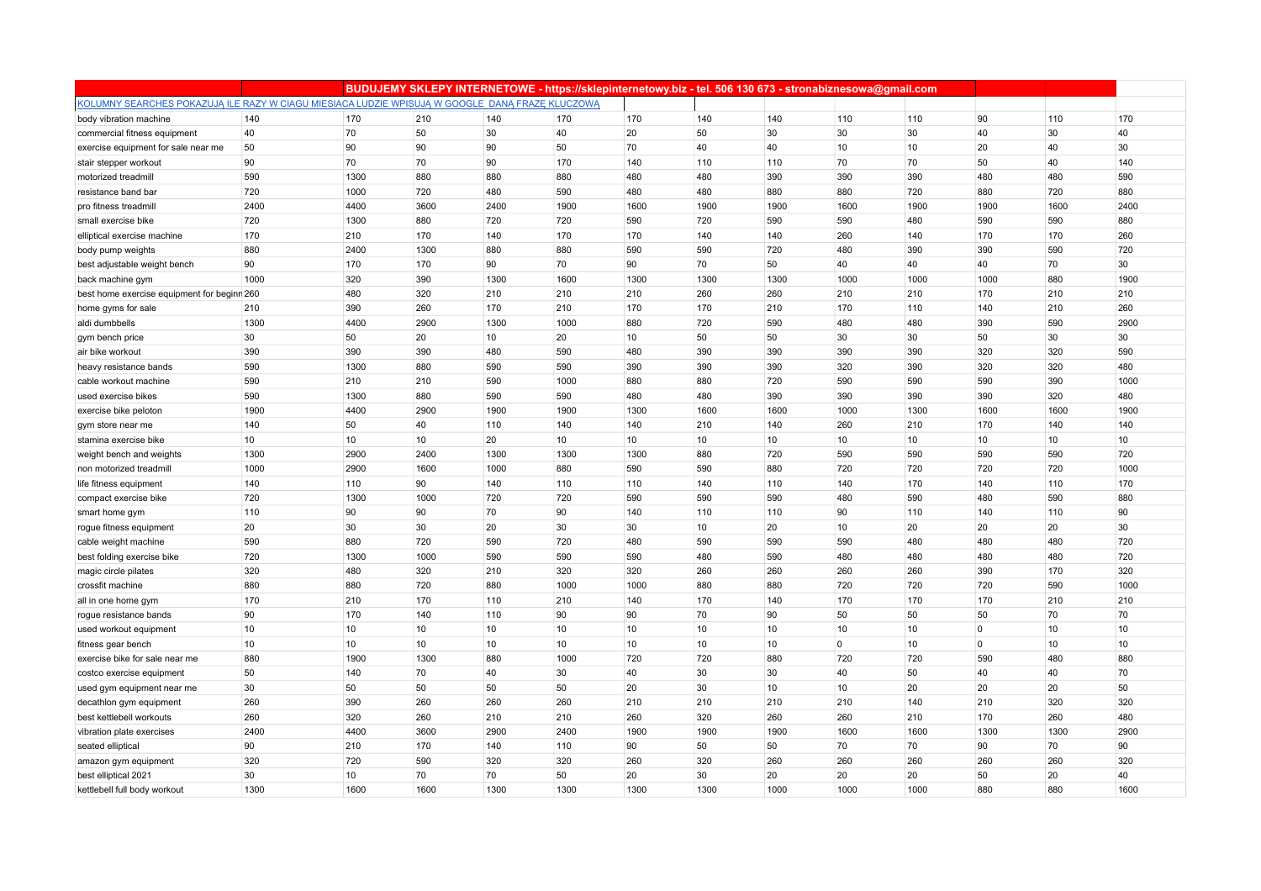|                                                                                                 |      |      |      |      | BUDUJEMY SKLEPY INTERNETOWE - https://sklepinternetowy.biz - tel. 506 130 673 - stronabiznesowa@gmail.com |      |      |      |             |                  |              |      |      |
|-------------------------------------------------------------------------------------------------|------|------|------|------|-----------------------------------------------------------------------------------------------------------|------|------|------|-------------|------------------|--------------|------|------|
| KOLUMNY SEARCHES POKAZUJĄ ILE RAZY W CIAGU MIESIACA LUDZIE WPISUJĄ W GOOGLE DANĄ FRAZE KLUCZOWĄ |      |      |      |      |                                                                                                           |      |      |      |             |                  |              |      |      |
| body vibration machine                                                                          | 140  | 170  | 210  | 140  | 170                                                                                                       | 170  | 140  | 140  | 110         | 110              | 90           | 110  | 170  |
| commercial fitness equipment                                                                    | 40   | 70   | 50   | 30   | 40                                                                                                        | 20   | 50   | 30   | 30          | 30               | 40           | 30   | 40   |
| exercise equipment for sale near me                                                             | 50   | 90   | 90   | 90   | 50                                                                                                        | 70   | 40   | 40   | 10          | 10               | 20           | 40   | 30   |
| stair stepper workout                                                                           | 90   | 70   | 70   | 90   | 170                                                                                                       | 140  | 110  | 110  | 70          | 70               | 50           | 40   | 140  |
| motorized treadmill                                                                             | 590  | 1300 | 880  | 880  | 880                                                                                                       | 480  | 480  | 390  | 390         | 390              | 480          | 480  | 590  |
| resistance band bar                                                                             | 720  | 1000 | 720  | 480  | 590                                                                                                       | 480  | 480  | 880  | 880         | 720              | 880          | 720  | 880  |
| pro fitness treadmill                                                                           | 2400 | 4400 | 3600 | 2400 | 1900                                                                                                      | 1600 | 1900 | 1900 | 1600        | 1900             | 1900         | 1600 | 2400 |
| small exercise bike                                                                             | 720  | 1300 | 880  | 720  | 720                                                                                                       | 590  | 720  | 590  | 590         | 480              | 590          | 590  | 880  |
| elliptical exercise machine                                                                     | 170  | 210  | 170  | 140  | 170                                                                                                       | 170  | 140  | 140  | 260         | 140              | 170          | 170  | 260  |
| body pump weights                                                                               | 880  | 2400 | 1300 | 880  | 880                                                                                                       | 590  | 590  | 720  | 480         | 390              | 390          | 590  | 720  |
| best adjustable weight bench                                                                    | 90   | 170  | 170  | 90   | 70                                                                                                        | 90   | 70   | 50   | 40          | 40               | 40           | 70   | 30   |
| back machine gym                                                                                | 1000 | 320  | 390  | 1300 | 1600                                                                                                      | 1300 | 1300 | 1300 | 1000        | 1000             | 1000         | 880  | 1900 |
| best home exercise equipment for beginn 260                                                     |      | 480  | 320  | 210  | 210                                                                                                       | 210  | 260  | 260  | 210         | 210              | 170          | 210  | 210  |
| home gyms for sale                                                                              | 210  | 390  | 260  | 170  | 210                                                                                                       | 170  | 170  | 210  | 170         | 110              | 140          | 210  | 260  |
| aldi dumbbells                                                                                  | 1300 | 4400 | 2900 | 1300 | 1000                                                                                                      | 880  | 720  | 590  | 480         | 480              | 390          | 590  | 2900 |
| gym bench price                                                                                 | 30   | 50   | 20   | 10   | 20                                                                                                        | 10   | 50   | 50   | 30          | 30               | 50           | 30   | 30   |
| air bike workout                                                                                | 390  | 390  | 390  | 480  | 590                                                                                                       | 480  | 390  | 390  | 390         | 390              | 320          | 320  | 590  |
| heavy resistance bands                                                                          | 590  | 1300 | 880  | 590  | 590                                                                                                       | 390  | 390  | 390  | 320         | 390              | 320          | 320  | 480  |
| cable workout machine                                                                           | 590  | 210  | 210  | 590  | 1000                                                                                                      | 880  | 880  | 720  | 590         | 590              | 590          | 390  | 1000 |
| used exercise bikes                                                                             | 590  | 1300 | 880  | 590  | 590                                                                                                       | 480  | 480  | 390  | 390         | 390              | 390          | 320  | 480  |
| exercise bike peloton                                                                           | 1900 | 4400 | 2900 | 1900 | 1900                                                                                                      | 1300 | 1600 | 1600 | 1000        | 1300             | 1600         | 1600 | 1900 |
| gym store near me                                                                               | 140  | 50   | 40   | 110  | 140                                                                                                       | 140  | 210  | 140  | 260         | 210              | 170          | 140  | 140  |
| stamina exercise bike                                                                           | 10   | 10   | 10   | 20   | 10                                                                                                        | 10   | 10   | 10   | 10          | 10               | 10           | 10   | 10   |
| weight bench and weights                                                                        | 1300 | 2900 | 2400 | 1300 | 1300                                                                                                      | 1300 | 880  | 720  | 590         | 590              | 590          | 590  | 720  |
| non motorized treadmill                                                                         | 1000 | 2900 | 1600 | 1000 | 880                                                                                                       | 590  | 590  | 880  | 720         | 720              | 720          | 720  | 1000 |
| life fitness equipment                                                                          | 140  | 110  | 90   | 140  | 110                                                                                                       | 110  | 140  | 110  | 140         | 170              | 140          | 110  | 170  |
| compact exercise bike                                                                           | 720  | 1300 | 1000 | 720  | 720                                                                                                       | 590  | 590  | 590  | 480         | 590              | 480          | 590  | 880  |
| smart home gym                                                                                  | 110  | 90   | 90   | 70   | 90                                                                                                        | 140  | 110  | 110  | 90          | 110              | 140          | 110  | 90   |
| rogue fitness equipment                                                                         | 20   | 30   | 30   | 20   | 30                                                                                                        | 30   | 10   | 20   | 10          | 20               | 20           | 20   | 30   |
| cable weight machine                                                                            | 590  | 880  | 720  | 590  | 720                                                                                                       | 480  | 590  | 590  | 590         | 480              | 480          | 480  | 720  |
| best folding exercise bike                                                                      | 720  | 1300 | 1000 | 590  | 590                                                                                                       | 590  | 480  | 590  | 480         | 480              | 480          | 480  | 720  |
| magic circle pilates                                                                            | 320  | 480  | 320  | 210  | 320                                                                                                       | 320  | 260  | 260  | 260         | 260              | 390          | 170  | 320  |
| crossfit machine                                                                                | 880  | 880  | 720  | 880  | 1000                                                                                                      | 1000 | 880  | 880  | 720         | 720              | 720          | 590  | 1000 |
| all in one home gym                                                                             | 170  | 210  | 170  | 110  | 210                                                                                                       | 140  | 170  | 140  | 170         | 170              | 170          | 210  | 210  |
| rogue resistance bands                                                                          | 90   | 170  | 140  | 110  | 90                                                                                                        | 90   | 70   | 90   | 50          | 50               | 50           | 70   | 70   |
| used workout equipment                                                                          | 10   | 10   | 10   | 10   | 10 <sup>1</sup>                                                                                           | 10   | 10   | 10   | 10          | 10 <sup>10</sup> | $\mathbf{0}$ | 10   | 10   |
| fitness gear bench                                                                              | 10   | 10   | 10   | 10   | 10                                                                                                        | 10   | 10   | 10   | $\mathbf 0$ | 10               | $\mathbf{0}$ | 10   | 10   |
| exercise bike for sale near me                                                                  | 880  | 1900 | 1300 | 880  | 1000                                                                                                      | 720  | 720  | 880  | 720         | 720              | 590          | 480  | 880  |
| costco exercise equipment                                                                       | 50   | 140  | 70   | 40   | 30                                                                                                        | 40   | 30   | 30   | 40          | 50               | 40           | 40   | 70   |
| used gym equipment near me                                                                      | 30   | 50   | 50   | 50   | 50                                                                                                        | 20   | 30   | 10   | 10          | 20               | 20           | 20   | 50   |
| decathlon gym equipment                                                                         | 260  | 390  | 260  | 260  | 260                                                                                                       | 210  | 210  | 210  | 210         | 140              | 210          | 320  | 320  |
| best kettlebell workouts                                                                        | 260  | 320  | 260  | 210  | 210                                                                                                       | 260  | 320  | 260  | 260         | 210              | 170          | 260  | 480  |
| vibration plate exercises                                                                       | 2400 | 4400 | 3600 | 2900 | 2400                                                                                                      | 1900 | 1900 | 1900 | 1600        | 1600             | 1300         | 1300 | 2900 |
| seated elliptical                                                                               | 90   | 210  | 170  | 140  | 110                                                                                                       | 90   | 50   | 50   | 70          | 70               | 90           | 70   | 90   |
| amazon gym equipment                                                                            | 320  | 720  | 590  | 320  | 320                                                                                                       | 260  | 320  | 260  | 260         | 260              | 260          | 260  | 320  |
| best elliptical 2021                                                                            | 30   | 10   | 70   | 70   | 50                                                                                                        | 20   | 30   | 20   | 20          | 20               | 50           | 20   | 40   |
| kettlebell full body workout                                                                    | 1300 | 1600 | 1600 | 1300 | 1300                                                                                                      | 1300 | 1300 | 1000 | 1000        | 1000             | 880          | 880  | 1600 |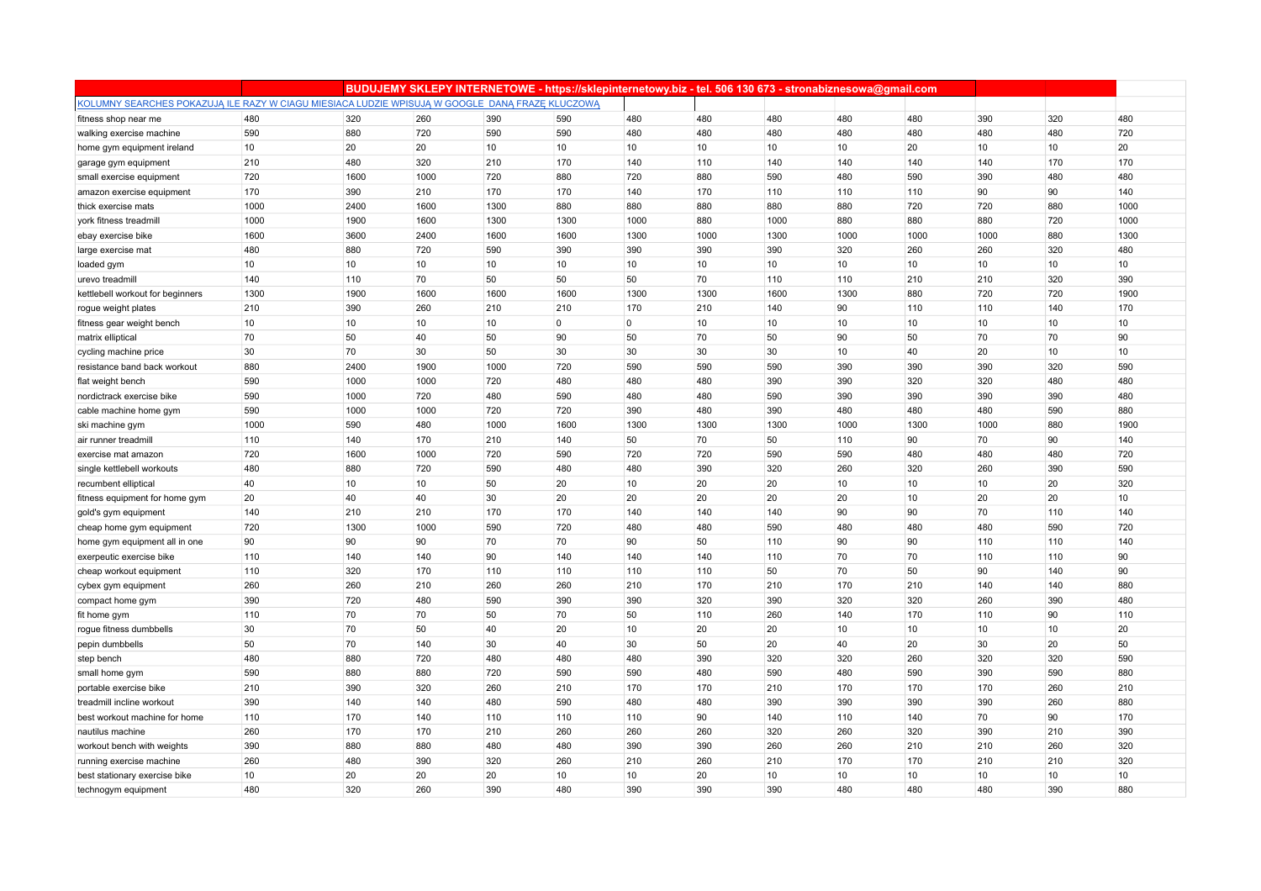|                                                                                                 |      |      |      |      | BUDUJEMY SKLEPY INTERNETOWE - https://sklepinternetowy.biz - tel. 506 130 673 - stronabiznesowa@gmail.com |                |      |      |      |      |      |     |      |
|-------------------------------------------------------------------------------------------------|------|------|------|------|-----------------------------------------------------------------------------------------------------------|----------------|------|------|------|------|------|-----|------|
| KOLUMNY SEARCHES POKAZUJĄ ILE RAZY W CIAGU MIESIACA LUDZIE WPISUJĄ W GOOGLE DANĄ FRAZE KLUCZOWĄ |      |      |      |      |                                                                                                           |                |      |      |      |      |      |     |      |
| fitness shop near me                                                                            | 480  | 320  | 260  | 390  | 590                                                                                                       | 480            | 480  | 480  | 480  | 480  | 390  | 320 | 480  |
| walking exercise machine                                                                        | 590  | 880  | 720  | 590  | 590                                                                                                       | 480            | 480  | 480  | 480  | 480  | 480  | 480 | 720  |
| home gym equipment ireland                                                                      | 10   | 20   | 20   | 10   | 10                                                                                                        | 10             | 10   | 10   | 10   | 20   | 10   | 10  | 20   |
| garage gym equipment                                                                            | 210  | 480  | 320  | 210  | 170                                                                                                       | 140            | 110  | 140  | 140  | 140  | 140  | 170 | 170  |
| small exercise equipment                                                                        | 720  | 1600 | 1000 | 720  | 880                                                                                                       | 720            | 880  | 590  | 480  | 590  | 390  | 480 | 480  |
| amazon exercise equipment                                                                       | 170  | 390  | 210  | 170  | 170                                                                                                       | 140            | 170  | 110  | 110  | 110  | 90   | 90  | 140  |
| thick exercise mats                                                                             | 1000 | 2400 | 1600 | 1300 | 880                                                                                                       | 880            | 880  | 880  | 880  | 720  | 720  | 880 | 1000 |
| york fitness treadmill                                                                          | 1000 | 1900 | 1600 | 1300 | 1300                                                                                                      | 1000           | 880  | 1000 | 880  | 880  | 880  | 720 | 1000 |
| ebay exercise bike                                                                              | 1600 | 3600 | 2400 | 1600 | 1600                                                                                                      | 1300           | 1000 | 1300 | 1000 | 1000 | 1000 | 880 | 1300 |
| large exercise mat                                                                              | 480  | 880  | 720  | 590  | 390                                                                                                       | 390            | 390  | 390  | 320  | 260  | 260  | 320 | 480  |
| loaded gym                                                                                      | 10   | 10   | 10   | 10   | 10                                                                                                        | 10             | 10   | 10   | 10   | 10   | 10   | 10  | 10   |
| urevo treadmill                                                                                 | 140  | 110  | 70   | 50   | 50                                                                                                        | 50             | 70   | 110  | 110  | 210  | 210  | 320 | 390  |
| kettlebell workout for beginners                                                                | 1300 | 1900 | 1600 | 1600 | 1600                                                                                                      | 1300           | 1300 | 1600 | 1300 | 880  | 720  | 720 | 1900 |
| rogue weight plates                                                                             | 210  | 390  | 260  | 210  | 210                                                                                                       | 170            | 210  | 140  | 90   | 110  | 110  | 140 | 170  |
| fitness gear weight bench                                                                       | 10   | 10   | 10   | 10   | $\overline{0}$                                                                                            | $\overline{0}$ | 10   | 10   | 10   | 10   | 10   | 10  | 10   |
| matrix elliptical                                                                               | 70   | 50   | 40   | 50   | 90                                                                                                        | 50             | 70   | 50   | 90   | 50   | 70   | 70  | 90   |
| cycling machine price                                                                           | 30   | 70   | 30   | 50   | 30                                                                                                        | 30             | 30   | 30   | 10   | 40   | 20   | 10  | 10   |
| resistance band back workout                                                                    | 880  | 2400 | 1900 | 1000 | 720                                                                                                       | 590            | 590  | 590  | 390  | 390  | 390  | 320 | 590  |
| flat weight bench                                                                               | 590  | 1000 | 1000 | 720  | 480                                                                                                       | 480            | 480  | 390  | 390  | 320  | 320  | 480 | 480  |
| nordictrack exercise bike                                                                       | 590  | 1000 | 720  | 480  | 590                                                                                                       | 480            | 480  | 590  | 390  | 390  | 390  | 390 | 480  |
| cable machine home gym                                                                          | 590  | 1000 | 1000 | 720  | 720                                                                                                       | 390            | 480  | 390  | 480  | 480  | 480  | 590 | 880  |
| ski machine gym                                                                                 | 1000 | 590  | 480  | 1000 | 1600                                                                                                      | 1300           | 1300 | 1300 | 1000 | 1300 | 1000 | 880 | 1900 |
| air runner treadmill                                                                            | 110  | 140  | 170  | 210  | 140                                                                                                       | 50             | 70   | 50   | 110  | 90   | 70   | 90  | 140  |
| exercise mat amazon                                                                             | 720  | 1600 | 1000 | 720  | 590                                                                                                       | 720            | 720  | 590  | 590  | 480  | 480  | 480 | 720  |
| single kettlebell workouts                                                                      | 480  | 880  | 720  | 590  | 480                                                                                                       | 480            | 390  | 320  | 260  | 320  | 260  | 390 | 590  |
| recumbent elliptical                                                                            | 40   | 10   | 10   | 50   | 20                                                                                                        | 10             | 20   | 20   | 10   | 10   | 10   | 20  | 320  |
| fitness equipment for home gym                                                                  | 20   | 40   | 40   | 30   | 20                                                                                                        | 20             | 20   | 20   | 20   | 10   | 20   | 20  | 10   |
| gold's gym equipment                                                                            | 140  | 210  | 210  | 170  | 170                                                                                                       | 140            | 140  | 140  | 90   | 90   | 70   | 110 | 140  |
| cheap home gym equipment                                                                        | 720  | 1300 | 1000 | 590  | 720                                                                                                       | 480            | 480  | 590  | 480  | 480  | 480  | 590 | 720  |
| home gym equipment all in one                                                                   | 90   | 90   | 90   | 70   | 70                                                                                                        | 90             | 50   | 110  | 90   | 90   | 110  | 110 | 140  |
| exerpeutic exercise bike                                                                        | 110  | 140  | 140  | 90   | 140                                                                                                       | 140            | 140  | 110  | 70   | 70   | 110  | 110 | 90   |
| cheap workout equipment                                                                         | 110  | 320  | 170  | 110  | 110                                                                                                       | 110            | 110  | 50   | 70   | 50   | 90   | 140 | 90   |
| cybex gym equipment                                                                             | 260  | 260  | 210  | 260  | 260                                                                                                       | 210            | 170  | 210  | 170  | 210  | 140  | 140 | 880  |
| compact home gym                                                                                | 390  | 720  | 480  | 590  | 390                                                                                                       | 390            | 320  | 390  | 320  | 320  | 260  | 390 | 480  |
| fit home gym                                                                                    | 110  | 70   | 70   | 50   | 70                                                                                                        | 50             | 110  | 260  | 140  | 170  | 110  | 90  | 110  |
| roque fitness dumbbells                                                                         | 30   | 70   | 50   | 40   | 20                                                                                                        | 10             | 20   | 20   | 10   | 10   | 10   | 10  | 20   |
| pepin dumbbells                                                                                 | 50   | 70   | 140  | 30   | 40                                                                                                        | 30             | 50   | 20   | 40   | 20   | 30   | 20  | 50   |
| step bench                                                                                      | 480  | 880  | 720  | 480  | 480                                                                                                       | 480            | 390  | 320  | 320  | 260  | 320  | 320 | 590  |
| small home gym                                                                                  | 590  | 880  | 880  | 720  | 590                                                                                                       | 590            | 480  | 590  | 480  | 590  | 390  | 590 | 880  |
| portable exercise bike                                                                          | 210  | 390  | 320  | 260  | 210                                                                                                       | 170            | 170  | 210  | 170  | 170  | 170  | 260 | 210  |
| treadmill incline workout                                                                       | 390  | 140  | 140  | 480  | 590                                                                                                       | 480            | 480  | 390  | 390  | 390  | 390  | 260 | 880  |
| best workout machine for home                                                                   | 110  | 170  | 140  | 110  | 110                                                                                                       | 110            | 90   | 140  | 110  | 140  | 70   | 90  | 170  |
| nautilus machine                                                                                | 260  | 170  | 170  | 210  | 260                                                                                                       | 260            | 260  | 320  | 260  | 320  | 390  | 210 | 390  |
| workout bench with weights                                                                      | 390  | 880  | 880  | 480  | 480                                                                                                       | 390            | 390  | 260  | 260  | 210  | 210  | 260 | 320  |
| running exercise machine                                                                        | 260  | 480  | 390  | 320  | 260                                                                                                       | 210            | 260  | 210  | 170  | 170  | 210  | 210 | 320  |
| best stationary exercise bike                                                                   | 10   | 20   | 20   | 20   | 10                                                                                                        | 10             | 20   | 10   | 10   | 10   | 10   | 10  | 10   |
| technogym equipment                                                                             | 480  | 320  | 260  | 390  | 480                                                                                                       | 390            | 390  | 390  | 480  | 480  | 480  | 390 | 880  |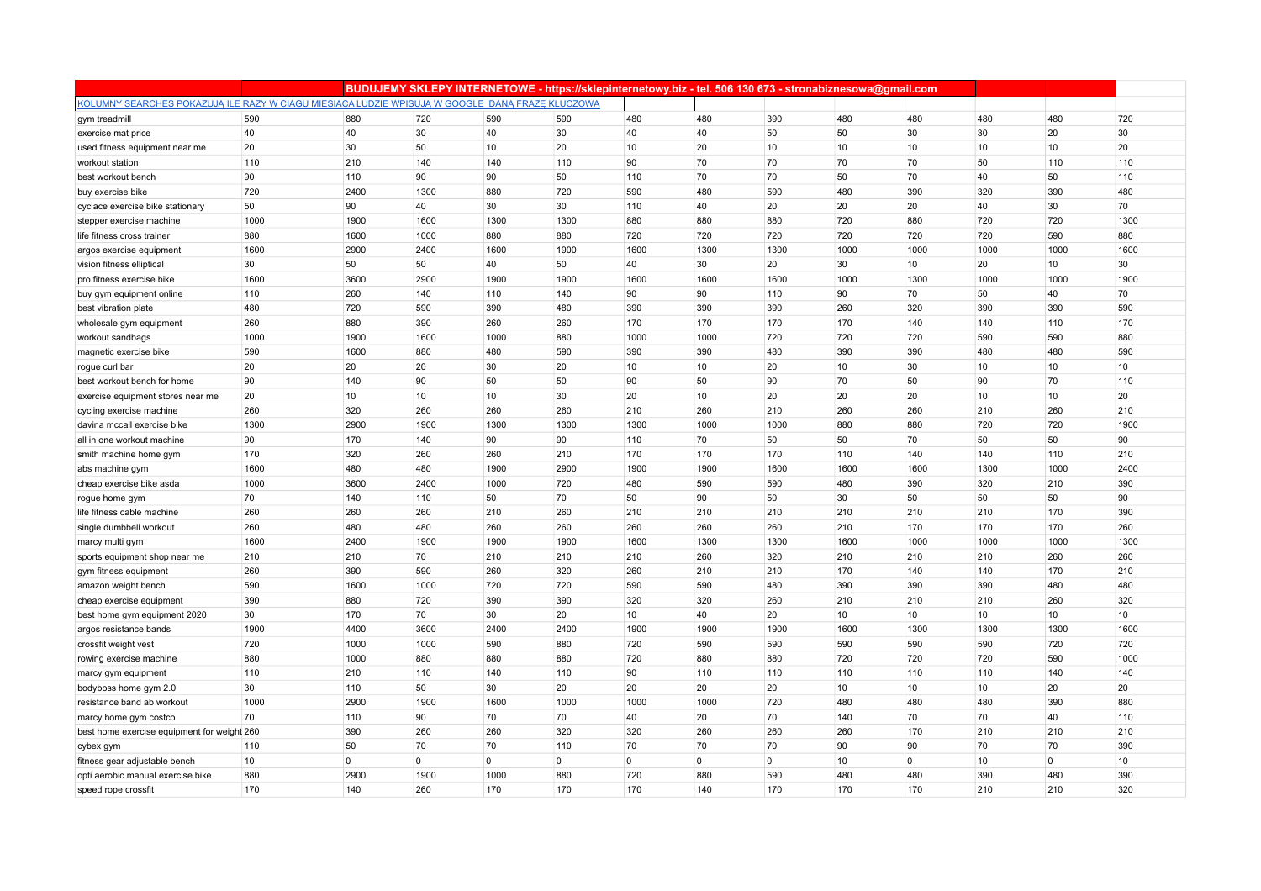|                                                                                                 |      |                |      |                |                |             |                |      | BUDUJEMY SKLEPY INTERNETOWE - https://sklepinternetowy.biz - tel. 506 130 673 - stronabiznesowa@gmail.com |                |      |             |      |
|-------------------------------------------------------------------------------------------------|------|----------------|------|----------------|----------------|-------------|----------------|------|-----------------------------------------------------------------------------------------------------------|----------------|------|-------------|------|
| KOLUMNY SEARCHES POKAZUJĄ ILE RAZY W CIAGU MIESIACA LUDZIE WPISUJĄ W GOOGLE DANĄ FRAZE KLUCZOWĄ |      |                |      |                |                |             |                |      |                                                                                                           |                |      |             |      |
| gym treadmill                                                                                   | 590  | 880            | 720  | 590            | 590            | 480         | 480            | 390  | 480                                                                                                       | 480            | 480  | 480         | 720  |
| exercise mat price                                                                              | 40   | 40             | 30   | 40             | 30             | 40          | 40             | 50   | 50                                                                                                        | 30             | 30   | 20          | 30   |
| used fitness equipment near me                                                                  | 20   | 30             | 50   | 10             | 20             | 10          | 20             | 10   | 10                                                                                                        | 10             | 10   | 10          | 20   |
| workout station                                                                                 | 110  | 210            | 140  | 140            | 110            | 90          | 70             | 70   | 70                                                                                                        | 70             | 50   | 110         | 110  |
| best workout bench                                                                              | 90   | 110            | 90   | 90             | 50             | 110         | 70             | 70   | 50                                                                                                        | 70             | 40   | 50          | 110  |
| buy exercise bike                                                                               | 720  | 2400           | 1300 | 880            | 720            | 590         | 480            | 590  | 480                                                                                                       | 390            | 320  | 390         | 480  |
| cyclace exercise bike stationary                                                                | 50   | 90             | 40   | 30             | 30             | 110         | 40             | 20   | 20                                                                                                        | 20             | 40   | 30          | 70   |
| stepper exercise machine                                                                        | 1000 | 1900           | 1600 | 1300           | 1300           | 880         | 880            | 880  | 720                                                                                                       | 880            | 720  | 720         | 1300 |
| life fitness cross trainer                                                                      | 880  | 1600           | 1000 | 880            | 880            | 720         | 720            | 720  | 720                                                                                                       | 720            | 720  | 590         | 880  |
| argos exercise equipment                                                                        | 1600 | 2900           | 2400 | 1600           | 1900           | 1600        | 1300           | 1300 | 1000                                                                                                      | 1000           | 1000 | 1000        | 1600 |
| vision fitness elliptical                                                                       | 30   | 50             | 50   | 40             | 50             | 40          | 30             | 20   | 30                                                                                                        | 10             | 20   | 10          | 30   |
| pro fitness exercise bike                                                                       | 1600 | 3600           | 2900 | 1900           | 1900           | 1600        | 1600           | 1600 | 1000                                                                                                      | 1300           | 1000 | 1000        | 1900 |
| buy gym equipment online                                                                        | 110  | 260            | 140  | 110            | 140            | 90          | 90             | 110  | 90                                                                                                        | 70             | 50   | 40          | 70   |
| best vibration plate                                                                            | 480  | 720            | 590  | 390            | 480            | 390         | 390            | 390  | 260                                                                                                       | 320            | 390  | 390         | 590  |
| wholesale gym equipment                                                                         | 260  | 880            | 390  | 260            | 260            | 170         | 170            | 170  | 170                                                                                                       | 140            | 140  | 110         | 170  |
| workout sandbags                                                                                | 1000 | 1900           | 1600 | 1000           | 880            | 1000        | 1000           | 720  | 720                                                                                                       | 720            | 590  | 590         | 880  |
| magnetic exercise bike                                                                          | 590  | 1600           | 880  | 480            | 590            | 390         | 390            | 480  | 390                                                                                                       | 390            | 480  | 480         | 590  |
| rogue curl bar                                                                                  | 20   | 20             | 20   | 30             | 20             | 10          | 10             | 20   | 10                                                                                                        | 30             | 10   | 10          | 10   |
| best workout bench for home                                                                     | 90   | 140            | 90   | 50             | 50             | 90          | 50             | 90   | 70                                                                                                        | 50             | 90   | 70          | 110  |
| exercise equipment stores near me                                                               | 20   | 10             | 10   | 10             | 30             | 20          | 10             | 20   | 20                                                                                                        | 20             | 10   | 10          | 20   |
| cycling exercise machine                                                                        | 260  | 320            | 260  | 260            | 260            | 210         | 260            | 210  | 260                                                                                                       | 260            | 210  | 260         | 210  |
| davina mccall exercise bike                                                                     | 1300 | 2900           | 1900 | 1300           | 1300           | 1300        | 1000           | 1000 | 880                                                                                                       | 880            | 720  | 720         | 1900 |
| all in one workout machine                                                                      | 90   | 170            | 140  | 90             | 90             | 110         | 70             | 50   | 50                                                                                                        | 70             | 50   | 50          | 90   |
| smith machine home gym                                                                          | 170  | 320            | 260  | 260            | 210            | 170         | 170            | 170  | 110                                                                                                       | 140            | 140  | 110         | 210  |
| abs machine gym                                                                                 | 1600 | 480            | 480  | 1900           | 2900           | 1900        | 1900           | 1600 | 1600                                                                                                      | 1600           | 1300 | 1000        | 2400 |
| cheap exercise bike asda                                                                        | 1000 | 3600           | 2400 | 1000           | 720            | 480         | 590            | 590  | 480                                                                                                       | 390            | 320  | 210         | 390  |
| rogue home gym                                                                                  | 70   | 140            | 110  | 50             | 70             | 50          | 90             | 50   | 30                                                                                                        | 50             | 50   | 50          | 90   |
| life fitness cable machine                                                                      | 260  | 260            | 260  | 210            | 260            | 210         | 210            | 210  | 210                                                                                                       | 210            | 210  | 170         | 390  |
| single dumbbell workout                                                                         | 260  | 480            | 480  | 260            | 260            | 260         | 260            | 260  | 210                                                                                                       | 170            | 170  | 170         | 260  |
| marcy multi gym                                                                                 | 1600 | 2400           | 1900 | 1900           | 1900           | 1600        | 1300           | 1300 | 1600                                                                                                      | 1000           | 1000 | 1000        | 1300 |
| sports equipment shop near me                                                                   | 210  | 210            | 70   | 210            | 210            | 210         | 260            | 320  | 210                                                                                                       | 210            | 210  | 260         | 260  |
| gym fitness equipment                                                                           | 260  | 390            | 590  | 260            | 320            | 260         | 210            | 210  | 170                                                                                                       | 140            | 140  | 170         | 210  |
| amazon weight bench                                                                             | 590  | 1600           | 1000 | 720            | 720            | 590         | 590            | 480  | 390                                                                                                       | 390            | 390  | 480         | 480  |
| cheap exercise equipment                                                                        | 390  | 880            | 720  | 390            | 390            | 320         | 320            | 260  | 210                                                                                                       | 210            | 210  | 260         | 320  |
| best home gym equipment 2020                                                                    | 30   | 170            | 70   | 30             | 20             | 10          | 40             | 20   | 10                                                                                                        | 10             | 10   | 10          | 10   |
| argos resistance bands                                                                          | 1900 | 4400           | 3600 | 2400           | 2400           | 1900        | 1900           | 1900 | 1600                                                                                                      | 1300           | 1300 | 1300        | 1600 |
| crossfit weight vest                                                                            | 720  | 1000           | 1000 | 590            | 880            | 720         | 590            | 590  | 590                                                                                                       | 590            | 590  | 720         | 720  |
| rowing exercise machine                                                                         | 880  | 1000           | 880  | 880            | 880            | 720         | 880            | 880  | 720                                                                                                       | 720            | 720  | 590         | 1000 |
| marcy gym equipment                                                                             | 110  | 210            | 110  | 140            | 110            | 90          | 110            | 110  | 110                                                                                                       | 110            | 110  | 140         | 140  |
| bodyboss home gym 2.0                                                                           | 30   | 110            | 50   | 30             | 20             | 20          | 20             | 20   | 10                                                                                                        | 10             | 10   | 20          | 20   |
| resistance band ab workout                                                                      | 1000 | 2900           | 1900 | 1600           | 1000           | 1000        | 1000           | 720  | 480                                                                                                       | 480            | 480  | 390         | 880  |
| marcy home gym costco                                                                           | 70   | 110            | 90   | 70             | 70             | 40          | 20             | 70   | 140                                                                                                       | 70             | 70   | 40          | 110  |
| best home exercise equipment for weight 260                                                     |      | 390            | 260  | 260            | 320            | 320         | 260            | 260  | 260                                                                                                       | 170            | 210  | 210         | 210  |
| cybex gym                                                                                       | 110  | 50             | 70   | 70             | 110            | 70          | 70             | 70   | 90                                                                                                        | 90             | 70   | 70          | 390  |
| fitness gear adjustable bench                                                                   | 10   | $\overline{0}$ | 0    | $\overline{0}$ | $\overline{0}$ | $\mathbf 0$ | $\overline{0}$ | 0    | 10                                                                                                        | $\overline{0}$ | 10   | $\mathbf 0$ | 10   |
| opti aerobic manual exercise bike                                                               | 880  | 2900           | 1900 | 1000           | 880            | 720         | 880            | 590  | 480                                                                                                       | 480            | 390  | 480         | 390  |
| speed rope crossfit                                                                             | 170  | 140            | 260  | 170            | 170            | 170         | 140            | 170  | 170                                                                                                       | 170            | 210  | 210         | 320  |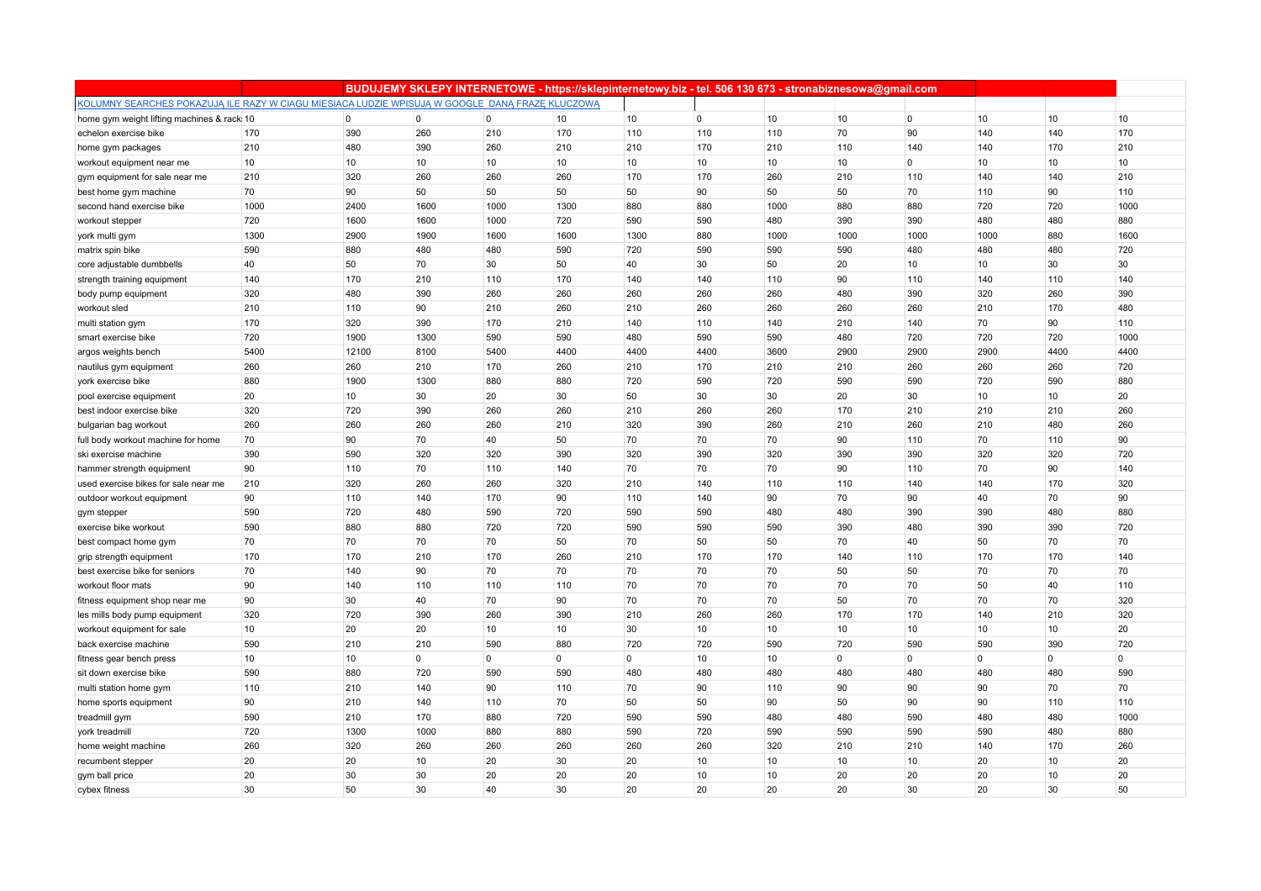|                                                                                                 |                 |                |                |                 |                |          | BUDUJEMY SKLEPY INTERNETOWE - https://sklepinternetowy.biz - tel. 506 130 673 - stronabiznesowa@gmail.com |                 |             |                |          |          |             |
|-------------------------------------------------------------------------------------------------|-----------------|----------------|----------------|-----------------|----------------|----------|-----------------------------------------------------------------------------------------------------------|-----------------|-------------|----------------|----------|----------|-------------|
| KOLUMNY SEARCHES POKAZUJĄ ILE RAZY W CIAGU MIESIACA LUDZIE WPISUJĄ W GOOGLE DANĄ FRAZE KLUCZOWĄ |                 |                |                |                 |                |          |                                                                                                           |                 |             |                |          |          |             |
| home gym weight lifting machines & rack 10                                                      |                 | $\overline{0}$ | $\overline{0}$ | $\overline{0}$  | 10             | 10       | $\mathbf{0}$                                                                                              | 10              | 10          | $\overline{0}$ | 10       | 10       | 10          |
| echelon exercise bike                                                                           | 170             | 390            | 260            | 210             | 170            | 110      | 110                                                                                                       | 110             | 70          | 90             | 140      | 140      | 170         |
| home gym packages                                                                               | 210             | 480            | 390            | 260             | 210            | 210      | 170                                                                                                       | 210             | 110         | 140            | 140      | 170      | 210         |
| workout equipment near me                                                                       | 10              | 10             | 10             | 10 <sup>1</sup> | 10             | 10       | 10                                                                                                        | 10              | 10          | $\overline{0}$ | 10       | 10       | 10          |
| gym equipment for sale near me                                                                  | 210             | 320            | 260            | 260             | 260            | 170      | 170                                                                                                       | 260             | 210         | 110            | 140      | 140      | 210         |
| best home gym machine                                                                           | 70              | 90             | 50             | 50              | 50             | 50       | 90                                                                                                        | 50              | 50          | 70             | 110      | 90       | 110         |
| second hand exercise bike                                                                       | 1000            | 2400           | 1600           | 1000            | 1300           | 880      | 880                                                                                                       | 1000            | 880         | 880            | 720      | 720      | 1000        |
| workout stepper                                                                                 | 720             | 1600           | 1600           | 1000            | 720            | 590      | 590                                                                                                       | 480             | 390         | 390            | 480      | 480      | 880         |
| york multi gym                                                                                  | 1300            | 2900           | 1900           | 1600            | 1600           | 1300     | 880                                                                                                       | 1000            | 1000        | 1000           | 1000     | 880      | 1600        |
| matrix spin bike                                                                                | 590             | 880            | 480            | 480             | 590            | 720      | 590                                                                                                       | 590             | 590         | 480            | 480      | 480      | 720         |
| core adjustable dumbbells                                                                       | 40              | 50             | 70             | 30              | 50             | 40       | 30                                                                                                        | 50              | 20          | 10             | 10       | 30       | 30          |
| strength training equipment                                                                     | 140             | 170            | 210            | 110             | 170            | 140      | 140                                                                                                       | 110             | 90          | 110            | 140      | 110      | 140         |
| body pump equipment                                                                             | 320             | 480            | 390            | 260             | 260            | 260      | 260                                                                                                       | 260             | 480         | 390            | 320      | 260      | 390         |
| workout sled                                                                                    | 210             | 110            | 90             | 210             | 260            | 210      | 260                                                                                                       | 260             | 260         | 260            | 210      | 170      | 480         |
| multi station gym                                                                               | 170             | 320            | 390            | 170             | 210            | 140      | 110                                                                                                       | 140             | 210         | 140            | 70       | 90       | 110         |
| smart exercise bike                                                                             | 720             | 1900           | 1300           | 590             | 590            | 480      | 590                                                                                                       | 590             | 480         | 720            | 720      | 720      | 1000        |
| argos weights bench                                                                             | 5400            | 12100          | 8100           | 5400            | 4400           | 4400     | 4400                                                                                                      | 3600            | 2900        | 2900           | 2900     | 4400     | 4400        |
| nautilus gym equipment                                                                          | 260             | 260            | 210            | 170             | 260            | 210      | 170                                                                                                       | 210             | 210         | 260            | 260      | 260      | 720         |
| york exercise bike                                                                              | 880             | 1900           | 1300           | 880             | 880            | 720      | 590                                                                                                       | 720             | 590         | 590            | 720      | 590      | 880         |
| pool exercise equipment                                                                         | 20              | 10             | 30             | 20              | 30             | 50       | 30                                                                                                        | 30              | 20          | 30             | 10       | 10       | 20          |
| best indoor exercise bike                                                                       | 320             | 720            | 390            | 260             | 260            | 210      | 260                                                                                                       | 260             | 170         | 210            | 210      | 210      | 260         |
| bulgarian bag workout                                                                           | 260             | 260            | 260            | 260             | 210            | 320      | 390                                                                                                       | 260             | 210         | 260            | 210      | 480      | 260         |
| full body workout machine for home                                                              | 70              | 90             | 70             | 40              | 50             | 70       | 70                                                                                                        | 70              | 90          | 110            | 70       | 110      | 90          |
| ski exercise machine                                                                            | 390             | 590            | 320            | 320             | 390            | 320      | 390                                                                                                       | 320             | 390         | 390            | 320      | 320      | 720         |
| hammer strength equipment                                                                       | 90              | 110            | 70             | 110             | 140            | 70       | 70                                                                                                        | 70              | 90          | 110            | 70       | 90       | 140         |
| used exercise bikes for sale near me                                                            | 210             | 320            | 260            | 260             | 320            | 210      | 140                                                                                                       | 110             | 110         | 140            | 140      | 170      | 320         |
| outdoor workout equipment                                                                       | 90              | 110            | 140            | 170             | 90             | 110      | 140                                                                                                       | 90              | 70          | 90             | 40       | 70       | 90          |
| gym stepper                                                                                     | 590             | 720            | 480            | 590             | 720            | 590      | 590                                                                                                       | 480             | 480         | 390            | 390      | 480      | 880         |
| exercise bike workout                                                                           | 590             | 880            | 880            | 720             | 720            | 590      | 590                                                                                                       | 590             | 390         | 480            | 390      | 390      | 720         |
| best compact home gym                                                                           | 70              | 70             | 70             | 70              | 50             | 70       | 50                                                                                                        | 50              | 70          | 40             | 50       | 70       | 70          |
| grip strength equipment                                                                         | 170             | 170            | 210            | 170             | 260            | 210      | 170                                                                                                       | 170             | 140         | 110            | 170      | 170      | 140         |
| best exercise bike for seniors                                                                  | 70              | 140            | 90             | 70              | 70             | 70       | 70                                                                                                        | 70              | 50          | 50             | 70       | 70       | 70          |
| workout floor mats                                                                              | 90              | 140            | 110            | 110             | 110            | 70       | 70                                                                                                        | 70              | 70          | 70             | 50       | 40       | 110         |
| fitness equipment shop near me                                                                  | 90              | 30             | 40             | 70              | 90             | 70       | 70                                                                                                        | 70              | 50          | 70             | 70       | 70       | 320         |
| les mills body pump equipment                                                                   | 320             | 720            | 390            | 260             | 390            | 210      | 260                                                                                                       | 260             | 170         | 170            | 140      | 210      | 320         |
| workout equipment for sale                                                                      | 10 <sup>1</sup> | 20             | 20             | 10 <sup>1</sup> | 10             | 30       | 10                                                                                                        | 10 <sup>1</sup> | 10          | 10             | 10       | 10       | 20          |
| back exercise machine                                                                           | 590             | 210            | 210            | 590             | 880            | 720      | 720                                                                                                       | 590             | 720         | 590            | 590      | 390      | 720         |
| fitness gear bench press                                                                        | 10              | 10             | $\mathbf 0$    | $\mathbf 0$     | $\overline{0}$ | $\Omega$ | 10                                                                                                        | 10              | $\mathbf 0$ | $\overline{0}$ | $\Omega$ | $\Omega$ | $\mathbf 0$ |
| sit down exercise bike                                                                          | 590             | 880            | 720            | 590             | 590            | 480      | 480                                                                                                       | 480             | 480         | 480            | 480      | 480      | 590         |
| multi station home gym                                                                          | 110             | 210            | 140            | 90              | 110            | 70       | 90                                                                                                        | 110             | 90          | 90             | 90       | 70       | 70          |
| home sports equipment                                                                           | 90              | 210            | 140            | 110             | 70             | 50       | 50                                                                                                        | 90              | 50          | 90             | 90       | 110      | 110         |
| treadmill gym                                                                                   | 590             | 210            | 170            | 880             | 720            | 590      | 590                                                                                                       | 480             | 480         | 590            | 480      | 480      | 1000        |
| york treadmill                                                                                  | 720             | 1300           | 1000           | 880             | 880            | 590      | 720                                                                                                       | 590             | 590         | 590            | 590      | 480      | 880         |
| home weight machine                                                                             | 260             | 320            | 260            | 260             | 260            | 260      | 260                                                                                                       | 320             | 210         | 210            | 140      | 170      | 260         |
| recumbent stepper                                                                               | 20              | 20             | 10             | 20              | 30             | 20       | 10                                                                                                        | 10              | 10          | 10             | 20       | 10       | 20          |
| gym ball price                                                                                  | 20              | 30             | 30             | 20              | 20             | 20       | 10                                                                                                        | 10              | 20          | 20             | 20       | 10       | 20          |
| cybex fitness                                                                                   | 30              | 50             | 30             | 40              | 30             | 20       | 20                                                                                                        | 20              | 20          | 30             | 20       | 30       | 50          |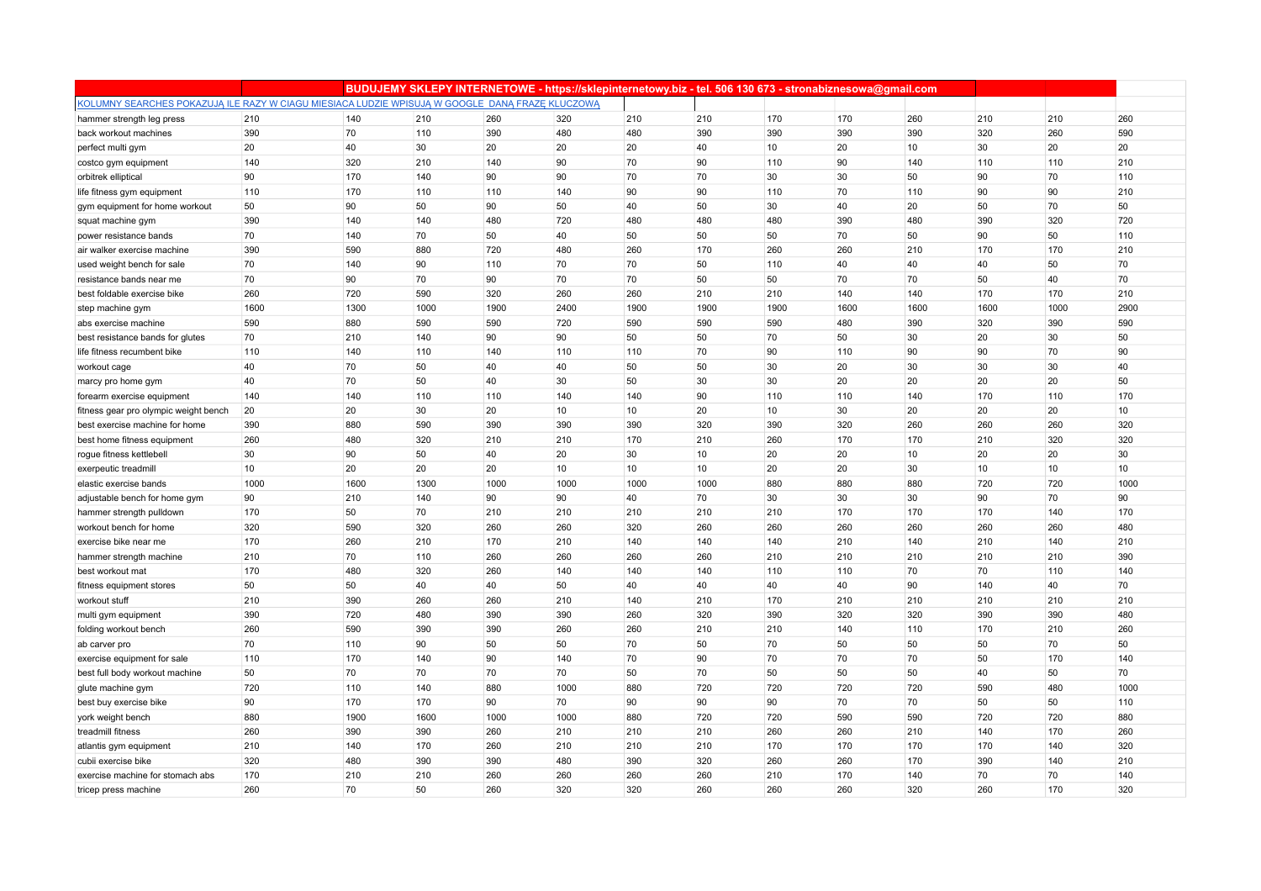|                                                                                                 |      |      |      |      |      |      | BUDUJEMY SKLEPY INTERNETOWE - https://sklepinternetowy.biz - tel. 506 130 673 - stronabiznesowa@gmail.com |      |      |      |      |      |      |
|-------------------------------------------------------------------------------------------------|------|------|------|------|------|------|-----------------------------------------------------------------------------------------------------------|------|------|------|------|------|------|
| KOLUMNY SEARCHES POKAZUJĄ ILE RAZY W CIAGU MIESIACA LUDZIE WPISUJĄ W GOOGLE DANĄ FRAZE KLUCZOWĄ |      |      |      |      |      |      |                                                                                                           |      |      |      |      |      |      |
| hammer strength leg press                                                                       | 210  | 140  | 210  | 260  | 320  | 210  | 210                                                                                                       | 170  | 170  | 260  | 210  | 210  | 260  |
| back workout machines                                                                           | 390  | 70   | 110  | 390  | 480  | 480  | 390                                                                                                       | 390  | 390  | 390  | 320  | 260  | 590  |
| perfect multi gym                                                                               | 20   | 40   | 30   | 20   | 20   | 20   | 40                                                                                                        | 10   | 20   | 10   | 30   | 20   | 20   |
| costco gym equipment                                                                            | 140  | 320  | 210  | 140  | 90   | 70   | 90                                                                                                        | 110  | 90   | 140  | 110  | 110  | 210  |
| orbitrek elliptical                                                                             | 90   | 170  | 140  | 90   | 90   | 70   | 70                                                                                                        | 30   | 30   | 50   | 90   | 70   | 110  |
| life fitness gym equipment                                                                      | 110  | 170  | 110  | 110  | 140  | 90   | 90                                                                                                        | 110  | 70   | 110  | 90   | 90   | 210  |
| gym equipment for home workout                                                                  | 50   | 90   | 50   | 90   | 50   | 40   | 50                                                                                                        | 30   | 40   | 20   | 50   | 70   | 50   |
| squat machine gym                                                                               | 390  | 140  | 140  | 480  | 720  | 480  | 480                                                                                                       | 480  | 390  | 480  | 390  | 320  | 720  |
| power resistance bands                                                                          | 70   | 140  | 70   | 50   | 40   | 50   | 50                                                                                                        | 50   | 70   | 50   | 90   | 50   | 110  |
| air walker exercise machine                                                                     | 390  | 590  | 880  | 720  | 480  | 260  | 170                                                                                                       | 260  | 260  | 210  | 170  | 170  | 210  |
| used weight bench for sale                                                                      | 70   | 140  | 90   | 110  | 70   | 70   | 50                                                                                                        | 110  | 40   | 40   | 40   | 50   | 70   |
| resistance bands near me                                                                        | 70   | 90   | 70   | 90   | 70   | 70   | 50                                                                                                        | 50   | 70   | 70   | 50   | 40   | 70   |
| best foldable exercise bike                                                                     | 260  | 720  | 590  | 320  | 260  | 260  | 210                                                                                                       | 210  | 140  | 140  | 170  | 170  | 210  |
| step machine gym                                                                                | 1600 | 1300 | 1000 | 1900 | 2400 | 1900 | 1900                                                                                                      | 1900 | 1600 | 1600 | 1600 | 1000 | 2900 |
| abs exercise machine                                                                            | 590  | 880  | 590  | 590  | 720  | 590  | 590                                                                                                       | 590  | 480  | 390  | 320  | 390  | 590  |
| best resistance bands for glutes                                                                | 70   | 210  | 140  | 90   | 90   | 50   | 50                                                                                                        | 70   | 50   | 30   | 20   | 30   | 50   |
| life fitness recumbent bike                                                                     | 110  | 140  | 110  | 140  | 110  | 110  | 70                                                                                                        | 90   | 110  | 90   | 90   | 70   | 90   |
| workout cage                                                                                    | 40   | 70   | 50   | 40   | 40   | 50   | 50                                                                                                        | 30   | 20   | 30   | 30   | 30   | 40   |
| marcy pro home gym                                                                              | 40   | 70   | 50   | 40   | 30   | 50   | 30                                                                                                        | 30   | 20   | 20   | 20   | 20   | 50   |
| forearm exercise equipment                                                                      | 140  | 140  | 110  | 110  | 140  | 140  | 90                                                                                                        | 110  | 110  | 140  | 170  | 110  | 170  |
| fitness gear pro olympic weight bench                                                           | 20   | 20   | 30   | 20   | 10   | 10   | 20                                                                                                        | 10   | 30   | 20   | 20   | 20   | 10   |
| best exercise machine for home                                                                  | 390  | 880  | 590  | 390  | 390  | 390  | 320                                                                                                       | 390  | 320  | 260  | 260  | 260  | 320  |
| best home fitness equipment                                                                     | 260  | 480  | 320  | 210  | 210  | 170  | 210                                                                                                       | 260  | 170  | 170  | 210  | 320  | 320  |
| rogue fitness kettlebell                                                                        | 30   | 90   | 50   | 40   | 20   | 30   | 10                                                                                                        | 20   | 20   | 10   | 20   | 20   | 30   |
| exerpeutic treadmill                                                                            | 10   | 20   | 20   | 20   | 10   | 10   | 10                                                                                                        | 20   | 20   | 30   | 10   | 10   | 10   |
| elastic exercise bands                                                                          | 1000 | 1600 | 1300 | 1000 | 1000 | 1000 | 1000                                                                                                      | 880  | 880  | 880  | 720  | 720  | 1000 |
| adjustable bench for home gym                                                                   | 90   | 210  | 140  | 90   | 90   | 40   | 70                                                                                                        | 30   | 30   | 30   | 90   | 70   | 90   |
| hammer strength pulldown                                                                        | 170  | 50   | 70   | 210  | 210  | 210  | 210                                                                                                       | 210  | 170  | 170  | 170  | 140  | 170  |
| workout bench for home                                                                          | 320  | 590  | 320  | 260  | 260  | 320  | 260                                                                                                       | 260  | 260  | 260  | 260  | 260  | 480  |
| exercise bike near me                                                                           | 170  | 260  | 210  | 170  | 210  | 140  | 140                                                                                                       | 140  | 210  | 140  | 210  | 140  | 210  |
| hammer strength machine                                                                         | 210  | 70   | 110  | 260  | 260  | 260  | 260                                                                                                       | 210  | 210  | 210  | 210  | 210  | 390  |
| best workout mat                                                                                | 170  | 480  | 320  | 260  | 140  | 140  | 140                                                                                                       | 110  | 110  | 70   | 70   | 110  | 140  |
| fitness equipment stores                                                                        | 50   | 50   | 40   | 40   | 50   | 40   | 40                                                                                                        | 40   | 40   | 90   | 140  | 40   | 70   |
| workout stuff                                                                                   | 210  | 390  | 260  | 260  | 210  | 140  | 210                                                                                                       | 170  | 210  | 210  | 210  | 210  | 210  |
| multi gym equipment                                                                             | 390  | 720  | 480  | 390  | 390  | 260  | 320                                                                                                       | 390  | 320  | 320  | 390  | 390  | 480  |
| folding workout bench                                                                           | 260  | 590  | 390  | 390  | 260  | 260  | 210                                                                                                       | 210  | 140  | 110  | 170  | 210  | 260  |
| ab carver pro                                                                                   | 70   | 110  | 90   | 50   | 50   | 70   | 50                                                                                                        | 70   | 50   | 50   | 50   | 70   | 50   |
| exercise equipment for sale                                                                     | 110  | 170  | 140  | 90   | 140  | 70   | 90                                                                                                        | 70   | 70   | 70   | 50   | 170  | 140  |
| best full body workout machine                                                                  | 50   | 70   | 70   | 70   | 70   | 50   | 70                                                                                                        | 50   | 50   | 50   | 40   | 50   | 70   |
| glute machine gym                                                                               | 720  | 110  | 140  | 880  | 1000 | 880  | 720                                                                                                       | 720  | 720  | 720  | 590  | 480  | 1000 |
| best buy exercise bike                                                                          | 90   | 170  | 170  | 90   | 70   | 90   | 90                                                                                                        | 90   | 70   | 70   | 50   | 50   | 110  |
| york weight bench                                                                               | 880  | 1900 | 1600 | 1000 | 1000 | 880  | 720                                                                                                       | 720  | 590  | 590  | 720  | 720  | 880  |
| treadmill fitness                                                                               | 260  | 390  | 390  | 260  | 210  | 210  | 210                                                                                                       | 260  | 260  | 210  | 140  | 170  | 260  |
| atlantis gym equipment                                                                          | 210  | 140  | 170  | 260  | 210  | 210  | 210                                                                                                       | 170  | 170  | 170  | 170  | 140  | 320  |
| cubii exercise bike                                                                             | 320  | 480  | 390  | 390  | 480  | 390  | 320                                                                                                       | 260  | 260  | 170  | 390  | 140  | 210  |
| exercise machine for stomach abs                                                                | 170  | 210  | 210  | 260  | 260  | 260  | 260                                                                                                       | 210  | 170  | 140  | 70   | 70   | 140  |
| tricep press machine                                                                            | 260  | 70   | 50   | 260  | 320  | 320  | 260                                                                                                       | 260  | 260  | 320  | 260  | 170  | 320  |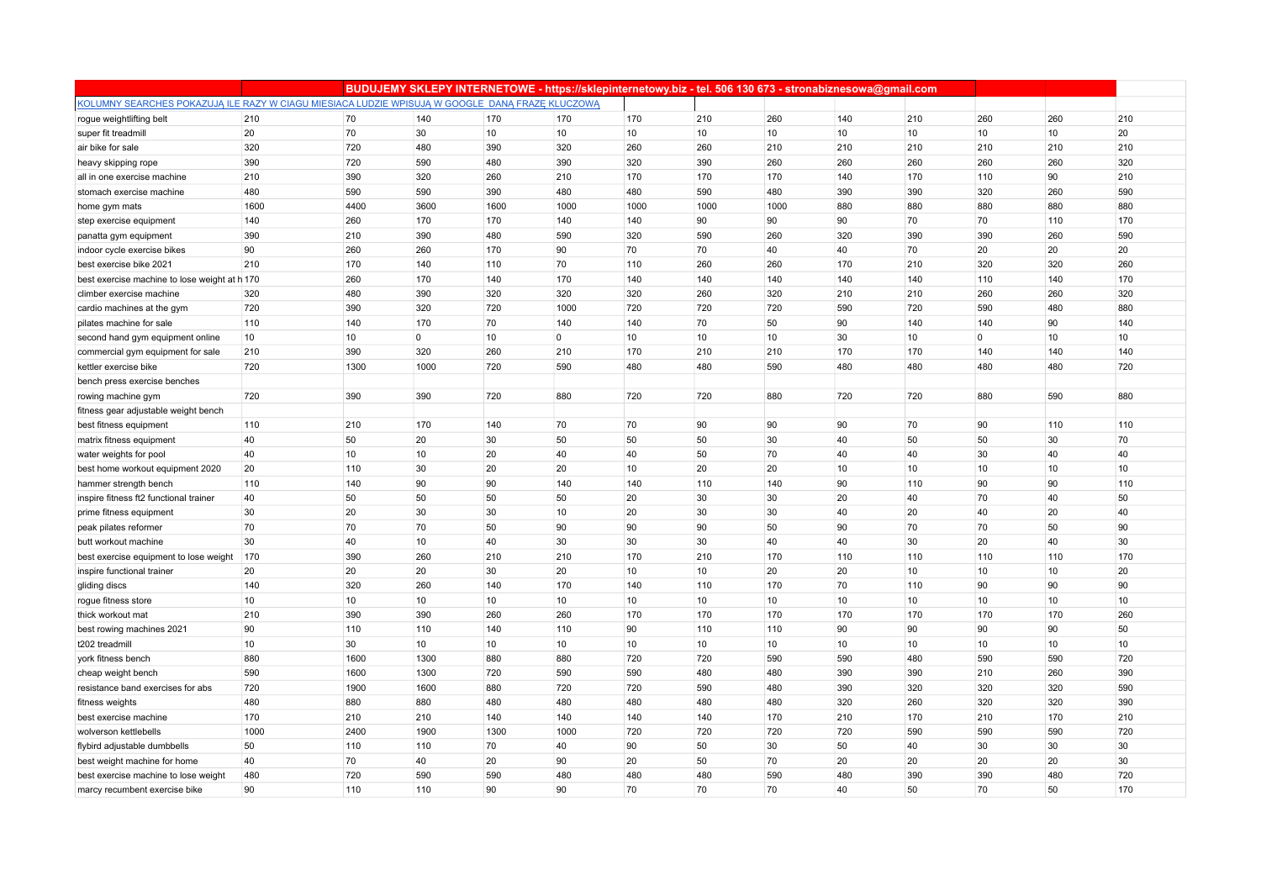|                                                                                                 |      |      |             |      |                |      | BUDUJEMY SKLEPY INTERNETOWE - https://sklepinternetowy.biz - tel. 506 130 673 - stronabiznesowa@gmail.com |      |     |                 |                |     |     |
|-------------------------------------------------------------------------------------------------|------|------|-------------|------|----------------|------|-----------------------------------------------------------------------------------------------------------|------|-----|-----------------|----------------|-----|-----|
| KOLUMNY SEARCHES POKAZUJĄ ILE RAZY W CIAGU MIESIACA LUDZIE WPISUJĄ W GOOGLE DANĄ FRAZE KLUCZOWĄ |      |      |             |      |                |      |                                                                                                           |      |     |                 |                |     |     |
| rogue weightlifting belt                                                                        | 210  | 70   | 140         | 170  | 170            | 170  | 210                                                                                                       | 260  | 140 | 210             | 260            | 260 | 210 |
| super fit treadmill                                                                             | 20   | 70   | 30          | 10   | 10             | 10   | 10                                                                                                        | 10   | 10  | 10              | 10             | 10  | 20  |
| air bike for sale                                                                               | 320  | 720  | 480         | 390  | 320            | 260  | 260                                                                                                       | 210  | 210 | 210             | 210            | 210 | 210 |
| heavy skipping rope                                                                             | 390  | 720  | 590         | 480  | 390            | 320  | 390                                                                                                       | 260  | 260 | 260             | 260            | 260 | 320 |
| all in one exercise machine                                                                     | 210  | 390  | 320         | 260  | 210            | 170  | 170                                                                                                       | 170  | 140 | 170             | 110            | 90  | 210 |
| stomach exercise machine                                                                        | 480  | 590  | 590         | 390  | 480            | 480  | 590                                                                                                       | 480  | 390 | 390             | 320            | 260 | 590 |
| home gym mats                                                                                   | 1600 | 4400 | 3600        | 1600 | 1000           | 1000 | 1000                                                                                                      | 1000 | 880 | 880             | 880            | 880 | 880 |
| step exercise equipment                                                                         | 140  | 260  | 170         | 170  | 140            | 140  | 90                                                                                                        | 90   | 90  | 70              | 70             | 110 | 170 |
| panatta gym equipment                                                                           | 390  | 210  | 390         | 480  | 590            | 320  | 590                                                                                                       | 260  | 320 | 390             | 390            | 260 | 590 |
| indoor cycle exercise bikes                                                                     | 90   | 260  | 260         | 170  | 90             | 70   | 70                                                                                                        | 40   | 40  | 70              | 20             | 20  | 20  |
| best exercise bike 2021                                                                         | 210  | 170  | 140         | 110  | 70             | 110  | 260                                                                                                       | 260  | 170 | 210             | 320            | 320 | 260 |
| best exercise machine to lose weight at h 170                                                   |      | 260  | 170         | 140  | 170            | 140  | 140                                                                                                       | 140  | 140 | 140             | 110            | 140 | 170 |
| climber exercise machine                                                                        | 320  | 480  | 390         | 320  | 320            | 320  | 260                                                                                                       | 320  | 210 | 210             | 260            | 260 | 320 |
| cardio machines at the gym                                                                      | 720  | 390  | 320         | 720  | 1000           | 720  | 720                                                                                                       | 720  | 590 | 720             | 590            | 480 | 880 |
| pilates machine for sale                                                                        | 110  | 140  | 170         | 70   | 140            | 140  | 70                                                                                                        | 50   | 90  | 140             | 140            | 90  | 140 |
| second hand gym equipment online                                                                | 10   | 10   | $\mathbf 0$ | 10   | $\overline{0}$ | 10   | 10                                                                                                        | 10   | 30  | 10 <sup>1</sup> | $\overline{0}$ | 10  | 10  |
| commercial gym equipment for sale                                                               | 210  | 390  | 320         | 260  | 210            | 170  | 210                                                                                                       | 210  | 170 | 170             | 140            | 140 | 140 |
| kettler exercise bike                                                                           | 720  | 1300 | 1000        | 720  | 590            | 480  | 480                                                                                                       | 590  | 480 | 480             | 480            | 480 | 720 |
| bench press exercise benches                                                                    |      |      |             |      |                |      |                                                                                                           |      |     |                 |                |     |     |
| rowing machine gym                                                                              | 720  | 390  | 390         | 720  | 880            | 720  | 720                                                                                                       | 880  | 720 | 720             | 880            | 590 | 880 |
| fitness gear adjustable weight bench                                                            |      |      |             |      |                |      |                                                                                                           |      |     |                 |                |     |     |
| best fitness equipment                                                                          | 110  | 210  | 170         | 140  | 70             | 70   | 90                                                                                                        | 90   | 90  | 70              | 90             | 110 | 110 |
| matrix fitness equipment                                                                        | 40   | 50   | 20          | 30   | 50             | 50   | 50                                                                                                        | 30   | 40  | 50              | 50             | 30  | 70  |
| water weights for pool                                                                          | 40   | 10   | 10          | 20   | 40             | 40   | 50                                                                                                        | 70   | 40  | 40              | 30             | 40  | 40  |
| best home workout equipment 2020                                                                | 20   | 110  | 30          | 20   | 20             | 10   | 20                                                                                                        | 20   | 10  | 10              | 10             | 10  | 10  |
| hammer strength bench                                                                           | 110  | 140  | 90          | 90   | 140            | 140  | 110                                                                                                       | 140  | 90  | 110             | 90             | 90  | 110 |
| inspire fitness ft2 functional trainer                                                          | 40   | 50   | 50          | 50   | 50             | 20   | 30                                                                                                        | 30   | 20  | 40              | 70             | 40  | 50  |
| prime fitness equipment                                                                         | 30   | 20   | 30          | 30   | 10             | 20   | 30                                                                                                        | 30   | 40  | 20              | 40             | 20  | 40  |
| peak pilates reformer                                                                           | 70   | 70   | 70          | 50   | 90             | 90   | 90                                                                                                        | 50   | 90  | 70              | 70             | 50  | 90  |
| butt workout machine                                                                            | 30   | 40   | 10          | 40   | 30             | 30   | 30                                                                                                        | 40   | 40  | 30              | 20             | 40  | 30  |
| best exercise equipment to lose weight                                                          | 170  | 390  | 260         | 210  | 210            | 170  | 210                                                                                                       | 170  | 110 | 110             | 110            | 110 | 170 |
| inspire functional trainer                                                                      | 20   | 20   | 20          | 30   | 20             | 10   | 10                                                                                                        | 20   | 20  | 10              | 10             | 10  | 20  |
| gliding discs                                                                                   | 140  | 320  | 260         | 140  | 170            | 140  | 110                                                                                                       | 170  | 70  | 110             | 90             | 90  | 90  |
| rogue fitness store                                                                             | 10   | 10   | 10          | 10   | 10             | 10   | 10                                                                                                        | 10   | 10  | 10              | 10             | 10  | 10  |
| thick workout mat                                                                               | 210  | 390  | 390         | 260  | 260            | 170  | 170                                                                                                       | 170  | 170 | 170             | 170            | 170 | 260 |
| best rowing machines 2021                                                                       | 90   | 110  | 110         | 140  | 110            | 90   | 110                                                                                                       | 110  | 90  | 90              | 90             | 90  | 50  |
| t202 treadmill                                                                                  | 10   | 30   | 10          | 10   | 10             | 10   | 10                                                                                                        | 10   | 10  | 10 <sup>1</sup> | 10             | 10  | 10  |
| york fitness bench                                                                              | 880  | 1600 | 1300        | 880  | 880            | 720  | 720                                                                                                       | 590  | 590 | 480             | 590            | 590 | 720 |
| cheap weight bench                                                                              | 590  | 1600 | 1300        | 720  | 590            | 590  | 480                                                                                                       | 480  | 390 | 390             | 210            | 260 | 390 |
| resistance band exercises for abs                                                               | 720  | 1900 | 1600        | 880  | 720            | 720  | 590                                                                                                       | 480  | 390 | 320             | 320            | 320 | 590 |
| fitness weights                                                                                 | 480  | 880  | 880         | 480  | 480            | 480  | 480                                                                                                       | 480  | 320 | 260             | 320            | 320 | 390 |
| best exercise machine                                                                           | 170  | 210  | 210         | 140  | 140            | 140  | 140                                                                                                       | 170  | 210 | 170             | 210            | 170 | 210 |
| wolverson kettlebells                                                                           | 1000 | 2400 | 1900        | 1300 | 1000           | 720  | 720                                                                                                       | 720  | 720 | 590             | 590            | 590 | 720 |
| flybird adjustable dumbbells                                                                    | 50   | 110  | 110         | 70   | 40             | 90   | 50                                                                                                        | 30   | 50  | 40              | 30             | 30  | 30  |
| best weight machine for home                                                                    | 40   | 70   | 40          | 20   | 90             | 20   | 50                                                                                                        | 70   | 20  | 20              | 20             | 20  | 30  |
| best exercise machine to lose weight                                                            | 480  | 720  | 590         | 590  | 480            | 480  | 480                                                                                                       | 590  | 480 | 390             | 390            | 480 | 720 |
| marcy recumbent exercise bike                                                                   | 90   | 110  | 110         | 90   | 90             | 70   | 70                                                                                                        | 70   | 40  | 50              | 70             | 50  | 170 |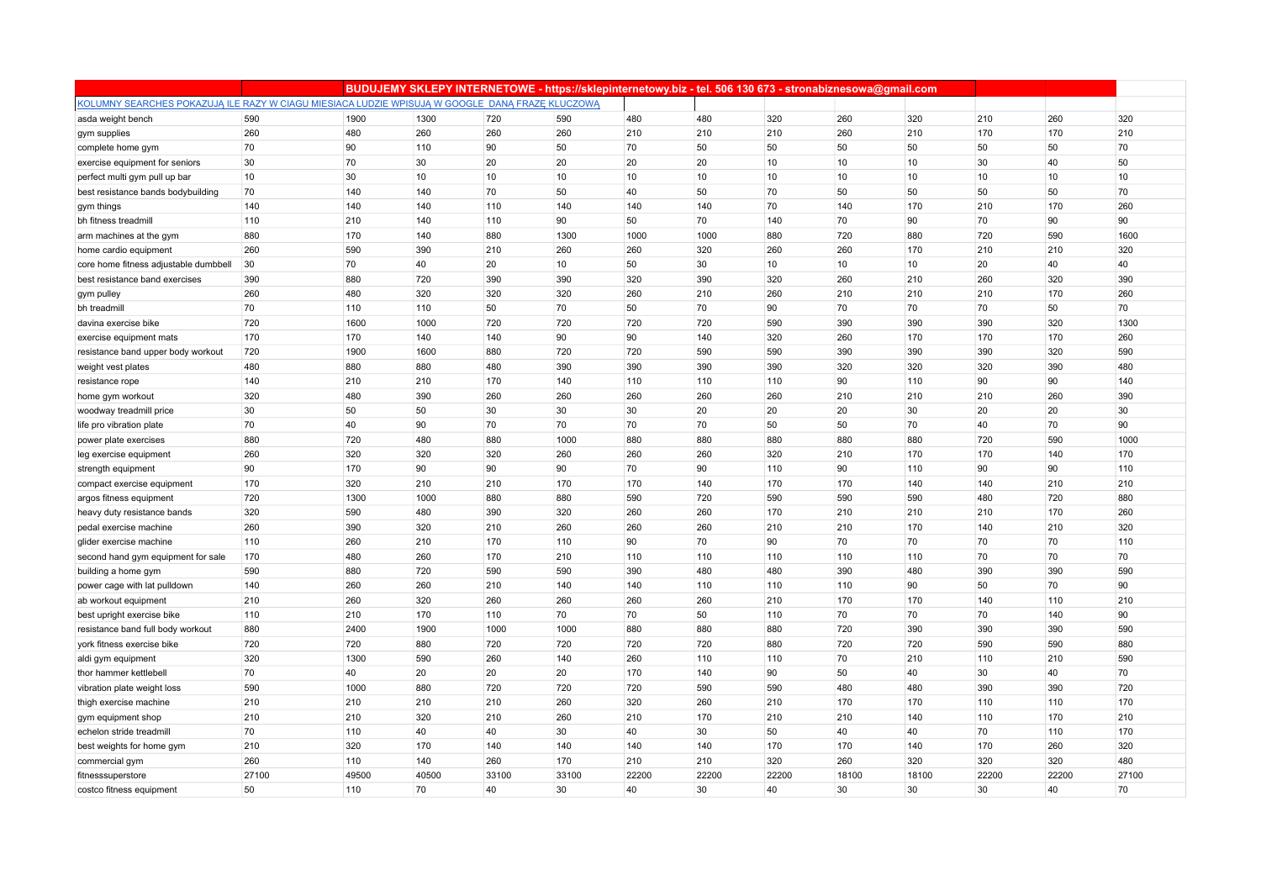|                                                                                                 |       |       |       |       |       |       |       |       | BUDUJEMY SKLEPY INTERNETOWE - https://sklepinternetowy.biz - tel. 506 130 673 - stronabiznesowa@gmail.com |                 |       |       |       |
|-------------------------------------------------------------------------------------------------|-------|-------|-------|-------|-------|-------|-------|-------|-----------------------------------------------------------------------------------------------------------|-----------------|-------|-------|-------|
| KOLUMNY SEARCHES POKAZUJĄ ILE RAZY W CIAGU MIESIACA LUDZIE WPISUJĄ W GOOGLE DANĄ FRAZE KLUCZOWĄ |       |       |       |       |       |       |       |       |                                                                                                           |                 |       |       |       |
| asda weight bench                                                                               | 590   | 1900  | 1300  | 720   | 590   | 480   | 480   | 320   | 260                                                                                                       | 320             | 210   | 260   | 320   |
| gym supplies                                                                                    | 260   | 480   | 260   | 260   | 260   | 210   | 210   | 210   | 260                                                                                                       | 210             | 170   | 170   | 210   |
| complete home gym                                                                               | 70    | 90    | 110   | 90    | 50    | 70    | 50    | 50    | 50                                                                                                        | 50              | 50    | 50    | 70    |
| exercise equipment for seniors                                                                  | 30    | 70    | 30    | 20    | 20    | 20    | 20    | 10    | 10                                                                                                        | 10 <sup>°</sup> | 30    | 40    | 50    |
| perfect multi gym pull up bar                                                                   | 10    | 30    | 10    | 10    | 10    | 10    | 10    | 10    | 10                                                                                                        | 10              | 10    | 10    | 10    |
| best resistance bands bodybuilding                                                              | 70    | 140   | 140   | 70    | 50    | 40    | 50    | 70    | 50                                                                                                        | 50              | 50    | 50    | 70    |
| gym things                                                                                      | 140   | 140   | 140   | 110   | 140   | 140   | 140   | 70    | 140                                                                                                       | 170             | 210   | 170   | 260   |
| bh fitness treadmill                                                                            | 110   | 210   | 140   | 110   | 90    | 50    | 70    | 140   | 70                                                                                                        | 90              | 70    | 90    | 90    |
| arm machines at the gym                                                                         | 880   | 170   | 140   | 880   | 1300  | 1000  | 1000  | 880   | 720                                                                                                       | 880             | 720   | 590   | 1600  |
| home cardio equipment                                                                           | 260   | 590   | 390   | 210   | 260   | 260   | 320   | 260   | 260                                                                                                       | 170             | 210   | 210   | 320   |
| core home fitness adjustable dumbbell                                                           | 30    | 70    | 40    | 20    | 10    | 50    | 30    | 10    | 10                                                                                                        | 10              | 20    | 40    | 40    |
| best resistance band exercises                                                                  | 390   | 880   | 720   | 390   | 390   | 320   | 390   | 320   | 260                                                                                                       | 210             | 260   | 320   | 390   |
| gym pulley                                                                                      | 260   | 480   | 320   | 320   | 320   | 260   | 210   | 260   | 210                                                                                                       | 210             | 210   | 170   | 260   |
| bh treadmill                                                                                    | 70    | 110   | 110   | 50    | 70    | 50    | 70    | 90    | 70                                                                                                        | 70              | 70    | 50    | 70    |
| davina exercise bike                                                                            | 720   | 1600  | 1000  | 720   | 720   | 720   | 720   | 590   | 390                                                                                                       | 390             | 390   | 320   | 1300  |
| exercise equipment mats                                                                         | 170   | 170   | 140   | 140   | 90    | 90    | 140   | 320   | 260                                                                                                       | 170             | 170   | 170   | 260   |
| resistance band upper body workout                                                              | 720   | 1900  | 1600  | 880   | 720   | 720   | 590   | 590   | 390                                                                                                       | 390             | 390   | 320   | 590   |
| weight vest plates                                                                              | 480   | 880   | 880   | 480   | 390   | 390   | 390   | 390   | 320                                                                                                       | 320             | 320   | 390   | 480   |
| resistance rope                                                                                 | 140   | 210   | 210   | 170   | 140   | 110   | 110   | 110   | 90                                                                                                        | 110             | 90    | 90    | 140   |
| home gym workout                                                                                | 320   | 480   | 390   | 260   | 260   | 260   | 260   | 260   | 210                                                                                                       | 210             | 210   | 260   | 390   |
| woodway treadmill price                                                                         | 30    | 50    | 50    | 30    | 30    | 30    | 20    | 20    | 20                                                                                                        | 30              | 20    | 20    | 30    |
| life pro vibration plate                                                                        | 70    | 40    | 90    | 70    | 70    | 70    | 70    | 50    | 50                                                                                                        | 70              | 40    | 70    | 90    |
| power plate exercises                                                                           | 880   | 720   | 480   | 880   | 1000  | 880   | 880   | 880   | 880                                                                                                       | 880             | 720   | 590   | 1000  |
| leg exercise equipment                                                                          | 260   | 320   | 320   | 320   | 260   | 260   | 260   | 320   | 210                                                                                                       | 170             | 170   | 140   | 170   |
| strength equipment                                                                              | 90    | 170   | 90    | 90    | 90    | 70    | 90    | 110   | 90                                                                                                        | 110             | 90    | 90    | 110   |
| compact exercise equipment                                                                      | 170   | 320   | 210   | 210   | 170   | 170   | 140   | 170   | 170                                                                                                       | 140             | 140   | 210   | 210   |
| argos fitness equipment                                                                         | 720   | 1300  | 1000  | 880   | 880   | 590   | 720   | 590   | 590                                                                                                       | 590             | 480   | 720   | 880   |
| heavy duty resistance bands                                                                     | 320   | 590   | 480   | 390   | 320   | 260   | 260   | 170   | 210                                                                                                       | 210             | 210   | 170   | 260   |
| pedal exercise machine                                                                          | 260   | 390   | 320   | 210   | 260   | 260   | 260   | 210   | 210                                                                                                       | 170             | 140   | 210   | 320   |
| glider exercise machine                                                                         | 110   | 260   | 210   | 170   | 110   | 90    | 70    | 90    | 70                                                                                                        | 70              | 70    | 70    | 110   |
| second hand gym equipment for sale                                                              | 170   | 480   | 260   | 170   | 210   | 110   | 110   | 110   | 110                                                                                                       | 110             | 70    | 70    | 70    |
| building a home gym                                                                             | 590   | 880   | 720   | 590   | 590   | 390   | 480   | 480   | 390                                                                                                       | 480             | 390   | 390   | 590   |
| power cage with lat pulldown                                                                    | 140   | 260   | 260   | 210   | 140   | 140   | 110   | 110   | 110                                                                                                       | 90              | 50    | 70    | 90    |
| ab workout equipment                                                                            | 210   | 260   | 320   | 260   | 260   | 260   | 260   | 210   | 170                                                                                                       | 170             | 140   | 110   | 210   |
| best upright exercise bike                                                                      | 110   | 210   | 170   | 110   | 70    | 70    | 50    | 110   | 70                                                                                                        | 70              | 70    | 140   | 90    |
| resistance band full body workout                                                               | 880   | 2400  | 1900  | 1000  | 1000  | 880   | 880   | 880   | 720                                                                                                       | 390             | 390   | 390   | 590   |
| york fitness exercise bike                                                                      | 720   | 720   | 880   | 720   | 720   | 720   | 720   | 880   | 720                                                                                                       | 720             | 590   | 590   | 880   |
| aldi gym equipment                                                                              | 320   | 1300  | 590   | 260   | 140   | 260   | 110   | 110   | 70                                                                                                        | 210             | 110   | 210   | 590   |
| thor hammer kettlebell                                                                          | 70    | 40    | 20    | 20    | 20    | 170   | 140   | 90    | 50                                                                                                        | 40              | 30    | 40    | 70    |
| vibration plate weight loss                                                                     | 590   | 1000  | 880   | 720   | 720   | 720   | 590   | 590   | 480                                                                                                       | 480             | 390   | 390   | 720   |
| thigh exercise machine                                                                          | 210   | 210   | 210   | 210   | 260   | 320   | 260   | 210   | 170                                                                                                       | 170             | 110   | 110   | 170   |
| gym equipment shop                                                                              | 210   | 210   | 320   | 210   | 260   | 210   | 170   | 210   | 210                                                                                                       | 140             | 110   | 170   | 210   |
| echelon stride treadmill                                                                        | 70    | 110   | 40    | 40    | 30    | 40    | 30    | 50    | 40                                                                                                        | 40              | 70    | 110   | 170   |
| best weights for home gym                                                                       | 210   | 320   | 170   | 140   | 140   | 140   | 140   | 170   | 170                                                                                                       | 140             | 170   | 260   | 320   |
| commercial gym                                                                                  | 260   | 110   | 140   | 260   | 170   | 210   | 210   | 320   | 260                                                                                                       | 320             | 320   | 320   | 480   |
| fitnesssuperstore                                                                               | 27100 | 49500 | 40500 | 33100 | 33100 | 22200 | 22200 | 22200 | 18100                                                                                                     | 18100           | 22200 | 22200 | 27100 |
| costco fitness equipment                                                                        | 50    | 110   | 70    | 40    | 30    | 40    | 30    | 40    | 30                                                                                                        | 30              | 30    | 40    | 70    |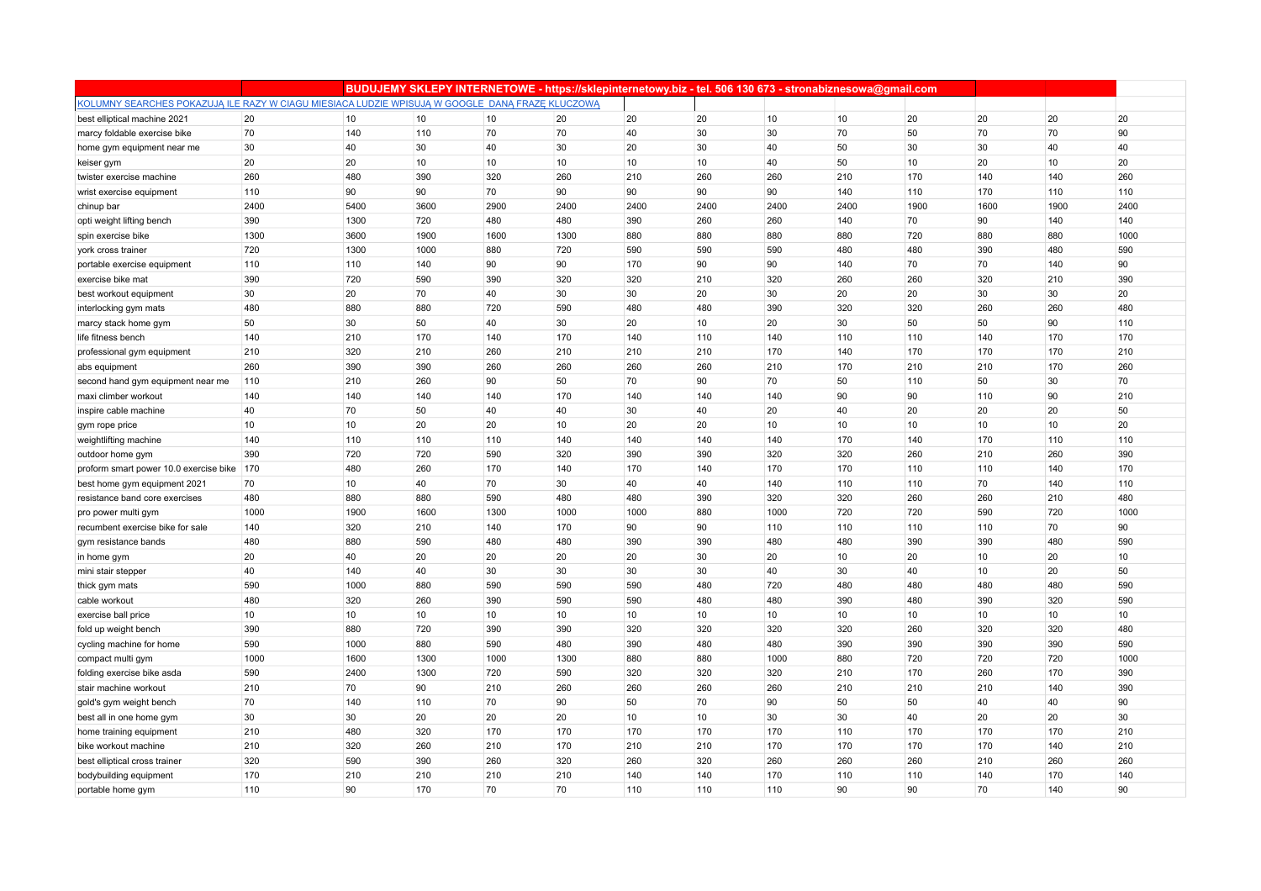|                                                                                                 |      |      |      |      |      |      |      |      | BUDUJEMY SKLEPY INTERNETOWE - https://sklepinternetowy.biz - tel. 506 130 673 - stronabiznesowa@gmail.com |                 |      |      |      |
|-------------------------------------------------------------------------------------------------|------|------|------|------|------|------|------|------|-----------------------------------------------------------------------------------------------------------|-----------------|------|------|------|
| KOLUMNY SEARCHES POKAZUJĄ ILE RAZY W CIAGU MIESIACA LUDZIE WPISUJĄ W GOOGLE DANĄ FRAZE KLUCZOWĄ |      |      |      |      |      |      |      |      |                                                                                                           |                 |      |      |      |
| best elliptical machine 2021                                                                    | 20   | 10   | 10   | 10   | 20   | 20   | 20   | 10   | 10                                                                                                        | 20              | 20   | 20   | 20   |
| marcy foldable exercise bike                                                                    | 70   | 140  | 110  | 70   | 70   | 40   | 30   | 30   | 70                                                                                                        | 50              | 70   | 70   | 90   |
| home gym equipment near me                                                                      | 30   | 40   | 30   | 40   | 30   | 20   | 30   | 40   | 50                                                                                                        | 30              | 30   | 40   | 40   |
| keiser gym                                                                                      | 20   | 20   | 10   | 10   | 10   | 10   | 10   | 40   | 50                                                                                                        | 10 <sup>1</sup> | 20   | 10   | 20   |
| twister exercise machine                                                                        | 260  | 480  | 390  | 320  | 260  | 210  | 260  | 260  | 210                                                                                                       | 170             | 140  | 140  | 260  |
| wrist exercise equipment                                                                        | 110  | 90   | 90   | 70   | 90   | 90   | 90   | 90   | 140                                                                                                       | 110             | 170  | 110  | 110  |
| chinup bar                                                                                      | 2400 | 5400 | 3600 | 2900 | 2400 | 2400 | 2400 | 2400 | 2400                                                                                                      | 1900            | 1600 | 1900 | 2400 |
| opti weight lifting bench                                                                       | 390  | 1300 | 720  | 480  | 480  | 390  | 260  | 260  | 140                                                                                                       | 70              | 90   | 140  | 140  |
| spin exercise bike                                                                              | 1300 | 3600 | 1900 | 1600 | 1300 | 880  | 880  | 880  | 880                                                                                                       | 720             | 880  | 880  | 1000 |
| york cross trainer                                                                              | 720  | 1300 | 1000 | 880  | 720  | 590  | 590  | 590  | 480                                                                                                       | 480             | 390  | 480  | 590  |
| portable exercise equipment                                                                     | 110  | 110  | 140  | 90   | 90   | 170  | 90   | 90   | 140                                                                                                       | 70              | 70   | 140  | 90   |
| exercise bike mat                                                                               | 390  | 720  | 590  | 390  | 320  | 320  | 210  | 320  | 260                                                                                                       | 260             | 320  | 210  | 390  |
| best workout equipment                                                                          | 30   | 20   | 70   | 40   | 30   | 30   | 20   | 30   | 20                                                                                                        | 20              | 30   | 30   | 20   |
| interlocking gym mats                                                                           | 480  | 880  | 880  | 720  | 590  | 480  | 480  | 390  | 320                                                                                                       | 320             | 260  | 260  | 480  |
| marcy stack home gym                                                                            | 50   | 30   | 50   | 40   | 30   | 20   | 10   | 20   | 30                                                                                                        | 50              | 50   | 90   | 110  |
| life fitness bench                                                                              | 140  | 210  | 170  | 140  | 170  | 140  | 110  | 140  | 110                                                                                                       | 110             | 140  | 170  | 170  |
| professional gym equipment                                                                      | 210  | 320  | 210  | 260  | 210  | 210  | 210  | 170  | 140                                                                                                       | 170             | 170  | 170  | 210  |
| abs equipment                                                                                   | 260  | 390  | 390  | 260  | 260  | 260  | 260  | 210  | 170                                                                                                       | 210             | 210  | 170  | 260  |
| second hand gym equipment near me                                                               | 110  | 210  | 260  | 90   | 50   | 70   | 90   | 70   | 50                                                                                                        | 110             | 50   | 30   | 70   |
| maxi climber workout                                                                            | 140  | 140  | 140  | 140  | 170  | 140  | 140  | 140  | 90                                                                                                        | 90              | 110  | 90   | 210  |
| inspire cable machine                                                                           | 40   | 70   | 50   | 40   | 40   | 30   | 40   | 20   | 40                                                                                                        | 20              | 20   | 20   | 50   |
| gym rope price                                                                                  | 10   | 10   | 20   | 20   | 10   | 20   | 20   | 10   | 10                                                                                                        | 10              | 10   | 10   | 20   |
| weightlifting machine                                                                           | 140  | 110  | 110  | 110  | 140  | 140  | 140  | 140  | 170                                                                                                       | 140             | 170  | 110  | 110  |
| outdoor home gym                                                                                | 390  | 720  | 720  | 590  | 320  | 390  | 390  | 320  | 320                                                                                                       | 260             | 210  | 260  | 390  |
| proform smart power 10.0 exercise bike                                                          | 170  | 480  | 260  | 170  | 140  | 170  | 140  | 170  | 170                                                                                                       | 110             | 110  | 140  | 170  |
| best home gym equipment 2021                                                                    | 70   | 10   | 40   | 70   | 30   | 40   | 40   | 140  | 110                                                                                                       | 110             | 70   | 140  | 110  |
| resistance band core exercises                                                                  | 480  | 880  | 880  | 590  | 480  | 480  | 390  | 320  | 320                                                                                                       | 260             | 260  | 210  | 480  |
| pro power multi gym                                                                             | 1000 | 1900 | 1600 | 1300 | 1000 | 1000 | 880  | 1000 | 720                                                                                                       | 720             | 590  | 720  | 1000 |
| recumbent exercise bike for sale                                                                | 140  | 320  | 210  | 140  | 170  | 90   | 90   | 110  | 110                                                                                                       | 110             | 110  | 70   | 90   |
| gym resistance bands                                                                            | 480  | 880  | 590  | 480  | 480  | 390  | 390  | 480  | 480                                                                                                       | 390             | 390  | 480  | 590  |
| in home gym                                                                                     | 20   | 40   | 20   | 20   | 20   | 20   | 30   | 20   | 10                                                                                                        | 20              | 10   | 20   | 10   |
| mini stair stepper                                                                              | 40   | 140  | 40   | 30   | 30   | 30   | 30   | 40   | 30                                                                                                        | 40              | 10   | 20   | 50   |
| thick gym mats                                                                                  | 590  | 1000 | 880  | 590  | 590  | 590  | 480  | 720  | 480                                                                                                       | 480             | 480  | 480  | 590  |
| cable workout                                                                                   | 480  | 320  | 260  | 390  | 590  | 590  | 480  | 480  | 390                                                                                                       | 480             | 390  | 320  | 590  |
| exercise ball price                                                                             | 10   | 10   | 10   | 10   | 10   | 10   | 10   | 10   | 10                                                                                                        | 10 <sup>1</sup> | 10   | 10   | 10   |
| fold up weight bench                                                                            | 390  | 880  | 720  | 390  | 390  | 320  | 320  | 320  | 320                                                                                                       | 260             | 320  | 320  | 480  |
| cycling machine for home                                                                        | 590  | 1000 | 880  | 590  | 480  | 390  | 480  | 480  | 390                                                                                                       | 390             | 390  | 390  | 590  |
| compact multi gym                                                                               | 1000 | 1600 | 1300 | 1000 | 1300 | 880  | 880  | 1000 | 880                                                                                                       | 720             | 720  | 720  | 1000 |
| folding exercise bike asda                                                                      | 590  | 2400 | 1300 | 720  | 590  | 320  | 320  | 320  | 210                                                                                                       | 170             | 260  | 170  | 390  |
| stair machine workout                                                                           | 210  | 70   | 90   | 210  | 260  | 260  | 260  | 260  | 210                                                                                                       | 210             | 210  | 140  | 390  |
| gold's gym weight bench                                                                         | 70   | 140  | 110  | 70   | 90   | 50   | 70   | 90   | 50                                                                                                        | 50              | 40   | 40   | 90   |
| best all in one home gym                                                                        | 30   | 30   | 20   | 20   | 20   | 10   | 10   | 30   | 30                                                                                                        | 40              | 20   | 20   | 30   |
| home training equipment                                                                         | 210  | 480  | 320  | 170  | 170  | 170  | 170  | 170  | 110                                                                                                       | 170             | 170  | 170  | 210  |
| bike workout machine                                                                            | 210  | 320  | 260  | 210  | 170  | 210  | 210  | 170  | 170                                                                                                       | 170             | 170  | 140  | 210  |
| best elliptical cross trainer                                                                   | 320  | 590  | 390  | 260  | 320  | 260  | 320  | 260  | 260                                                                                                       | 260             | 210  | 260  | 260  |
| bodybuilding equipment                                                                          | 170  | 210  | 210  | 210  | 210  | 140  | 140  | 170  | 110                                                                                                       | 110             | 140  | 170  | 140  |
| portable home gym                                                                               | 110  | 90   | 170  | 70   | 70   | 110  | 110  | 110  | 90                                                                                                        | 90              | 70   | 140  | 90   |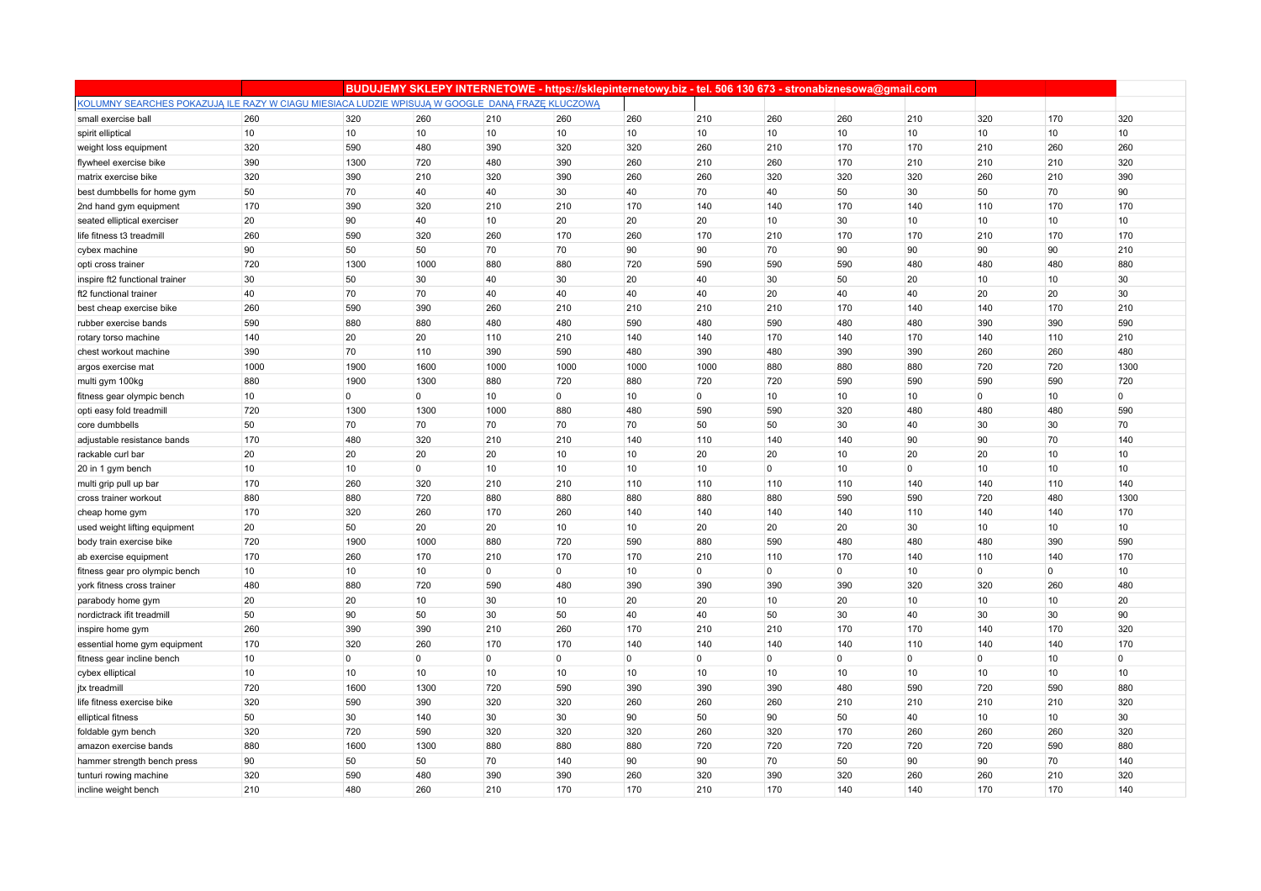|                                                                                                 |      |                |             |                 |                |          | BUDUJEMY SKLEPY INTERNETOWE - https://sklepinternetowy.biz - tel. 506 130 673 - stronabiznesowa@gmail.com |             |                |                |                |              |             |
|-------------------------------------------------------------------------------------------------|------|----------------|-------------|-----------------|----------------|----------|-----------------------------------------------------------------------------------------------------------|-------------|----------------|----------------|----------------|--------------|-------------|
| KOLUMNY SEARCHES POKAZUJĄ ILE RAZY W CIAGU MIESIACA LUDZIE WPISUJĄ W GOOGLE DANĄ FRAZE KLUCZOWĄ |      |                |             |                 |                |          |                                                                                                           |             |                |                |                |              |             |
| small exercise ball                                                                             | 260  | 320            | 260         | 210             | 260            | 260      | 210                                                                                                       | 260         | 260            | 210            | 320            | 170          | 320         |
| spirit elliptical                                                                               | 10   | 10             | 10          | 10              | 10             | 10       | 10                                                                                                        | 10          | 10             | 10             | 10             | 10           | 10          |
| weight loss equipment                                                                           | 320  | 590            | 480         | 390             | 320            | 320      | 260                                                                                                       | 210         | 170            | 170            | 210            | 260          | 260         |
| flywheel exercise bike                                                                          | 390  | 1300           | 720         | 480             | 390            | 260      | 210                                                                                                       | 260         | 170            | 210            | 210            | 210          | 320         |
| matrix exercise bike                                                                            | 320  | 390            | 210         | 320             | 390            | 260      | 260                                                                                                       | 320         | 320            | 320            | 260            | 210          | 390         |
| best dumbbells for home gym                                                                     | 50   | 70             | 40          | 40              | 30             | 40       | 70                                                                                                        | 40          | 50             | 30             | 50             | 70           | 90          |
| 2nd hand gym equipment                                                                          | 170  | 390            | 320         | 210             | 210            | 170      | 140                                                                                                       | 140         | 170            | 140            | 110            | 170          | 170         |
| seated elliptical exerciser                                                                     | 20   | 90             | 40          | 10              | 20             | 20       | 20                                                                                                        | 10          | 30             | 10             | 10             | 10           | 10          |
| life fitness t3 treadmill                                                                       | 260  | 590            | 320         | 260             | 170            | 260      | 170                                                                                                       | 210         | 170            | 170            | 210            | 170          | 170         |
| cybex machine                                                                                   | 90   | 50             | 50          | 70              | 70             | 90       | 90                                                                                                        | 70          | 90             | 90             | 90             | 90           | 210         |
| opti cross trainer                                                                              | 720  | 1300           | 1000        | 880             | 880            | 720      | 590                                                                                                       | 590         | 590            | 480            | 480            | 480          | 880         |
| inspire ft2 functional trainer                                                                  | 30   | 50             | 30          | 40              | 30             | 20       | 40                                                                                                        | 30          | 50             | 20             | 10             | 10           | 30          |
| ft2 functional trainer                                                                          | 40   | 70             | 70          | 40              | 40             | 40       | 40                                                                                                        | 20          | 40             | 40             | 20             | 20           | 30          |
| best cheap exercise bike                                                                        | 260  | 590            | 390         | 260             | 210            | 210      | 210                                                                                                       | 210         | 170            | 140            | 140            | 170          | 210         |
| rubber exercise bands                                                                           | 590  | 880            | 880         | 480             | 480            | 590      | 480                                                                                                       | 590         | 480            | 480            | 390            | 390          | 590         |
| rotary torso machine                                                                            | 140  | 20             | 20          | 110             | 210            | 140      | 140                                                                                                       | 170         | 140            | 170            | 140            | 110          | 210         |
| chest workout machine                                                                           | 390  | 70             | 110         | 390             | 590            | 480      | 390                                                                                                       | 480         | 390            | 390            | 260            | 260          | 480         |
| argos exercise mat                                                                              | 1000 | 1900           | 1600        | 1000            | 1000           | 1000     | 1000                                                                                                      | 880         | 880            | 880            | 720            | 720          | 1300        |
| multi gym 100kg                                                                                 | 880  | 1900           | 1300        | 880             | 720            | 880      | 720                                                                                                       | 720         | 590            | 590            | 590            | 590          | 720         |
| fitness gear olympic bench                                                                      | 10   | $\mathbf 0$    | $\mathbf 0$ | 10 <sup>1</sup> | $\overline{0}$ | 10       | $\mathbf 0$                                                                                               | 10          | 10             | 10             | $\overline{0}$ | 10           | $\mathbf 0$ |
| opti easy fold treadmill                                                                        | 720  | 1300           | 1300        | 1000            | 880            | 480      | 590                                                                                                       | 590         | 320            | 480            | 480            | 480          | 590         |
| core dumbbells                                                                                  | 50   | 70             | 70          | 70              | 70             | 70       | 50                                                                                                        | 50          | 30             | 40             | 30             | 30           | 70          |
| adjustable resistance bands                                                                     | 170  | 480            | 320         | 210             | 210            | 140      | 110                                                                                                       | 140         | 140            | 90             | 90             | 70           | 140         |
| rackable curl bar                                                                               | 20   | 20             | 20          | 20              | 10             | 10       | 20                                                                                                        | 20          | 10             | 20             | 20             | 10           | 10          |
| 20 in 1 gym bench                                                                               | 10   | 10             | $\mathbf 0$ | 10              | 10             | 10       | 10                                                                                                        | $\mathbf 0$ | 10             | $\overline{0}$ | 10             | 10           | 10          |
| multi grip pull up bar                                                                          | 170  | 260            | 320         | 210             | 210            | 110      | 110                                                                                                       | 110         | 110            | 140            | 140            | 110          | 140         |
| cross trainer workout                                                                           | 880  | 880            | 720         | 880             | 880            | 880      | 880                                                                                                       | 880         | 590            | 590            | 720            | 480          | 1300        |
| cheap home gym                                                                                  | 170  | 320            | 260         | 170             | 260            | 140      | 140                                                                                                       | 140         | 140            | 110            | 140            | 140          | 170         |
| used weight lifting equipment                                                                   | 20   | 50             | 20          | 20              | 10             | 10       | 20                                                                                                        | 20          | 20             | 30             | 10             | 10           | 10          |
| body train exercise bike                                                                        | 720  | 1900           | 1000        | 880             | 720            | 590      | 880                                                                                                       | 590         | 480            | 480            | 480            | 390          | 590         |
| ab exercise equipment                                                                           | 170  | 260            | 170         | 210             | 170            | 170      | 210                                                                                                       | 110         | 170            | 140            | 110            | 140          | 170         |
| fitness gear pro olympic bench                                                                  | 10   | 10             | 10          | $\mathbf 0$     | $\overline{0}$ | 10       | $\overline{0}$                                                                                            | $\mathbf 0$ | $\overline{0}$ | 10             | $\overline{0}$ | $\mathbf{0}$ | 10          |
| york fitness cross trainer                                                                      | 480  | 880            | 720         | 590             | 480            | 390      | 390                                                                                                       | 390         | 390            | 320            | 320            | 260          | 480         |
| parabody home gym                                                                               | 20   | 20             | 10          | 30              | 10             | 20       | 20                                                                                                        | 10          | 20             | 10             | 10             | 10           | 20          |
| nordictrack if t treadmill                                                                      | 50   | 90             | 50          | 30              | 50             | 40       | 40                                                                                                        | 50          | 30             | 40             | 30             | 30           | 90          |
| inspire home gym                                                                                | 260  | 390            | 390         | 210             | 260            | 170      | 210                                                                                                       | 210         | 170            | 170            | 140            | 170          | 320         |
| essential home gym equipment                                                                    | 170  | 320            | 260         | 170             | 170            | 140      | 140                                                                                                       | 140         | 140            | 110            | 140            | 140          | 170         |
| fitness gear incline bench                                                                      | 10   | $\overline{0}$ | $\mathbf 0$ | 0               | $\overline{0}$ | $\Omega$ | $\overline{0}$                                                                                            | $\mathbf 0$ | 0              | $\overline{0}$ | $\Omega$       | 10           | $\mathbf 0$ |
| cybex elliptical                                                                                | 10   | 10             | 10          | 10              | 10             | 10       | 10                                                                                                        | 10          | 10             | 10             | 10             | 10           | 10          |
| jtx treadmill                                                                                   | 720  | 1600           | 1300        | 720             | 590            | 390      | 390                                                                                                       | 390         | 480            | 590            | 720            | 590          | 880         |
| life fitness exercise bike                                                                      | 320  | 590            | 390         | 320             | 320            | 260      | 260                                                                                                       | 260         | 210            | 210            | 210            | 210          | 320         |
| elliptical fitness                                                                              | 50   | 30             | 140         | 30              | 30             | 90       | 50                                                                                                        | 90          | 50             | 40             | 10             | 10           | 30          |
| foldable gym bench                                                                              | 320  | 720            | 590         | 320             | 320            | 320      | 260                                                                                                       | 320         | 170            | 260            | 260            | 260          | 320         |
| amazon exercise bands                                                                           | 880  | 1600           | 1300        | 880             | 880            | 880      | 720                                                                                                       | 720         | 720            | 720            | 720            | 590          | 880         |
| hammer strength bench press                                                                     | 90   | 50             | 50          | 70              | 140            | 90       | 90                                                                                                        | 70          | 50             | 90             | 90             | 70           | 140         |
| tunturi rowing machine                                                                          | 320  | 590            | 480         | 390             | 390            | 260      | 320                                                                                                       | 390         | 320            | 260            | 260            | 210          | 320         |
| incline weight bench                                                                            | 210  | 480            | 260         | 210             | 170            | 170      | 210                                                                                                       | 170         | 140            | 140            | 170            | 170          | 140         |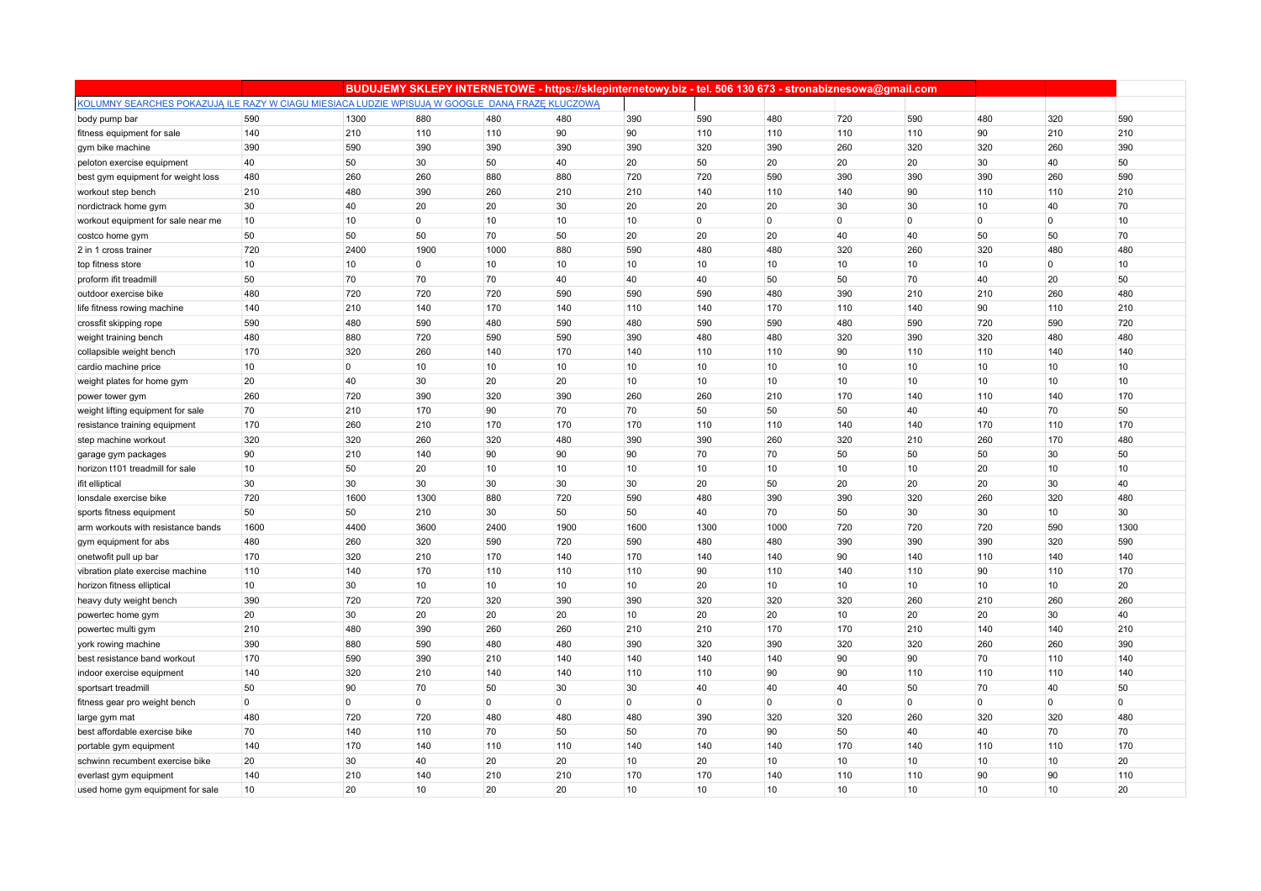|                                                                                                 |             |                |                |                | BUDUJEMY SKLEPY INTERNETOWE - https://sklepinternetowy.biz - tel. 506 130 673 - stronabiznesowa@gmail.com |                |                |                 |                |                 |                |              |              |
|-------------------------------------------------------------------------------------------------|-------------|----------------|----------------|----------------|-----------------------------------------------------------------------------------------------------------|----------------|----------------|-----------------|----------------|-----------------|----------------|--------------|--------------|
| KOLUMNY SEARCHES POKAZUJĄ ILE RAZY W CIAGU MIESIACA LUDZIE WPISUJĄ W GOOGLE DANĄ FRAZĘ KLUCZOWĄ |             |                |                |                |                                                                                                           |                |                |                 |                |                 |                |              |              |
| body pump bar                                                                                   | 590         | 1300           | 880            | 480            | 480                                                                                                       | 390            | 590            | 480             | 720            | 590             | 480            | 320          | 590          |
| fitness equipment for sale                                                                      | 140         | 210            | 110            | 110            | 90                                                                                                        | 90             | 110            | 110             | 110            | 110             | 90             | 210          | 210          |
| gym bike machine                                                                                | 390         | 590            | 390            | 390            | 390                                                                                                       | 390            | 320            | 390             | 260            | 320             | 320            | 260          | 390          |
| peloton exercise equipment                                                                      | 40          | 50             | 30             | 50             | 40                                                                                                        | 20             | 50             | 20              | 20             | 20              | 30             | 40           | 50           |
| best gym equipment for weight loss                                                              | 480         | 260            | 260            | 880            | 880                                                                                                       | 720            | 720            | 590             | 390            | 390             | 390            | 260          | 590          |
| workout step bench                                                                              | 210         | 480            | 390            | 260            | 210                                                                                                       | 210            | 140            | 110             | 140            | 90              | 110            | 110          | 210          |
| nordictrack home gym                                                                            | 30          | 40             | 20             | 20             | 30                                                                                                        | 20             | 20             | 20              | 30             | 30              | 10             | 40           | 70           |
| workout equipment for sale near me                                                              | 10          | 10             | $\mathbf 0$    | 10             | 10                                                                                                        | 10             | $\overline{0}$ | $\mathbf 0$     | $\mathbf 0$    | $\overline{0}$  | $\mathbf{0}$   | $\mathbf{0}$ | 10           |
| costco home gym                                                                                 | 50          | 50             | 50             | 70             | 50                                                                                                        | 20             | 20             | 20              | 40             | 40              | 50             | 50           | 70           |
| 2 in 1 cross trainer                                                                            | 720         | 2400           | 1900           | 1000           | 880                                                                                                       | 590            | 480            | 480             | 320            | 260             | 320            | 480          | 480          |
| top fitness store                                                                               | 10          | 10             | $\overline{0}$ | 10             | 10                                                                                                        | 10             | 10             | 10              | 10             | 10              | 10             | $\mathbf{0}$ | 10           |
| proform if it treadmill                                                                         | 50          | 70             | 70             | 70             | 40                                                                                                        | 40             | 40             | 50              | 50             | 70              | 40             | 20           | 50           |
| outdoor exercise bike                                                                           | 480         | 720            | 720            | 720            | 590                                                                                                       | 590            | 590            | 480             | 390            | 210             | 210            | 260          | 480          |
| life fitness rowing machine                                                                     | 140         | 210            | 140            | 170            | 140                                                                                                       | 110            | 140            | 170             | 110            | 140             | 90             | 110          | 210          |
| crossfit skipping rope                                                                          | 590         | 480            | 590            | 480            | 590                                                                                                       | 480            | 590            | 590             | 480            | 590             | 720            | 590          | 720          |
| weight training bench                                                                           | 480         | 880            | 720            | 590            | 590                                                                                                       | 390            | 480            | 480             | 320            | 390             | 320            | 480          | 480          |
| collapsible weight bench                                                                        | 170         | 320            | 260            | 140            | 170                                                                                                       | 140            | 110            | 110             | 90             | 110             | 110            | 140          | 140          |
| cardio machine price                                                                            | $10$        | $\overline{0}$ | 10             | 10             | 10                                                                                                        | 10             | 10             | 10              | 10             | 10              | 10             | 10           | 10           |
| weight plates for home gym                                                                      | 20          | 40             | 30             | 20             | 20                                                                                                        | 10             | 10             | 10              | 10             | 10              | 10             | 10           | 10           |
| power tower gym                                                                                 | 260         | 720            | 390            | 320            | 390                                                                                                       | 260            | 260            | 210             | 170            | 140             | 110            | 140          | 170          |
| weight lifting equipment for sale                                                               | 70          | 210            | 170            | 90             | 70                                                                                                        | 70             | 50             | 50              | 50             | 40              | 40             | 70           | 50           |
| resistance training equipment                                                                   | 170         | 260            | 210            | 170            | 170                                                                                                       | 170            | 110            | 110             | 140            | 140             | 170            | 110          | 170          |
| step machine workout                                                                            | 320         | 320            | 260            | 320            | 480                                                                                                       | 390            | 390            | 260             | 320            | 210             | 260            | 170          | 480          |
| garage gym packages                                                                             | 90          | 210            | 140            | 90             | 90                                                                                                        | 90             | 70             | 70              | 50             | 50              | 50             | 30           | 50           |
| horizon t101 treadmill for sale                                                                 | 10          | 50             | 20             | 10             | 10                                                                                                        | 10             | 10             | 10              | 10             | 10              | 20             | 10           | 10           |
| ifit elliptical                                                                                 | 30          | 30             | 30             | 30             | 30                                                                                                        | 30             | 20             | 50              | 20             | 20              | 20             | 30           | 40           |
| lonsdale exercise bike                                                                          | 720         | 1600           | 1300           | 880            | 720                                                                                                       | 590            | 480            | 390             | 390            | 320             | 260            | 320          | 480          |
| sports fitness equipment                                                                        | 50          | 50             | 210            | 30             | 50                                                                                                        | 50             | 40             | 70              | 50             | 30              | 30             | 10           | 30           |
| arm workouts with resistance bands                                                              | 1600        | 4400           | 3600           | 2400           | 1900                                                                                                      | 1600           | 1300           | 1000            | 720            | 720             | 720            | 590          | 1300         |
| gym equipment for abs                                                                           | 480         | 260            | 320            | 590            | 720                                                                                                       | 590            | 480            | 480             | 390            | 390             | 390            | 320          | 590          |
| onetwofit pull up bar                                                                           | 170         | 320            | 210            | 170            | 140                                                                                                       | 170            | 140            | 140             | 90             | 140             | 110            | 140          | 140          |
| vibration plate exercise machine                                                                | 110         | 140            | 170            | 110            | 110                                                                                                       | 110            | 90             | 110             | 140            | 110             | 90             | 110          | 170          |
| horizon fitness elliptical                                                                      | 10          | 30             | 10             | 10             | 10                                                                                                        | 10             | 20             | 10              | 10             | 10              | 10             | 10           | 20           |
| heavy duty weight bench                                                                         | 390         | 720            | 720            | 320            | 390                                                                                                       | 390            | 320            | 320             | 320            | 260             | 210            | 260          | 260          |
| powertec home gym                                                                               | 20          | 30             | 20             | 20             | 20                                                                                                        | 10             | 20             | 20              | 10             | 20              | 20             | 30           | 40           |
| powertec multi gym                                                                              | 210         | 480            | 390            | 260            | 260                                                                                                       | 210            | 210            | 170             | 170            | 210             | 140            | 140          | 210          |
| york rowing machine                                                                             | 390         | 880            | 590            | 480            | 480                                                                                                       | 390            | 320            | 390             | 320            | 320             | 260            | 260          | 390          |
| best resistance band workout                                                                    | 170         | 590            | 390            | 210            | 140                                                                                                       | 140            | 140            | 140             | 90             | 90              | 70             | 110          | 140          |
| indoor exercise equipment                                                                       | 140         | 320            | 210            | 140            | 140                                                                                                       | 110            | 110            | 90              | 90             | 110             | 110            | 110          | 140          |
| sportsart treadmill                                                                             | 50          | 90             | 70             | 50             | 30                                                                                                        | 30             | 40             | 40              | 40             | 50              | 70             | 40           | 50           |
| fitness gear pro weight bench                                                                   | $\mathbf 0$ | $\overline{0}$ | $\mathbf 0$    | $\overline{0}$ | $\overline{0}$                                                                                            | $\overline{0}$ | $\overline{0}$ | $\mathbf{0}$    | $\overline{0}$ | $\overline{0}$  | $\overline{0}$ | $\Omega$     | $\mathbf{0}$ |
| large gym mat                                                                                   | 480         | 720            | 720            | 480            | 480                                                                                                       | 480            | 390            | 320             | 320            | 260             | 320            | 320          | 480          |
| best affordable exercise bike                                                                   | 70          | 140            | 110            | 70             | 50                                                                                                        | 50             | 70             | 90              | 50             | 40              | 40             | 70           | 70           |
| portable gym equipment                                                                          | 140         | 170            | 140            | 110            | 110                                                                                                       | 140            | 140            | 140             | 170            | 140             | 110            | 110          | 170          |
| schwinn recumbent exercise bike                                                                 | 20          | 30             | 40             | 20             | 20                                                                                                        | 10             | 20             | 10              | 10             | 10              | 10             | 10           | 20           |
| everlast gym equipment                                                                          | 140         | 210            | 140            | 210            | 210                                                                                                       | 170            | 170            | 140             | 110            | 110             | 90             | 90           | 110          |
| used home gym equipment for sale                                                                | 10          | 20             | 10             | 20             | 20                                                                                                        | 10             | 10             | 10 <sup>1</sup> | 10             | 10 <sup>°</sup> | 10             | 10           | 20           |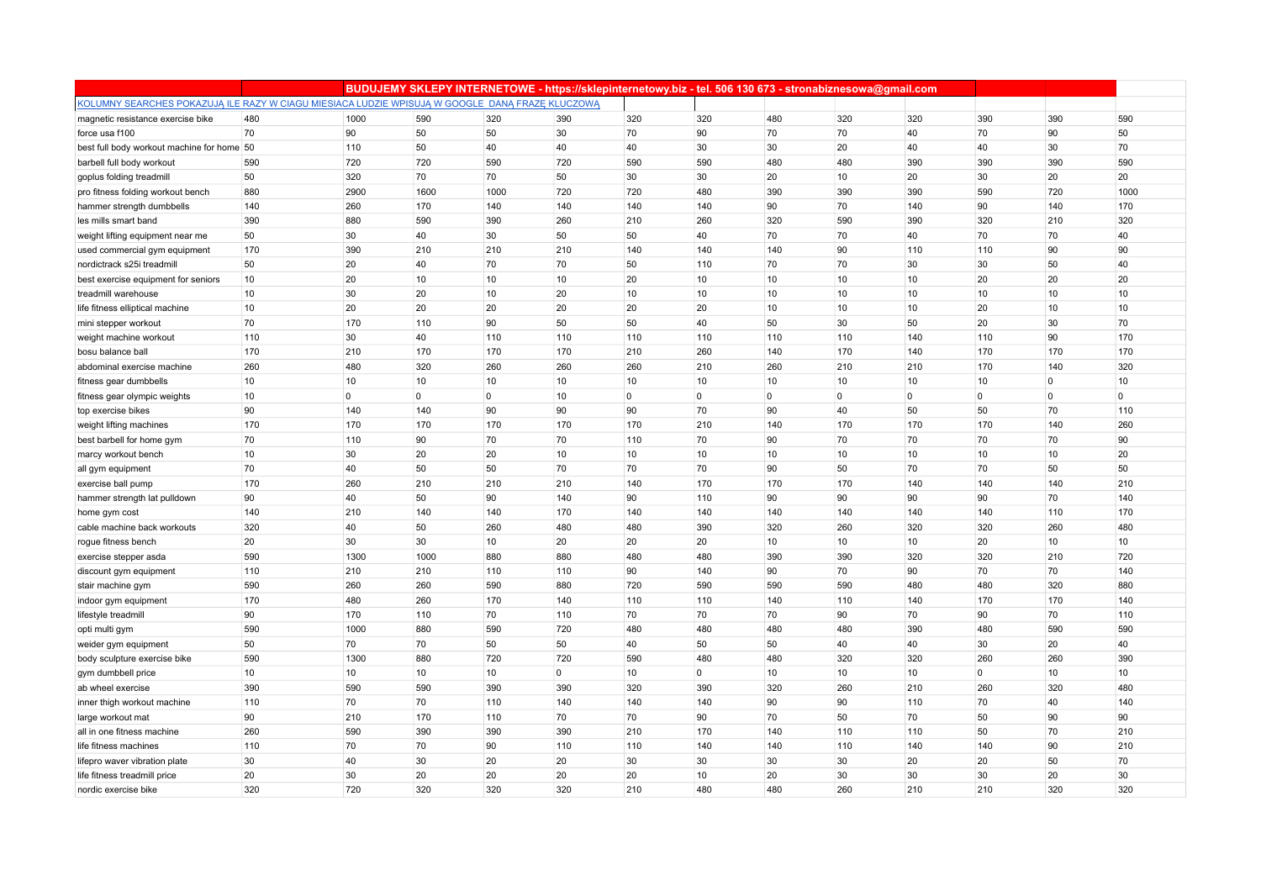|                                                                                                 |     |                |      |                | BUDUJEMY SKLEPY INTERNETOWE - https://sklepinternetowy.biz - tel. 506 130 673 - stronabiznesowa@gmail.com |             |                |             |                |                |              |                |      |
|-------------------------------------------------------------------------------------------------|-----|----------------|------|----------------|-----------------------------------------------------------------------------------------------------------|-------------|----------------|-------------|----------------|----------------|--------------|----------------|------|
| KOLUMNY SEARCHES POKAZUJĄ ILE RAZY W CIAGU MIESIACA LUDZIE WPISUJĄ W GOOGLE DANĄ FRAZE KLUCZOWĄ |     |                |      |                |                                                                                                           |             |                |             |                |                |              |                |      |
| magnetic resistance exercise bike                                                               | 480 | 1000           | 590  | 320            | 390                                                                                                       | 320         | 320            | 480         | 320            | 320            | 390          | 390            | 590  |
| force usa f100                                                                                  | 70  | 90             | 50   | 50             | 30                                                                                                        | 70          | 90             | 70          | 70             | 40             | 70           | 90             | 50   |
| best full body workout machine for home 50                                                      |     | 110            | 50   | 40             | 40                                                                                                        | 40          | 30             | 30          | 20             | 40             | 40           | 30             | 70   |
| barbell full body workout                                                                       | 590 | 720            | 720  | 590            | 720                                                                                                       | 590         | 590            | 480         | 480            | 390            | 390          | 390            | 590  |
| goplus folding treadmill                                                                        | 50  | 320            | 70   | 70             | 50                                                                                                        | 30          | 30             | 20          | 10             | 20             | 30           | 20             | 20   |
| pro fitness folding workout bench                                                               | 880 | 2900           | 1600 | 1000           | 720                                                                                                       | 720         | 480            | 390         | 390            | 390            | 590          | 720            | 1000 |
| hammer strength dumbbells                                                                       | 140 | 260            | 170  | 140            | 140                                                                                                       | 140         | 140            | 90          | 70             | 140            | 90           | 140            | 170  |
| les mills smart band                                                                            | 390 | 880            | 590  | 390            | 260                                                                                                       | 210         | 260            | 320         | 590            | 390            | 320          | 210            | 320  |
| weight lifting equipment near me                                                                | 50  | 30             | 40   | 30             | 50                                                                                                        | 50          | 40             | 70          | 70             | 40             | 70           | 70             | 40   |
| used commercial gym equipment                                                                   | 170 | 390            | 210  | 210            | 210                                                                                                       | 140         | 140            | 140         | 90             | 110            | 110          | 90             | 90   |
| nordictrack s25i treadmill                                                                      | 50  | 20             | 40   | 70             | 70                                                                                                        | 50          | 110            | 70          | 70             | 30             | 30           | 50             | 40   |
| best exercise equipment for seniors                                                             | 10  | 20             | 10   | 10             | 10                                                                                                        | 20          | 10             | 10          | 10             | 10             | 20           | 20             | 20   |
| treadmill warehouse                                                                             | 10  | 30             | 20   | 10             | 20                                                                                                        | 10          | 10             | 10          | 10             | 10             | 10           | 10             | 10   |
| life fitness elliptical machine                                                                 | 10  | 20             | 20   | 20             | 20                                                                                                        | 20          | 20             | 10          | 10             | 10             | 20           | 10             | 10   |
| mini stepper workout                                                                            | 70  | 170            | 110  | 90             | 50                                                                                                        | 50          | 40             | 50          | 30             | 50             | 20           | 30             | 70   |
| weight machine workout                                                                          | 110 | 30             | 40   | 110            | 110                                                                                                       | 110         | 110            | 110         | 110            | 140            | 110          | 90             | 170  |
| bosu balance ball                                                                               | 170 | 210            | 170  | 170            | 170                                                                                                       | 210         | 260            | 140         | 170            | 140            | 170          | 170            | 170  |
| abdominal exercise machine                                                                      | 260 | 480            | 320  | 260            | 260                                                                                                       | 260         | 210            | 260         | 210            | 210            | 170          | 140            | 320  |
| fitness gear dumbbells                                                                          | 10  | 10             | 10   | 10             | 10                                                                                                        | 10          | 10             | 10          | 10             | 10             | 10           | $\overline{0}$ | 10   |
| fitness gear olympic weights                                                                    | 10  | $\overline{0}$ | 0    | $\overline{0}$ | 10                                                                                                        | $\mathbf 0$ | $\overline{0}$ | $\mathbf 0$ | $\overline{0}$ | $\overline{0}$ | $\mathbf{0}$ | $\mathbf 0$    | 0    |
| top exercise bikes                                                                              | 90  | 140            | 140  | 90             | 90                                                                                                        | 90          | 70             | 90          | 40             | 50             | 50           | 70             | 110  |
| weight lifting machines                                                                         | 170 | 170            | 170  | 170            | 170                                                                                                       | 170         | 210            | 140         | 170            | 170            | 170          | 140            | 260  |
| best barbell for home gym                                                                       | 70  | 110            | 90   | 70             | 70                                                                                                        | 110         | 70             | 90          | 70             | 70             | 70           | 70             | 90   |
| marcy workout bench                                                                             | 10  | 30             | 20   | 20             | 10                                                                                                        | 10          | 10             | 10          | 10             | 10             | 10           | 10             | 20   |
| all gym equipment                                                                               | 70  | 40             | 50   | 50             | 70                                                                                                        | 70          | 70             | 90          | 50             | 70             | 70           | 50             | 50   |
| exercise ball pump                                                                              | 170 | 260            | 210  | 210            | 210                                                                                                       | 140         | 170            | 170         | 170            | 140            | 140          | 140            | 210  |
| hammer strength lat pulldown                                                                    | 90  | 40             | 50   | 90             | 140                                                                                                       | 90          | 110            | 90          | 90             | 90             | 90           | 70             | 140  |
| home gym cost                                                                                   | 140 | 210            | 140  | 140            | 170                                                                                                       | 140         | 140            | 140         | 140            | 140            | 140          | 110            | 170  |
| cable machine back workouts                                                                     | 320 | 40             | 50   | 260            | 480                                                                                                       | 480         | 390            | 320         | 260            | 320            | 320          | 260            | 480  |
| rogue fitness bench                                                                             | 20  | 30             | 30   | 10             | 20                                                                                                        | 20          | 20             | 10          | 10             | 10             | 20           | 10             | 10   |
| exercise stepper asda                                                                           | 590 | 1300           | 1000 | 880            | 880                                                                                                       | 480         | 480            | 390         | 390            | 320            | 320          | 210            | 720  |
| discount gym equipment                                                                          | 110 | 210            | 210  | 110            | 110                                                                                                       | 90          | 140            | 90          | 70             | 90             | 70           | 70             | 140  |
| stair machine gym                                                                               | 590 | 260            | 260  | 590            | 880                                                                                                       | 720         | 590            | 590         | 590            | 480            | 480          | 320            | 880  |
| indoor gym equipment                                                                            | 170 | 480            | 260  | 170            | 140                                                                                                       | 110         | 110            | 140         | 110            | 140            | 170          | 170            | 140  |
| lifestyle treadmill                                                                             | 90  | 170            | 110  | 70             | 110                                                                                                       | 70          | 70             | 70          | 90             | 70             | 90           | 70             | 110  |
| opti multi gym                                                                                  | 590 | 1000           | 880  | 590            | 720                                                                                                       | 480         | 480            | 480         | 480            | 390            | 480          | 590            | 590  |
| weider gym equipment                                                                            | 50  | 70             | 70   | 50             | 50                                                                                                        | 40          | 50             | 50          | 40             | 40             | 30           | 20             | 40   |
| body sculpture exercise bike                                                                    | 590 | 1300           | 880  | 720            | 720                                                                                                       | 590         | 480            | 480         | 320            | 320            | 260          | 260            | 390  |
| gym dumbbell price                                                                              | 10  | 10             | 10   | 10             | $\overline{0}$                                                                                            | 10          | $\overline{0}$ | 10          | 10             | 10             | $\mathbf{0}$ | 10             | 10   |
| ab wheel exercise                                                                               | 390 | 590            | 590  | 390            | 390                                                                                                       | 320         | 390            | 320         | 260            | 210            | 260          | 320            | 480  |
| inner thigh workout machine                                                                     | 110 | 70             | 70   | 110            | 140                                                                                                       | 140         | 140            | 90          | 90             | 110            | 70           | 40             | 140  |
| large workout mat                                                                               | 90  | 210            | 170  | 110            | 70                                                                                                        | 70          | 90             | 70          | 50             | 70             | 50           | 90             | 90   |
| all in one fitness machine                                                                      | 260 | 590            | 390  | 390            | 390                                                                                                       | 210         | 170            | 140         | 110            | 110            | 50           | 70             | 210  |
| life fitness machines                                                                           | 110 | 70             | 70   | 90             | 110                                                                                                       | 110         | 140            | 140         | 110            | 140            | 140          | 90             | 210  |
| lifepro waver vibration plate                                                                   | 30  | 40             | 30   | 20             | 20                                                                                                        | 30          | 30             | 30          | 30             | 20             | 20           | 50             | 70   |
| life fitness treadmill price                                                                    | 20  | 30             | 20   | 20             | 20                                                                                                        | 20          | 10             | 20          | 30             | 30             | 30           | 20             | 30   |
| nordic exercise bike                                                                            | 320 | 720            | 320  | 320            | 320                                                                                                       | 210         | 480            | 480         | 260            | 210            | 210          | 320            | 320  |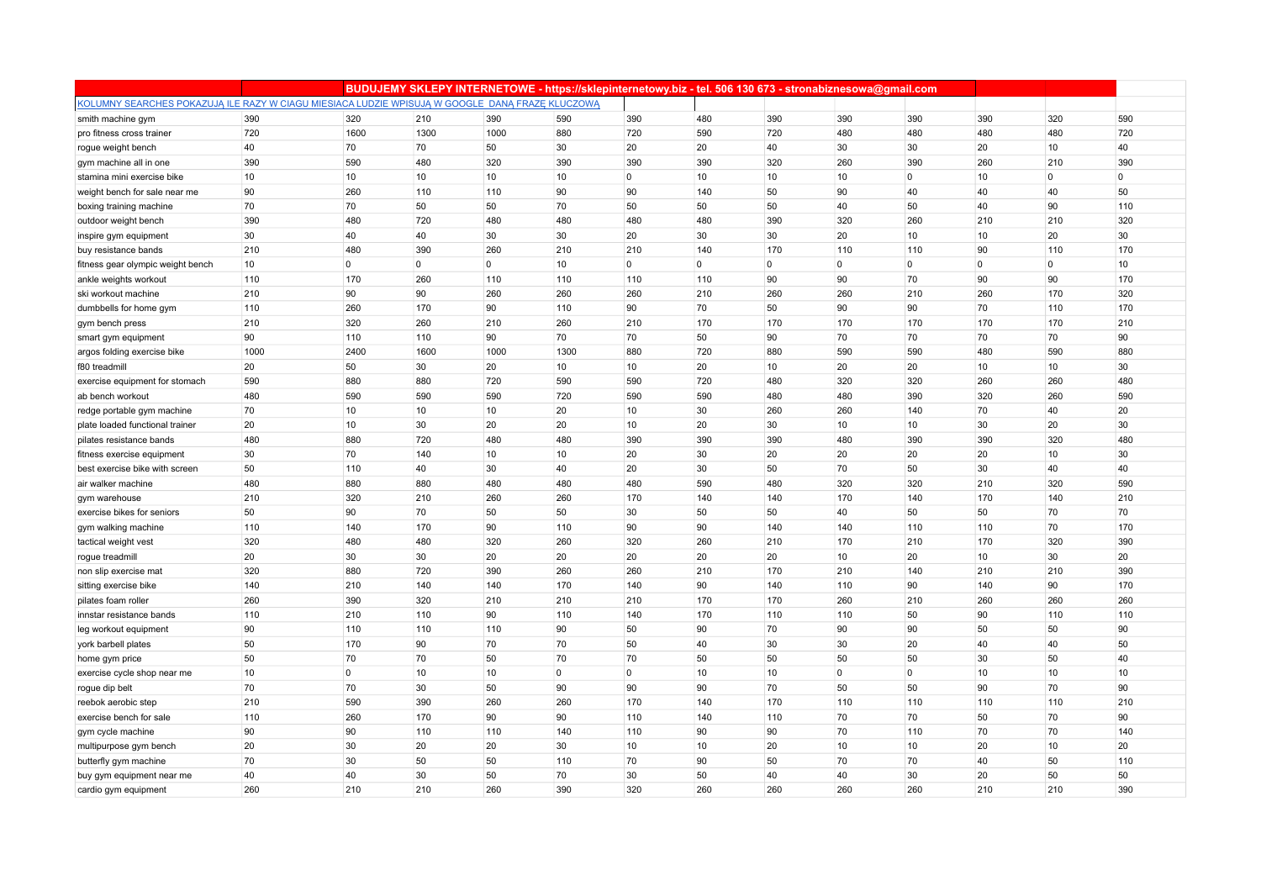|                                                                                                 |      |                |                |                | BUDUJEMY SKLEPY INTERNETOWE - https://sklepinternetowy.biz - tel. 506 130 673 - stronabiznesowa@gmail.com |                |                |     |                |                |             |                |     |
|-------------------------------------------------------------------------------------------------|------|----------------|----------------|----------------|-----------------------------------------------------------------------------------------------------------|----------------|----------------|-----|----------------|----------------|-------------|----------------|-----|
| KOLUMNY SEARCHES POKAZUJĄ ILE RAZY W CIAGU MIESIACA LUDZIE WPISUJĄ W GOOGLE DANĄ FRAZE KLUCZOWĄ |      |                |                |                |                                                                                                           |                |                |     |                |                |             |                |     |
| smith machine gym                                                                               | 390  | 320            | 210            | 390            | 590                                                                                                       | 390            | 480            | 390 | 390            | 390            | 390         | 320            | 590 |
| pro fitness cross trainer                                                                       | 720  | 1600           | 1300           | 1000           | 880                                                                                                       | 720            | 590            | 720 | 480            | 480            | 480         | 480            | 720 |
| rogue weight bench                                                                              | 40   | 70             | 70             | 50             | 30                                                                                                        | 20             | 20             | 40  | 30             | 30             | 20          | 10             | 40  |
| gym machine all in one                                                                          | 390  | 590            | 480            | 320            | 390                                                                                                       | 390            | 390            | 320 | 260            | 390            | 260         | 210            | 390 |
| stamina mini exercise bike                                                                      | 10   | 10             | 10             | 10             | 10                                                                                                        | $\mathbf 0$    | 10             | 10  | 10             | $\overline{0}$ | 10          | $\Omega$       | 0   |
| weight bench for sale near me                                                                   | 90   | 260            | 110            | 110            | 90                                                                                                        | 90             | 140            | 50  | 90             | 40             | 40          | 40             | 50  |
| boxing training machine                                                                         | 70   | 70             | 50             | 50             | 70                                                                                                        | 50             | 50             | 50  | 40             | 50             | 40          | 90             | 110 |
| outdoor weight bench                                                                            | 390  | 480            | 720            | 480            | 480                                                                                                       | 480            | 480            | 390 | 320            | 260            | 210         | 210            | 320 |
| inspire gym equipment                                                                           | 30   | 40             | 40             | 30             | 30                                                                                                        | 20             | 30             | 30  | 20             | 10             | 10          | 20             | 30  |
| buy resistance bands                                                                            | 210  | 480            | 390            | 260            | 210                                                                                                       | 210            | 140            | 170 | 110            | 110            | 90          | 110            | 170 |
| fitness gear olympic weight bench                                                               | 10   | $\overline{0}$ | $\overline{0}$ | $\overline{0}$ | 10                                                                                                        | $\overline{0}$ | $\overline{0}$ | 0   | $\overline{0}$ | $\overline{0}$ | $\mathbf 0$ | $\overline{0}$ | 10  |
| ankle weights workout                                                                           | 110  | 170            | 260            | 110            | 110                                                                                                       | 110            | 110            | 90  | 90             | 70             | 90          | 90             | 170 |
| ski workout machine                                                                             | 210  | 90             | 90             | 260            | 260                                                                                                       | 260            | 210            | 260 | 260            | 210            | 260         | 170            | 320 |
| dumbbells for home gym                                                                          | 110  | 260            | 170            | 90             | 110                                                                                                       | 90             | 70             | 50  | 90             | 90             | 70          | 110            | 170 |
| gym bench press                                                                                 | 210  | 320            | 260            | 210            | 260                                                                                                       | 210            | 170            | 170 | 170            | 170            | 170         | 170            | 210 |
| smart gym equipment                                                                             | 90   | 110            | 110            | 90             | 70                                                                                                        | 70             | 50             | 90  | 70             | 70             | 70          | 70             | 90  |
| argos folding exercise bike                                                                     | 1000 | 2400           | 1600           | 1000           | 1300                                                                                                      | 880            | 720            | 880 | 590            | 590            | 480         | 590            | 880 |
| f80 treadmill                                                                                   | 20   | 50             | 30             | 20             | 10                                                                                                        | 10             | 20             | 10  | 20             | 20             | 10          | 10             | 30  |
| exercise equipment for stomach                                                                  | 590  | 880            | 880            | 720            | 590                                                                                                       | 590            | 720            | 480 | 320            | 320            | 260         | 260            | 480 |
| ab bench workout                                                                                | 480  | 590            | 590            | 590            | 720                                                                                                       | 590            | 590            | 480 | 480            | 390            | 320         | 260            | 590 |
| redge portable gym machine                                                                      | 70   | 10             | 10             | 10             | 20                                                                                                        | 10             | 30             | 260 | 260            | 140            | 70          | 40             | 20  |
| plate loaded functional trainer                                                                 | 20   | 10             | 30             | 20             | 20                                                                                                        | 10             | 20             | 30  | 10             | 10             | 30          | 20             | 30  |
| pilates resistance bands                                                                        | 480  | 880            | 720            | 480            | 480                                                                                                       | 390            | 390            | 390 | 480            | 390            | 390         | 320            | 480 |
| fitness exercise equipment                                                                      | 30   | 70             | 140            | 10             | 10                                                                                                        | 20             | 30             | 20  | 20             | 20             | 20          | 10             | 30  |
| best exercise bike with screen                                                                  | 50   | 110            | 40             | 30             | 40                                                                                                        | 20             | 30             | 50  | 70             | 50             | 30          | 40             | 40  |
| air walker machine                                                                              | 480  | 880            | 880            | 480            | 480                                                                                                       | 480            | 590            | 480 | 320            | 320            | 210         | 320            | 590 |
| gym warehouse                                                                                   | 210  | 320            | 210            | 260            | 260                                                                                                       | 170            | 140            | 140 | 170            | 140            | 170         | 140            | 210 |
| exercise bikes for seniors                                                                      | 50   | 90             | 70             | 50             | 50                                                                                                        | 30             | 50             | 50  | 40             | 50             | 50          | 70             | 70  |
| gym walking machine                                                                             | 110  | 140            | 170            | 90             | 110                                                                                                       | 90             | 90             | 140 | 140            | 110            | 110         | 70             | 170 |
| tactical weight vest                                                                            | 320  | 480            | 480            | 320            | 260                                                                                                       | 320            | 260            | 210 | 170            | 210            | 170         | 320            | 390 |
| rogue treadmill                                                                                 | 20   | 30             | 30             | 20             | 20                                                                                                        | 20             | 20             | 20  | 10             | 20             | 10          | 30             | 20  |
| non slip exercise mat                                                                           | 320  | 880            | 720            | 390            | 260                                                                                                       | 260            | 210            | 170 | 210            | 140            | 210         | 210            | 390 |
| sitting exercise bike                                                                           | 140  | 210            | 140            | 140            | 170                                                                                                       | 140            | 90             | 140 | 110            | 90             | 140         | 90             | 170 |
| pilates foam roller                                                                             | 260  | 390            | 320            | 210            | 210                                                                                                       | 210            | 170            | 170 | 260            | 210            | 260         | 260            | 260 |
| innstar resistance bands                                                                        | 110  | 210            | 110            | 90             | 110                                                                                                       | 140            | 170            | 110 | 110            | 50             | 90          | 110            | 110 |
| leg workout equipment                                                                           | 90   | 110            | 110            | 110            | 90                                                                                                        | 50             | 90             | 70  | 90             | 90             | 50          | 50             | 90  |
| york barbell plates                                                                             | 50   | 170            | 90             | 70             | 70                                                                                                        | 50             | 40             | 30  | 30             | 20             | 40          | 40             | 50  |
| home gym price                                                                                  | 50   | 70             | 70             | 50             | 70                                                                                                        | 70             | 50             | 50  | 50             | 50             | 30          | 50             | 40  |
| exercise cycle shop near me                                                                     | 10   | $\overline{0}$ | 10             | 10             | $\overline{0}$                                                                                            | $\mathbf 0$    | 10             | 10  | $\mathbf{0}$   | $\overline{0}$ | 10          | 10             | 10  |
| rogue dip belt                                                                                  | 70   | 70             | 30             | 50             | 90                                                                                                        | 90             | 90             | 70  | 50             | 50             | 90          | 70             | 90  |
| reebok aerobic step                                                                             | 210  | 590            | 390            | 260            | 260                                                                                                       | 170            | 140            | 170 | 110            | 110            | 110         | 110            | 210 |
| exercise bench for sale                                                                         | 110  | 260            | 170            | 90             | 90                                                                                                        | 110            | 140            | 110 | 70             | 70             | 50          | 70             | 90  |
| gym cycle machine                                                                               | 90   | 90             | 110            | 110            | 140                                                                                                       | 110            | 90             | 90  | 70             | 110            | 70          | 70             | 140 |
| multipurpose gym bench                                                                          | 20   | 30             | 20             | 20             | 30                                                                                                        | 10             | 10             | 20  | 10             | 10             | 20          | 10             | 20  |
| butterfly gym machine                                                                           | 70   | 30             | 50             | 50             | 110                                                                                                       | 70             | 90             | 50  | 70             | 70             | 40          | 50             | 110 |
| buy gym equipment near me                                                                       | 40   | 40             | 30             | 50             | 70                                                                                                        | 30             | 50             | 40  | 40             | 30             | 20          | 50             | 50  |
| cardio gym equipment                                                                            | 260  | 210            | 210            | 260            | 390                                                                                                       | 320            | 260            | 260 | 260            | 260            | 210         | 210            | 390 |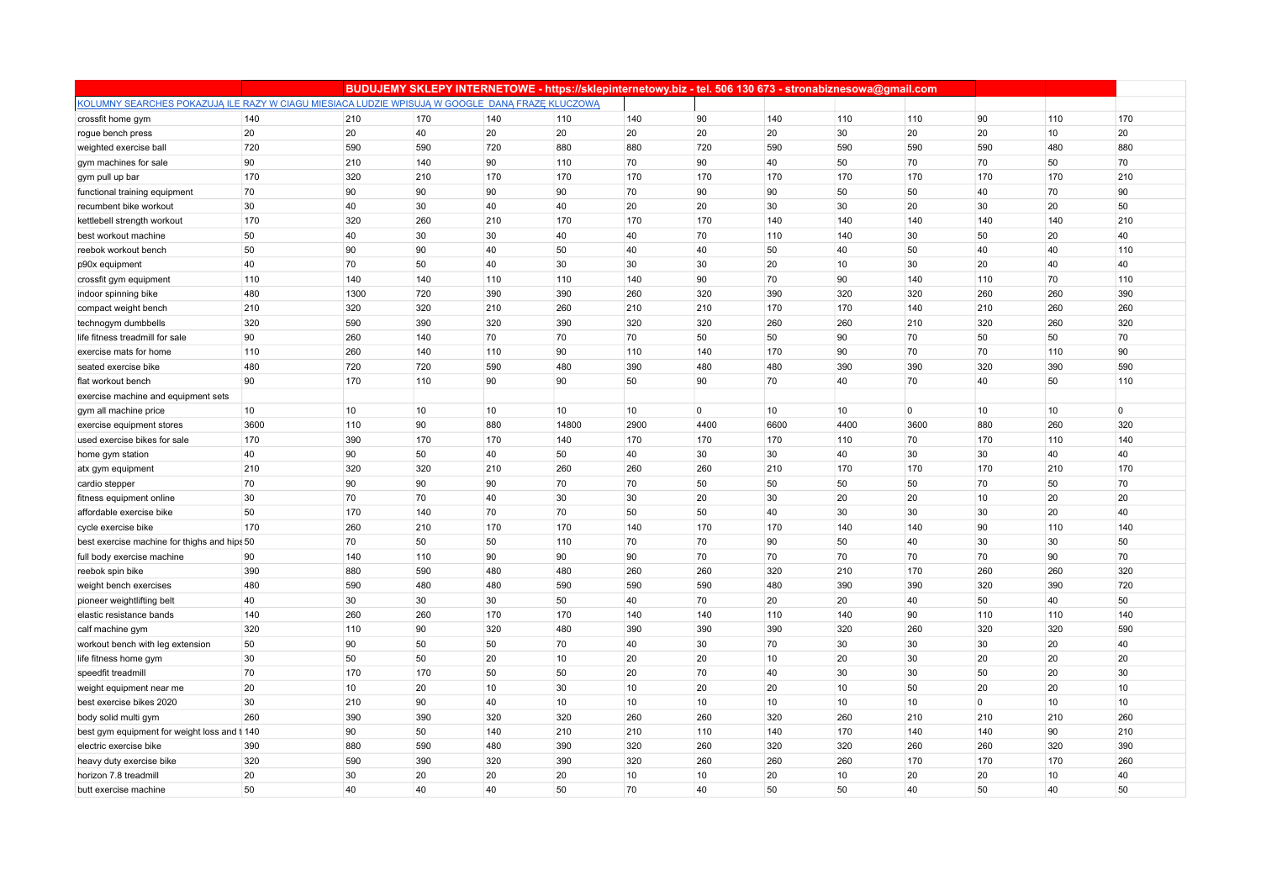|                                                                                                 |      |      |     |     |       |      |                |      | BUDUJEMY SKLEPY INTERNETOWE - https://sklepinternetowy.biz - tel. 506 130 673 - stronabiznesowa@gmail.com |                |              |     |     |
|-------------------------------------------------------------------------------------------------|------|------|-----|-----|-------|------|----------------|------|-----------------------------------------------------------------------------------------------------------|----------------|--------------|-----|-----|
| KOLUMNY SEARCHES POKAZUJĄ ILE RAZY W CIAGU MIESIACA LUDZIE WPISUJĄ W GOOGLE DANĄ FRAZE KLUCZOWĄ |      |      |     |     |       |      |                |      |                                                                                                           |                |              |     |     |
| crossfit home gym                                                                               | 140  | 210  | 170 | 140 | 110   | 140  | 90             | 140  | 110                                                                                                       | 110            | 90           | 110 | 170 |
| rogue bench press                                                                               | 20   | 20   | 40  | 20  | 20    | 20   | 20             | 20   | 30                                                                                                        | 20             | 20           | 10  | 20  |
| weighted exercise ball                                                                          | 720  | 590  | 590 | 720 | 880   | 880  | 720            | 590  | 590                                                                                                       | 590            | 590          | 480 | 880 |
| gym machines for sale                                                                           | 90   | 210  | 140 | 90  | 110   | 70   | 90             | 40   | 50                                                                                                        | 70             | 70           | 50  | 70  |
| gym pull up bar                                                                                 | 170  | 320  | 210 | 170 | 170   | 170  | 170            | 170  | 170                                                                                                       | 170            | 170          | 170 | 210 |
| functional training equipment                                                                   | 70   | 90   | 90  | 90  | 90    | 70   | 90             | 90   | 50                                                                                                        | 50             | 40           | 70  | 90  |
| recumbent bike workout                                                                          | 30   | 40   | 30  | 40  | 40    | 20   | 20             | 30   | 30                                                                                                        | 20             | 30           | 20  | 50  |
| kettlebell strength workout                                                                     | 170  | 320  | 260 | 210 | 170   | 170  | 170            | 140  | 140                                                                                                       | 140            | 140          | 140 | 210 |
| best workout machine                                                                            | 50   | 40   | 30  | 30  | 40    | 40   | 70             | 110  | 140                                                                                                       | 30             | 50           | 20  | 40  |
| reebok workout bench                                                                            | 50   | 90   | 90  | 40  | 50    | 40   | 40             | 50   | 40                                                                                                        | 50             | 40           | 40  | 110 |
| p90x equipment                                                                                  | 40   | 70   | 50  | 40  | 30    | 30   | 30             | 20   | 10                                                                                                        | 30             | 20           | 40  | 40  |
| crossfit gym equipment                                                                          | 110  | 140  | 140 | 110 | 110   | 140  | 90             | 70   | 90                                                                                                        | 140            | 110          | 70  | 110 |
| indoor spinning bike                                                                            | 480  | 1300 | 720 | 390 | 390   | 260  | 320            | 390  | 320                                                                                                       | 320            | 260          | 260 | 390 |
| compact weight bench                                                                            | 210  | 320  | 320 | 210 | 260   | 210  | 210            | 170  | 170                                                                                                       | 140            | 210          | 260 | 260 |
| technogym dumbbells                                                                             | 320  | 590  | 390 | 320 | 390   | 320  | 320            | 260  | 260                                                                                                       | 210            | 320          | 260 | 320 |
| life fitness treadmill for sale                                                                 | 90   | 260  | 140 | 70  | 70    | 70   | 50             | 50   | 90                                                                                                        | 70             | 50           | 50  | 70  |
| exercise mats for home                                                                          | 110  | 260  | 140 | 110 | 90    | 110  | 140            | 170  | 90                                                                                                        | 70             | 70           | 110 | 90  |
| seated exercise bike                                                                            | 480  | 720  | 720 | 590 | 480   | 390  | 480            | 480  | 390                                                                                                       | 390            | 320          | 390 | 590 |
| flat workout bench                                                                              | 90   | 170  | 110 | 90  | 90    | 50   | 90             | 70   | 40                                                                                                        | 70             | 40           | 50  | 110 |
| exercise machine and equipment sets                                                             |      |      |     |     |       |      |                |      |                                                                                                           |                |              |     |     |
| gym all machine price                                                                           | 10   | 10   | 10  | 10  | 10    | 10   | $\overline{0}$ | 10   | 10                                                                                                        | $\overline{0}$ | 10           | 10  | 0   |
| exercise equipment stores                                                                       | 3600 | 110  | 90  | 880 | 14800 | 2900 | 4400           | 6600 | 4400                                                                                                      | 3600           | 880          | 260 | 320 |
| used exercise bikes for sale                                                                    | 170  | 390  | 170 | 170 | 140   | 170  | 170            | 170  | 110                                                                                                       | 70             | 170          | 110 | 140 |
| home gym station                                                                                | 40   | 90   | 50  | 40  | 50    | 40   | 30             | 30   | 40                                                                                                        | 30             | 30           | 40  | 40  |
| atx gym equipment                                                                               | 210  | 320  | 320 | 210 | 260   | 260  | 260            | 210  | 170                                                                                                       | 170            | 170          | 210 | 170 |
| cardio stepper                                                                                  | 70   | 90   | 90  | 90  | 70    | 70   | 50             | 50   | 50                                                                                                        | 50             | 70           | 50  | 70  |
| fitness equipment online                                                                        | 30   | 70   | 70  | 40  | 30    | 30   | 20             | 30   | 20                                                                                                        | 20             | 10           | 20  | 20  |
| affordable exercise bike                                                                        | 50   | 170  | 140 | 70  | 70    | 50   | 50             | 40   | 30                                                                                                        | 30             | 30           | 20  | 40  |
| cycle exercise bike                                                                             | 170  | 260  | 210 | 170 | 170   | 140  | 170            | 170  | 140                                                                                                       | 140            | 90           | 110 | 140 |
| best exercise machine for thighs and hips 50                                                    |      | 70   | 50  | 50  | 110   | 70   | 70             | 90   | 50                                                                                                        | 40             | 30           | 30  | 50  |
| full body exercise machine                                                                      | 90   | 140  | 110 | 90  | 90    | 90   | 70             | 70   | 70                                                                                                        | 70             | 70           | 90  | 70  |
| reebok spin bike                                                                                | 390  | 880  | 590 | 480 | 480   | 260  | 260            | 320  | 210                                                                                                       | 170            | 260          | 260 | 320 |
| weight bench exercises                                                                          | 480  | 590  | 480 | 480 | 590   | 590  | 590            | 480  | 390                                                                                                       | 390            | 320          | 390 | 720 |
| pioneer weightlifting belt                                                                      | 40   | 30   | 30  | 30  | 50    | 40   | 70             | 20   | 20                                                                                                        | 40             | 50           | 40  | 50  |
| elastic resistance bands                                                                        | 140  | 260  | 260 | 170 | 170   | 140  | 140            | 110  | 140                                                                                                       | 90             | 110          | 110 | 140 |
| calf machine gym                                                                                | 320  | 110  | 90  | 320 | 480   | 390  | 390            | 390  | 320                                                                                                       | 260            | 320          | 320 | 590 |
| workout bench with leg extension                                                                | 50   | 90   | 50  | 50  | 70    | 40   | 30             | 70   | 30                                                                                                        | 30             | 30           | 20  | 40  |
| life fitness home gym                                                                           | 30   | 50   | 50  | 20  | 10    | 20   | 20             | 10   | 20                                                                                                        | 30             | 20           | 20  | 20  |
| speedfit treadmill                                                                              | 70   | 170  | 170 | 50  | 50    | 20   | 70             | 40   | 30                                                                                                        | 30             | 50           | 20  | 30  |
| weight equipment near me                                                                        | 20   | 10   | 20  | 10  | 30    | 10   | 20             | 20   | 10                                                                                                        | 50             | 20           | 20  | 10  |
| best exercise bikes 2020                                                                        | 30   | 210  | 90  | 40  | 10    | 10   | 10             | 10   | 10                                                                                                        | 10             | $\mathbf{0}$ | 10  | 10  |
| body solid multi gym                                                                            | 260  | 390  | 390 | 320 | 320   | 260  | 260            | 320  | 260                                                                                                       | 210            | 210          | 210 | 260 |
| best gym equipment for weight loss and t 140                                                    |      | 90   | 50  | 140 | 210   | 210  | 110            | 140  | 170                                                                                                       | 140            | 140          | 90  | 210 |
| electric exercise bike                                                                          | 390  | 880  | 590 | 480 | 390   | 320  | 260            | 320  | 320                                                                                                       | 260            | 260          | 320 | 390 |
| heavy duty exercise bike                                                                        | 320  | 590  | 390 | 320 | 390   | 320  | 260            | 260  | 260                                                                                                       | 170            | 170          | 170 | 260 |
| horizon 7.8 treadmill                                                                           | 20   | 30   | 20  | 20  | 20    | 10   | 10             | 20   | 10                                                                                                        | 20             | 20           | 10  | 40  |
| butt exercise machine                                                                           | 50   | 40   | 40  | 40  | 50    | 70   | 40             | 50   | 50                                                                                                        | 40             | 50           | 40  | 50  |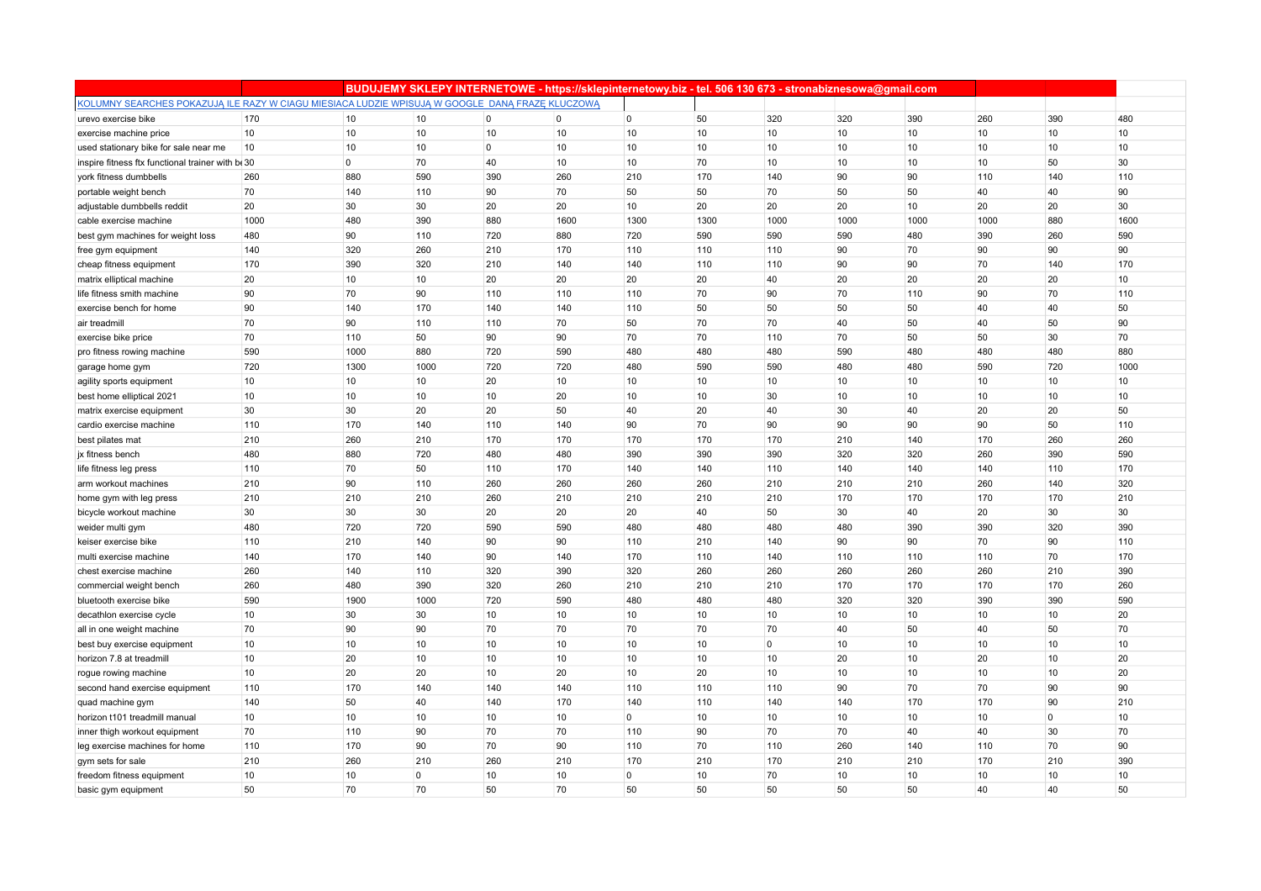|                                                                                                 |      |                |      |                | BUDUJEMY SKLEPY INTERNETOWE - https://sklepinternetowy.biz - tel. 506 130 673 - stronabiznesowa@gmail.com |                |      |          |      |      |      |                |      |
|-------------------------------------------------------------------------------------------------|------|----------------|------|----------------|-----------------------------------------------------------------------------------------------------------|----------------|------|----------|------|------|------|----------------|------|
| KOLUMNY SEARCHES POKAZUJĄ ILE RAZY W CIAGU MIESIACA LUDZIE WPISUJĄ W GOOGLE DANĄ FRAZE KLUCZOWĄ |      |                |      |                |                                                                                                           |                |      |          |      |      |      |                |      |
| urevo exercise bike                                                                             | 170  | 10             | 10   | $\overline{0}$ | $\overline{0}$                                                                                            | $\overline{0}$ | 50   | 320      | 320  | 390  | 260  | 390            | 480  |
| exercise machine price                                                                          | 10   | 10             | 10   | 10             | 10                                                                                                        | 10             | 10   | 10       | 10   | 10   | 10   | 10             | 10   |
| used stationary bike for sale near me                                                           | 10   | 10             | 10   | $\overline{0}$ | 10                                                                                                        | 10             | 10   | 10       | 10   | 10   | 10   | 10             | 10   |
| inspire fitness ftx functional trainer with be 30                                               |      | $\overline{0}$ | 70   | 40             | 10                                                                                                        | 10             | 70   | 10       | 10   | 10   | 10   | 50             | 30   |
| york fitness dumbbells                                                                          | 260  | 880            | 590  | 390            | 260                                                                                                       | 210            | 170  | 140      | 90   | 90   | 110  | 140            | 110  |
| portable weight bench                                                                           | 70   | 140            | 110  | 90             | 70                                                                                                        | 50             | 50   | 70       | 50   | 50   | 40   | 40             | 90   |
| adjustable dumbbells reddit                                                                     | 20   | 30             | 30   | 20             | 20                                                                                                        | 10             | 20   | 20       | 20   | 10   | 20   | 20             | 30   |
| cable exercise machine                                                                          | 1000 | 480            | 390  | 880            | 1600                                                                                                      | 1300           | 1300 | 1000     | 1000 | 1000 | 1000 | 880            | 1600 |
| best gym machines for weight loss                                                               | 480  | 90             | 110  | 720            | 880                                                                                                       | 720            | 590  | 590      | 590  | 480  | 390  | 260            | 590  |
| free gym equipment                                                                              | 140  | 320            | 260  | 210            | 170                                                                                                       | 110            | 110  | 110      | 90   | 70   | 90   | 90             | 90   |
| cheap fitness equipment                                                                         | 170  | 390            | 320  | 210            | 140                                                                                                       | 140            | 110  | 110      | 90   | 90   | 70   | 140            | 170  |
| matrix elliptical machine                                                                       | 20   | 10             | 10   | 20             | 20                                                                                                        | 20             | 20   | 40       | 20   | 20   | 20   | 20             | 10   |
| life fitness smith machine                                                                      | 90   | 70             | 90   | 110            | 110                                                                                                       | 110            | 70   | 90       | 70   | 110  | 90   | 70             | 110  |
| exercise bench for home                                                                         | 90   | 140            | 170  | 140            | 140                                                                                                       | 110            | 50   | 50       | 50   | 50   | 40   | 40             | 50   |
| air treadmill                                                                                   | 70   | 90             | 110  | 110            | 70                                                                                                        | 50             | 70   | 70       | 40   | 50   | 40   | 50             | 90   |
| exercise bike price                                                                             | 70   | 110            | 50   | 90             | 90                                                                                                        | 70             | 70   | 110      | 70   | 50   | 50   | 30             | 70   |
| pro fitness rowing machine                                                                      | 590  | 1000           | 880  | 720            | 590                                                                                                       | 480            | 480  | 480      | 590  | 480  | 480  | 480            | 880  |
| garage home gym                                                                                 | 720  | 1300           | 1000 | 720            | 720                                                                                                       | 480            | 590  | 590      | 480  | 480  | 590  | 720            | 1000 |
| agility sports equipment                                                                        | 10   | 10             | 10   | 20             | 10                                                                                                        | 10             | 10   | 10       | 10   | 10   | 10   | 10             | 10   |
| best home elliptical 2021                                                                       | 10   | 10             | 10   | 10             | 20                                                                                                        | 10             | 10   | 30       | 10   | 10   | 10   | 10             | 10   |
| matrix exercise equipment                                                                       | 30   | 30             | 20   | 20             | 50                                                                                                        | 40             | 20   | 40       | 30   | 40   | 20   | 20             | 50   |
| cardio exercise machine                                                                         | 110  | 170            | 140  | 110            | 140                                                                                                       | 90             | 70   | 90       | 90   | 90   | 90   | 50             | 110  |
| best pilates mat                                                                                | 210  | 260            | 210  | 170            | 170                                                                                                       | 170            | 170  | 170      | 210  | 140  | 170  | 260            | 260  |
| jx fitness bench                                                                                | 480  | 880            | 720  | 480            | 480                                                                                                       | 390            | 390  | 390      | 320  | 320  | 260  | 390            | 590  |
| life fitness leg press                                                                          | 110  | 70             | 50   | 110            | 170                                                                                                       | 140            | 140  | 110      | 140  | 140  | 140  | 110            | 170  |
| arm workout machines                                                                            | 210  | 90             | 110  | 260            | 260                                                                                                       | 260            | 260  | 210      | 210  | 210  | 260  | 140            | 320  |
| home gym with leg press                                                                         | 210  | 210            | 210  | 260            | 210                                                                                                       | 210            | 210  | 210      | 170  | 170  | 170  | 170            | 210  |
| bicycle workout machine                                                                         | 30   | 30             | 30   | 20             | 20                                                                                                        | 20             | 40   | 50       | 30   | 40   | 20   | 30             | 30   |
| weider multi gym                                                                                | 480  | 720            | 720  | 590            | 590                                                                                                       | 480            | 480  | 480      | 480  | 390  | 390  | 320            | 390  |
| keiser exercise bike                                                                            | 110  | 210            | 140  | 90             | 90                                                                                                        | 110            | 210  | 140      | 90   | 90   | 70   | 90             | 110  |
| multi exercise machine                                                                          | 140  | 170            | 140  | 90             | 140                                                                                                       | 170            | 110  | 140      | 110  | 110  | 110  | 70             | 170  |
| chest exercise machine                                                                          | 260  | 140            | 110  | 320            | 390                                                                                                       | 320            | 260  | 260      | 260  | 260  | 260  | 210            | 390  |
| commercial weight bench                                                                         | 260  | 480            | 390  | 320            | 260                                                                                                       | 210            | 210  | 210      | 170  | 170  | 170  | 170            | 260  |
| bluetooth exercise bike                                                                         | 590  | 1900           | 1000 | 720            | 590                                                                                                       | 480            | 480  | 480      | 320  | 320  | 390  | 390            | 590  |
| decathlon exercise cycle                                                                        | 10   | 30             | 30   | 10             | 10                                                                                                        | 10             | 10   | 10       | 10   | 10   | 10   | 10             | 20   |
| all in one weight machine                                                                       | 70   | 90             | 90   | 70             | 70                                                                                                        | 70             | 70   | 70       | 40   | 50   | 40   | 50             | 70   |
| best buy exercise equipment                                                                     | 10   | 10             | 10   | 10             | 10                                                                                                        | 10             | 10   | $\Omega$ | 10   | 10   | 10   | 10             | 10   |
| horizon 7.8 at treadmill                                                                        | 10   | 20             | 10   | 10             | 10                                                                                                        | 10             | 10   | 10       | 20   | 10   | 20   | 10             | 20   |
| rogue rowing machine                                                                            | 10   | 20             | 20   | 10             | 20                                                                                                        | 10             | 20   | 10       | 10   | 10   | 10   | 10             | 20   |
| second hand exercise equipment                                                                  | 110  | 170            | 140  | 140            | 140                                                                                                       | 110            | 110  | 110      | 90   | 70   | 70   | 90             | 90   |
| quad machine gym                                                                                | 140  | 50             | 40   | 140            | 170                                                                                                       | 140            | 110  | 140      | 140  | 170  | 170  | 90             | 210  |
| horizon t101 treadmill manual                                                                   | 10   | 10             | 10   | 10             | 10                                                                                                        | $\overline{0}$ | 10   | 10       | 10   | 10   | 10   | $\overline{0}$ | 10   |
| inner thigh workout equipment                                                                   | 70   | 110            | 90   | 70             | 70                                                                                                        | 110            | 90   | 70       | 70   | 40   | 40   | 30             | 70   |
| leg exercise machines for home                                                                  | 110  | 170            | 90   | 70             | 90                                                                                                        | 110            | 70   | 110      | 260  | 140  | 110  | 70             | 90   |
| gym sets for sale                                                                               | 210  | 260            | 210  | 260            | 210                                                                                                       | 170            | 210  | 170      | 210  | 210  | 170  | 210            | 390  |
| freedom fitness equipment                                                                       | 10   | 10             | 0    | 10             | 10                                                                                                        | $\Omega$       | 10   | 70       | 10   | 10   | 10   | 10             | 10   |
| basic gym equipment                                                                             | 50   | 70             | 70   | 50             | 70                                                                                                        | 50             | 50   | 50       | 50   | 50   | 40   | 40             | 50   |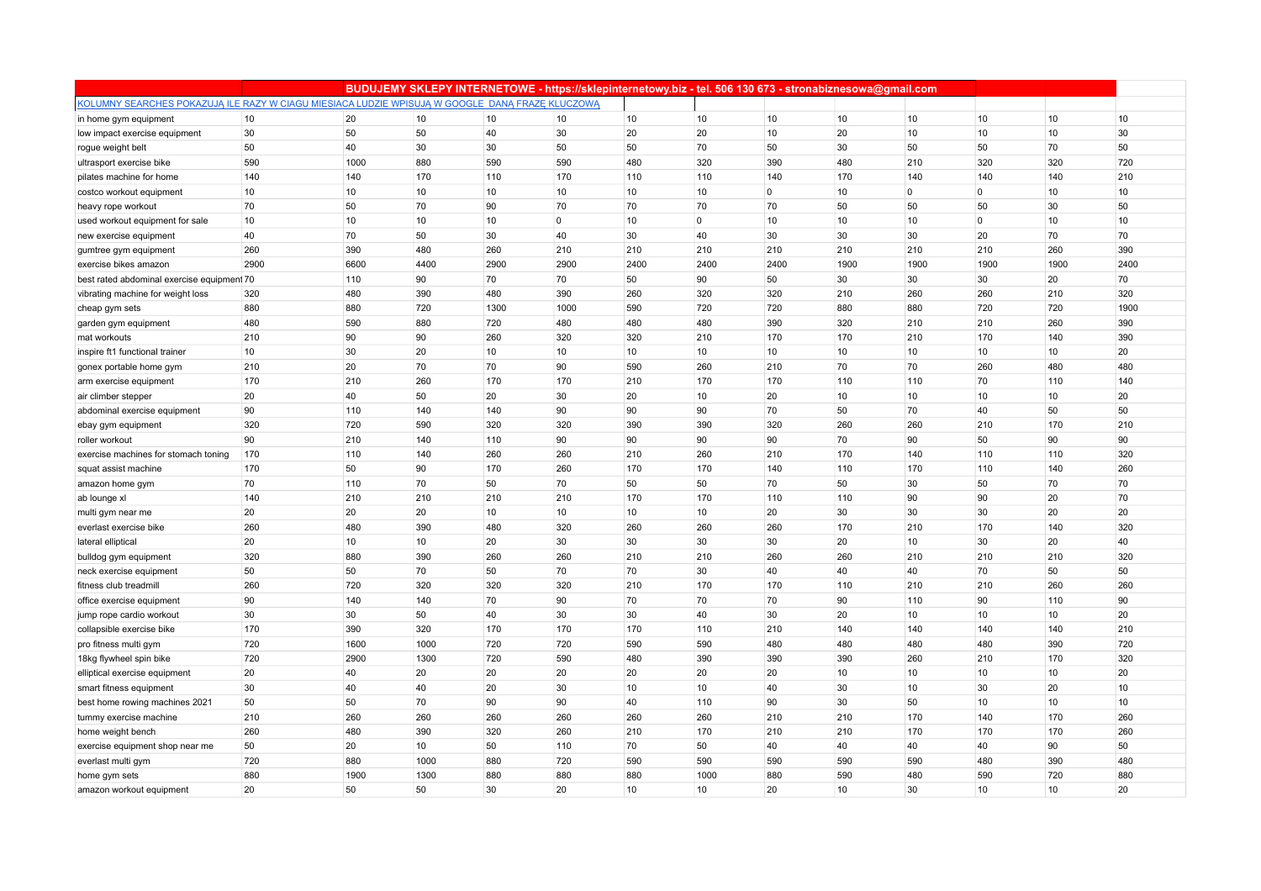|                                                                                                 |      |      |      |      | BUDUJEMY SKLEPY INTERNETOWE - https://sklepinternetowy.biz - tel. 506 130 673 - stronabiznesowa@gmail.com |      |             |             |      |                 |                |      |      |
|-------------------------------------------------------------------------------------------------|------|------|------|------|-----------------------------------------------------------------------------------------------------------|------|-------------|-------------|------|-----------------|----------------|------|------|
| KOLUMNY SEARCHES POKAZUJĄ ILE RAZY W CIAGU MIESIACA LUDZIE WPISUJĄ W GOOGLE DANĄ FRAZE KLUCZOWĄ |      |      |      |      |                                                                                                           |      |             |             |      |                 |                |      |      |
| in home gym equipment                                                                           | 10   | 20   | 10   | 10   | 10                                                                                                        | 10   | 10          | 10          | 10   | 10              | 10             | 10   | 10   |
| low impact exercise equipment                                                                   | 30   | 50   | 50   | 40   | 30                                                                                                        | 20   | 20          | 10          | 20   | 10              | 10             | 10   | 30   |
| rogue weight belt                                                                               | 50   | 40   | 30   | 30   | 50                                                                                                        | 50   | 70          | 50          | 30   | 50              | 50             | 70   | 50   |
| ultrasport exercise bike                                                                        | 590  | 1000 | 880  | 590  | 590                                                                                                       | 480  | 320         | 390         | 480  | 210             | 320            | 320  | 720  |
| pilates machine for home                                                                        | 140  | 140  | 170  | 110  | 170                                                                                                       | 110  | 110         | 140         | 170  | 140             | 140            | 140  | 210  |
| costco workout equipment                                                                        | 10   | 10   | 10   | 10   | 10                                                                                                        | 10   | 10          | $\mathbf 0$ | 10   | $\overline{0}$  | $\mathbf{0}$   | 10   | 10   |
| heavy rope workout                                                                              | 70   | 50   | 70   | 90   | 70                                                                                                        | 70   | 70          | 70          | 50   | 50              | 50             | 30   | 50   |
| used workout equipment for sale                                                                 | 10   | 10   | 10   | 10   | $\overline{0}$                                                                                            | 10   | $\mathbf 0$ | 10          | 10   | 10              | $\overline{0}$ | 10   | 10   |
| new exercise equipment                                                                          | 40   | 70   | 50   | 30   | 40                                                                                                        | 30   | 40          | 30          | 30   | 30              | 20             | 70   | 70   |
| gumtree gym equipment                                                                           | 260  | 390  | 480  | 260  | 210                                                                                                       | 210  | 210         | 210         | 210  | 210             | 210            | 260  | 390  |
| exercise bikes amazon                                                                           | 2900 | 6600 | 4400 | 2900 | 2900                                                                                                      | 2400 | 2400        | 2400        | 1900 | 1900            | 1900           | 1900 | 2400 |
| best rated abdominal exercise equipment 70                                                      |      | 110  | 90   | 70   | 70                                                                                                        | 50   | 90          | 50          | 30   | 30              | 30             | 20   | 70   |
| vibrating machine for weight loss                                                               | 320  | 480  | 390  | 480  | 390                                                                                                       | 260  | 320         | 320         | 210  | 260             | 260            | 210  | 320  |
| cheap gym sets                                                                                  | 880  | 880  | 720  | 1300 | 1000                                                                                                      | 590  | 720         | 720         | 880  | 880             | 720            | 720  | 1900 |
| garden gym equipment                                                                            | 480  | 590  | 880  | 720  | 480                                                                                                       | 480  | 480         | 390         | 320  | 210             | 210            | 260  | 390  |
| mat workouts                                                                                    | 210  | 90   | 90   | 260  | 320                                                                                                       | 320  | 210         | 170         | 170  | 210             | 170            | 140  | 390  |
| inspire ft1 functional trainer                                                                  | 10   | 30   | 20   | 10   | 10                                                                                                        | 10   | 10          | 10          | 10   | 10              | 10             | 10   | 20   |
| gonex portable home gym                                                                         | 210  | 20   | 70   | 70   | 90                                                                                                        | 590  | 260         | 210         | 70   | 70              | 260            | 480  | 480  |
| arm exercise equipment                                                                          | 170  | 210  | 260  | 170  | 170                                                                                                       | 210  | 170         | 170         | 110  | 110             | 70             | 110  | 140  |
| air climber stepper                                                                             | 20   | 40   | 50   | 20   | 30                                                                                                        | 20   | 10          | 20          | 10   | 10              | 10             | 10   | 20   |
| abdominal exercise equipment                                                                    | 90   | 110  | 140  | 140  | 90                                                                                                        | 90   | 90          | 70          | 50   | 70              | 40             | 50   | 50   |
| ebay gym equipment                                                                              | 320  | 720  | 590  | 320  | 320                                                                                                       | 390  | 390         | 320         | 260  | 260             | 210            | 170  | 210  |
| roller workout                                                                                  | 90   | 210  | 140  | 110  | 90                                                                                                        | 90   | 90          | 90          | 70   | 90              | 50             | 90   | 90   |
| exercise machines for stomach toning                                                            | 170  | 110  | 140  | 260  | 260                                                                                                       | 210  | 260         | 210         | 170  | 140             | 110            | 110  | 320  |
| squat assist machine                                                                            | 170  | 50   | 90   | 170  | 260                                                                                                       | 170  | 170         | 140         | 110  | 170             | 110            | 140  | 260  |
| amazon home gym                                                                                 | 70   | 110  | 70   | 50   | 70                                                                                                        | 50   | 50          | 70          | 50   | 30              | 50             | 70   | 70   |
| ab lounge xl                                                                                    | 140  | 210  | 210  | 210  | 210                                                                                                       | 170  | 170         | 110         | 110  | 90              | 90             | 20   | 70   |
| multi gym near me                                                                               | 20   | 20   | 20   | 10   | 10                                                                                                        | 10   | 10          | 20          | 30   | 30              | 30             | 20   | 20   |
| everlast exercise bike                                                                          | 260  | 480  | 390  | 480  | 320                                                                                                       | 260  | 260         | 260         | 170  | 210             | 170            | 140  | 320  |
| lateral elliptical                                                                              | 20   | 10   | 10   | 20   | 30                                                                                                        | 30   | 30          | 30          | 20   | 10              | 30             | 20   | 40   |
| bulldog gym equipment                                                                           | 320  | 880  | 390  | 260  | 260                                                                                                       | 210  | 210         | 260         | 260  | 210             | 210            | 210  | 320  |
| neck exercise equipment                                                                         | 50   | 50   | 70   | 50   | 70                                                                                                        | 70   | 30          | 40          | 40   | 40              | 70             | 50   | 50   |
| fitness club treadmill                                                                          | 260  | 720  | 320  | 320  | 320                                                                                                       | 210  | 170         | 170         | 110  | 210             | 210            | 260  | 260  |
| office exercise equipment                                                                       | 90   | 140  | 140  | 70   | 90                                                                                                        | 70   | 70          | 70          | 90   | 110             | 90             | 110  | 90   |
| jump rope cardio workout                                                                        | 30   | 30   | 50   | 40   | 30                                                                                                        | 30   | 40          | 30          | 20   | 10 <sup>°</sup> | 10             | 10   | 20   |
| collapsible exercise bike                                                                       | 170  | 390  | 320  | 170  | 170                                                                                                       | 170  | 110         | 210         | 140  | 140             | 140            | 140  | 210  |
| pro fitness multi gym                                                                           | 720  | 1600 | 1000 | 720  | 720                                                                                                       | 590  | 590         | 480         | 480  | 480             | 480            | 390  | 720  |
| 18kg flywheel spin bike                                                                         | 720  | 2900 | 1300 | 720  | 590                                                                                                       | 480  | 390         | 390         | 390  | 260             | 210            | 170  | 320  |
| elliptical exercise equipment                                                                   | 20   | 40   | 20   | 20   | 20                                                                                                        | 20   | 20          | 20          | 10   | 10              | 10             | 10   | 20   |
| smart fitness equipment                                                                         | 30   | 40   | 40   | 20   | 30                                                                                                        | 10   | 10          | 40          | 30   | 10              | 30             | 20   | 10   |
| best home rowing machines 2021                                                                  | 50   | 50   | 70   | 90   | 90                                                                                                        | 40   | 110         | 90          | 30   | 50              | 10             | 10   | 10   |
| tummy exercise machine                                                                          | 210  | 260  | 260  | 260  | 260                                                                                                       | 260  | 260         | 210         | 210  | 170             | 140            | 170  | 260  |
| home weight bench                                                                               | 260  | 480  | 390  | 320  | 260                                                                                                       | 210  | 170         | 210         | 210  | 170             | 170            | 170  | 260  |
| exercise equipment shop near me                                                                 | 50   | 20   | 10   | 50   | 110                                                                                                       | 70   | 50          | 40          | 40   | 40              | 40             | 90   | 50   |
| everlast multi gym                                                                              | 720  | 880  | 1000 | 880  | 720                                                                                                       | 590  | 590         | 590         | 590  | 590             | 480            | 390  | 480  |
| home gym sets                                                                                   | 880  | 1900 | 1300 | 880  | 880                                                                                                       | 880  | 1000        | 880         | 590  | 480             | 590            | 720  | 880  |
| amazon workout equipment                                                                        | 20   | 50   | 50   | 30   | 20                                                                                                        | 10   | 10          | 20          | 10   | 30              | 10             | 10   | 20   |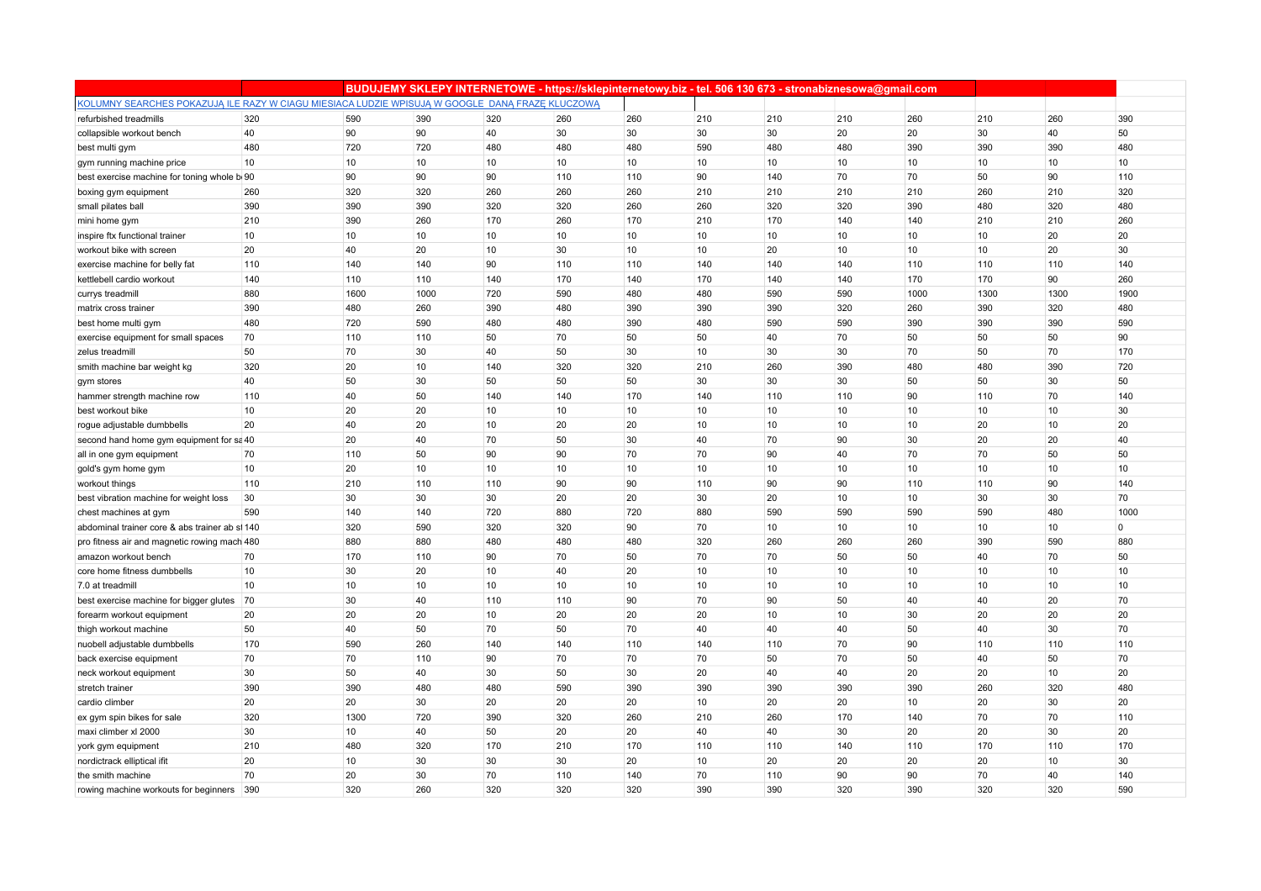|                                                                                                 |          |          | BUDUJEMY SKLEPY INTERNETOWE - https://sklepinternetowy.biz - tel. 506 130 673 - stronabiznesowa@gmail.com |           |           |          |          |          |          |          |          |          |             |
|-------------------------------------------------------------------------------------------------|----------|----------|-----------------------------------------------------------------------------------------------------------|-----------|-----------|----------|----------|----------|----------|----------|----------|----------|-------------|
| KOLUMNY SEARCHES POKAZUJĄ ILE RAZY W CIAGU MIESIACA LUDZIE WPISUJĄ W GOOGLE DANĄ FRAZE KLUCZOWĄ |          |          |                                                                                                           |           |           |          |          |          |          |          |          |          |             |
| refurbished treadmills                                                                          | 320      | 590      | 390                                                                                                       | 320       | 260       | 260      | 210      | 210      | 210      | 260      | 210      | 260      | 390         |
| collapsible workout bench                                                                       | 40       | 90       | 90                                                                                                        | 40        | 30        | 30       | 30       | 30       | 20       | 20       | 30       | 40       | 50          |
| best multi gym                                                                                  | 480      | 720      | 720                                                                                                       | 480       | 480       | 480      | 590      | 480      | 480      | 390      | 390      | 390      | 480         |
| gym running machine price                                                                       | 10       | 10       | 10                                                                                                        | 10        | 10        | 10       | 10       | 10       | 10       | 10       | 10       | 10       | 10          |
| best exercise machine for toning whole b 90                                                     |          | 90       | 90                                                                                                        | 90        | 110       | 110      | 90       | 140      | 70       | 70       | 50       | 90       | 110         |
| boxing gym equipment                                                                            | 260      | 320      | 320                                                                                                       | 260       | 260       | 260      | 210      | 210      | 210      | 210      | 260      | 210      | 320         |
| small pilates ball                                                                              | 390      | 390      | 390                                                                                                       | 320       | 320       | 260      | 260      | 320      | 320      | 390      | 480      | 320      | 480         |
| mini home gym                                                                                   | 210      | 390      | 260                                                                                                       | 170       | 260       | 170      | 210      | 170      | 140      | 140      | 210      | 210      | 260         |
| inspire ftx functional trainer                                                                  | 10       | 10       | 10                                                                                                        | 10        | 10        | 10       | 10       | 10       | 10       | 10       | 10       | 20       | 20          |
| workout bike with screen                                                                        | 20       | 40       | 20                                                                                                        | 10        | 30        | 10       | 10       | 20       | 10       | 10       | 10       | 20       | 30          |
| exercise machine for belly fat                                                                  | 110      | 140      | 140                                                                                                       | 90        | 110       | 110      | 140      | 140      | 140      | 110      | 110      | 110      | 140         |
| kettlebell cardio workout                                                                       | 140      | 110      | 110                                                                                                       | 140       | 170       | 140      | 170      | 140      | 140      | 170      | 170      | 90       | 260         |
| currys treadmill                                                                                | 880      | 1600     | 1000                                                                                                      | 720       | 590       | 480      | 480      | 590      | 590      | 1000     | 1300     | 1300     | 1900        |
| matrix cross trainer                                                                            | 390      | 480      | 260                                                                                                       | 390       | 480       | 390      | 390      | 390      | 320      | 260      | 390      | 320      | 480         |
| best home multi gym                                                                             | 480      | 720      | 590                                                                                                       | 480       | 480       | 390      | 480      | 590      | 590      | 390      | 390      | 390      | 590         |
| exercise equipment for small spaces                                                             | 70       | 110      | 110                                                                                                       | 50        | 70        | 50       | 50       | 40       | 70       | 50       | 50       | 50       | 90          |
| zelus treadmill                                                                                 | 50       | 70       | 30                                                                                                        | 40        | 50        | 30       | 10       | 30       | 30       | 70       | 50       | 70       | 170         |
| smith machine bar weight kg                                                                     | 320      | 20       | 10                                                                                                        | 140       | 320       | 320      | 210      | 260      | 390      | 480      | 480      | 390      | 720         |
| gym stores                                                                                      | 40       | 50       | 30                                                                                                        | 50        | 50        | 50       | 30       | 30       | 30       | 50       | 50       | 30       | 50          |
| hammer strength machine row                                                                     | 110      | 40       | 50                                                                                                        | 140       | 140       | 170      | 140      | 110      | 110      | 90       | 110      | 70       | 140         |
| best workout bike                                                                               | 10       | 20       | 20                                                                                                        | 10        | 10        | 10       | 10       | 10       | 10       | 10       | 10       | 10       | 30          |
| rogue adjustable dumbbells                                                                      | 20       | 40       | 20                                                                                                        | 10        | 20        | 20       | 10       | 10       | 10       | 10       | 20       | 10       | 20          |
| second hand home gym equipment for sa 40                                                        |          | 20       | 40                                                                                                        | 70        | 50        | 30       | 40       | 70       | 90       | 30       | 20       | 20       | 40          |
| all in one gym equipment                                                                        | 70       | 110      | 50                                                                                                        | 90        | 90        | 70       | 70       | 90       | 40       | 70       | 70       | 50       | 50          |
| gold's gym home gym                                                                             | 10       | 20       | 10                                                                                                        | 10        | 10        | 10       | 10       | 10       | 10       | 10       | 10       | 10       | 10          |
| workout things                                                                                  | 110      | 210      | 110                                                                                                       | 110       | 90        | 90       | 110      | 90       | 90       | 110      | 110      | 90       | 140         |
| best vibration machine for weight loss                                                          | 30       | 30       | 30                                                                                                        | 30        | 20        | 20       | 30       | 20       | 10       | 10       | 30       | 30       | 70          |
| chest machines at gym                                                                           | 590      | 140      | 140                                                                                                       | 720       | 880       | 720      | 880      | 590      | 590      | 590      | 590      | 480      | 1000        |
| abdominal trainer core & abs trainer ab si 140                                                  |          | 320      | 590                                                                                                       | 320       | 320       | 90       | 70       | 10       | 10       | 10       | 10       | 10       | $\mathbf 0$ |
| pro fitness air and magnetic rowing mach 480                                                    |          | 880      | 880                                                                                                       | 480       | 480       | 480      | 320      | 260      | 260      | 260      | 390      | 590      | 880         |
| amazon workout bench                                                                            | 70       | 170      | 110                                                                                                       | 90        | 70        | 50       | 70       | 70       | 50       | 50       | 40       | 70       | 50          |
| core home fitness dumbbells                                                                     | 10       | 30       | 20                                                                                                        | 10        | 40        | 20       | 10       | 10       | 10       | 10       | 10       | 10       | 10          |
| 7.0 at treadmill                                                                                | 10<br>70 | 10<br>30 | 10<br>40                                                                                                  | 10<br>110 | 10<br>110 | 10<br>90 | 10<br>70 | 10<br>90 | 10<br>50 | 10<br>40 | 10<br>40 | 10<br>20 | 10<br>70    |
| best exercise machine for bigger glutes                                                         | 20       | 20       | 20                                                                                                        | 10        | 20        | 20       | 20       | 10       | 10       | 30       | 20       | 20       | 20          |
| forearm workout equipment<br>thigh workout machine                                              | 50       | 40       | 50                                                                                                        | 70        | 50        | 70       | 40       | 40       | 40       | 50       | 40       | 30       | 70          |
| nuobell adjustable dumbbells                                                                    | 170      | 590      | 260                                                                                                       | 140       | 140       | 110      | 140      | 110      | 70       | 90       | 110      | 110      | 110         |
|                                                                                                 | 70       | 70       | 110                                                                                                       | 90        | 70        | 70       | 70       | 50       | 70       | 50       | 40       | 50       | 70          |
| back exercise equipment<br>neck workout equipment                                               | 30       | 50       | 40                                                                                                        | 30        | 50        | 30       | 20       | 40       | 40       | 20       | 20       | 10       | 20          |
| stretch trainer                                                                                 | 390      | 390      | 480                                                                                                       | 480       | 590       | 390      | 390      | 390      | 390      | 390      | 260      | 320      | 480         |
| cardio climber                                                                                  | 20       | 20       | 30                                                                                                        | 20        | 20        | 20       | 10       | 20       | 20       | 10       | 20       | 30       | 20          |
| ex gym spin bikes for sale                                                                      | 320      | 1300     | 720                                                                                                       | 390       | 320       | 260      | 210      | 260      | 170      | 140      | 70       | 70       | 110         |
| maxi climber xl 2000                                                                            | 30       | 10       | 40                                                                                                        | 50        | 20        | 20       | 40       | 40       | 30       | 20       | 20       | 30       | 20          |
| york gym equipment                                                                              | 210      | 480      | 320                                                                                                       | 170       | 210       | 170      | 110      | 110      | 140      | 110      | 170      | 110      | 170         |
| nordictrack elliptical ifit                                                                     | 20       | 10       | 30                                                                                                        | 30        | 30        | 20       | 10       | 20       | 20       | 20       | 20       | 10       | 30          |
| the smith machine                                                                               | 70       | 20       | 30                                                                                                        | 70        | 110       | 140      | 70       | 110      | 90       | 90       | 70       | 40       | 140         |
| rowing machine workouts for beginners                                                           | 390      | 320      | 260                                                                                                       | 320       | 320       | 320      | 390      | 390      | 320      | 390      | 320      | 320      | 590         |
|                                                                                                 |          |          |                                                                                                           |           |           |          |          |          |          |          |          |          |             |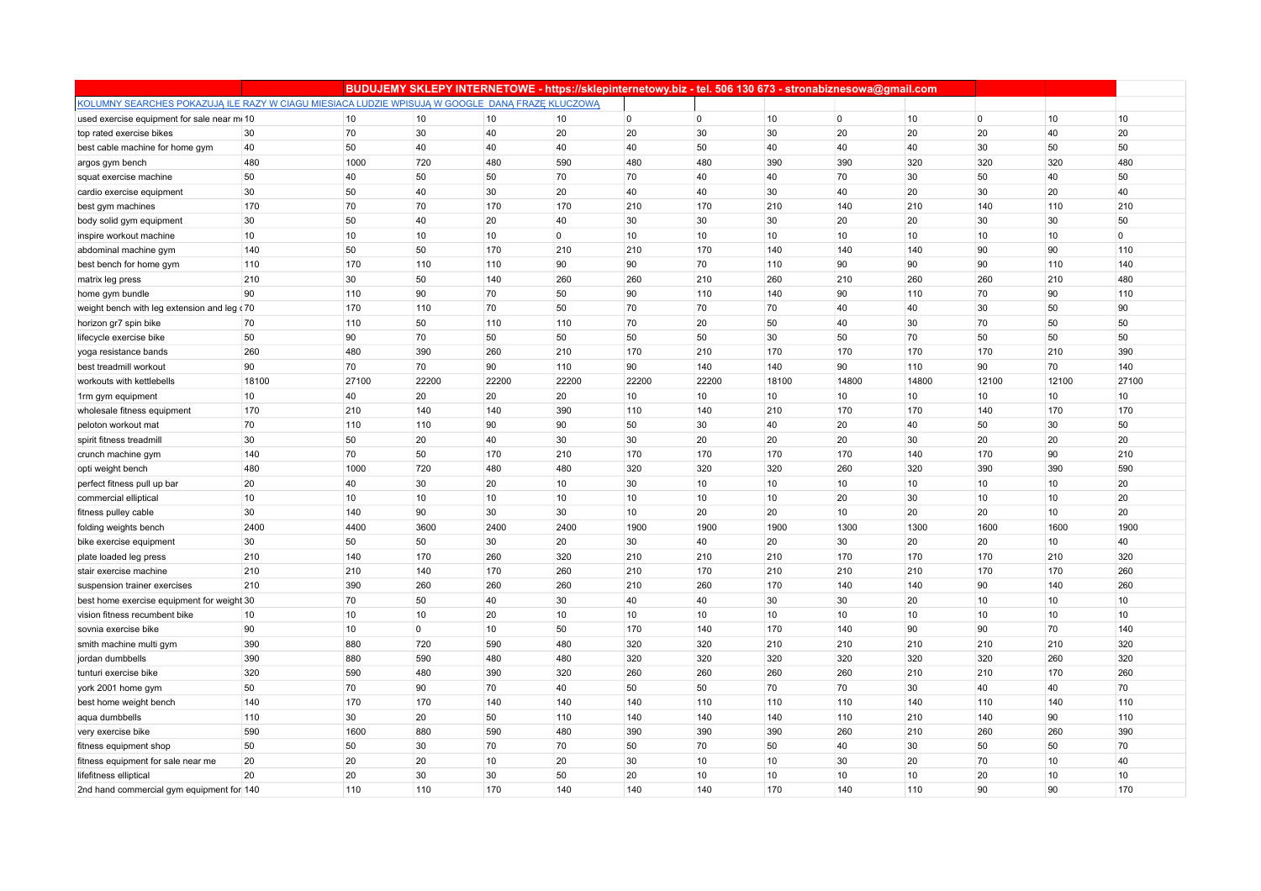|                                                                                                 |       |       |             |       | BUDUJEMY SKLEPY INTERNETOWE - https://sklepinternetowy.biz - tel. 506 130 673 - stronabiznesowa@gmail.com |                |       |       |                |       |                |       |             |
|-------------------------------------------------------------------------------------------------|-------|-------|-------------|-------|-----------------------------------------------------------------------------------------------------------|----------------|-------|-------|----------------|-------|----------------|-------|-------------|
| KOLUMNY SEARCHES POKAZUJĄ ILE RAZY W CIAGU MIESIACA LUDZIE WPISUJĄ W GOOGLE DANĄ FRAZĘ KLUCZOWĄ |       |       |             |       |                                                                                                           |                |       |       |                |       |                |       |             |
| used exercise equipment for sale near mi 10                                                     |       | 10    | 10          | 10    | 10                                                                                                        | $\overline{0}$ | 0     | 10    | $\overline{0}$ | 10    | $\overline{0}$ | 10    | 10          |
| top rated exercise bikes                                                                        | 30    | 70    | 30          | 40    | 20                                                                                                        | 20             | 30    | 30    | 20             | 20    | 20             | 40    | 20          |
| best cable machine for home gym                                                                 | 40    | 50    | 40          | 40    | 40                                                                                                        | 40             | 50    | 40    | 40             | 40    | 30             | 50    | 50          |
| argos gym bench                                                                                 | 480   | 1000  | 720         | 480   | 590                                                                                                       | 480            | 480   | 390   | 390            | 320   | 320            | 320   | 480         |
| squat exercise machine                                                                          | 50    | 40    | 50          | 50    | 70                                                                                                        | 70             | 40    | 40    | 70             | 30    | 50             | 40    | 50          |
| cardio exercise equipment                                                                       | 30    | 50    | 40          | 30    | 20                                                                                                        | 40             | 40    | 30    | 40             | 20    | 30             | 20    | 40          |
| best gym machines                                                                               | 170   | 70    | 70          | 170   | 170                                                                                                       | 210            | 170   | 210   | 140            | 210   | 140            | 110   | 210         |
| body solid gym equipment                                                                        | 30    | 50    | 40          | 20    | 40                                                                                                        | 30             | 30    | 30    | 20             | 20    | 30             | 30    | 50          |
| inspire workout machine                                                                         | 10    | 10    | 10          | 10    | $\overline{0}$                                                                                            | 10             | 10    | 10    | 10             | 10    | 10             | 10    | $\mathbf 0$ |
| abdominal machine gym                                                                           | 140   | 50    | 50          | 170   | 210                                                                                                       | 210            | 170   | 140   | 140            | 140   | 90             | 90    | 110         |
| best bench for home gym                                                                         | 110   | 170   | 110         | 110   | 90                                                                                                        | 90             | 70    | 110   | 90             | 90    | 90             | 110   | 140         |
| matrix leg press                                                                                | 210   | 30    | 50          | 140   | 260                                                                                                       | 260            | 210   | 260   | 210            | 260   | 260            | 210   | 480         |
| home gym bundle                                                                                 | 90    | 110   | 90          | 70    | 50                                                                                                        | 90             | 110   | 140   | 90             | 110   | 70             | 90    | 110         |
| weight bench with leg extension and leg (70                                                     |       | 170   | 110         | 70    | 50                                                                                                        | 70             | 70    | 70    | 40             | 40    | 30             | 50    | 90          |
| horizon gr7 spin bike                                                                           | 70    | 110   | 50          | 110   | 110                                                                                                       | 70             | 20    | 50    | 40             | 30    | 70             | 50    | 50          |
| lifecycle exercise bike                                                                         | 50    | 90    | 70          | 50    | 50                                                                                                        | 50             | 50    | 30    | 50             | 70    | 50             | 50    | 50          |
| yoga resistance bands                                                                           | 260   | 480   | 390         | 260   | 210                                                                                                       | 170            | 210   | 170   | 170            | 170   | 170            | 210   | 390         |
| best treadmill workout                                                                          | 90    | 70    | 70          | 90    | 110                                                                                                       | 90             | 140   | 140   | 90             | 110   | 90             | 70    | 140         |
| workouts with kettlebells                                                                       | 18100 | 27100 | 22200       | 22200 | 22200                                                                                                     | 22200          | 22200 | 18100 | 14800          | 14800 | 12100          | 12100 | 27100       |
| 1 <sub>rm</sub> gym equipment                                                                   | 10    | 40    | 20          | 20    | 20                                                                                                        | 10             | 10    | 10    | 10             | 10    | 10             | 10    | 10          |
| wholesale fitness equipment                                                                     | 170   | 210   | 140         | 140   | 390                                                                                                       | 110            | 140   | 210   | 170            | 170   | 140            | 170   | 170         |
| peloton workout mat                                                                             | 70    | 110   | 110         | 90    | 90                                                                                                        | 50             | 30    | 40    | 20             | 40    | 50             | 30    | 50          |
| spirit fitness treadmill                                                                        | 30    | 50    | 20          | 40    | 30                                                                                                        | 30             | 20    | 20    | 20             | 30    | 20             | 20    | 20          |
| crunch machine gym                                                                              | 140   | 70    | 50          | 170   | 210                                                                                                       | 170            | 170   | 170   | 170            | 140   | 170            | 90    | 210         |
| opti weight bench                                                                               | 480   | 1000  | 720         | 480   | 480                                                                                                       | 320            | 320   | 320   | 260            | 320   | 390            | 390   | 590         |
| perfect fitness pull up bar                                                                     | 20    | 40    | 30          | 20    | 10                                                                                                        | 30             | 10    | 10    | 10             | 10    | 10             | 10    | 20          |
| commercial elliptical                                                                           | 10    | 10    | 10          | 10    | 10                                                                                                        | 10             | 10    | 10    | 20             | 30    | 10             | 10    | 20          |
| fitness pulley cable                                                                            | 30    | 140   | 90          | 30    | 30                                                                                                        | 10             | 20    | 20    | 10             | 20    | 20             | 10    | 20          |
| folding weights bench                                                                           | 2400  | 4400  | 3600        | 2400  | 2400                                                                                                      | 1900           | 1900  | 1900  | 1300           | 1300  | 1600           | 1600  | 1900        |
| bike exercise equipment                                                                         | 30    | 50    | 50          | 30    | 20                                                                                                        | 30             | 40    | 20    | 30             | 20    | 20             | 10    | 40          |
| plate loaded leg press                                                                          | 210   | 140   | 170         | 260   | 320                                                                                                       | 210            | 210   | 210   | 170            | 170   | 170            | 210   | 320         |
| stair exercise machine                                                                          | 210   | 210   | 140         | 170   | 260                                                                                                       | 210            | 170   | 210   | 210            | 210   | 170            | 170   | 260         |
| suspension trainer exercises                                                                    | 210   | 390   | 260         | 260   | 260                                                                                                       | 210            | 260   | 170   | 140            | 140   | 90             | 140   | 260         |
| best home exercise equipment for weight 30                                                      |       | 70    | 50          | 40    | 30                                                                                                        | 40             | 40    | 30    | 30             | 20    | 10             | 10    | 10          |
| vision fitness recumbent bike                                                                   | 10    | 10    | 10          | 20    | 10                                                                                                        | 10             | 10    | 10    | 10             | 10    | 10             | 10    | 10          |
| sovnia exercise bike                                                                            | 90    | 10    | $\mathbf 0$ | 10    | 50                                                                                                        | 170            | 140   | 170   | 140            | 90    | 90             | 70    | 140         |
| smith machine multi gym                                                                         | 390   | 880   | 720         | 590   | 480                                                                                                       | 320            | 320   | 210   | 210            | 210   | 210            | 210   | 320         |
| jordan dumbbells                                                                                | 390   | 880   | 590         | 480   | 480                                                                                                       | 320            | 320   | 320   | 320            | 320   | 320            | 260   | 320         |
| tunturi exercise bike                                                                           | 320   | 590   | 480         | 390   | 320                                                                                                       | 260            | 260   | 260   | 260            | 210   | 210            | 170   | 260         |
| york 2001 home gym                                                                              | 50    | 70    | 90          | 70    | 40                                                                                                        | 50             | 50    | 70    | 70             | 30    | 40             | 40    | 70          |
| best home weight bench                                                                          | 140   | 170   | 170         | 140   | 140                                                                                                       | 140            | 110   | 110   | 110            | 140   | 110            | 140   | 110         |
| aqua dumbbells                                                                                  | 110   | 30    | 20          | 50    | 110                                                                                                       | 140            | 140   | 140   | 110            | 210   | 140            | 90    | 110         |
| very exercise bike                                                                              | 590   | 1600  | 880         | 590   | 480                                                                                                       | 390            | 390   | 390   | 260            | 210   | 260            | 260   | 390         |
| fitness equipment shop                                                                          | 50    | 50    | 30          | 70    | 70                                                                                                        | 50             | 70    | 50    | 40             | 30    | 50             | 50    | 70          |
| fitness equipment for sale near me                                                              | 20    | 20    | 20          | 10    | 20                                                                                                        | 30             | 10    | 10    | 30             | 20    | 70             | 10    | 40          |
| lifefitness elliptical                                                                          | 20    | 20    | 30          | 30    | 50                                                                                                        | 20             | 10    | 10    | 10             | 10    | 20             | 10    | 10          |
| 2nd hand commercial gym equipment for 140                                                       |       | 110   | 110         | 170   | 140                                                                                                       | 140            | 140   | 170   | 140            | 110   | 90             | 90    | 170         |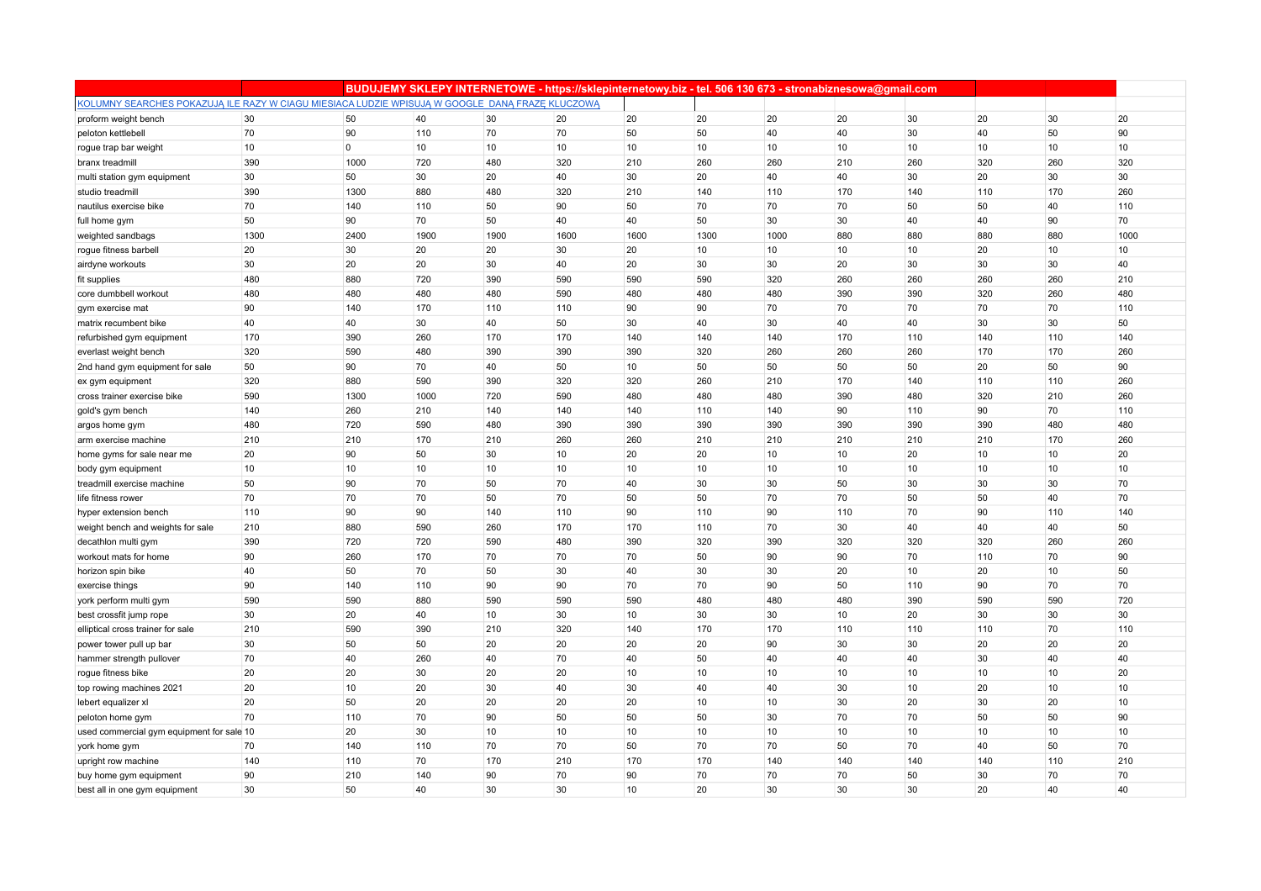|                                                                                                 |      |                |      |                 |      |      | BUDUJEMY SKLEPY INTERNETOWE - https://sklepinternetowy.biz - tel. 506 130 673 - stronabiznesowa@gmail.com |      |     |     |     |     |      |
|-------------------------------------------------------------------------------------------------|------|----------------|------|-----------------|------|------|-----------------------------------------------------------------------------------------------------------|------|-----|-----|-----|-----|------|
| KOLUMNY SEARCHES POKAZUJĄ ILE RAZY W CIAGU MIESIACA LUDZIE WPISUJĄ W GOOGLE DANĄ FRAZĘ KLUCZOWĄ |      |                |      |                 |      |      |                                                                                                           |      |     |     |     |     |      |
| proform weight bench                                                                            | 30   | 50             | 40   | 30              | 20   | 20   | 20                                                                                                        | 20   | 20  | 30  | 20  | 30  | 20   |
| peloton kettlebell                                                                              | 70   | 90             | 110  | 70              | 70   | 50   | 50                                                                                                        | 40   | 40  | 30  | 40  | 50  | 90   |
| rogue trap bar weight                                                                           | 10   | $\overline{0}$ | 10   | 10 <sup>1</sup> | 10   | 10   | 10                                                                                                        | 10   | 10  | 10  | 10  | 10  | 10   |
| branx treadmill                                                                                 | 390  | 1000           | 720  | 480             | 320  | 210  | 260                                                                                                       | 260  | 210 | 260 | 320 | 260 | 320  |
| multi station gym equipment                                                                     | 30   | 50             | 30   | 20              | 40   | 30   | 20                                                                                                        | 40   | 40  | 30  | 20  | 30  | 30   |
| studio treadmill                                                                                | 390  | 1300           | 880  | 480             | 320  | 210  | 140                                                                                                       | 110  | 170 | 140 | 110 | 170 | 260  |
| nautilus exercise bike                                                                          | 70   | 140            | 110  | 50              | 90   | 50   | 70                                                                                                        | 70   | 70  | 50  | 50  | 40  | 110  |
| full home gym                                                                                   | 50   | 90             | 70   | 50              | 40   | 40   | 50                                                                                                        | 30   | 30  | 40  | 40  | 90  | 70   |
| weighted sandbags                                                                               | 1300 | 2400           | 1900 | 1900            | 1600 | 1600 | 1300                                                                                                      | 1000 | 880 | 880 | 880 | 880 | 1000 |
| rogue fitness barbell                                                                           | 20   | 30             | 20   | 20              | 30   | 20   | 10                                                                                                        | 10   | 10  | 10  | 20  | 10  | 10   |
| airdyne workouts                                                                                | 30   | 20             | 20   | 30              | 40   | 20   | 30                                                                                                        | 30   | 20  | 30  | 30  | 30  | 40   |
| fit supplies                                                                                    | 480  | 880            | 720  | 390             | 590  | 590  | 590                                                                                                       | 320  | 260 | 260 | 260 | 260 | 210  |
| core dumbbell workout                                                                           | 480  | 480            | 480  | 480             | 590  | 480  | 480                                                                                                       | 480  | 390 | 390 | 320 | 260 | 480  |
| gym exercise mat                                                                                | 90   | 140            | 170  | 110             | 110  | 90   | 90                                                                                                        | 70   | 70  | 70  | 70  | 70  | 110  |
| matrix recumbent bike                                                                           | 40   | 40             | 30   | 40              | 50   | 30   | 40                                                                                                        | 30   | 40  | 40  | 30  | 30  | 50   |
| refurbished gym equipment                                                                       | 170  | 390            | 260  | 170             | 170  | 140  | 140                                                                                                       | 140  | 170 | 110 | 140 | 110 | 140  |
| everlast weight bench                                                                           | 320  | 590            | 480  | 390             | 390  | 390  | 320                                                                                                       | 260  | 260 | 260 | 170 | 170 | 260  |
| 2nd hand gym equipment for sale                                                                 | 50   | 90             | 70   | 40              | 50   | 10   | 50                                                                                                        | 50   | 50  | 50  | 20  | 50  | 90   |
| ex gym equipment                                                                                | 320  | 880            | 590  | 390             | 320  | 320  | 260                                                                                                       | 210  | 170 | 140 | 110 | 110 | 260  |
| cross trainer exercise bike                                                                     | 590  | 1300           | 1000 | 720             | 590  | 480  | 480                                                                                                       | 480  | 390 | 480 | 320 | 210 | 260  |
| gold's gym bench                                                                                | 140  | 260            | 210  | 140             | 140  | 140  | 110                                                                                                       | 140  | 90  | 110 | 90  | 70  | 110  |
| argos home gym                                                                                  | 480  | 720            | 590  | 480             | 390  | 390  | 390                                                                                                       | 390  | 390 | 390 | 390 | 480 | 480  |
| arm exercise machine                                                                            | 210  | 210            | 170  | 210             | 260  | 260  | 210                                                                                                       | 210  | 210 | 210 | 210 | 170 | 260  |
| home gyms for sale near me                                                                      | 20   | 90             | 50   | 30              | 10   | 20   | 20                                                                                                        | 10   | 10  | 20  | 10  | 10  | 20   |
| body gym equipment                                                                              | 10   | 10             | 10   | 10              | 10   | 10   | 10                                                                                                        | 10   | 10  | 10  | 10  | 10  | 10   |
| treadmill exercise machine                                                                      | 50   | 90             | 70   | 50              | 70   | 40   | 30                                                                                                        | 30   | 50  | 30  | 30  | 30  | 70   |
| life fitness rower                                                                              | 70   | 70             | 70   | 50              | 70   | 50   | 50                                                                                                        | 70   | 70  | 50  | 50  | 40  | 70   |
| hyper extension bench                                                                           | 110  | 90             | 90   | 140             | 110  | 90   | 110                                                                                                       | 90   | 110 | 70  | 90  | 110 | 140  |
| weight bench and weights for sale                                                               | 210  | 880            | 590  | 260             | 170  | 170  | 110                                                                                                       | 70   | 30  | 40  | 40  | 40  | 50   |
| decathlon multi gym                                                                             | 390  | 720            | 720  | 590             | 480  | 390  | 320                                                                                                       | 390  | 320 | 320 | 320 | 260 | 260  |
| workout mats for home                                                                           | 90   | 260            | 170  | 70              | 70   | 70   | 50                                                                                                        | 90   | 90  | 70  | 110 | 70  | 90   |
| horizon spin bike                                                                               | 40   | 50             | 70   | 50              | 30   | 40   | 30                                                                                                        | 30   | 20  | 10  | 20  | 10  | 50   |
| exercise things                                                                                 | 90   | 140            | 110  | 90              | 90   | 70   | 70                                                                                                        | 90   | 50  | 110 | 90  | 70  | 70   |
| york perform multi gym                                                                          | 590  | 590            | 880  | 590             | 590  | 590  | 480                                                                                                       | 480  | 480 | 390 | 590 | 590 | 720  |
| best crossfit jump rope                                                                         | 30   | 20             | 40   | 10              | 30   | 10   | 30                                                                                                        | 30   | 10  | 20  | 30  | 30  | 30   |
| elliptical cross trainer for sale                                                               | 210  | 590            | 390  | 210             | 320  | 140  | 170                                                                                                       | 170  | 110 | 110 | 110 | 70  | 110  |
| power tower pull up bar                                                                         | 30   | 50             | 50   | 20              | 20   | 20   | 20                                                                                                        | 90   | 30  | 30  | 20  | 20  | 20   |
| hammer strength pullover                                                                        | 70   | 40             | 260  | 40              | 70   | 40   | 50                                                                                                        | 40   | 40  | 40  | 30  | 40  | 40   |
| rogue fitness bike                                                                              | 20   | 20             | 30   | 20              | 20   | 10   | 10                                                                                                        | 10   | 10  | 10  | 10  | 10  | 20   |
| top rowing machines 2021                                                                        | 20   | 10             | 20   | 30              | 40   | 30   | 40                                                                                                        | 40   | 30  | 10  | 20  | 10  | 10   |
| lebert equalizer xl                                                                             | 20   | 50             | 20   | 20              | 20   | 20   | 10                                                                                                        | 10   | 30  | 20  | 30  | 20  | 10   |
| peloton home gym                                                                                | 70   | 110            | 70   | 90              | 50   | 50   | 50                                                                                                        | 30   | 70  | 70  | 50  | 50  | 90   |
| used commercial gym equipment for sale 10                                                       |      | 20             | 30   | 10              | 10   | 10   | 10                                                                                                        | 10   | 10  | 10  | 10  | 10  | 10   |
| york home gym                                                                                   | 70   | 140            | 110  | 70              | 70   | 50   | 70                                                                                                        | 70   | 50  | 70  | 40  | 50  | 70   |
| upright row machine                                                                             | 140  | 110            | 70   | 170             | 210  | 170  | 170                                                                                                       | 140  | 140 | 140 | 140 | 110 | 210  |
| buy home gym equipment                                                                          | 90   | 210            | 140  | 90              | 70   | 90   | 70                                                                                                        | 70   | 70  | 50  | 30  | 70  | 70   |
| best all in one gym equipment                                                                   | 30   | 50             | 40   | 30              | 30   | 10   | 20                                                                                                        | 30   | 30  | 30  | 20  | 40  | 40   |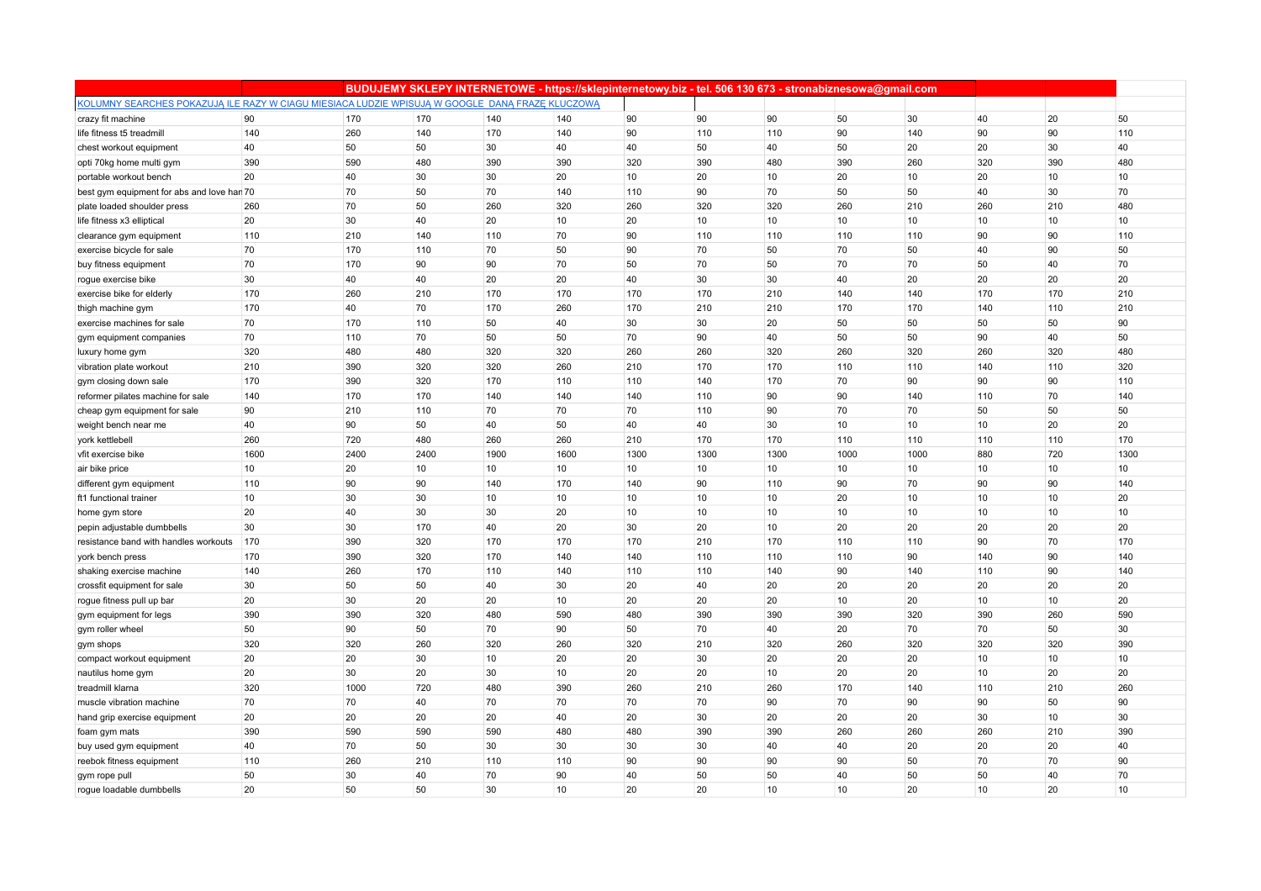|                                                                                                 |      |      |      |      | BUDUJEMY SKLEPY INTERNETOWE - https://sklepinternetowy.biz - tel. 506 130 673 - stronabiznesowa@gmail.com |      |      |                  |      |      |     |     |      |
|-------------------------------------------------------------------------------------------------|------|------|------|------|-----------------------------------------------------------------------------------------------------------|------|------|------------------|------|------|-----|-----|------|
| KOLUMNY SEARCHES POKAZUJĄ ILE RAZY W CIAGU MIESIACA LUDZIE WPISUJĄ W GOOGLE DANĄ FRAZĘ KLUCZOWĄ |      |      |      |      |                                                                                                           |      |      |                  |      |      |     |     |      |
| crazy fit machine                                                                               | 90   | 170  | 170  | 140  | 140                                                                                                       | 90   | 90   | 90               | 50   | 30   | 40  | 20  | 50   |
| life fitness t5 treadmill                                                                       | 140  | 260  | 140  | 170  | 140                                                                                                       | 90   | 110  | 110              | 90   | 140  | 90  | 90  | 110  |
| chest workout equipment                                                                         | 40   | 50   | 50   | 30   | 40                                                                                                        | 40   | 50   | 40               | 50   | 20   | 20  | 30  | 40   |
| opti 70kg home multi gym                                                                        | 390  | 590  | 480  | 390  | 390                                                                                                       | 320  | 390  | 480              | 390  | 260  | 320 | 390 | 480  |
| portable workout bench                                                                          | 20   | 40   | 30   | 30   | 20                                                                                                        | 10   | 20   | 10               | 20   | 10   | 20  | 10  | 10   |
| best gym equipment for abs and love han 70                                                      |      | 70   | 50   | 70   | 140                                                                                                       | 110  | 90   | 70               | 50   | 50   | 40  | 30  | 70   |
| plate loaded shoulder press                                                                     | 260  | 70   | 50   | 260  | 320                                                                                                       | 260  | 320  | 320              | 260  | 210  | 260 | 210 | 480  |
| life fitness x3 elliptical                                                                      | 20   | 30   | 40   | 20   | 10                                                                                                        | 20   | 10   | 10               | 10   | 10   | 10  | 10  | 10   |
| clearance gym equipment                                                                         | 110  | 210  | 140  | 110  | 70                                                                                                        | 90   | 110  | 110              | 110  | 110  | 90  | 90  | 110  |
| exercise bicycle for sale                                                                       | 70   | 170  | 110  | 70   | 50                                                                                                        | 90   | 70   | 50               | 70   | 50   | 40  | 90  | 50   |
| buy fitness equipment                                                                           | 70   | 170  | 90   | 90   | 70                                                                                                        | 50   | 70   | 50               | 70   | 70   | 50  | 40  | 70   |
| rogue exercise bike                                                                             | 30   | 40   | 40   | 20   | 20                                                                                                        | 40   | 30   | 30               | 40   | 20   | 20  | 20  | 20   |
| exercise bike for elderly                                                                       | 170  | 260  | 210  | 170  | 170                                                                                                       | 170  | 170  | 210              | 140  | 140  | 170 | 170 | 210  |
| thigh machine gym                                                                               | 170  | 40   | 70   | 170  | 260                                                                                                       | 170  | 210  | 210              | 170  | 170  | 140 | 110 | 210  |
| exercise machines for sale                                                                      | 70   | 170  | 110  | 50   | 40                                                                                                        | 30   | 30   | 20               | 50   | 50   | 50  | 50  | 90   |
| gym equipment companies                                                                         | 70   | 110  | 70   | 50   | 50                                                                                                        | 70   | 90   | 40               | 50   | 50   | 90  | 40  | 50   |
| luxury home gym                                                                                 | 320  | 480  | 480  | 320  | 320                                                                                                       | 260  | 260  | 320              | 260  | 320  | 260 | 320 | 480  |
| vibration plate workout                                                                         | 210  | 390  | 320  | 320  | 260                                                                                                       | 210  | 170  | 170              | 110  | 110  | 140 | 110 | 320  |
| gym closing down sale                                                                           | 170  | 390  | 320  | 170  | 110                                                                                                       | 110  | 140  | 170              | 70   | 90   | 90  | 90  | 110  |
| reformer pilates machine for sale                                                               | 140  | 170  | 170  | 140  | 140                                                                                                       | 140  | 110  | 90               | 90   | 140  | 110 | 70  | 140  |
| cheap gym equipment for sale                                                                    | 90   | 210  | 110  | 70   | 70                                                                                                        | 70   | 110  | 90               | 70   | 70   | 50  | 50  | 50   |
| weight bench near me                                                                            | 40   | 90   | 50   | 40   | 50                                                                                                        | 40   | 40   | 30               | 10   | 10   | 10  | 20  | 20   |
| york kettlebell                                                                                 | 260  | 720  | 480  | 260  | 260                                                                                                       | 210  | 170  | 170              | 110  | 110  | 110 | 110 | 170  |
| vfit exercise bike                                                                              | 1600 | 2400 | 2400 | 1900 | 1600                                                                                                      | 1300 | 1300 | 1300             | 1000 | 1000 | 880 | 720 | 1300 |
| air bike price                                                                                  | 10   | 20   | 10   | 10   | 10                                                                                                        | 10   | 10   | 10               | 10   | 10   | 10  | 10  | 10   |
| different gym equipment                                                                         | 110  | 90   | 90   | 140  | 170                                                                                                       | 140  | 90   | 110              | 90   | 70   | 90  | 90  | 140  |
| ft1 functional trainer                                                                          | 10   | 30   | 30   | 10   | 10                                                                                                        | 10   | 10   | 10               | 20   | 10   | 10  | 10  | 20   |
| home gym store                                                                                  | 20   | 40   | 30   | 30   | 20                                                                                                        | 10   | 10   | 10               | 10   | 10   | 10  | 10  | 10   |
| pepin adjustable dumbbells                                                                      | 30   | 30   | 170  | 40   | 20                                                                                                        | 30   | 20   | 10               | 20   | 20   | 20  | 20  | 20   |
| resistance band with handles workouts                                                           | 170  | 390  | 320  | 170  | 170                                                                                                       | 170  | 210  | 170              | 110  | 110  | 90  | 70  | 170  |
| york bench press                                                                                | 170  | 390  | 320  | 170  | 140                                                                                                       | 140  | 110  | 110              | 110  | 90   | 140 | 90  | 140  |
| shaking exercise machine                                                                        | 140  | 260  | 170  | 110  | 140                                                                                                       | 110  | 110  | 140              | 90   | 140  | 110 | 90  | 140  |
| crossfit equipment for sale                                                                     | 30   | 50   | 50   | 40   | 30                                                                                                        | 20   | 40   | 20               | 20   | 20   | 20  | 20  | 20   |
| rogue fitness pull up bar                                                                       | 20   | 30   | 20   | 20   | 10                                                                                                        | 20   | 20   | 20               | 10   | 20   | 10  | 10  | 20   |
| gym equipment for legs                                                                          | 390  | 390  | 320  | 480  | 590                                                                                                       | 480  | 390  | 390              | 390  | 320  | 390 | 260 | 590  |
| gym roller wheel                                                                                | 50   | 90   | 50   | 70   | 90                                                                                                        | 50   | 70   | 40               | 20   | 70   | 70  | 50  | 30   |
| gym shops                                                                                       | 320  | 320  | 260  | 320  | 260                                                                                                       | 320  | 210  | 320              | 260  | 320  | 320 | 320 | 390  |
| compact workout equipment                                                                       | 20   | 20   | 30   | 10   | 20                                                                                                        | 20   | 30   | 20               | 20   | 20   | 10  | 10  | 10   |
| nautilus home gym                                                                               | 20   | 30   | 20   | 30   | 10                                                                                                        | 20   | 20   | 10               | 20   | 20   | 10  | 20  | 20   |
| treadmill klarna                                                                                | 320  | 1000 | 720  | 480  | 390                                                                                                       | 260  | 210  | 260              | 170  | 140  | 110 | 210 | 260  |
| muscle vibration machine                                                                        | 70   | 70   | 40   | 70   | 70                                                                                                        | 70   | 70   | 90               | 70   | 90   | 90  | 50  | 90   |
| hand grip exercise equipment                                                                    | 20   | 20   | 20   | 20   | 40                                                                                                        | 20   | 30   | 20               | 20   | 20   | 30  | 10  | 30   |
| foam gym mats                                                                                   | 390  | 590  | 590  | 590  | 480                                                                                                       | 480  | 390  | 390              | 260  | 260  | 260 | 210 | 390  |
| buy used gym equipment                                                                          | 40   | 70   | 50   | 30   | 30                                                                                                        | 30   | 30   | 40               | 40   | 20   | 20  | 20  | 40   |
| reebok fitness equipment                                                                        | 110  | 260  | 210  | 110  | 110                                                                                                       | 90   | 90   | 90               | 90   | 50   | 70  | 70  | 90   |
| gym rope pull                                                                                   | 50   | 30   | 40   | 70   | 90                                                                                                        | 40   | 50   | 50               | 40   | 50   | 50  | 40  | 70   |
| rogue loadable dumbbells                                                                        | 20   | 50   | 50   | 30   | 10                                                                                                        | 20   | 20   | 10 <sup>10</sup> | 10   | 20   | 10  | 20  | 10   |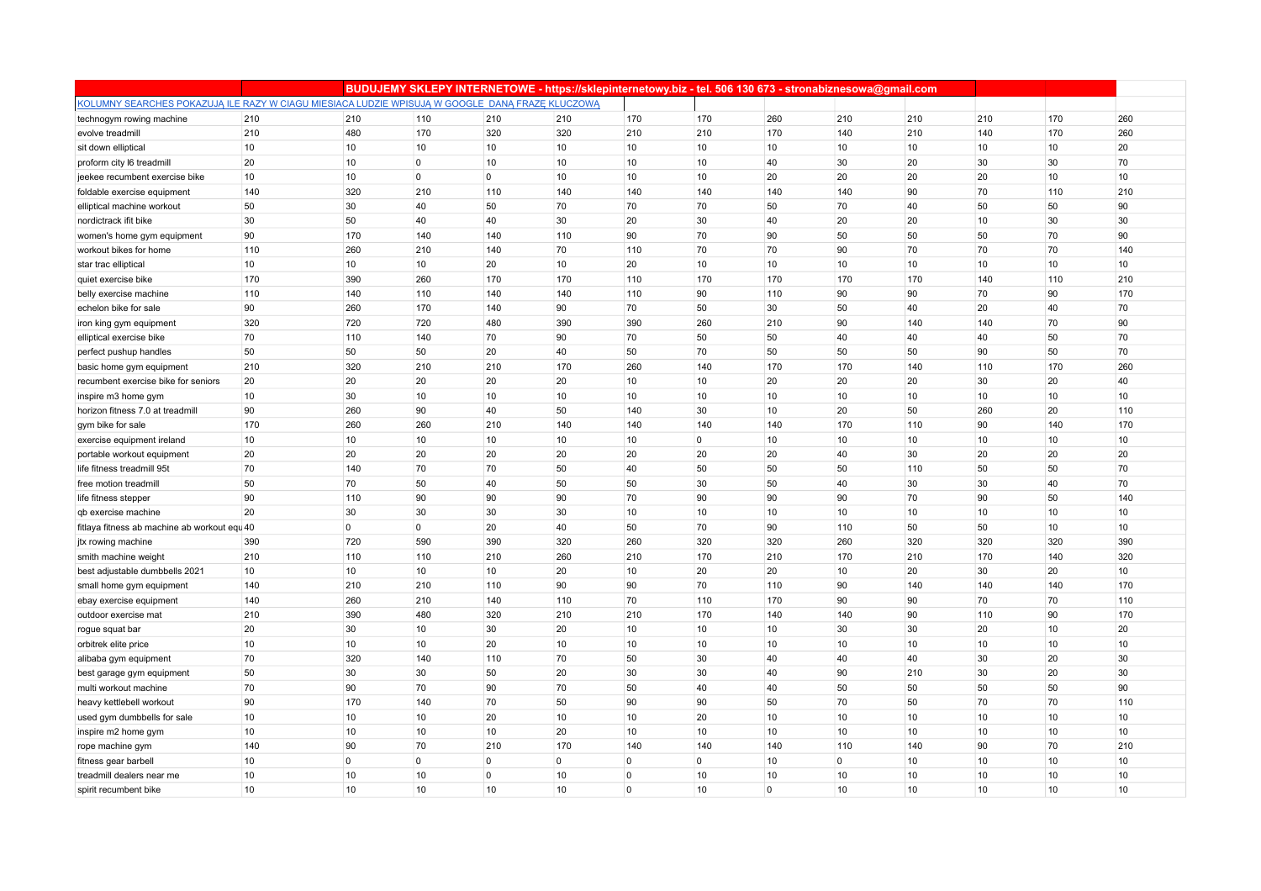|                                                                                                 |                 |             |                |                | BUDUJEMY SKLEPY INTERNETOWE - https://sklepinternetowy.biz - tel. 506 130 673 - stronabiznesowa@gmail.com |          |             |          |                |     |     |     |     |
|-------------------------------------------------------------------------------------------------|-----------------|-------------|----------------|----------------|-----------------------------------------------------------------------------------------------------------|----------|-------------|----------|----------------|-----|-----|-----|-----|
| KOLUMNY SEARCHES POKAZUJĄ ILE RAZY W CIAGU MIESIACA LUDZIE WPISUJĄ W GOOGLE DANĄ FRAZĘ KLUCZOWĄ |                 |             |                |                |                                                                                                           |          |             |          |                |     |     |     |     |
| technogym rowing machine                                                                        | 210             | 210         | 110            | 210            | 210                                                                                                       | 170      | 170         | 260      | 210            | 210 | 210 | 170 | 260 |
| evolve treadmill                                                                                | 210             | 480         | 170            | 320            | 320                                                                                                       | 210      | 210         | 170      | 140            | 210 | 140 | 170 | 260 |
| sit down elliptical                                                                             | 10              | 10          | 10             | 10             | 10                                                                                                        | 10       | 10          | 10       | 10             | 10  | 10  | 10  | 20  |
| proform city I6 treadmill                                                                       | 20              | 10          | $\overline{0}$ | 10             | 10                                                                                                        | 10       | 10          | 40       | 30             | 20  | 30  | 30  | 70  |
| jeekee recumbent exercise bike                                                                  | 10              | 10          | $\overline{0}$ | $\overline{0}$ | 10                                                                                                        | 10       | 10          | 20       | 20             | 20  | 20  | 10  | 10  |
| foldable exercise equipment                                                                     | 140             | 320         | 210            | 110            | 140                                                                                                       | 140      | 140         | 140      | 140            | 90  | 70  | 110 | 210 |
| elliptical machine workout                                                                      | 50              | 30          | 40             | 50             | 70                                                                                                        | 70       | 70          | 50       | 70             | 40  | 50  | 50  | 90  |
| nordictrack if t bike                                                                           | 30              | 50          | 40             | 40             | 30                                                                                                        | 20       | 30          | 40       | 20             | 20  | 10  | 30  | 30  |
| women's home gym equipment                                                                      | 90              | 170         | 140            | 140            | 110                                                                                                       | 90       | 70          | 90       | 50             | 50  | 50  | 70  | 90  |
| workout bikes for home                                                                          | 110             | 260         | 210            | 140            | 70                                                                                                        | 110      | 70          | 70       | 90             | 70  | 70  | 70  | 140 |
| star trac elliptical                                                                            | 10              | 10          | 10             | 20             | 10                                                                                                        | 20       | 10          | 10       | 10             | 10  | 10  | 10  | 10  |
| quiet exercise bike                                                                             | 170             | 390         | 260            | 170            | 170                                                                                                       | 110      | 170         | 170      | 170            | 170 | 140 | 110 | 210 |
| belly exercise machine                                                                          | 110             | 140         | 110            | 140            | 140                                                                                                       | 110      | 90          | 110      | 90             | 90  | 70  | 90  | 170 |
| echelon bike for sale                                                                           | 90              | 260         | 170            | 140            | 90                                                                                                        | 70       | 50          | 30       | 50             | 40  | 20  | 40  | 70  |
| iron king gym equipment                                                                         | 320             | 720         | 720            | 480            | 390                                                                                                       | 390      | 260         | 210      | 90             | 140 | 140 | 70  | 90  |
| elliptical exercise bike                                                                        | 70              | 110         | 140            | 70             | 90                                                                                                        | 70       | 50          | 50       | 40             | 40  | 40  | 50  | 70  |
| perfect pushup handles                                                                          | 50              | 50          | 50             | 20             | 40                                                                                                        | 50       | 70          | 50       | 50             | 50  | 90  | 50  | 70  |
| basic home gym equipment                                                                        | 210             | 320         | 210            | 210            | 170                                                                                                       | 260      | 140         | 170      | 170            | 140 | 110 | 170 | 260 |
| recumbent exercise bike for seniors                                                             | 20              | 20          | 20             | 20             | 20                                                                                                        | 10       | 10          | 20       | 20             | 20  | 30  | 20  | 40  |
| inspire m3 home gym                                                                             | 10              | 30          | 10             | 10             | 10                                                                                                        | 10       | 10          | 10       | 10             | 10  | 10  | 10  | 10  |
| horizon fitness 7.0 at treadmill                                                                | 90              | 260         | 90             | 40             | 50                                                                                                        | 140      | 30          | 10       | 20             | 50  | 260 | 20  | 110 |
| gym bike for sale                                                                               | 170             | 260         | 260            | 210            | 140                                                                                                       | 140      | 140         | 140      | 170            | 110 | 90  | 140 | 170 |
| exercise equipment ireland                                                                      | 10              | 10          | 10             | 10             | 10                                                                                                        | 10       | $\mathbf 0$ | 10       | 10             | 10  | 10  | 10  | 10  |
| portable workout equipment                                                                      | 20              | 20          | 20             | 20             | 20                                                                                                        | 20       | 20          | 20       | 40             | 30  | 20  | 20  | 20  |
| life fitness treadmill 95t                                                                      | 70              | 140         | 70             | 70             | 50                                                                                                        | 40       | 50          | 50       | 50             | 110 | 50  | 50  | 70  |
| free motion treadmill                                                                           | 50              | 70          | 50             | 40             | 50                                                                                                        | 50       | 30          | 50       | 40             | 30  | 30  | 40  | 70  |
| life fitness stepper                                                                            | 90              | 110         | 90             | 90             | 90                                                                                                        | 70       | 90          | 90       | 90             | 70  | 90  | 50  | 140 |
| gb exercise machine                                                                             | 20              | 30          | 30             | 30             | 30                                                                                                        | 10       | 10          | 10       | 10             | 10  | 10  | 10  | 10  |
| fitlaya fitness ab machine ab workout equ <sup>40</sup>                                         |                 | $\mathbf 0$ | $\overline{0}$ | 20             | 40                                                                                                        | 50       | 70          | 90       | 110            | 50  | 50  | 10  | 10  |
| jtx rowing machine                                                                              | 390             | 720         | 590            | 390            | 320                                                                                                       | 260      | 320         | 320      | 260            | 320 | 320 | 320 | 390 |
| smith machine weight                                                                            | 210             | 110         | 110            | 210            | 260                                                                                                       | 210      | 170         | 210      | 170            | 210 | 170 | 140 | 320 |
| best adjustable dumbbells 2021                                                                  | 10              | 10          | 10             | 10             | 20                                                                                                        | 10       | 20          | 20       | 10             | 20  | 30  | 20  | 10  |
| small home gym equipment                                                                        | 140             | 210         | 210            | 110            | 90                                                                                                        | 90       | 70          | 110      | 90             | 140 | 140 | 140 | 170 |
| ebay exercise equipment                                                                         | 140             | 260         | 210            | 140            | 110                                                                                                       | 70       | 110         | 170      | 90             | 90  | 70  | 70  | 110 |
| outdoor exercise mat                                                                            | 210             | 390         | 480            | 320            | 210                                                                                                       | 210      | 170         | 140      | 140            | 90  | 110 | 90  | 170 |
| rogue squat bar                                                                                 | 20              | 30          | 10             | 30             | 20                                                                                                        | 10       | 10          | 10       | 30             | 30  | 20  | 10  | 20  |
| orbitrek elite price                                                                            | 10              | 10          | 10             | 20             | 10                                                                                                        | 10       | 10          | 10       | 10             | 10  | 10  | 10  | 10  |
| alibaba gym equipment                                                                           | 70              | 320         | 140            | 110            | 70                                                                                                        | 50       | 30          | 40       | 40             | 40  | 30  | 20  | 30  |
| best garage gym equipment                                                                       | 50              | 30          | 30             | 50             | 20                                                                                                        | 30       | 30          | 40       | 90             | 210 | 30  | 20  | 30  |
| multi workout machine                                                                           | 70              | 90          | 70             | 90             | 70                                                                                                        | 50       | 40          | 40       | 50             | 50  | 50  | 50  | 90  |
| heavy kettlebell workout                                                                        | 90              | 170         | 140            | 70             | 50                                                                                                        | 90       | 90          | 50       | 70             | 50  | 70  | 70  | 110 |
| used gym dumbbells for sale                                                                     | 10              | 10          | 10             | 20             | 10                                                                                                        | 10       | 20          | 10       | 10             | 10  | 10  | 10  | 10  |
| inspire m2 home gym                                                                             | 10              | 10          | 10             | 10             | 20                                                                                                        | 10       | 10          | 10       | 10             | 10  | 10  | 10  | 10  |
| rope machine gym                                                                                | 140             | 90          | 70             | 210            | 170                                                                                                       | 140      | 140         | 140      | 110            | 140 | 90  | 70  | 210 |
| fitness gear barbell                                                                            | 10              | $\mathbf 0$ | $\overline{0}$ | $\mathbf 0$    | $\overline{0}$                                                                                            | $\Omega$ | $\mathbf 0$ | 10       | $\overline{0}$ | 10  | 10  | 10  | 10  |
| treadmill dealers near me                                                                       | 10              | 10          | 10             | $\mathbf 0$    | 10                                                                                                        | $\Omega$ | 10          | 10       | 10             | 10  | 10  | 10  | 10  |
| spirit recumbent bike                                                                           | 10 <sup>1</sup> | 10          | 10             | 10             | 10                                                                                                        | $\Omega$ | 10          | $\Omega$ | 10             | 10  | 10  | 10  | 10  |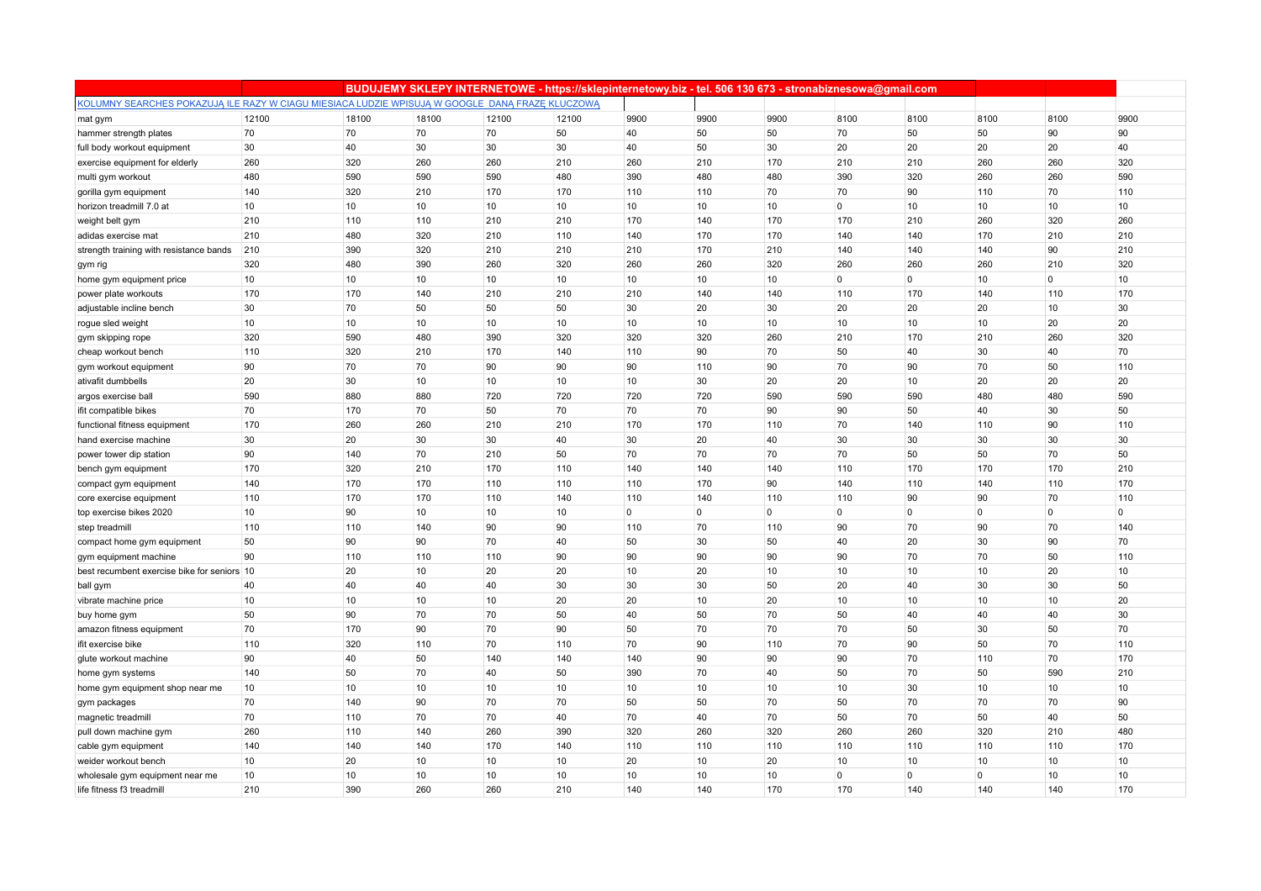|                                                                                                 |            |            |            |                 | BUDUJEMY SKLEPY INTERNETOWE - https://sklepinternetowy.biz - tel. 506 130 673 - stronabiznesowa@gmail.com |                |             |                |                |                   |              |             |            |
|-------------------------------------------------------------------------------------------------|------------|------------|------------|-----------------|-----------------------------------------------------------------------------------------------------------|----------------|-------------|----------------|----------------|-------------------|--------------|-------------|------------|
| KOLUMNY SEARCHES POKAZUJĄ ILE RAZY W CIAGU MIESIACA LUDZIE WPISUJĄ W GOOGLE DANĄ FRAZE KLUCZOWĄ |            |            |            |                 |                                                                                                           |                |             |                |                |                   |              |             |            |
| mat gym                                                                                         | 12100      | 18100      | 18100      | 12100           | 12100                                                                                                     | 9900           | 9900        | 9900           | 8100           | 8100              | 8100         | 8100        | 9900       |
| hammer strength plates                                                                          | 70         | 70         | 70         | 70              | 50                                                                                                        | 40             | 50          | 50             | 70             | 50                | 50           | 90          | 90         |
| full body workout equipment                                                                     | 30         | 40         | 30         | 30              | 30                                                                                                        | 40             | 50          | 30             | 20             | 20                | 20           | 20          | 40         |
| exercise equipment for elderly                                                                  | 260        | 320        | 260        | 260             | 210                                                                                                       | 260            | 210         | 170            | 210            | 210               | 260          | 260         | 320        |
| multi gym workout                                                                               | 480        | 590        | 590        | 590             | 480                                                                                                       | 390            | 480         | 480            | 390            | 320               | 260          | 260         | 590        |
| gorilla gym equipment                                                                           | 140        | 320        | 210        | 170             | 170                                                                                                       | 110            | 110         | 70             | 70             | 90                | 110          | 70          | 110        |
| horizon treadmill 7.0 at                                                                        | 10         | 10         | 10         | 10              | 10                                                                                                        | 10             | 10          | 10             | $\overline{0}$ | 10                | 10           | 10          | 10         |
| weight belt gym                                                                                 | 210        | 110        | 110        | 210             | 210                                                                                                       | 170            | 140         | 170            | 170            | 210               | 260          | 320         | 260        |
| adidas exercise mat                                                                             | 210        | 480        | 320        | 210             | 110                                                                                                       | 140            | 170         | 170            | 140            | 140               | 170          | 210         | 210        |
| strength training with resistance bands                                                         | 210        | 390        | 320        | 210             | 210                                                                                                       | 210            | 170         | 210            | 140            | 140               | 140          | 90          | 210        |
| gym rig                                                                                         | 320        | 480        | 390        | 260             | 320                                                                                                       | 260            | 260         | 320            | 260            | 260               | 260          | 210         | 320        |
| home gym equipment price                                                                        | 10         | 10         | 10         | 10              | 10                                                                                                        | 10             | 10          | 10             | $\circ$        | $\mathbf 0$       | 10           | $\mathbf 0$ | 10         |
| power plate workouts                                                                            | 170        | 170        | 140        | 210             | 210                                                                                                       | 210            | 140         | 140            | 110            | 170               | 140          | 110         | 170        |
| adjustable incline bench                                                                        | 30         | 70         | 50         | 50              | 50                                                                                                        | 30             | 20          | 30             | 20             | 20                | 20           | 10          | 30         |
| rogue sled weight                                                                               | 10         | 10         | 10         | 10 <sup>1</sup> | 10                                                                                                        | 10             | 10          | 10             | 10             | 10                | 10           | 20          | 20         |
| gym skipping rope                                                                               | 320        | 590        | 480        | 390             | 320                                                                                                       | 320            | 320         | 260            | 210            | 170               | 210          | 260         | 320        |
| cheap workout bench                                                                             | 110        | 320        | 210        | 170             | 140                                                                                                       | 110            | 90          | 70             | 50             | 40                | 30           | 40          | 70         |
| gym workout equipment                                                                           | 90         | 70         | 70         | 90              | 90                                                                                                        | 90             | 110         | 90             | 70             | 90                | 70           | 50          | 110        |
| ativafit dumbbells                                                                              | 20         | 30         | 10         | 10              | 10                                                                                                        | 10             | 30          | 20             | 20             | 10                | 20           | 20          | 20         |
| argos exercise ball                                                                             | 590        | 880        | 880        | 720             | 720                                                                                                       | 720            | 720         | 590            | 590            | 590               | 480          | 480         | 590        |
| ifit compatible bikes                                                                           | 70         | 170        | 70         | 50              | 70                                                                                                        | 70             | 70          | 90             | 90             | 50                | 40           | 30          | 50         |
| functional fitness equipment                                                                    | 170        | 260        | 260        | 210             | 210                                                                                                       | 170            | 170         | 110            | 70             | 140               | 110          | 90          | 110        |
| hand exercise machine                                                                           | 30         | 20         | 30         | 30              | 40                                                                                                        | 30             | 20          | 40             | 30             | 30                | 30           | 30          | 30         |
| power tower dip station                                                                         | 90         | 140        | 70         | 210             | 50                                                                                                        | 70             | 70          | 70             | 70             | 50                | 50           | 70          | 50         |
| bench gym equipment                                                                             | 170        | 320        | 210        | 170             | 110                                                                                                       | 140            | 140         | 140            | 110            | 170               | 170          | 170         | 210        |
| compact gym equipment                                                                           | 140        | 170        | 170        | 110             | 110                                                                                                       | 110            | 170         | 90             | 140            | 110               | 140          | 110         | 170        |
| core exercise equipment                                                                         | 110        | 170        | 170        | 110             | 140                                                                                                       | 110            | 140         | 110            | 110            | 90                | 90           | 70          | 110        |
| top exercise bikes 2020                                                                         | 10         | 90         | 10         | 10              | 10                                                                                                        | $\overline{0}$ | $\mathbf 0$ | $\overline{0}$ | $\overline{0}$ | $\mathbf 0$       | $\mathbf{0}$ | $\mathbf 0$ | 0          |
| step treadmill                                                                                  | 110        | 110        | 140        | 90              | 90                                                                                                        | 110            | 70          | 110            | 90             | 70                | 90           | 70          | 140        |
| compact home gym equipment                                                                      | 50         | 90         | 90         | 70              | 40                                                                                                        | 50             | 30          | 50             | 40             | 20                | 30           | 90          | 70         |
| gym equipment machine                                                                           | 90         | 110        | 110        | 110             | 90                                                                                                        | 90             | 90          | 90             | 90             | 70                | 70           | 50          | 110        |
| best recumbent exercise bike for seniors 10                                                     |            | 20         | 10         | 20              | 20                                                                                                        | 10             | 20          | 10             | 10             | 10                | 10           | 20          | 10         |
| ball gym                                                                                        | 40         | 40         | 40         | 40              | 30                                                                                                        | 30             | 30          | 50             | 20             | 40                | 30           | 30          | 50         |
| vibrate machine price                                                                           | 10         | 10         | 10         | 10              | 20                                                                                                        | 20             | 10          | 20             | 10             | 10                | 10           | 10          | 20         |
| buy home gym                                                                                    | 50         | 90         | 70         | 70              | 50                                                                                                        | 40             | 50          | 70             | 50             | 40                | 40           | 40          | 30         |
| amazon fitness equipment                                                                        | 70         | 170        | 90         | 70              | 90                                                                                                        | 50             | 70          | 70             | 70             | 50                | 30           | 50          | 70         |
| ifit exercise bike                                                                              | 110        | 320        | 110        | 70              | 110                                                                                                       | 70             | 90          | 110            | 70             | 90                | 50           | 70          | 110        |
| glute workout machine                                                                           | 90         | 40         | 50         | 140             | 140                                                                                                       | 140            | 90          | 90             | 90             | 70                | 110          | 70          | 170        |
| home gym systems                                                                                | 140        | 50         | 70         | 40              | 50                                                                                                        | 390            | 70          | 40             | 50             | 70                | 50           | 590         | 210        |
| home gym equipment shop near me                                                                 | 10<br>70   | 10<br>140  | 10<br>90   | 10<br>70        | 10<br>70                                                                                                  | 10<br>50       | 10<br>50    | 10<br>70       | 10<br>50       | 30<br>70          | 10<br>70     | 10<br>70    | 10<br>90   |
| gym packages                                                                                    |            |            |            |                 |                                                                                                           |                |             |                |                |                   |              |             |            |
| magnetic treadmill                                                                              | 70         | 110        | 70         | 70              | 40                                                                                                        | 70             | 40          | 70             | 50             | 70                | 50           | 40          | 50         |
| pull down machine gym                                                                           | 260<br>140 | 110<br>140 | 140<br>140 | 260<br>170      | 390<br>140                                                                                                | 320<br>110     | 260<br>110  | 320            | 260            | 260<br>110        | 320<br>110   | 210<br>110  | 480<br>170 |
| cable gym equipment                                                                             | 10         |            |            | 10              |                                                                                                           | 20             | 10          | 110            | 110<br>10      |                   | 10           | 10          | 10         |
| weider workout bench                                                                            | 10         | 20         | 10<br>10   | 10              | 10<br>10                                                                                                  | 10             | 10          | 20<br>10       | $\overline{0}$ | 10<br>$\mathbf 0$ | $\Omega$     | 10          | 10         |
| wholesale gym equipment near me<br>life fitness f3 treadmill                                    | 210        | 10<br>390  | 260        | 260             | 210                                                                                                       | 140            | 140         | 170            | 170            | 140               | 140          | 140         | 170        |
|                                                                                                 |            |            |            |                 |                                                                                                           |                |             |                |                |                   |              |             |            |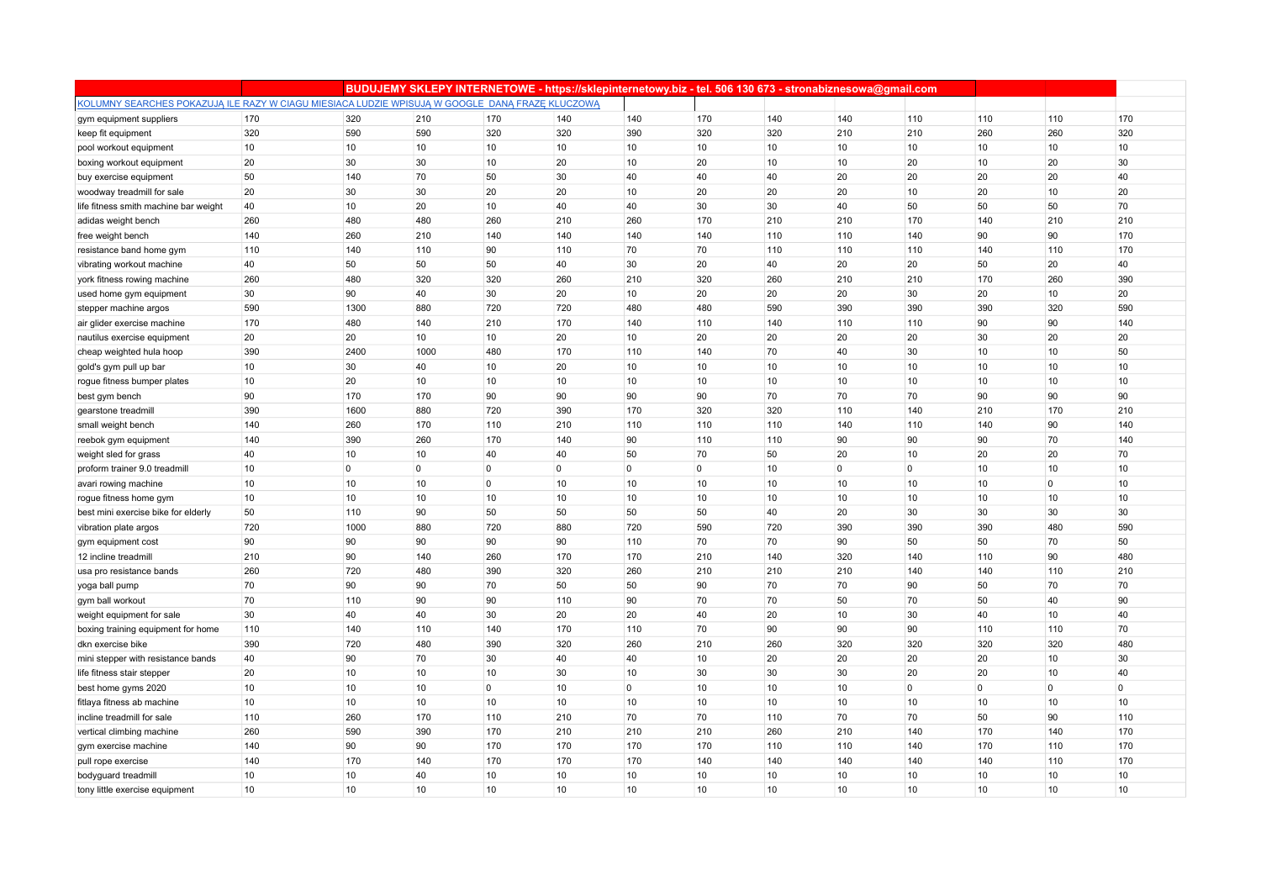|                                                                                                 |     |                |      |                 |                |             |                |     | BUDUJEMY SKLEPY INTERNETOWE - https://sklepinternetowy.biz - tel. 506 130 673 - stronabiznesowa@gmail.com |                |              |             |     |
|-------------------------------------------------------------------------------------------------|-----|----------------|------|-----------------|----------------|-------------|----------------|-----|-----------------------------------------------------------------------------------------------------------|----------------|--------------|-------------|-----|
| KOLUMNY SEARCHES POKAZUJĄ ILE RAZY W CIAGU MIESIACA LUDZIE WPISUJĄ W GOOGLE DANĄ FRAZE KLUCZOWĄ |     |                |      |                 |                |             |                |     |                                                                                                           |                |              |             |     |
| gym equipment suppliers                                                                         | 170 | 320            | 210  | 170             | 140            | 140         | 170            | 140 | 140                                                                                                       | 110            | 110          | 110         | 170 |
| keep fit equipment                                                                              | 320 | 590            | 590  | 320             | 320            | 390         | 320            | 320 | 210                                                                                                       | 210            | 260          | 260         | 320 |
| pool workout equipment                                                                          | 10  | 10             | 10   | 10              | 10             | 10          | 10             | 10  | 10                                                                                                        | 10             | 10           | 10          | 10  |
| boxing workout equipment                                                                        | 20  | 30             | 30   | 10              | 20             | 10          | 20             | 10  | 10                                                                                                        | 20             | 10           | 20          | 30  |
| buy exercise equipment                                                                          | 50  | 140            | 70   | 50              | 30             | 40          | 40             | 40  | 20                                                                                                        | 20             | 20           | 20          | 40  |
| woodway treadmill for sale                                                                      | 20  | 30             | 30   | 20              | 20             | 10          | 20             | 20  | 20                                                                                                        | 10             | 20           | 10          | 20  |
| life fitness smith machine bar weight                                                           | 40  | 10             | 20   | 10              | 40             | 40          | 30             | 30  | 40                                                                                                        | 50             | 50           | 50          | 70  |
| adidas weight bench                                                                             | 260 | 480            | 480  | 260             | 210            | 260         | 170            | 210 | 210                                                                                                       | 170            | 140          | 210         | 210 |
| free weight bench                                                                               | 140 | 260            | 210  | 140             | 140            | 140         | 140            | 110 | 110                                                                                                       | 140            | 90           | 90          | 170 |
| resistance band home gym                                                                        | 110 | 140            | 110  | 90              | 110            | 70          | 70             | 110 | 110                                                                                                       | 110            | 140          | 110         | 170 |
| vibrating workout machine                                                                       | 40  | 50             | 50   | 50              | 40             | 30          | 20             | 40  | 20                                                                                                        | 20             | 50           | 20          | 40  |
| york fitness rowing machine                                                                     | 260 | 480            | 320  | 320             | 260            | 210         | 320            | 260 | 210                                                                                                       | 210            | 170          | 260         | 390 |
| used home gym equipment                                                                         | 30  | 90             | 40   | 30              | 20             | 10          | 20             | 20  | 20                                                                                                        | 30             | 20           | 10          | 20  |
| stepper machine argos                                                                           | 590 | 1300           | 880  | 720             | 720            | 480         | 480            | 590 | 390                                                                                                       | 390            | 390          | 320         | 590 |
| air glider exercise machine                                                                     | 170 | 480            | 140  | 210             | 170            | 140         | 110            | 140 | 110                                                                                                       | 110            | 90           | 90          | 140 |
| nautilus exercise equipment                                                                     | 20  | 20             | 10   | 10              | 20             | 10          | 20             | 20  | 20                                                                                                        | 20             | 30           | 20          | 20  |
| cheap weighted hula hoop                                                                        | 390 | 2400           | 1000 | 480             | 170            | 110         | 140            | 70  | 40                                                                                                        | 30             | 10           | 10          | 50  |
| gold's gym pull up bar                                                                          | 10  | 30             | 40   | 10              | 20             | 10          | 10             | 10  | 10                                                                                                        | 10             | 10           | 10          | 10  |
| rogue fitness bumper plates                                                                     | 10  | 20             | 10   | 10              | 10             | 10          | 10             | 10  | 10                                                                                                        | 10             | 10           | 10          | 10  |
| best gym bench                                                                                  | 90  | 170            | 170  | 90              | 90             | 90          | 90             | 70  | 70                                                                                                        | 70             | 90           | 90          | 90  |
| gearstone treadmill                                                                             | 390 | 1600           | 880  | 720             | 390            | 170         | 320            | 320 | 110                                                                                                       | 140            | 210          | 170         | 210 |
| small weight bench                                                                              | 140 | 260            | 170  | 110             | 210            | 110         | 110            | 110 | 140                                                                                                       | 110            | 140          | 90          | 140 |
| reebok gym equipment                                                                            | 140 | 390            | 260  | 170             | 140            | 90          | 110            | 110 | 90                                                                                                        | 90             | 90           | 70          | 140 |
| weight sled for grass                                                                           | 40  | 10             | 10   | 40              | 40             | 50          | 70             | 50  | 20                                                                                                        | 10             | 20           | 20          | 70  |
| proform trainer 9.0 treadmill                                                                   | 10  | $\overline{0}$ | 0    | $\mathbf 0$     | $\overline{0}$ | $\mathbf 0$ | $\overline{0}$ | 10  | $\overline{0}$                                                                                            | $\overline{0}$ | 10           | 10          | 10  |
| avari rowing machine                                                                            | 10  | 10             | 10   | $\mathbf 0$     | 10             | 10          | 10             | 10  | 10                                                                                                        | 10             | 10           | $\Omega$    | 10  |
| rogue fitness home gym                                                                          | 10  | 10             | 10   | 10              | 10             | 10          | 10             | 10  | 10                                                                                                        | 10             | 10           | 10          | 10  |
| best mini exercise bike for elderly                                                             | 50  | 110            | 90   | 50              | 50             | 50          | 50             | 40  | 20                                                                                                        | 30             | 30           | 30          | 30  |
| vibration plate argos                                                                           | 720 | 1000           | 880  | 720             | 880            | 720         | 590            | 720 | 390                                                                                                       | 390            | 390          | 480         | 590 |
| gym equipment cost                                                                              | 90  | 90             | 90   | 90              | 90             | 110         | 70             | 70  | 90                                                                                                        | 50             | 50           | 70          | 50  |
| 12 incline treadmill                                                                            | 210 | 90             | 140  | 260             | 170            | 170         | 210            | 140 | 320                                                                                                       | 140            | 110          | 90          | 480 |
| usa pro resistance bands                                                                        | 260 | 720            | 480  | 390             | 320            | 260         | 210            | 210 | 210                                                                                                       | 140            | 140          | 110         | 210 |
| yoga ball pump                                                                                  | 70  | 90             | 90   | 70              | 50             | 50          | 90             | 70  | 70                                                                                                        | 90             | 50           | 70          | 70  |
| gym ball workout                                                                                | 70  | 110            | 90   | 90              | 110            | 90          | 70             | 70  | 50                                                                                                        | 70             | 50           | 40          | 90  |
| weight equipment for sale                                                                       | 30  | 40             | 40   | 30              | 20             | 20          | 40             | 20  | 10                                                                                                        | 30             | 40           | 10          | 40  |
| boxing training equipment for home                                                              | 110 | 140            | 110  | 140             | 170            | 110         | 70             | 90  | 90                                                                                                        | 90             | 110          | 110         | 70  |
| dkn exercise bike                                                                               | 390 | 720            | 480  | 390             | 320            | 260         | 210            | 260 | 320                                                                                                       | 320            | 320          | 320         | 480 |
| mini stepper with resistance bands                                                              | 40  | 90             | 70   | 30              | 40             | 40          | 10             | 20  | 20                                                                                                        | 20             | 20           | 10          | 30  |
| life fitness stair stepper                                                                      | 20  | 10             | 10   | 10              | 30             | 10          | 30             | 30  | 30                                                                                                        | 20             | 20           | 10          | 40  |
| best home gyms 2020                                                                             | 10  | 10             | 10   | $\mathbf 0$     | 10             | $\mathbf 0$ | 10             | 10  | 10                                                                                                        | $\overline{0}$ | $\mathbf{0}$ | $\mathbf 0$ | 0   |
| fitlaya fitness ab machine                                                                      | 10  | 10             | 10   | 10              | 10             | 10          | 10             | 10  | 10                                                                                                        | 10             | 10           | 10          | 10  |
| incline treadmill for sale                                                                      | 110 | 260            | 170  | 110             | 210            | 70          | 70             | 110 | 70                                                                                                        | 70             | 50           | 90          | 110 |
| vertical climbing machine                                                                       | 260 | 590            | 390  | 170             | 210            | 210         | 210            | 260 | 210                                                                                                       | 140            | 170          | 140         | 170 |
| gym exercise machine                                                                            | 140 | 90             | 90   | 170             | 170            | 170         | 170            | 110 | 110                                                                                                       | 140            | 170          | 110         | 170 |
| pull rope exercise                                                                              | 140 | 170            | 140  | 170             | 170            | 170         | 140            | 140 | 140                                                                                                       | 140            | 140          | 110         | 170 |
| bodyguard treadmill                                                                             | 10  | 10             | 40   | 10              | 10             | 10          | 10             | 10  | 10                                                                                                        | 10             | 10           | 10          | 10  |
| tony little exercise equipment                                                                  | 10  | 10             | 10   | 10 <sup>1</sup> | 10             | 10          | 10             | 10  | 10                                                                                                        | 10             | 10           | 10          | 10  |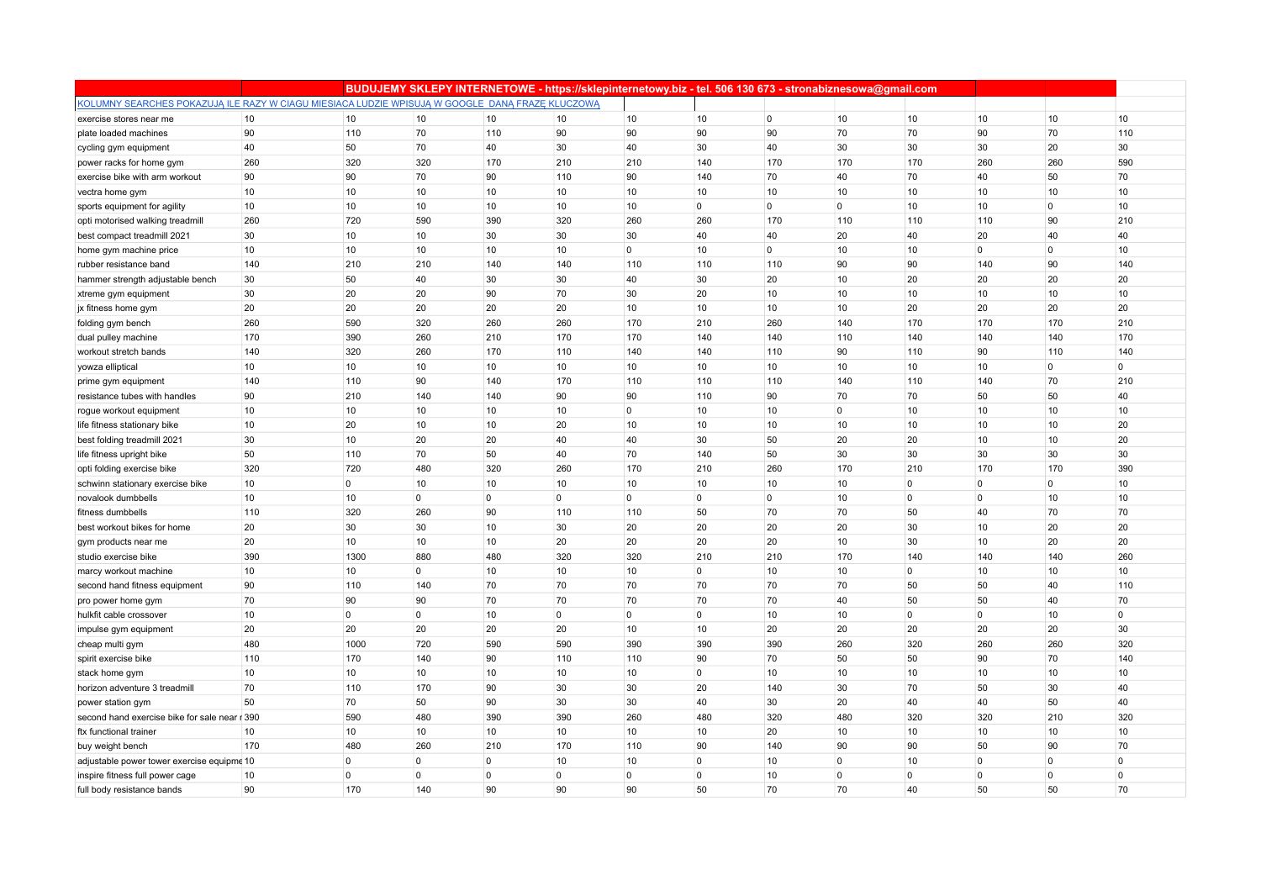|                                                                                                 |     |                |             |                |                |                | BUDUJEMY SKLEPY INTERNETOWE - https://sklepinternetowy.biz - tel. 506 130 673 - stronabiznesowa@gmail.com |                |                |                |                |              |              |
|-------------------------------------------------------------------------------------------------|-----|----------------|-------------|----------------|----------------|----------------|-----------------------------------------------------------------------------------------------------------|----------------|----------------|----------------|----------------|--------------|--------------|
| KOLUMNY SEARCHES POKAZUJĄ ILE RAZY W CIAGU MIESIACA LUDZIE WPISUJĄ W GOOGLE DANĄ FRAZĘ KLUCZOWĄ |     |                |             |                |                |                |                                                                                                           |                |                |                |                |              |              |
| exercise stores near me                                                                         | 10  | 10             | 10          | 10             | 10             | 10             | 10                                                                                                        | $\overline{0}$ | 10             | 10             | 10             | 10           | 10           |
| plate loaded machines                                                                           | 90  | 110            | 70          | 110            | 90             | 90             | 90                                                                                                        | 90             | 70             | 70             | 90             | 70           | 110          |
| cycling gym equipment                                                                           | 40  | 50             | 70          | 40             | 30             | 40             | 30                                                                                                        | 40             | 30             | 30             | 30             | 20           | 30           |
| power racks for home gym                                                                        | 260 | 320            | 320         | 170            | 210            | 210            | 140                                                                                                       | 170            | 170            | 170            | 260            | 260          | 590          |
| exercise bike with arm workout                                                                  | 90  | 90             | 70          | 90             | 110            | 90             | 140                                                                                                       | 70             | 40             | 70             | 40             | 50           | 70           |
| vectra home gym                                                                                 | 10  | 10             | 10          | 10             | 10             | 10             | 10                                                                                                        | 10             | 10             | 10             | 10             | 10           | 10           |
| sports equipment for agility                                                                    | 10  | 10             | 10          | 10             | 10             | 10             | $\overline{0}$                                                                                            | $\mathbf 0$    | $\overline{0}$ | 10             | 10             | $\mathbf{0}$ | 10           |
| opti motorised walking treadmill                                                                | 260 | 720            | 590         | 390            | 320            | 260            | 260                                                                                                       | 170            | 110            | 110            | 110            | 90           | 210          |
| best compact treadmill 2021                                                                     | 30  | 10             | 10          | 30             | 30             | 30             | 40                                                                                                        | 40             | 20             | 40             | 20             | 40           | 40           |
| home gym machine price                                                                          | 10  | 10             | 10          | 10             | 10             | $\overline{0}$ | 10                                                                                                        | $\mathbf 0$    | 10             | 10             | $\overline{0}$ | $\Omega$     | 10           |
| rubber resistance band                                                                          | 140 | 210            | 210         | 140            | 140            | 110            | 110                                                                                                       | 110            | 90             | 90             | 140            | 90           | 140          |
| hammer strength adjustable bench                                                                | 30  | 50             | 40          | 30             | 30             | 40             | 30                                                                                                        | 20             | 10             | 20             | 20             | 20           | 20           |
| xtreme gym equipment                                                                            | 30  | 20             | 20          | 90             | 70             | 30             | 20                                                                                                        | 10             | 10             | 10             | 10             | 10           | 10           |
| jx fitness home gym                                                                             | 20  | 20             | 20          | 20             | 20             | 10             | 10                                                                                                        | 10             | 10             | 20             | 20             | 20           | 20           |
| folding gym bench                                                                               | 260 | 590            | 320         | 260            | 260            | 170            | 210                                                                                                       | 260            | 140            | 170            | 170            | 170          | 210          |
| dual pulley machine                                                                             | 170 | 390            | 260         | 210            | 170            | 170            | 140                                                                                                       | 140            | 110            | 140            | 140            | 140          | 170          |
| workout stretch bands                                                                           | 140 | 320            | 260         | 170            | 110            | 140            | 140                                                                                                       | 110            | 90             | 110            | 90             | 110          | 140          |
| yowza elliptical                                                                                | 10  | 10             | 10          | 10             | 10             | 10             | 10                                                                                                        | 10             | 10             | 10             | 10             | $\Omega$     | $\mathbf 0$  |
| prime gym equipment                                                                             | 140 | 110            | 90          | 140            | 170            | 110            | 110                                                                                                       | 110            | 140            | 110            | 140            | 70           | 210          |
| resistance tubes with handles                                                                   | 90  | 210            | 140         | 140            | 90             | 90             | 110                                                                                                       | 90             | 70             | 70             | 50             | 50           | 40           |
| rogue workout equipment                                                                         | 10  | 10             | 10          | 10             | 10             | $\overline{0}$ | 10                                                                                                        | 10             | $\overline{0}$ | 10             | 10             | 10           | 10           |
| life fitness stationary bike                                                                    | 10  | 20             | 10          | 10             | 20             | 10             | 10                                                                                                        | 10             | 10             | 10             | 10             | 10           | 20           |
| best folding treadmill 2021                                                                     | 30  | 10             | 20          | 20             | 40             | 40             | 30                                                                                                        | 50             | 20             | 20             | 10             | 10           | 20           |
| life fitness upright bike                                                                       | 50  | 110            | 70          | 50             | 40             | 70             | 140                                                                                                       | 50             | 30             | 30             | 30             | 30           | 30           |
| opti folding exercise bike                                                                      | 320 | 720            | 480         | 320            | 260            | 170            | 210                                                                                                       | 260            | 170            | 210            | 170            | 170          | 390          |
| schwinn stationary exercise bike                                                                | 10  | $\overline{0}$ | 10          | 10             | 10             | 10             | 10                                                                                                        | 10             | 10             | $\overline{0}$ | $\mathbf{0}$   | $\mathbf{0}$ | 10           |
| novalook dumbbells                                                                              | 10  | 10             | $\mathbf 0$ | $\overline{0}$ | $\overline{0}$ | $\overline{0}$ | $\mathbf 0$                                                                                               | $\mathbf 0$    | 10             | $\overline{0}$ | $\mathbf 0$    | 10           | 10           |
| fitness dumbbells                                                                               | 110 | 320            | 260         | 90             | 110            | 110            | 50                                                                                                        | 70             | 70             | 50             | 40             | 70           | 70           |
| best workout bikes for home                                                                     | 20  | 30             | 30          | 10             | 30             | 20             | 20                                                                                                        | 20             | 20             | 30             | 10             | 20           | 20           |
| gym products near me                                                                            | 20  | 10             | 10          | 10             | 20             | 20             | 20                                                                                                        | 20             | 10             | 30             | 10             | 20           | 20           |
| studio exercise bike                                                                            | 390 | 1300           | 880         | 480            | 320            | 320            | 210                                                                                                       | 210            | 170            | 140            | 140            | 140          | 260          |
| marcy workout machine                                                                           | 10  | 10             | $\mathbf 0$ | 10             | 10             | 10             | $\overline{0}$                                                                                            | 10             | 10             | $\overline{0}$ | 10             | 10           | 10           |
| second hand fitness equipment                                                                   | 90  | 110            | 140         | 70             | 70             | 70             | 70                                                                                                        | 70             | 70             | 50             | 50             | 40           | 110          |
| pro power home gym                                                                              | 70  | 90             | 90          | 70             | 70             | 70             | 70                                                                                                        | 70             | 40             | 50             | 50             | 40           | 70           |
| hulkfit cable crossover                                                                         | 10  | $\overline{0}$ | $\mathbf 0$ | 10             | $\overline{0}$ | $\overline{0}$ | $\overline{0}$                                                                                            | 10             | 10             | $\overline{0}$ | $\mathbf{0}$   | 10           | $\mathbf{0}$ |
| impulse gym equipment                                                                           | 20  | 20             | 20          | 20             | 20             | 10             | 10                                                                                                        | 20             | 20             | 20             | 20             | 20           | 30           |
| cheap multi gym                                                                                 | 480 | 1000           | 720         | 590            | 590            | 390            | 390                                                                                                       | 390            | 260            | 320            | 260            | 260          | 320          |
| spirit exercise bike                                                                            | 110 | 170            | 140         | 90             | 110            | 110            | 90                                                                                                        | 70             | 50             | 50             | 90             | 70           | 140          |
| stack home gym                                                                                  | 10  | 10             | 10          | 10             | 10             | 10             | $\mathbf 0$                                                                                               | 10             | 10             | 10             | 10             | 10           | 10           |
| horizon adventure 3 treadmill                                                                   | 70  | 110            | 170         | 90             | 30             | 30             | 20                                                                                                        | 140            | 30             | 70             | 50             | 30           | 40           |
| power station gym                                                                               | 50  | 70             | 50          | 90             | 30             | 30             | 40                                                                                                        | 30             | 20             | 40             | 40             | 50           | 40           |
| second hand exercise bike for sale near r 390                                                   |     | 590            | 480         | 390            | 390            | 260            | 480                                                                                                       | 320            | 480            | 320            | 320            | 210          | 320          |
| ftx functional trainer                                                                          | 10  | 10             | 10          | 10             | 10             | 10             | 10                                                                                                        | 20             | 10             | 10             | 10             | 10           | 10           |
| buy weight bench                                                                                | 170 | 480            | 260         | 210            | 170            | 110            | 90                                                                                                        | 140            | 90             | 90             | 50             | 90           | 70           |
| adjustable power tower exercise equipme 10                                                      |     | 0              | $\mathbf 0$ | $\mathbf 0$    | 10             | 10             | $\mathbf 0$                                                                                               | 10             | $\overline{0}$ | 10             | $\overline{0}$ | $\mathbf{0}$ | $\mathbf 0$  |
| inspire fitness full power cage                                                                 | 10  | $\mathbf 0$    | $\Omega$    | $\overline{0}$ | $\overline{0}$ | $\overline{0}$ | $\mathbf 0$                                                                                               | 10             | $\mathbf 0$    | $\overline{0}$ | $\overline{0}$ | $\mathbf{0}$ | $\mathbf 0$  |
| full body resistance bands                                                                      | 90  | 170            | 140         | 90             | 90             | 90             | 50                                                                                                        | 70             | 70             | 40             | 50             | 50           | 70           |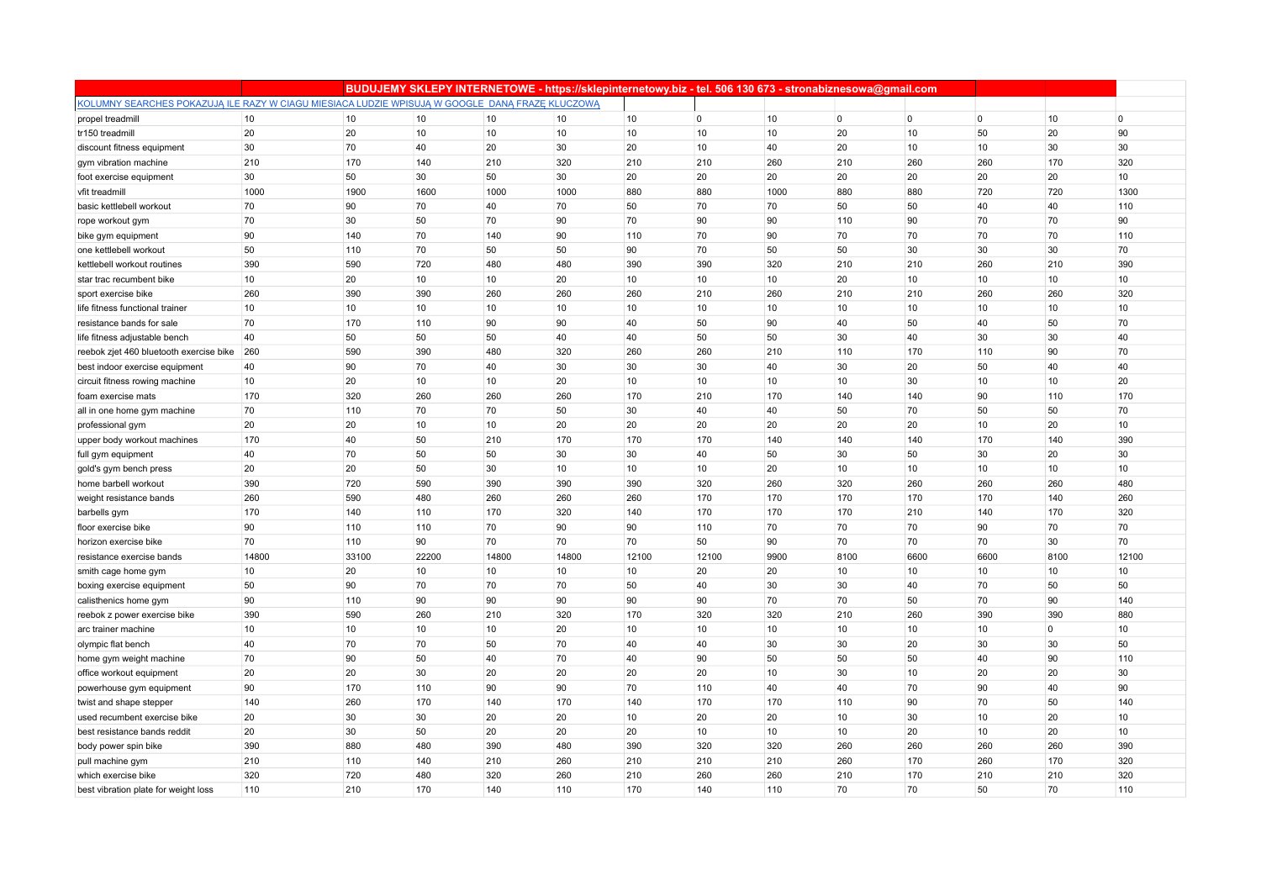|                                                                                                 |       |       |       |       | BUDUJEMY SKLEPY INTERNETOWE - https://sklepinternetowy.biz - tel. 506 130 673 - stronabiznesowa@gmail.com |       |                |      |                |                |                |                |                |
|-------------------------------------------------------------------------------------------------|-------|-------|-------|-------|-----------------------------------------------------------------------------------------------------------|-------|----------------|------|----------------|----------------|----------------|----------------|----------------|
| KOLUMNY SEARCHES POKAZUJĄ ILE RAZY W CIAGU MIESIACA LUDZIE WPISUJĄ W GOOGLE DANĄ FRAZE KLUCZOWĄ |       |       |       |       |                                                                                                           |       |                |      |                |                |                |                |                |
| propel treadmill                                                                                | 10    | 10    | 10    | 10    | 10                                                                                                        | 10    | $\overline{0}$ | 10   | $\overline{0}$ | $\overline{0}$ | $\overline{0}$ | 10             | $\overline{0}$ |
| tr150 treadmill                                                                                 | 20    | 20    | 10    | 10    | 10                                                                                                        | 10    | 10             | 10   | 20             | 10             | 50             | 20             | 90             |
| discount fitness equipment                                                                      | 30    | 70    | 40    | 20    | 30                                                                                                        | 20    | 10             | 40   | 20             | 10             | 10             | 30             | 30             |
| gym vibration machine                                                                           | 210   | 170   | 140   | 210   | 320                                                                                                       | 210   | 210            | 260  | 210            | 260            | 260            | 170            | 320            |
| foot exercise equipment                                                                         | 30    | 50    | 30    | 50    | 30                                                                                                        | 20    | 20             | 20   | 20             | 20             | 20             | 20             | 10             |
| vfit treadmill                                                                                  | 1000  | 1900  | 1600  | 1000  | 1000                                                                                                      | 880   | 880            | 1000 | 880            | 880            | 720            | 720            | 1300           |
| basic kettlebell workout                                                                        | 70    | 90    | 70    | 40    | 70                                                                                                        | 50    | 70             | 70   | 50             | 50             | 40             | 40             | 110            |
| rope workout gym                                                                                | 70    | 30    | 50    | 70    | 90                                                                                                        | 70    | 90             | 90   | 110            | 90             | 70             | 70             | 90             |
| bike gym equipment                                                                              | 90    | 140   | 70    | 140   | 90                                                                                                        | 110   | 70             | 90   | 70             | 70             | 70             | 70             | 110            |
| one kettlebell workout                                                                          | 50    | 110   | 70    | 50    | 50                                                                                                        | 90    | 70             | 50   | 50             | 30             | 30             | 30             | 70             |
| kettlebell workout routines                                                                     | 390   | 590   | 720   | 480   | 480                                                                                                       | 390   | 390            | 320  | 210            | 210            | 260            | 210            | 390            |
| star trac recumbent bike                                                                        | 10    | 20    | 10    | 10    | 20                                                                                                        | 10    | 10             | 10   | 20             | 10             | 10             | 10             | 10             |
| sport exercise bike                                                                             | 260   | 390   | 390   | 260   | 260                                                                                                       | 260   | 210            | 260  | 210            | 210            | 260            | 260            | 320            |
| life fitness functional trainer                                                                 | 10    | 10    | 10    | 10    | 10                                                                                                        | 10    | 10             | 10   | 10             | 10             | 10             | 10             | 10             |
| resistance bands for sale                                                                       | 70    | 170   | 110   | 90    | 90                                                                                                        | 40    | 50             | 90   | 40             | 50             | 40             | 50             | 70             |
| life fitness adjustable bench                                                                   | 40    | 50    | 50    | 50    | 40                                                                                                        | 40    | 50             | 50   | 30             | 40             | 30             | 30             | 40             |
| reebok zjet 460 bluetooth exercise bike                                                         | 260   | 590   | 390   | 480   | 320                                                                                                       | 260   | 260            | 210  | 110            | 170            | 110            | 90             | 70             |
| best indoor exercise equipment                                                                  | 40    | 90    | 70    | 40    | 30                                                                                                        | 30    | 30             | 40   | 30             | 20             | 50             | 40             | 40             |
| circuit fitness rowing machine                                                                  | 10    | 20    | 10    | 10    | 20                                                                                                        | 10    | 10             | 10   | 10             | 30             | 10             | 10             | 20             |
| foam exercise mats                                                                              | 170   | 320   | 260   | 260   | 260                                                                                                       | 170   | 210            | 170  | 140            | 140            | 90             | 110            | 170            |
| all in one home gym machine                                                                     | 70    | 110   | 70    | 70    | 50                                                                                                        | 30    | 40             | 40   | 50             | 70             | 50             | 50             | 70             |
| professional gym                                                                                | 20    | 20    | 10    | 10    | 20                                                                                                        | 20    | 20             | 20   | 20             | 20             | 10             | 20             | 10             |
| upper body workout machines                                                                     | 170   | 40    | 50    | 210   | 170                                                                                                       | 170   | 170            | 140  | 140            | 140            | 170            | 140            | 390            |
| full gym equipment                                                                              | 40    | 70    | 50    | 50    | 30                                                                                                        | 30    | 40             | 50   | 30             | 50             | 30             | 20             | 30             |
| gold's gym bench press                                                                          | 20    | 20    | 50    | 30    | 10                                                                                                        | 10    | 10             | 20   | 10             | 10             | 10             | 10             | 10             |
| home barbell workout                                                                            | 390   | 720   | 590   | 390   | 390                                                                                                       | 390   | 320            | 260  | 320            | 260            | 260            | 260            | 480            |
| weight resistance bands                                                                         | 260   | 590   | 480   | 260   | 260                                                                                                       | 260   | 170            | 170  | 170            | 170            | 170            | 140            | 260            |
| barbells gym                                                                                    | 170   | 140   | 110   | 170   | 320                                                                                                       | 140   | 170            | 170  | 170            | 210            | 140            | 170            | 320            |
| floor exercise bike                                                                             | 90    | 110   | 110   | 70    | 90                                                                                                        | 90    | 110            | 70   | 70             | 70             | 90             | 70             | 70             |
| horizon exercise bike                                                                           | 70    | 110   | 90    | 70    | 70                                                                                                        | 70    | 50             | 90   | 70             | 70             | 70             | 30             | 70             |
| resistance exercise bands                                                                       | 14800 | 33100 | 22200 | 14800 | 14800                                                                                                     | 12100 | 12100          | 9900 | 8100           | 6600           | 6600           | 8100           | 12100          |
| smith cage home gym                                                                             | 10    | 20    | 10    | 10    | 10                                                                                                        | 10    | 20             | 20   | 10             | 10             | 10             | 10             | 10             |
| boxing exercise equipment                                                                       | 50    | 90    | 70    | 70    | 70                                                                                                        | 50    | 40             | 30   | 30             | 40             | 70             | 50             | 50             |
| calisthenics home gym                                                                           | 90    | 110   | 90    | 90    | 90                                                                                                        | 90    | 90             | 70   | 70             | 50             | 70             | 90             | 140            |
| reebok z power exercise bike                                                                    | 390   | 590   | 260   | 210   | 320                                                                                                       | 170   | 320            | 320  | 210            | 260            | 390            | 390            | 880            |
| arc trainer machine                                                                             | 10    | 10    | 10    | 10    | 20                                                                                                        | 10    | 10             | 10   | 10             | 10             | 10             | $\overline{0}$ | 10             |
| olympic flat bench                                                                              | 40    | 70    | 70    | 50    | 70                                                                                                        | 40    | 40             | 30   | 30             | 20             | 30             | 30             | 50             |
| home gym weight machine                                                                         | 70    | 90    | 50    | 40    | 70                                                                                                        | 40    | 90             | 50   | 50             | 50             | 40             | 90             | 110            |
| office workout equipment                                                                        | 20    | 20    | 30    | 20    | 20                                                                                                        | 20    | 20             | 10   | 30             | 10             | 20             | 20             | 30             |
| powerhouse gym equipment                                                                        | 90    | 170   | 110   | 90    | 90                                                                                                        | 70    | 110            | 40   | 40             | 70             | 90             | 40             | 90             |
| twist and shape stepper                                                                         | 140   | 260   | 170   | 140   | 170                                                                                                       | 140   | 170            | 170  | 110            | 90             | 70             | 50             | 140            |
| used recumbent exercise bike                                                                    | 20    | 30    | 30    | 20    | 20                                                                                                        | 10    | 20             | 20   | 10             | 30             | 10             | 20             | 10             |
| best resistance bands reddit                                                                    | 20    | 30    | 50    | 20    | 20                                                                                                        | 20    | 10             | 10   | 10             | 20             | 10             | 20             | 10             |
| body power spin bike                                                                            | 390   | 880   | 480   | 390   | 480                                                                                                       | 390   | 320            | 320  | 260            | 260            | 260            | 260            | 390            |
| pull machine gym                                                                                | 210   | 110   | 140   | 210   | 260                                                                                                       | 210   | 210            | 210  | 260            | 170            | 260            | 170            | 320            |
| which exercise bike                                                                             | 320   | 720   | 480   | 320   | 260                                                                                                       | 210   | 260            | 260  | 210            | 170            | 210            | 210            | 320            |
| best vibration plate for weight loss                                                            | 110   | 210   | 170   | 140   | 110                                                                                                       | 170   | 140            | 110  | 70             | 70             | 50             | 70             | 110            |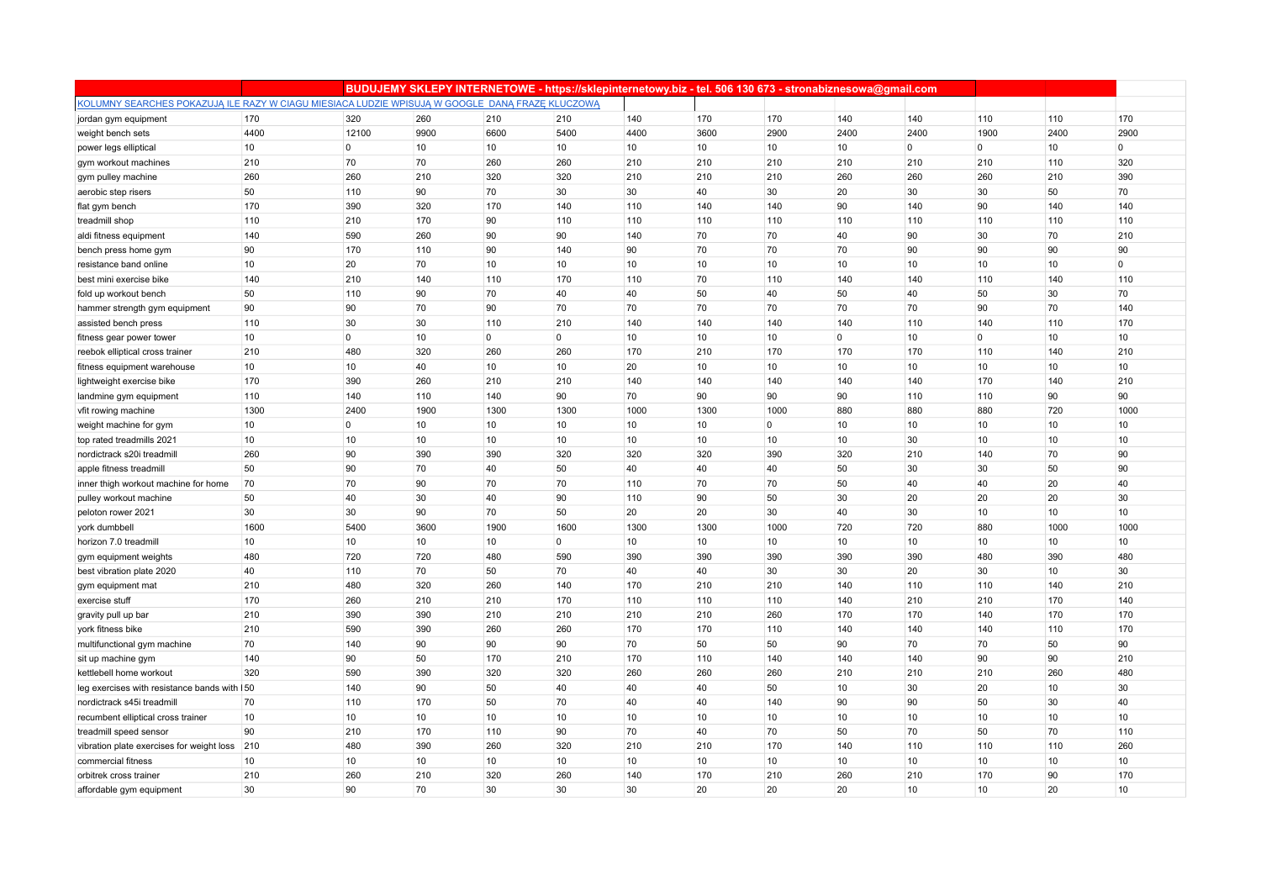|                                                                                                 |      |             |      |                | BUDUJEMY SKLEPY INTERNETOWE - https://sklepinternetowy.biz - tel. 506 130 673 - stronabiznesowa@gmail.com |      |      |                |                |                  |             |      |         |
|-------------------------------------------------------------------------------------------------|------|-------------|------|----------------|-----------------------------------------------------------------------------------------------------------|------|------|----------------|----------------|------------------|-------------|------|---------|
| KOLUMNY SEARCHES POKAZUJĄ ILE RAZY W CIAGU MIESIACA LUDZIE WPISUJĄ W GOOGLE DANĄ FRAZĘ KLUCZOWĄ |      |             |      |                |                                                                                                           |      |      |                |                |                  |             |      |         |
| jordan gym equipment                                                                            | 170  | 320         | 260  | 210            | 210                                                                                                       | 140  | 170  | 170            | 140            | 140              | 110         | 110  | 170     |
| weight bench sets                                                                               | 4400 | 12100       | 9900 | 6600           | 5400                                                                                                      | 4400 | 3600 | 2900           | 2400           | 2400             | 1900        | 2400 | 2900    |
| power legs elliptical                                                                           | 10   | $\mathbf 0$ | 10   | 10             | 10                                                                                                        | 10   | 10   | 10             | 10             | $\mathbf 0$      | 0           | 10   | $\circ$ |
| gym workout machines                                                                            | 210  | 70          | 70   | 260            | 260                                                                                                       | 210  | 210  | 210            | 210            | 210              | 210         | 110  | 320     |
| gym pulley machine                                                                              | 260  | 260         | 210  | 320            | 320                                                                                                       | 210  | 210  | 210            | 260            | 260              | 260         | 210  | 390     |
| aerobic step risers                                                                             | 50   | 110         | 90   | 70             | 30                                                                                                        | 30   | 40   | 30             | 20             | 30               | 30          | 50   | 70      |
| flat gym bench                                                                                  | 170  | 390         | 320  | 170            | 140                                                                                                       | 110  | 140  | 140            | 90             | 140              | 90          | 140  | 140     |
| treadmill shop                                                                                  | 110  | 210         | 170  | 90             | 110                                                                                                       | 110  | 110  | 110            | 110            | 110              | 110         | 110  | 110     |
| aldi fitness equipment                                                                          | 140  | 590         | 260  | 90             | 90                                                                                                        | 140  | 70   | 70             | 40             | 90               | 30          | 70   | 210     |
| bench press home gym                                                                            | 90   | 170         | 110  | 90             | 140                                                                                                       | 90   | 70   | 70             | 70             | 90               | 90          | 90   | 90      |
| resistance band online                                                                          | 10   | 20          | 70   | 10             | 10                                                                                                        | 10   | 10   | 10             | 10             | 10               | 10          | 10   | $\circ$ |
| best mini exercise bike                                                                         | 140  | 210         | 140  | 110            | 170                                                                                                       | 110  | 70   | 110            | 140            | 140              | 110         | 140  | 110     |
| fold up workout bench                                                                           | 50   | 110         | 90   | 70             | 40                                                                                                        | 40   | 50   | 40             | 50             | 40               | 50          | 30   | 70      |
| hammer strength gym equipment                                                                   | 90   | 90          | 70   | 90             | 70                                                                                                        | 70   | 70   | 70             | 70             | 70               | 90          | 70   | 140     |
| assisted bench press                                                                            | 110  | 30          | 30   | 110            | 210                                                                                                       | 140  | 140  | 140            | 140            | 110              | 140         | 110  | 170     |
| fitness gear power tower                                                                        | 10   | $\mathbf 0$ | 10   | $\overline{0}$ | $\overline{0}$                                                                                            | 10   | 10   | 10             | $\overline{0}$ | 10               | $\mathbf 0$ | 10   | 10      |
| reebok elliptical cross trainer                                                                 | 210  | 480         | 320  | 260            | 260                                                                                                       | 170  | 210  | 170            | 170            | 170              | 110         | 140  | 210     |
| fitness equipment warehouse                                                                     | 10   | 10          | 40   | 10             | 10                                                                                                        | 20   | 10   | 10             | 10             | 10               | 10          | 10   | 10      |
| lightweight exercise bike                                                                       | 170  | 390         | 260  | 210            | 210                                                                                                       | 140  | 140  | 140            | 140            | 140              | 170         | 140  | 210     |
| landmine gym equipment                                                                          | 110  | 140         | 110  | 140            | 90                                                                                                        | 70   | 90   | 90             | 90             | 110              | 110         | 90   | 90      |
| vfit rowing machine                                                                             | 1300 | 2400        | 1900 | 1300           | 1300                                                                                                      | 1000 | 1300 | 1000           | 880            | 880              | 880         | 720  | 1000    |
| weight machine for gym                                                                          | 10   | $\mathbf 0$ | 10   | 10             | 10                                                                                                        | 10   | 10   | $\overline{0}$ | 10             | 10               | 10          | 10   | 10      |
| top rated treadmills 2021                                                                       | 10   | 10          | 10   | 10             | 10                                                                                                        | 10   | 10   | 10             | 10             | 30               | 10          | 10   | 10      |
| nordictrack s20i treadmill                                                                      | 260  | 90          | 390  | 390            | 320                                                                                                       | 320  | 320  | 390            | 320            | 210              | 140         | 70   | 90      |
| apple fitness treadmill                                                                         | 50   | 90          | 70   | 40             | 50                                                                                                        | 40   | 40   | 40             | 50             | 30               | 30          | 50   | 90      |
| inner thigh workout machine for home                                                            | 70   | 70          | 90   | 70             | 70                                                                                                        | 110  | 70   | 70             | 50             | 40               | 40          | 20   | 40      |
| pulley workout machine                                                                          | 50   | 40          | 30   | 40             | 90                                                                                                        | 110  | 90   | 50             | 30             | 20               | 20          | 20   | 30      |
| peloton rower 2021                                                                              | 30   | 30          | 90   | 70             | 50                                                                                                        | 20   | 20   | 30             | 40             | 30               | 10          | 10   | 10      |
| york dumbbell                                                                                   | 1600 | 5400        | 3600 | 1900           | 1600                                                                                                      | 1300 | 1300 | 1000           | 720            | 720              | 880         | 1000 | 1000    |
| horizon 7.0 treadmill                                                                           | 10   | 10          | 10   | 10             | $\overline{0}$                                                                                            | 10   | 10   | 10             | 10             | 10               | 10          | 10   | 10      |
| gym equipment weights                                                                           | 480  | 720         | 720  | 480            | 590                                                                                                       | 390  | 390  | 390            | 390            | 390              | 480         | 390  | 480     |
| best vibration plate 2020                                                                       | 40   | 110         | 70   | 50             | 70                                                                                                        | 40   | 40   | 30             | 30             | 20               | 30          | 10   | 30      |
| gym equipment mat                                                                               | 210  | 480         | 320  | 260            | 140                                                                                                       | 170  | 210  | 210            | 140            | 110              | 110         | 140  | 210     |
| exercise stuff                                                                                  | 170  | 260         | 210  | 210            | 170                                                                                                       | 110  | 110  | 110            | 140            | 210              | 210         | 170  | 140     |
| gravity pull up bar                                                                             | 210  | 390         | 390  | 210            | 210                                                                                                       | 210  | 210  | 260            | 170            | 170              | 140         | 170  | 170     |
| york fitness bike                                                                               | 210  | 590         | 390  | 260            | 260                                                                                                       | 170  | 170  | 110            | 140            | 140              | 140         | 110  | 170     |
| multifunctional gym machine                                                                     | 70   | 140         | 90   | 90             | 90                                                                                                        | 70   | 50   | 50             | 90             | 70               | 70          | 50   | 90      |
| sit up machine gym                                                                              | 140  | 90          | 50   | 170            | 210                                                                                                       | 170  | 110  | 140            | 140            | 140              | 90          | 90   | 210     |
| kettlebell home workout                                                                         | 320  | 590         | 390  | 320            | 320                                                                                                       | 260  | 260  | 260            | 210            | 210              | 210         | 260  | 480     |
| leg exercises with resistance bands with 150                                                    |      | 140         | 90   | 50             | 40                                                                                                        | 40   | 40   | 50             | 10             | 30               | 20          | 10   | 30      |
| nordictrack s45i treadmill                                                                      | 70   | 110         | 170  | 50             | 70                                                                                                        | 40   | 40   | 140            | 90             | 90               | 50          | 30   | 40      |
| recumbent elliptical cross trainer                                                              | 10   | 10          | 10   | 10             | 10                                                                                                        | 10   | 10   | 10             | 10             | 10               | 10          | 10   | 10      |
| treadmill speed sensor                                                                          | 90   | 210         | 170  | 110            | 90                                                                                                        | 70   | 40   | 70             | 50             | 70               | 50          | 70   | 110     |
| vibration plate exercises for weight loss 210                                                   |      | 480         | 390  | 260            | 320                                                                                                       | 210  | 210  | 170            | 140            | 110              | 110         | 110  | 260     |
| commercial fitness                                                                              | 10   | 10          | 10   | 10             | 10                                                                                                        | 10   | 10   | 10             | 10             | 10               | 10          | 10   | 10      |
| orbitrek cross trainer                                                                          | 210  | 260         | 210  | 320            | 260                                                                                                       | 140  | 170  | 210            | 260            | 210              | 170         | 90   | 170     |
| affordable gym equipment                                                                        | 30   | 90          | 70   | 30             | 30                                                                                                        | 30   | 20   | 20             | 20             | 10 <sup>10</sup> | 10          | 20   | 10      |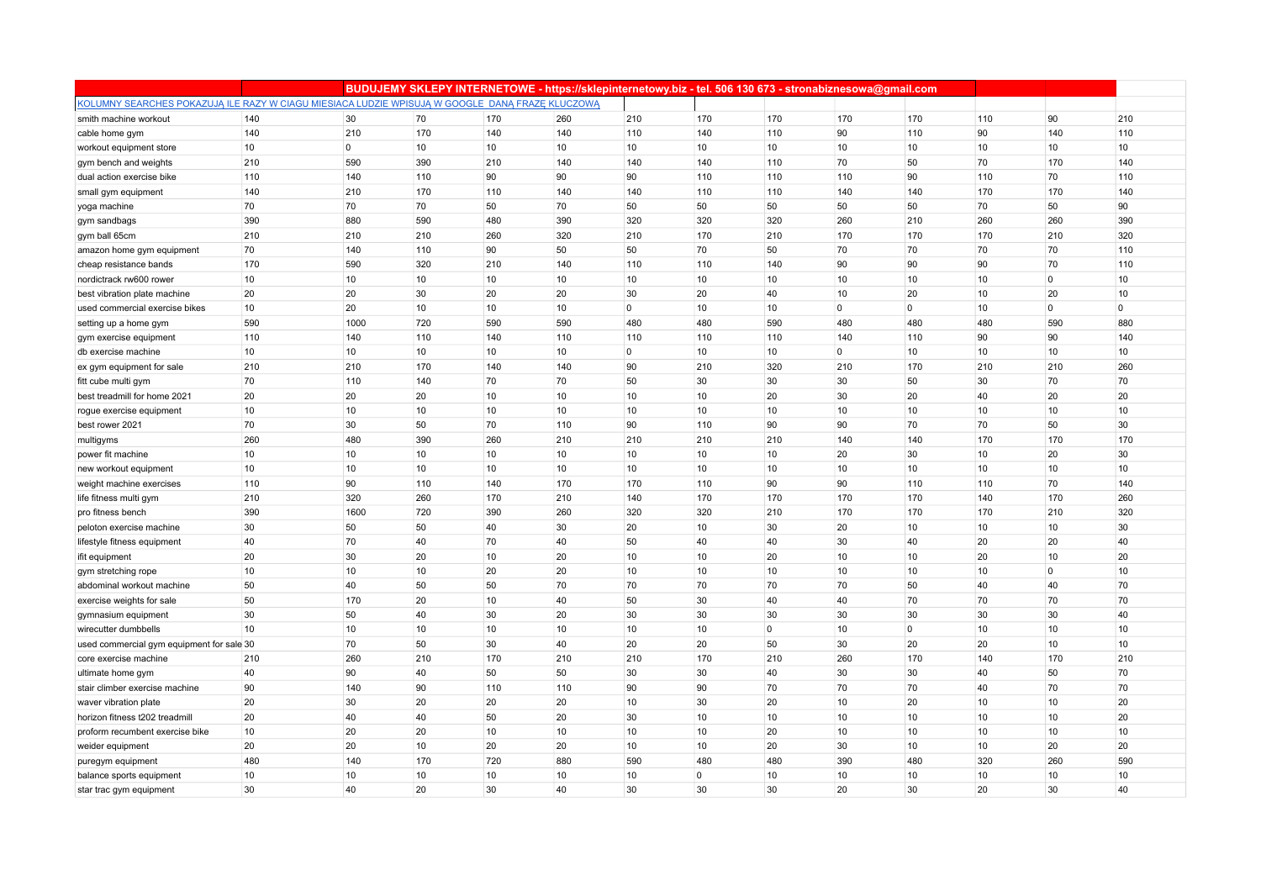|                                                                                                 |     |             |     |                 | BUDUJEMY SKLEPY INTERNETOWE - https://sklepinternetowy.biz - tel. 506 130 673 - stronabiznesowa@gmail.com |                |             |             |                |                |     |              |             |
|-------------------------------------------------------------------------------------------------|-----|-------------|-----|-----------------|-----------------------------------------------------------------------------------------------------------|----------------|-------------|-------------|----------------|----------------|-----|--------------|-------------|
| KOLUMNY SEARCHES POKAZUJĄ ILE RAZY W CIAGU MIESIACA LUDZIE WPISUJĄ W GOOGLE DANĄ FRAZE KLUCZOWĄ |     |             |     |                 |                                                                                                           |                |             |             |                |                |     |              |             |
| smith machine workout                                                                           | 140 | 30          | 70  | 170             | 260                                                                                                       | 210            | 170         | 170         | 170            | 170            | 110 | 90           | 210         |
| cable home gym                                                                                  | 140 | 210         | 170 | 140             | 140                                                                                                       | 110            | 140         | 110         | 90             | 110            | 90  | 140          | 110         |
| workout equipment store                                                                         | 10  | $\mathbf 0$ | 10  | 10              | 10                                                                                                        | 10             | 10          | 10          | 10             | 10             | 10  | 10           | 10          |
| gym bench and weights                                                                           | 210 | 590         | 390 | 210             | 140                                                                                                       | 140            | 140         | 110         | 70             | 50             | 70  | 170          | 140         |
| dual action exercise bike                                                                       | 110 | 140         | 110 | 90              | 90                                                                                                        | 90             | 110         | 110         | 110            | 90             | 110 | 70           | 110         |
| small gym equipment                                                                             | 140 | 210         | 170 | 110             | 140                                                                                                       | 140            | 110         | 110         | 140            | 140            | 170 | 170          | 140         |
| yoga machine                                                                                    | 70  | 70          | 70  | 50              | 70                                                                                                        | 50             | 50          | 50          | 50             | 50             | 70  | 50           | 90          |
| gym sandbags                                                                                    | 390 | 880         | 590 | 480             | 390                                                                                                       | 320            | 320         | 320         | 260            | 210            | 260 | 260          | 390         |
| gym ball 65cm                                                                                   | 210 | 210         | 210 | 260             | 320                                                                                                       | 210            | 170         | 210         | 170            | 170            | 170 | 210          | 320         |
| amazon home gym equipment                                                                       | 70  | 140         | 110 | 90              | 50                                                                                                        | 50             | 70          | 50          | 70             | 70             | 70  | 70           | 110         |
| cheap resistance bands                                                                          | 170 | 590         | 320 | 210             | 140                                                                                                       | 110            | 110         | 140         | 90             | 90             | 90  | 70           | 110         |
| nordictrack rw600 rower                                                                         | 10  | 10          | 10  | 10              | 10                                                                                                        | 10             | 10          | 10          | 10             | 10             | 10  | $\mathbf 0$  | 10          |
| best vibration plate machine                                                                    | 20  | 20          | 30  | 20              | 20                                                                                                        | 30             | 20          | 40          | 10             | 20             | 10  | 20           | 10          |
| used commercial exercise bikes                                                                  | 10  | 20          | 10  | 10 <sup>1</sup> | 10                                                                                                        | $\overline{0}$ | 10          | 10          | $\overline{0}$ | $\overline{0}$ | 10  | $\mathbf{0}$ | $\mathbf 0$ |
| setting up a home gym                                                                           | 590 | 1000        | 720 | 590             | 590                                                                                                       | 480            | 480         | 590         | 480            | 480            | 480 | 590          | 880         |
| gym exercise equipment                                                                          | 110 | 140         | 110 | 140             | 110                                                                                                       | 110            | 110         | 110         | 140            | 110            | 90  | 90           | 140         |
| db exercise machine                                                                             | 10  | 10          | 10  | 10              | 10                                                                                                        | $\overline{0}$ | 10          | 10          | $\mathbf 0$    | 10             | 10  | 10           | 10          |
| ex gym equipment for sale                                                                       | 210 | 210         | 170 | 140             | 140                                                                                                       | 90             | 210         | 320         | 210            | 170            | 210 | 210          | 260         |
| fitt cube multi gym                                                                             | 70  | 110         | 140 | 70              | 70                                                                                                        | 50             | 30          | 30          | 30             | 50             | 30  | 70           | 70          |
| best treadmill for home 2021                                                                    | 20  | 20          | 20  | 10              | 10                                                                                                        | 10             | 10          | 20          | 30             | 20             | 40  | 20           | 20          |
| rogue exercise equipment                                                                        | 10  | 10          | 10  | 10              | 10                                                                                                        | 10             | 10          | 10          | 10             | 10             | 10  | 10           | 10          |
| best rower 2021                                                                                 | 70  | 30          | 50  | 70              | 110                                                                                                       | 90             | 110         | 90          | 90             | 70             | 70  | 50           | 30          |
| multigyms                                                                                       | 260 | 480         | 390 | 260             | 210                                                                                                       | 210            | 210         | 210         | 140            | 140            | 170 | 170          | 170         |
| power fit machine                                                                               | 10  | 10          | 10  | 10              | 10                                                                                                        | 10             | 10          | 10          | 20             | 30             | 10  | 20           | 30          |
| new workout equipment                                                                           | 10  | 10          | 10  | 10              | 10                                                                                                        | 10             | 10          | 10          | 10             | 10             | 10  | 10           | 10          |
| weight machine exercises                                                                        | 110 | 90          | 110 | 140             | 170                                                                                                       | 170            | 110         | 90          | 90             | 110            | 110 | 70           | 140         |
| life fitness multi gym                                                                          | 210 | 320         | 260 | 170             | 210                                                                                                       | 140            | 170         | 170         | 170            | 170            | 140 | 170          | 260         |
| pro fitness bench                                                                               | 390 | 1600        | 720 | 390             | 260                                                                                                       | 320            | 320         | 210         | 170            | 170            | 170 | 210          | 320         |
| peloton exercise machine                                                                        | 30  | 50          | 50  | 40              | 30                                                                                                        | 20             | 10          | 30          | 20             | 10             | 10  | 10           | 30          |
| lifestyle fitness equipment                                                                     | 40  | 70          | 40  | 70              | 40                                                                                                        | 50             | 40          | 40          | 30             | 40             | 20  | 20           | 40          |
| ifit equipment                                                                                  | 20  | 30          | 20  | 10              | 20                                                                                                        | 10             | 10          | 20          | 10             | 10             | 20  | 10           | 20          |
| gym stretching rope                                                                             | 10  | 10          | 10  | 20              | 20                                                                                                        | 10             | 10          | 10          | 10             | 10             | 10  | $\mathbf 0$  | 10          |
| abdominal workout machine                                                                       | 50  | 40          | 50  | 50              | 70                                                                                                        | 70             | 70          | 70          | 70             | 50             | 40  | 40           | 70          |
| exercise weights for sale                                                                       | 50  | 170         | 20  | 10              | 40                                                                                                        | 50             | 30          | 40          | 40             | 70             | 70  | 70           | 70          |
| gymnasium equipment                                                                             | 30  | 50          | 40  | 30              | 20                                                                                                        | 30             | 30          | 30          | 30             | 30             | 30  | 30           | 40          |
| wirecutter dumbbells                                                                            | 10  | 10          | 10  | 10              | 10                                                                                                        | 10             | 10          | $\mathbf 0$ | 10             | $\mathbf 0$    | 10  | 10           | 10          |
| used commercial gym equipment for sale 30                                                       |     | 70          | 50  | 30              | 40                                                                                                        | 20             | 20          | 50          | 30             | 20             | 20  | 10           | 10          |
| core exercise machine                                                                           | 210 | 260         | 210 | 170             | 210                                                                                                       | 210            | 170         | 210         | 260            | 170            | 140 | 170          | 210         |
| ultimate home gym                                                                               | 40  | 90          | 40  | 50              | 50                                                                                                        | 30             | 30          | 40          | 30             | 30             | 40  | 50           | 70          |
| stair climber exercise machine                                                                  | 90  | 140         | 90  | 110             | 110                                                                                                       | 90             | 90          | 70          | 70             | 70             | 40  | 70           | 70          |
| waver vibration plate                                                                           | 20  | 30          | 20  | 20              | 20                                                                                                        | 10             | 30          | 20          | 10             | 20             | 10  | 10           | 20          |
| horizon fitness t202 treadmill                                                                  | 20  | 40          | 40  | 50              | 20                                                                                                        | 30             | 10          | 10          | 10             | 10             | 10  | 10           | 20          |
| proform recumbent exercise bike                                                                 | 10  | 20          | 20  | 10              | 10                                                                                                        | 10             | 10          | 20          | 10             | 10             | 10  | 10           | 10          |
| weider equipment                                                                                | 20  | 20          | 10  | 20              | 20                                                                                                        | 10             | 10          | 20          | 30             | 10             | 10  | 20           | 20          |
| puregym equipment                                                                               | 480 | 140         | 170 | 720             | 880                                                                                                       | 590            | 480         | 480         | 390            | 480            | 320 | 260          | 590         |
| balance sports equipment                                                                        | 10  | 10          | 10  | 10              | 10                                                                                                        | 10             | $\mathbf 0$ | 10          | 10             | 10             | 10  | 10           | 10          |
| star trac gym equipment                                                                         | 30  | 40          | 20  | 30              | 40                                                                                                        | 30             | 30          | 30          | 20             | 30             | 20  | 30           | 40          |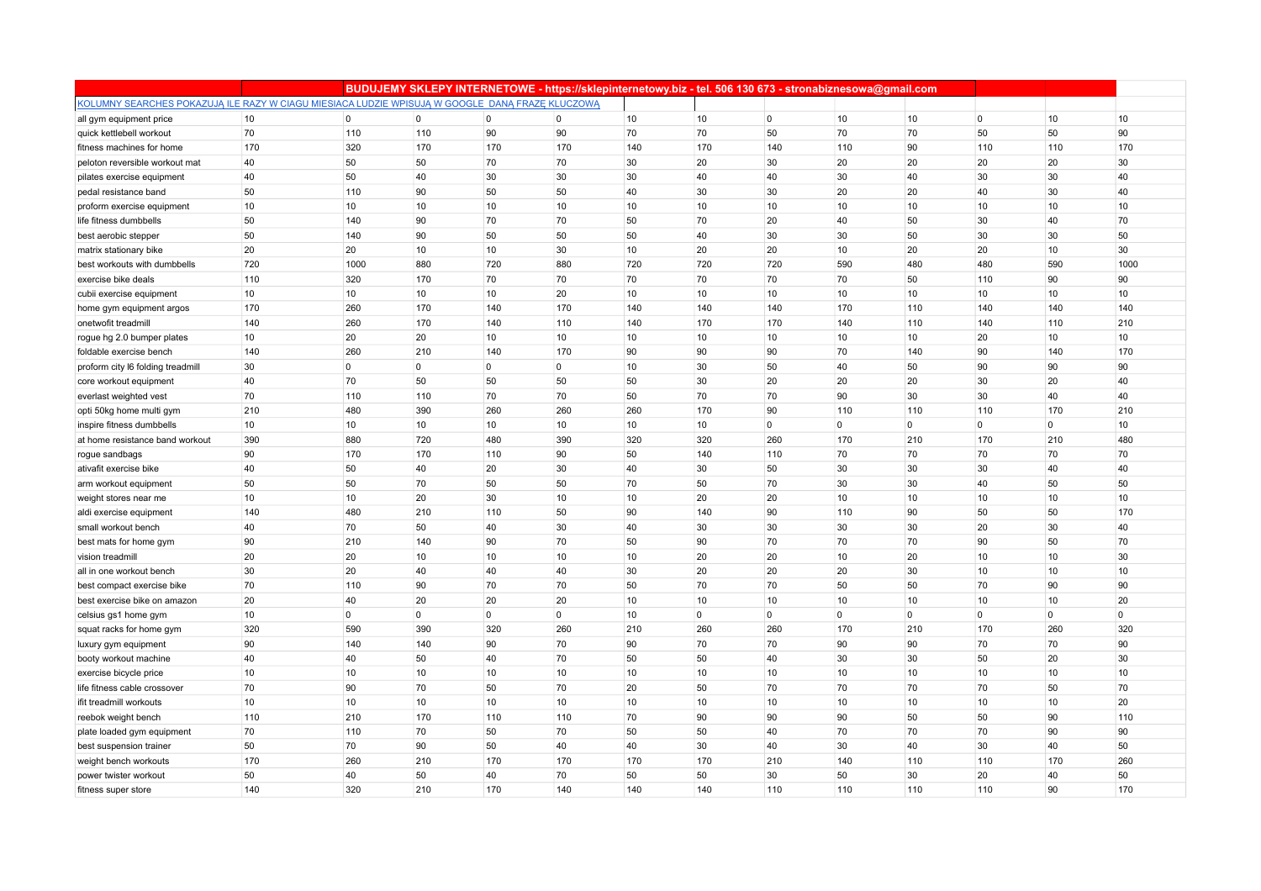|                                                                                                 |     |                |                |                | BUDUJEMY SKLEPY INTERNETOWE - https://sklepinternetowy.biz - tel. 506 130 673 - stronabiznesowa@gmail.com |     |                |                |                |                |                |                |      |
|-------------------------------------------------------------------------------------------------|-----|----------------|----------------|----------------|-----------------------------------------------------------------------------------------------------------|-----|----------------|----------------|----------------|----------------|----------------|----------------|------|
| KOLUMNY SEARCHES POKAZUJĄ ILE RAZY W CIAGU MIESIACA LUDZIE WPISUJĄ W GOOGLE DANĄ FRAZĘ KLUCZOWĄ |     |                |                |                |                                                                                                           |     |                |                |                |                |                |                |      |
| all gym equipment price                                                                         | 10  | $\overline{0}$ | $\overline{0}$ | $\overline{0}$ | $\overline{0}$                                                                                            | 10  | 10             | $\overline{0}$ | 10             | 10             | $\overline{0}$ | 10             | 10   |
| quick kettlebell workout                                                                        | 70  | 110            | 110            | 90             | 90                                                                                                        | 70  | 70             | 50             | 70             | 70             | 50             | 50             | 90   |
| fitness machines for home                                                                       | 170 | 320            | 170            | 170            | 170                                                                                                       | 140 | 170            | 140            | 110            | 90             | 110            | 110            | 170  |
| peloton reversible workout mat                                                                  | 40  | 50             | 50             | 70             | 70                                                                                                        | 30  | 20             | 30             | 20             | 20             | 20             | 20             | 30   |
| pilates exercise equipment                                                                      | 40  | 50             | 40             | 30             | 30                                                                                                        | 30  | 40             | 40             | 30             | 40             | 30             | 30             | 40   |
| pedal resistance band                                                                           | 50  | 110            | 90             | 50             | 50                                                                                                        | 40  | 30             | 30             | 20             | 20             | 40             | 30             | 40   |
| proform exercise equipment                                                                      | 10  | 10             | 10             | 10             | 10                                                                                                        | 10  | 10             | 10             | 10             | 10             | 10             | 10             | 10   |
| life fitness dumbbells                                                                          | 50  | 140            | 90             | 70             | 70                                                                                                        | 50  | 70             | 20             | 40             | 50             | 30             | 40             | 70   |
| best aerobic stepper                                                                            | 50  | 140            | 90             | 50             | 50                                                                                                        | 50  | 40             | 30             | 30             | 50             | 30             | 30             | 50   |
| matrix stationary bike                                                                          | 20  | 20             | 10             | 10             | 30                                                                                                        | 10  | 20             | 20             | 10             | 20             | 20             | 10             | 30   |
| best workouts with dumbbells                                                                    | 720 | 1000           | 880            | 720            | 880                                                                                                       | 720 | 720            | 720            | 590            | 480            | 480            | 590            | 1000 |
| exercise bike deals                                                                             | 110 | 320            | 170            | 70             | 70                                                                                                        | 70  | 70             | 70             | 70             | 50             | 110            | 90             | 90   |
| cubii exercise equipment                                                                        | 10  | 10             | 10             | 10             | 20                                                                                                        | 10  | 10             | 10             | 10             | 10             | 10             | 10             | 10   |
| home gym equipment argos                                                                        | 170 | 260            | 170            | 140            | 170                                                                                                       | 140 | 140            | 140            | 170            | 110            | 140            | 140            | 140  |
| onetwofit treadmill                                                                             | 140 | 260            | 170            | 140            | 110                                                                                                       | 140 | 170            | 170            | 140            | 110            | 140            | 110            | 210  |
| rogue hg 2.0 bumper plates                                                                      | 10  | 20             | 20             | 10             | 10                                                                                                        | 10  | 10             | 10             | 10             | 10             | 20             | 10             | 10   |
| foldable exercise bench                                                                         | 140 | 260            | 210            | 140            | 170                                                                                                       | 90  | 90             | 90             | 70             | 140            | 90             | 140            | 170  |
| proform city I6 folding treadmill                                                               | 30  | $\overline{0}$ | 0              | $\overline{0}$ | $\overline{0}$                                                                                            | 10  | 30             | 50             | 40             | 50             | 90             | 90             | 90   |
| core workout equipment                                                                          | 40  | 70             | 50             | 50             | 50                                                                                                        | 50  | 30             | 20             | 20             | 20             | 30             | 20             | 40   |
| everlast weighted vest                                                                          | 70  | 110            | 110            | 70             | 70                                                                                                        | 50  | 70             | 70             | 90             | 30             | 30             | 40             | 40   |
| opti 50kg home multi gym                                                                        | 210 | 480            | 390            | 260            | 260                                                                                                       | 260 | 170            | 90             | 110            | 110            | 110            | 170            | 210  |
| inspire fitness dumbbells                                                                       | 10  | 10             | 10             | 10             | 10                                                                                                        | 10  | 10             | 0              | $\overline{0}$ | $\overline{0}$ | $\mathbf 0$    | $\overline{0}$ | 10   |
| at home resistance band workout                                                                 | 390 | 880            | 720            | 480            | 390                                                                                                       | 320 | 320            | 260            | 170            | 210            | 170            | 210            | 480  |
| rogue sandbags                                                                                  | 90  | 170            | 170            | 110            | 90                                                                                                        | 50  | 140            | 110            | 70             | 70             | 70             | 70             | 70   |
| ativafit exercise bike                                                                          | 40  | 50             | 40             | 20             | 30                                                                                                        | 40  | 30             | 50             | 30             | 30             | 30             | 40             | 40   |
| arm workout equipment                                                                           | 50  | 50             | 70             | 50             | 50                                                                                                        | 70  | 50             | 70             | 30             | 30             | 40             | 50             | 50   |
| weight stores near me                                                                           | 10  | 10             | 20             | 30             | 10                                                                                                        | 10  | 20             | 20             | 10             | 10             | 10             | 10             | 10   |
| aldi exercise equipment                                                                         | 140 | 480            | 210            | 110            | 50                                                                                                        | 90  | 140            | 90             | 110            | 90             | 50             | 50             | 170  |
| small workout bench                                                                             | 40  | 70             | 50             | 40             | 30                                                                                                        | 40  | 30             | 30             | 30             | 30             | 20             | 30             | 40   |
| best mats for home gym                                                                          | 90  | 210            | 140            | 90             | 70                                                                                                        | 50  | 90             | 70             | 70             | 70             | 90             | 50             | 70   |
| vision treadmill                                                                                | 20  | 20             | 10             | 10             | 10                                                                                                        | 10  | 20             | 20             | 10             | 20             | 10             | 10             | 30   |
| all in one workout bench                                                                        | 30  | 20             | 40             | 40             | 40                                                                                                        | 30  | 20             | 20             | 20             | 30             | 10             | 10             | 10   |
| best compact exercise bike                                                                      | 70  | 110            | 90             | 70             | 70                                                                                                        | 50  | 70             | 70             | 50             | 50             | 70             | 90             | 90   |
| best exercise bike on amazon                                                                    | 20  | 40             | 20             | 20             | 20                                                                                                        | 10  | 10             | 10             | 10             | 10             | 10             | 10             | 20   |
| celsius gs1 home gym                                                                            | 10  | $\overline{0}$ | 0              | $\mathbf 0$    | $\overline{0}$                                                                                            | 10  | $\overline{0}$ | 0              | $\mathbf{0}$   | $\overline{0}$ | $\mathbf{0}$   | $\mathbf 0$    | 0    |
| squat racks for home gym                                                                        | 320 | 590            | 390            | 320            | 260                                                                                                       | 210 | 260            | 260            | 170            | 210            | 170            | 260            | 320  |
| luxury gym equipment                                                                            | 90  | 140            | 140            | 90             | 70                                                                                                        | 90  | 70             | 70             | 90             | 90             | 70             | 70             | 90   |
| booty workout machine                                                                           | 40  | 40             | 50             | 40             | 70                                                                                                        | 50  | 50             | 40             | 30             | 30             | 50             | 20             | 30   |
| exercise bicycle price                                                                          | 10  | 10             | 10             | 10             | 10                                                                                                        | 10  | 10             | 10             | 10             | 10             | 10             | 10             | 10   |
| life fitness cable crossover                                                                    | 70  | 90             | 70             | 50             | 70                                                                                                        | 20  | 50             | 70             | 70             | 70             | 70             | 50             | 70   |
| ifit treadmill workouts                                                                         | 10  | 10             | 10             | 10             | 10                                                                                                        | 10  | 10             | 10             | 10             | 10             | 10             | 10             | 20   |
| reebok weight bench                                                                             | 110 | 210            | 170            | 110            | 110                                                                                                       | 70  | 90             | 90             | 90             | 50             | 50             | 90             | 110  |
| plate loaded gym equipment                                                                      | 70  | 110            | 70             | 50             | 70                                                                                                        | 50  | 50             | 40             | 70             | 70             | 70             | 90             | 90   |
| best suspension trainer                                                                         | 50  | 70             | 90             | 50             | 40                                                                                                        | 40  | 30             | 40             | 30             | 40             | 30             | 40             | 50   |
| weight bench workouts                                                                           | 170 | 260            | 210            | 170            | 170                                                                                                       | 170 | 170            | 210            | 140            | 110            | 110            | 170            | 260  |
| power twister workout                                                                           | 50  | 40             | 50             | 40             | 70                                                                                                        | 50  | 50             | 30             | 50             | 30             | 20             | 40             | 50   |
| fitness super store                                                                             | 140 | 320            | 210            | 170            | 140                                                                                                       | 140 | 140            | 110            | 110            | 110            | 110            | 90             | 170  |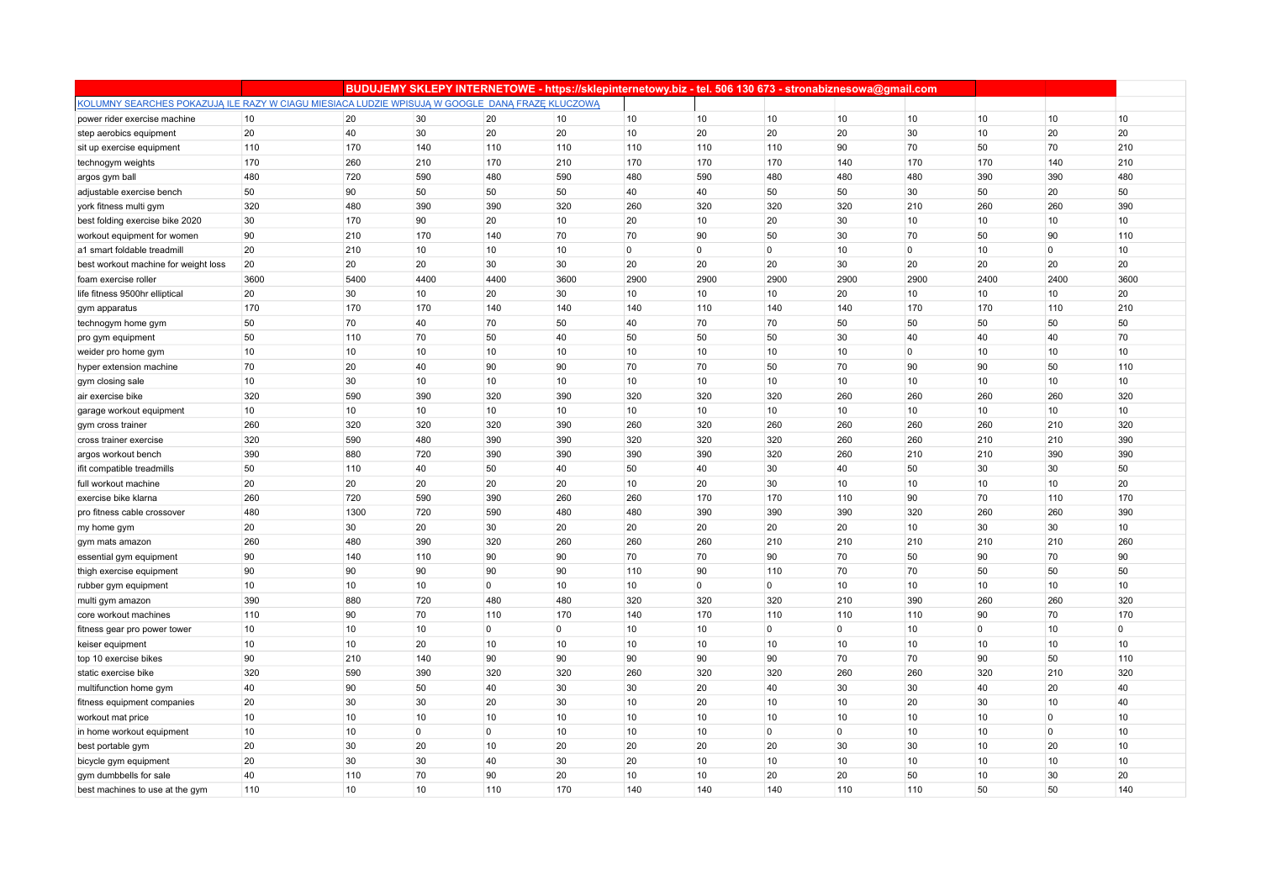|                                                                                                 |      |      |                |                | BUDUJEMY SKLEPY INTERNETOWE - https://sklepinternetowy.biz - tel. 506 130 673 - stronabiznesowa@gmail.com |                |                |                |                |                |              |              |              |
|-------------------------------------------------------------------------------------------------|------|------|----------------|----------------|-----------------------------------------------------------------------------------------------------------|----------------|----------------|----------------|----------------|----------------|--------------|--------------|--------------|
| KOLUMNY SEARCHES POKAZUJĄ ILE RAZY W CIAGU MIESIACA LUDZIE WPISUJĄ W GOOGLE DANĄ FRAZĘ KLUCZOWĄ |      |      |                |                |                                                                                                           |                |                |                |                |                |              |              |              |
| power rider exercise machine                                                                    | 10   | 20   | 30             | 20             | 10                                                                                                        | 10             | 10             | 10             | 10             | 10             | 10           | 10           | 10           |
| step aerobics equipment                                                                         | 20   | 40   | 30             | 20             | 20                                                                                                        | 10             | 20             | 20             | 20             | 30             | 10           | 20           | 20           |
| sit up exercise equipment                                                                       | 110  | 170  | 140            | 110            | 110                                                                                                       | 110            | 110            | 110            | 90             | 70             | 50           | 70           | 210          |
| technogym weights                                                                               | 170  | 260  | 210            | 170            | 210                                                                                                       | 170            | 170            | 170            | 140            | 170            | 170          | 140          | 210          |
| argos gym ball                                                                                  | 480  | 720  | 590            | 480            | 590                                                                                                       | 480            | 590            | 480            | 480            | 480            | 390          | 390          | 480          |
| adjustable exercise bench                                                                       | 50   | 90   | 50             | 50             | 50                                                                                                        | 40             | 40             | 50             | 50             | 30             | 50           | 20           | 50           |
| york fitness multi gym                                                                          | 320  | 480  | 390            | 390            | 320                                                                                                       | 260            | 320            | 320            | 320            | 210            | 260          | 260          | 390          |
| best folding exercise bike 2020                                                                 | 30   | 170  | 90             | 20             | 10                                                                                                        | 20             | 10             | 20             | 30             | 10             | 10           | 10           | 10           |
| workout equipment for women                                                                     | 90   | 210  | 170            | 140            | 70                                                                                                        | 70             | 90             | 50             | 30             | 70             | 50           | 90           | 110          |
| a1 smart foldable treadmil                                                                      | 20   | 210  | 10             | 10             | 10                                                                                                        | $\overline{0}$ | $\overline{0}$ | $\mathbf 0$    | 10             | $\overline{0}$ | 10           | $\mathbf{0}$ | 10           |
| best workout machine for weight loss                                                            | 20   | 20   | 20             | 30             | 30                                                                                                        | 20             | 20             | 20             | 30             | 20             | 20           | 20           | 20           |
| foam exercise roller                                                                            | 3600 | 5400 | 4400           | 4400           | 3600                                                                                                      | 2900           | 2900           | 2900           | 2900           | 2900           | 2400         | 2400         | 3600         |
| life fitness 9500hr elliptical                                                                  | 20   | 30   | 10             | 20             | 30                                                                                                        | 10             | 10             | 10             | 20             | 10             | 10           | 10           | 20           |
| gym apparatus                                                                                   | 170  | 170  | 170            | 140            | 140                                                                                                       | 140            | 110            | 140            | 140            | 170            | 170          | 110          | 210          |
| technogym home gym                                                                              | 50   | 70   | 40             | 70             | 50                                                                                                        | 40             | 70             | 70             | 50             | 50             | 50           | 50           | 50           |
| pro gym equipment                                                                               | 50   | 110  | 70             | 50             | 40                                                                                                        | 50             | 50             | 50             | 30             | 40             | 40           | 40           | 70           |
| weider pro home gym                                                                             | 10   | 10   | 10             | 10             | 10                                                                                                        | 10             | 10             | 10             | 10             | $\overline{0}$ | 10           | 10           | 10           |
| hyper extension machine                                                                         | 70   | 20   | 40             | 90             | 90                                                                                                        | 70             | 70             | 50             | 70             | 90             | 90           | 50           | 110          |
| gym closing sale                                                                                | 10   | 30   | 10             | 10             | 10                                                                                                        | 10             | 10             | 10             | 10             | 10             | 10           | 10           | 10           |
| air exercise bike                                                                               | 320  | 590  | 390            | 320            | 390                                                                                                       | 320            | 320            | 320            | 260            | 260            | 260          | 260          | 320          |
| garage workout equipment                                                                        | 10   | 10   | 10             | 10             | 10                                                                                                        | 10             | 10             | 10             | 10             | 10             | 10           | 10           | 10           |
| gym cross trainer                                                                               | 260  | 320  | 320            | 320            | 390                                                                                                       | 260            | 320            | 260            | 260            | 260            | 260          | 210          | 320          |
| cross trainer exercise                                                                          | 320  | 590  | 480            | 390            | 390                                                                                                       | 320            | 320            | 320            | 260            | 260            | 210          | 210          | 390          |
| argos workout bench                                                                             | 390  | 880  | 720            | 390            | 390                                                                                                       | 390            | 390            | 320            | 260            | 210            | 210          | 390          | 390          |
| ifit compatible treadmills                                                                      | 50   | 110  | 40             | 50             | 40                                                                                                        | 50             | 40             | 30             | 40             | 50             | 30           | 30           | 50           |
| full workout machine                                                                            | 20   | 20   | 20             | 20             | 20                                                                                                        | 10             | 20             | 30             | 10             | 10             | 10           | 10           | 20           |
| exercise bike klarna                                                                            | 260  | 720  | 590            | 390            | 260                                                                                                       | 260            | 170            | 170            | 110            | 90             | 70           | 110          | 170          |
| pro fitness cable crossover                                                                     | 480  | 1300 | 720            | 590            | 480                                                                                                       | 480            | 390            | 390            | 390            | 320            | 260          | 260          | 390          |
| my home gym                                                                                     | 20   | 30   | 20             | 30             | 20                                                                                                        | 20             | 20             | 20             | 20             | 10             | 30           | 30           | 10           |
| gym mats amazon                                                                                 | 260  | 480  | 390            | 320            | 260                                                                                                       | 260            | 260            | 210            | 210            | 210            | 210          | 210          | 260          |
| essential gym equipment                                                                         | 90   | 140  | 110            | 90             | 90                                                                                                        | 70             | 70             | 90             | 70             | 50             | 90           | 70           | 90           |
| thigh exercise equipment                                                                        | 90   | 90   | 90             | 90             | 90                                                                                                        | 110            | 90             | 110            | 70             | 70             | 50           | 50           | 50           |
| rubber gym equipment                                                                            | 10   | 10   | 10             | $\overline{0}$ | 10                                                                                                        | 10             | $\mathbf 0$    | $\mathbf 0$    | 10             | 10             | 10           | 10           | 10           |
| multi gym amazon                                                                                | 390  | 880  | 720            | 480            | 480                                                                                                       | 320            | 320            | 320            | 210            | 390            | 260          | 260          | 320          |
| core workout machines                                                                           | 110  | 90   | 70             | 110            | 170                                                                                                       | 140            | 170            | 110            | 110            | 110            | 90           | 70           | 170          |
| fitness gear pro power tower                                                                    | 10   | 10   | 10             | $\overline{0}$ | $\overline{0}$                                                                                            | 10             | 10             | $\mathbf 0$    | $\overline{0}$ | 10             | $\mathbf{0}$ | 10           | $\mathbf{0}$ |
| keiser equipment                                                                                | $10$ | 10   | 20             | 10             | 10                                                                                                        | 10             | 10             | 10             | 10             | 10             | 10           | 10           | 10           |
| top 10 exercise bikes                                                                           | 90   | 210  | 140            | 90             | 90                                                                                                        | 90             | 90             | 90             | 70             | 70             | 90           | 50           | 110          |
| static exercise bike                                                                            | 320  | 590  | 390            | 320            | 320                                                                                                       | 260            | 320            | 320            | 260            | 260            | 320          | 210          | 320          |
| multifunction home gym                                                                          | 40   | 90   | 50             | 40             | 30                                                                                                        | 30             | 20             | 40             | 30             | 30             | 40           | 20           | 40           |
| fitness equipment companies                                                                     | 20   | 30   | 30             | 20             | 30                                                                                                        | 10             | 20             | 10             | 10             | 20             | 30           | 10           | 40           |
| workout mat price                                                                               | 10   | 10   | 10             | 10             | 10                                                                                                        | 10             | 10             | 10             | 10             | 10             | 10           | $\mathbf{0}$ | 10           |
| in home workout equipment                                                                       | 10   | 10   | $\overline{0}$ | $\overline{0}$ | 10                                                                                                        | 10             | 10             | $\overline{0}$ | $\overline{0}$ | 10             | 10           | $\mathbf{0}$ | 10           |
| best portable gym                                                                               | 20   | 30   | 20             | 10             | 20                                                                                                        | 20             | 20             | 20             | 30             | 30             | 10           | 20           | 10           |
| bicycle gym equipment                                                                           | 20   | 30   | 30             | 40             | 30                                                                                                        | 20             | 10             | 10             | 10             | 10             | 10           | 10           | 10           |
| gym dumbbells for sale                                                                          | 40   | 110  | 70             | 90             | 20                                                                                                        | 10             | 10             | 20             | 20             | 50             | 10           | 30           | 20           |
| best machines to use at the gym                                                                 | 110  | 10   | 10             | 110            | 170                                                                                                       | 140            | 140            | 140            | 110            | 110            | 50           | 50           | 140          |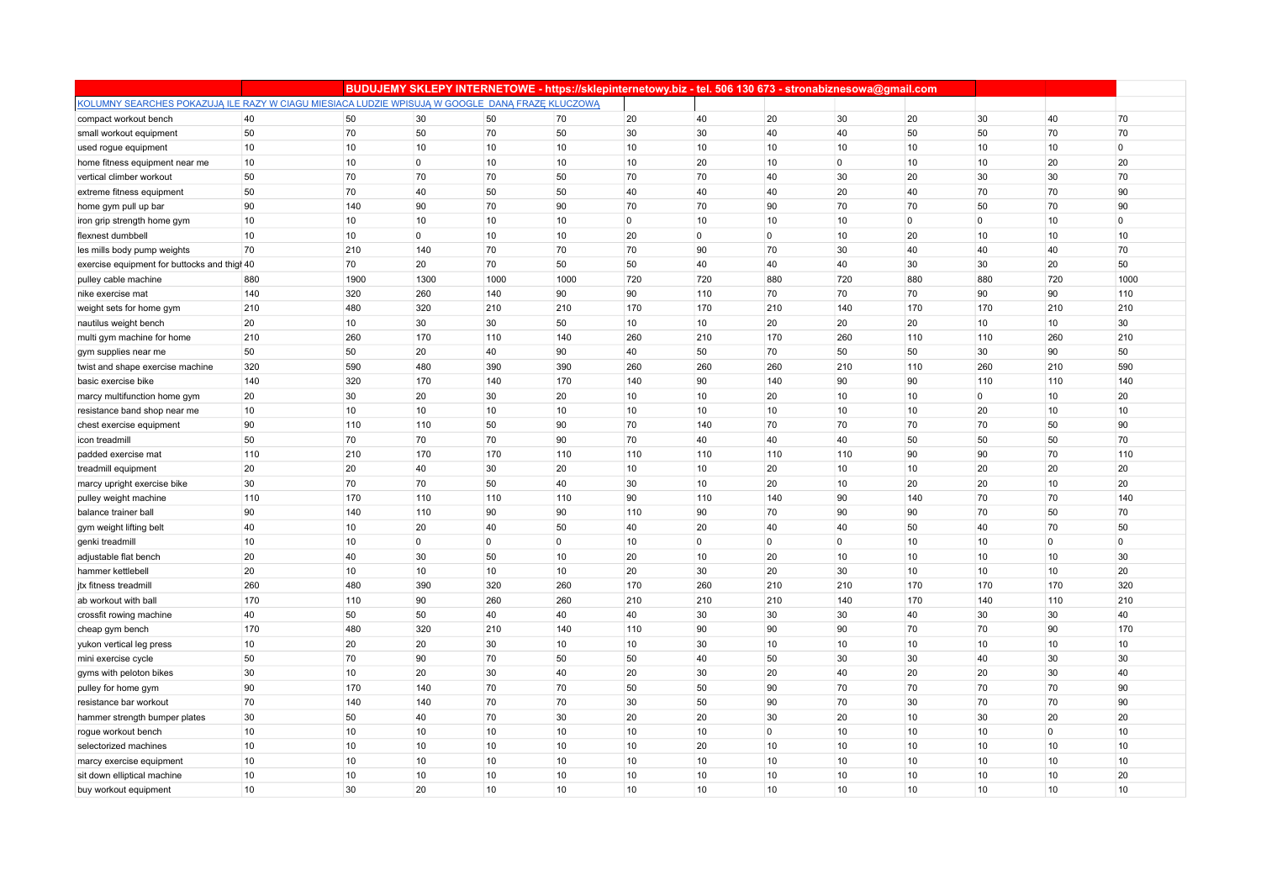|                                                                                                 |                  |      |                |                 | BUDUJEMY SKLEPY INTERNETOWE - https://sklepinternetowy.biz - tel. 506 130 673 - stronabiznesowa@gmail.com |             |                |                  |                |                |              |                |                |
|-------------------------------------------------------------------------------------------------|------------------|------|----------------|-----------------|-----------------------------------------------------------------------------------------------------------|-------------|----------------|------------------|----------------|----------------|--------------|----------------|----------------|
| KOLUMNY SEARCHES POKAZUJĄ ILE RAZY W CIAGU MIESIACA LUDZIE WPISUJĄ W GOOGLE DANĄ FRAZĘ KLUCZOWĄ |                  |      |                |                 |                                                                                                           |             |                |                  |                |                |              |                |                |
| compact workout bench                                                                           | 40               | 50   | 30             | 50              | 70                                                                                                        | 20          | 40             | 20               | 30             | 20             | 30           | 40             | 70             |
| small workout equipment                                                                         | 50               | 70   | 50             | 70              | 50                                                                                                        | 30          | 30             | 40               | 40             | 50             | 50           | 70             | 70             |
| used rogue equipment                                                                            | 10               | 10   | 10             | 10              | 10                                                                                                        | 10          | 10             | 10               | 10             | 10             | 10           | 10             | $\overline{0}$ |
| home fitness equipment near me                                                                  | 10               | 10   | 0              | 10              | 10                                                                                                        | 10          | 20             | 10               | $\overline{0}$ | 10             | 10           | 20             | 20             |
| vertical climber workout                                                                        | 50               | 70   | 70             | 70              | 50                                                                                                        | 70          | 70             | 40               | 30             | 20             | 30           | 30             | 70             |
| extreme fitness equipment                                                                       | 50               | 70   | 40             | 50              | 50                                                                                                        | 40          | 40             | 40               | 20             | 40             | 70           | 70             | 90             |
| home gym pull up bar                                                                            | 90               | 140  | 90             | 70              | 90                                                                                                        | 70          | 70             | 90               | 70             | 70             | 50           | 70             | 90             |
| iron grip strength home gym                                                                     | 10               | 10   | 10             | 10              | 10                                                                                                        | $\mathbf 0$ | 10             | 10               | 10             | $\overline{0}$ | $\mathbf{0}$ | 10             | 0              |
| flexnest dumbbell                                                                               | 10               | 10   | 0              | 10              | 10                                                                                                        | 20          | $\overline{0}$ | 0                | 10             | 20             | 10           | 10             | 10             |
| les mills body pump weights                                                                     | 70               | 210  | 140            | 70              | 70                                                                                                        | 70          | 90             | 70               | 30             | 40             | 40           | 40             | 70             |
| exercise equipment for buttocks and thigh 40                                                    |                  | 70   | 20             | 70              | 50                                                                                                        | 50          | 40             | 40               | 40             | 30             | 30           | 20             | 50             |
| pulley cable machine                                                                            | 880              | 1900 | 1300           | 1000            | 1000                                                                                                      | 720         | 720            | 880              | 720            | 880            | 880          | 720            | 1000           |
| nike exercise mat                                                                               | 140              | 320  | 260            | 140             | 90                                                                                                        | 90          | 110            | 70               | 70             | 70             | 90           | 90             | 110            |
| weight sets for home gym                                                                        | 210              | 480  | 320            | 210             | 210                                                                                                       | 170         | 170            | 210              | 140            | 170            | 170          | 210            | 210            |
| nautilus weight bench                                                                           | 20               | 10   | 30             | 30              | 50                                                                                                        | 10          | 10             | 20               | 20             | 20             | 10           | 10             | 30             |
| multi gym machine for home                                                                      | 210              | 260  | 170            | 110             | 140                                                                                                       | 260         | 210            | 170              | 260            | 110            | 110          | 260            | 210            |
| gym supplies near me                                                                            | 50               | 50   | 20             | 40              | 90                                                                                                        | 40          | 50             | 70               | 50             | 50             | 30           | 90             | 50             |
| twist and shape exercise machine                                                                | 320              | 590  | 480            | 390             | 390                                                                                                       | 260         | 260            | 260              | 210            | 110            | 260          | 210            | 590            |
| basic exercise bike                                                                             | 140              | 320  | 170            | 140             | 170                                                                                                       | 140         | 90             | 140              | 90             | 90             | 110          | 110            | 140            |
| marcy multifunction home gym                                                                    | 20               | 30   | 20             | 30              | 20                                                                                                        | 10          | 10             | 20               | 10             | 10             | $\mathbf{0}$ | 10             | 20             |
| resistance band shop near me                                                                    | 10               | 10   | 10             | 10              | 10                                                                                                        | 10          | 10             | 10               | 10             | 10             | 20           | 10             | 10             |
| chest exercise equipment                                                                        | 90               | 110  | 110            | 50              | 90                                                                                                        | 70          | 140            | 70               | 70             | 70             | 70           | 50             | 90             |
| icon treadmill                                                                                  | 50               | 70   | 70             | 70              | 90                                                                                                        | 70          | 40             | 40               | 40             | 50             | 50           | 50             | 70             |
| padded exercise mat                                                                             | 110              | 210  | 170            | 170             | 110                                                                                                       | 110         | 110            | 110              | 110            | 90             | 90           | 70             | 110            |
| treadmill equipment                                                                             | 20               | 20   | 40             | 30              | 20                                                                                                        | 10          | 10             | 20               | 10             | 10             | 20           | 20             | 20             |
| marcy upright exercise bike                                                                     | 30               | 70   | 70             | 50              | 40                                                                                                        | 30          | 10             | 20               | 10             | 20             | 20           | 10             | 20             |
| pulley weight machine                                                                           | 110              | 170  | 110            | 110             | 110                                                                                                       | 90          | 110            | 140              | 90             | 140            | 70           | 70             | 140            |
| balance trainer ball                                                                            | 90               | 140  | 110            | 90              | 90                                                                                                        | 110         | 90             | 70               | 90             | 90             | 70           | 50             | 70             |
| gym weight lifting belt                                                                         | 40               | 10   | 20             | 40              | 50                                                                                                        | 40          | 20             | 40               | 40             | 50             | 40           | 70             | 50             |
| genki treadmill                                                                                 | 10               | 10   | $\overline{0}$ | $\overline{0}$  | $\overline{0}$                                                                                            | 10          | $\overline{0}$ | $\mathbf{0}$     | $\overline{0}$ | 10             | 10           | $\overline{0}$ | $\overline{0}$ |
| adjustable flat bench                                                                           | 20               | 40   | 30             | 50              | 10                                                                                                        | 20          | 10             | 20               | 10             | 10             | 10           | 10             | 30             |
| hammer kettlebell                                                                               | 20               | 10   | 10             | 10              | 10                                                                                                        | 20          | 30             | 20               | 30             | 10             | 10           | 10             | 20             |
| jtx fitness treadmill                                                                           | 260              | 480  | 390            | 320             | 260                                                                                                       | 170         | 260            | 210              | 210            | 170            | 170          | 170            | 320            |
| ab workout with ball                                                                            | 170              | 110  | 90             | 260             | 260                                                                                                       | 210         | 210            | 210              | 140            | 170            | 140          | 110            | 210            |
| crossfit rowing machine                                                                         | 40               | 50   | 50             | 40              | 40                                                                                                        | 40          | 30             | 30               | 30             | 40             | 30           | 30             | 40             |
| cheap gym bench                                                                                 | 170              | 480  | 320            | 210             | 140                                                                                                       | 110         | 90             | 90               | 90             | 70             | 70           | 90             | 170            |
| yukon vertical leg press                                                                        | 10               | 20   | 20             | 30              | 10                                                                                                        | 10          | 30             | 10               | 10             | 10             | 10           | 10             | 10             |
| mini exercise cycle                                                                             | 50               | 70   | 90             | 70              | 50                                                                                                        | 50          | 40             | 50               | 30             | 30             | 40           | 30             | 30             |
| gyms with peloton bikes                                                                         | 30               | 10   | 20             | 30              | 40                                                                                                        | 20          | 30             | 20               | 40             | 20             | 20           | 30             | 40             |
| pulley for home gym                                                                             | 90               | 170  | 140            | 70              | 70                                                                                                        | 50          | 50             | 90               | 70             | 70             | 70           | 70             | 90             |
| resistance bar workout                                                                          | 70               | 140  | 140            | 70              | 70                                                                                                        | 30          | 50             | 90               | 70             | 30             | 70           | 70             | 90             |
| hammer strength bumper plates                                                                   | 30               | 50   | 40             | 70              | 30                                                                                                        | 20          | 20             | 30               | 20             | 10             | 30           | 20             | 20             |
| rogue workout bench                                                                             | 10               | 10   | 10             | 10              | 10                                                                                                        | 10          | 10             | 0                | 10             | 10             | 10           | $\mathbf 0$    | 10             |
| selectorized machines                                                                           | 10               | 10   | 10             | 10              | 10                                                                                                        | 10          | 20             | 10               | 10             | 10             | 10           | 10             | 10             |
| marcy exercise equipment                                                                        | 10               | 10   | 10             | 10              | 10                                                                                                        | 10          | 10             | 10               | 10             | 10             | 10           | 10             | 10             |
| sit down elliptical machine                                                                     | 10               | 10   | 10             | 10              | 10                                                                                                        | 10          | 10             | 10               | 10             | 10             | 10           | 10             | 20             |
| buy workout equipment                                                                           | 10 <sup>10</sup> | 30   | 20             | 10 <sup>1</sup> | 10                                                                                                        | 10          | 10             | 10 <sup>10</sup> | 10             | 10             | 10           | 10             | 10             |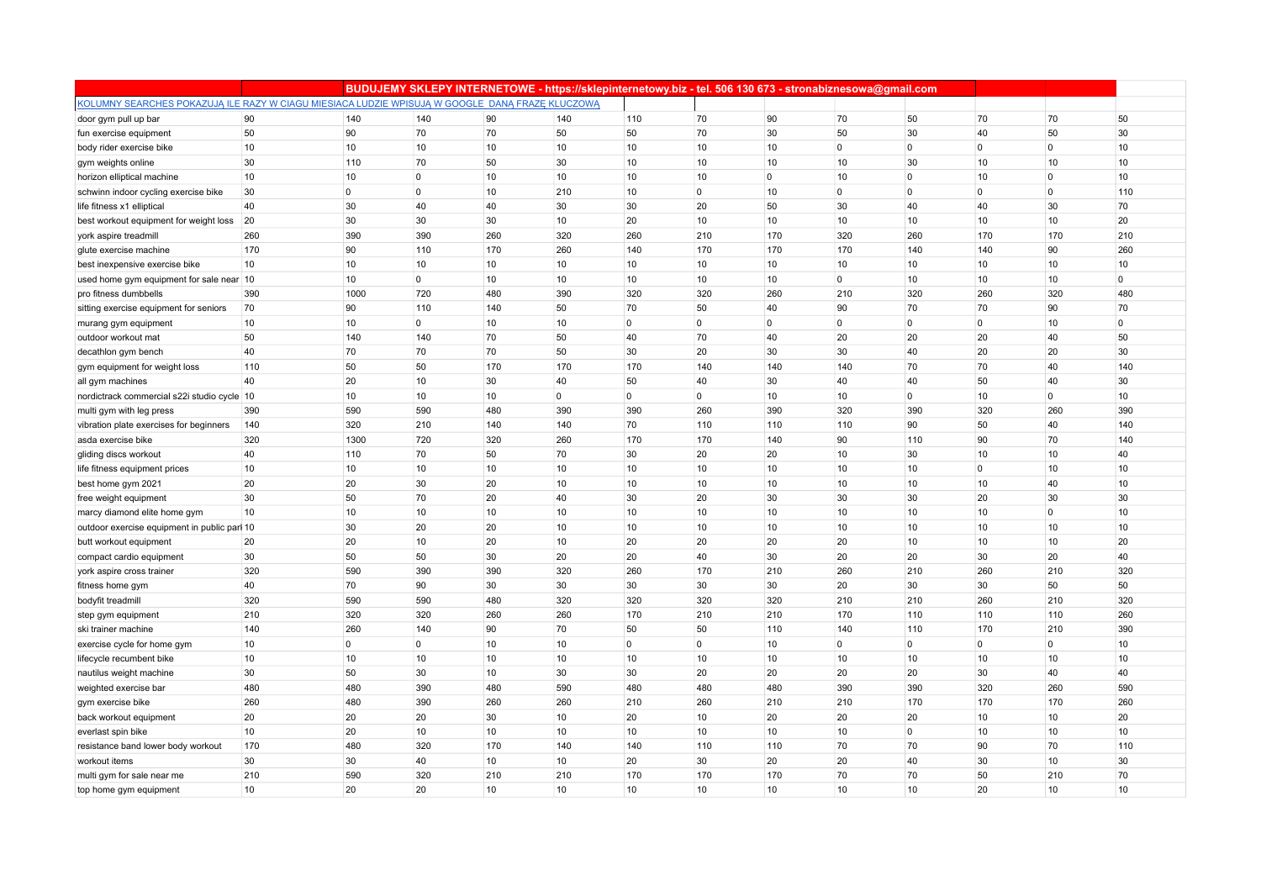|                                                                                                 |     |                | BUDUJEMY SKLEPY INTERNETOWE - https://sklepinternetowy.biz - tel. 506 130 673 - stronabiznesowa@gmail.com |                 |                |             |                |                  |                |                |              |                |             |
|-------------------------------------------------------------------------------------------------|-----|----------------|-----------------------------------------------------------------------------------------------------------|-----------------|----------------|-------------|----------------|------------------|----------------|----------------|--------------|----------------|-------------|
| KOLUMNY SEARCHES POKAZUJĄ ILE RAZY W CIAGU MIESIACA LUDZIE WPISUJĄ W GOOGLE DANĄ FRAZĘ KLUCZOWĄ |     |                |                                                                                                           |                 |                |             |                |                  |                |                |              |                |             |
| door gym pull up bar                                                                            | 90  | 140            | 140                                                                                                       | 90              | 140            | 110         | 70             | 90               | 70             | 50             | 70           | 70             | 50          |
| fun exercise equipment                                                                          | 50  | 90             | 70                                                                                                        | 70              | 50             | 50          | 70             | 30               | 50             | 30             | 40           | 50             | 30          |
| body rider exercise bike                                                                        | 10  | 10             | 10                                                                                                        | 10              | 10             | 10          | 10             | 10               | $\mathbf 0$    | $\overline{0}$ | $\mathbf{0}$ | $\mathbf 0$    | 10          |
| gym weights online                                                                              | 30  | 110            | 70                                                                                                        | 50              | 30             | 10          | 10             | 10               | 10             | 30             | 10           | 10             | 10          |
| horizon elliptical machine                                                                      | 10  | 10             | 0                                                                                                         | 10              | 10             | 10          | 10             | 0                | 10             | $\overline{0}$ | 10           | $\mathbf 0$    | 10          |
| schwinn indoor cycling exercise bike                                                            | 30  | $\circ$        | $\overline{0}$                                                                                            | 10              | 210            | 10          | $\mathbf 0$    | 10               | $\overline{0}$ | $\overline{0}$ | $\mathbf{0}$ | $\Omega$       | 110         |
| life fitness x1 elliptical                                                                      | 40  | 30             | 40                                                                                                        | 40              | 30             | 30          | 20             | 50               | 30             | 40             | 40           | 30             | 70          |
| best workout equipment for weight loss                                                          | 20  | 30             | 30                                                                                                        | 30              | 10             | 20          | 10             | 10               | 10             | 10             | 10           | 10             | 20          |
| york aspire treadmill                                                                           | 260 | 390            | 390                                                                                                       | 260             | 320            | 260         | 210            | 170              | 320            | 260            | 170          | 170            | 210         |
| glute exercise machine                                                                          | 170 | 90             | 110                                                                                                       | 170             | 260            | 140         | 170            | 170              | 170            | 140            | 140          | 90             | 260         |
| best inexpensive exercise bike                                                                  | 10  | 10             | 10                                                                                                        | 10              | 10             | 10          | 10             | 10               | 10             | 10             | 10           | 10             | 10          |
| used home gym equipment for sale near 10                                                        |     | 10             | $\mathbf 0$                                                                                               | 10              | 10             | 10          | 10             | 10               | $\mathbf{0}$   | 10             | 10           | 10             | $\mathbf 0$ |
| pro fitness dumbbells                                                                           | 390 | 1000           | 720                                                                                                       | 480             | 390            | 320         | 320            | 260              | 210            | 320            | 260          | 320            | 480         |
| sitting exercise equipment for seniors                                                          | 70  | 90             | 110                                                                                                       | 140             | 50             | 70          | 50             | 40               | 90             | 70             | 70           | 90             | 70          |
| murang gym equipment                                                                            | 10  | 10             | $\overline{0}$                                                                                            | 10              | 10             | $\mathbf 0$ | $\overline{0}$ | 0                | $\mathbf 0$    | $\overline{0}$ | $\mathbf{0}$ | 10             | $\mathbf 0$ |
| outdoor workout mat                                                                             | 50  | 140            | 140                                                                                                       | 70              | 50             | 40          | 70             | 40               | 20             | 20             | 20           | 40             | 50          |
| decathlon gym bench                                                                             | 40  | 70             | 70                                                                                                        | 70              | 50             | 30          | 20             | 30               | 30             | 40             | 20           | 20             | 30          |
| gym equipment for weight loss                                                                   | 110 | 50             | 50                                                                                                        | 170             | 170            | 170         | 140            | 140              | 140            | 70             | 70           | 40             | 140         |
| all gym machines                                                                                | 40  | 20             | 10                                                                                                        | 30              | 40             | 50          | 40             | 30               | 40             | 40             | 50           | 40             | 30          |
| nordictrack commercial s22i studio cycle 10                                                     |     | 10             | 10                                                                                                        | 10              | $\overline{0}$ | $\mathbf 0$ | $\overline{0}$ | 10               | 10             | $\overline{0}$ | 10           | $\overline{0}$ | 10          |
| multi gym with leg press                                                                        | 390 | 590            | 590                                                                                                       | 480             | 390            | 390         | 260            | 390              | 320            | 390            | 320          | 260            | 390         |
| vibration plate exercises for beginners                                                         | 140 | 320            | 210                                                                                                       | 140             | 140            | 70          | 110            | 110              | 110            | 90             | 50           | 40             | 140         |
| asda exercise bike                                                                              | 320 | 1300           | 720                                                                                                       | 320             | 260            | 170         | 170            | 140              | 90             | 110            | 90           | 70             | 140         |
| gliding discs workout                                                                           | 40  | 110            | 70                                                                                                        | 50              | 70             | 30          | 20             | 20               | 10             | 30             | 10           | 10             | 40          |
| life fitness equipment prices                                                                   | 10  | 10             | 10                                                                                                        | 10              | 10             | 10          | 10             | 10               | 10             | 10             | $\mathbf{0}$ | 10             | 10          |
| best home gym 2021                                                                              | 20  | 20             | 30                                                                                                        | 20              | 10             | 10          | 10             | 10               | 10             | 10             | 10           | 40             | 10          |
| free weight equipment                                                                           | 30  | 50             | 70                                                                                                        | 20              | 40             | 30          | 20             | 30               | 30             | 30             | 20           | 30             | 30          |
| marcy diamond elite home gym                                                                    | 10  | 10             | 10                                                                                                        | 10              | 10             | 10          | 10             | 10               | 10             | 10             | 10           | $\overline{0}$ | 10          |
| outdoor exercise equipment in public parl 10                                                    |     | 30             | 20                                                                                                        | 20              | 10             | 10          | 10             | 10               | 10             | 10             | 10           | 10             | 10          |
| butt workout equipment                                                                          | 20  | 20             | 10                                                                                                        | 20              | 10             | 20          | 20             | 20               | 20             | 10             | 10           | 10             | 20          |
| compact cardio equipment                                                                        | 30  | 50             | 50                                                                                                        | 30              | 20             | 20          | 40             | 30               | 20             | 20             | 30           | 20             | 40          |
| york aspire cross trainer                                                                       | 320 | 590            | 390                                                                                                       | 390             | 320            | 260         | 170            | 210              | 260            | 210            | 260          | 210            | 320         |
| fitness home gym                                                                                | 40  | 70             | 90                                                                                                        | 30              | 30             | 30          | 30             | 30               | 20             | 30             | 30           | 50             | 50          |
| bodyfit treadmill                                                                               | 320 | 590            | 590                                                                                                       | 480             | 320            | 320         | 320            | 320              | 210            | 210            | 260          | 210            | 320         |
| step gym equipment                                                                              | 210 | 320            | 320                                                                                                       | 260             | 260            | 170         | 210            | 210              | 170            | 110            | 110          | 110            | 260         |
| ski trainer machine                                                                             | 140 | 260            | 140                                                                                                       | 90              | 70             | 50          | 50             | 110              | 140            | 110            | 170          | 210            | 390         |
| exercise cycle for home gym                                                                     | 10  | $\overline{0}$ | 0                                                                                                         | 10              | 10             | $\mathbf 0$ | $\overline{0}$ | 10               | $\mathbf{0}$   | $\overline{0}$ | $\mathbf{0}$ | $\mathbf 0$    | 10          |
| lifecycle recumbent bike                                                                        | 10  | 10             | 10                                                                                                        | 10              | 10             | 10          | 10             | 10               | 10             | 10             | 10           | 10             | 10          |
| nautilus weight machine                                                                         | 30  | 50             | 30                                                                                                        | 10              | 30             | 30          | 20             | 20               | 20             | 20             | 30           | 40             | 40          |
| weighted exercise bar                                                                           | 480 | 480            | 390                                                                                                       | 480             | 590            | 480         | 480            | 480              | 390            | 390            | 320          | 260            | 590         |
| gym exercise bike                                                                               | 260 | 480            | 390                                                                                                       | 260             | 260            | 210         | 260            | 210              | 210            | 170            | 170          | 170            | 260         |
| back workout equipment                                                                          | 20  | 20             | 20                                                                                                        | 30              | 10             | 20          | 10             | 20               | 20             | 20             | 10           | 10             | 20          |
| everlast spin bike                                                                              | 10  | 20             | 10                                                                                                        | 10              | 10             | 10          | 10             | 10               | 10             | $\overline{0}$ | 10           | 10             | 10          |
| resistance band lower body workout                                                              | 170 | 480            | 320                                                                                                       | 170             | 140            | 140         | 110            | 110              | 70             | 70             | 90           | 70             | 110         |
| workout items                                                                                   | 30  | 30             | 40                                                                                                        | 10              | 10             | 20          | 30             | 20               | 20             | 40             | 30           | 10             | 30          |
| multi gym for sale near me                                                                      | 210 | 590            | 320                                                                                                       | 210             | 210            | 170         | 170            | 170              | 70             | 70             | 50           | 210            | 70          |
| top home gym equipment                                                                          | 10  | 20             | 20                                                                                                        | 10 <sup>1</sup> | 10             | 10          | 10             | 10 <sup>10</sup> | 10             | 10             | 20           | 10             | 10          |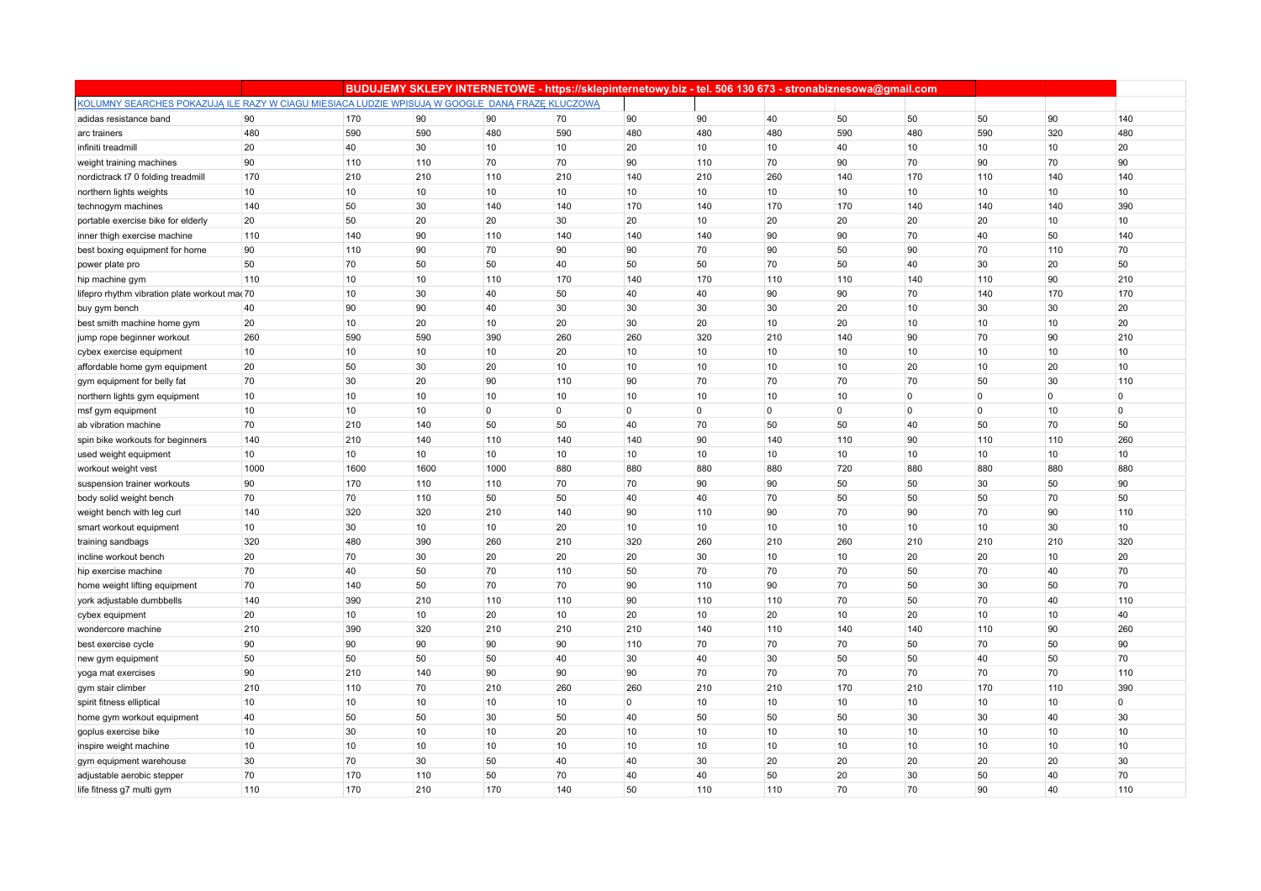|                                                                                                 |      |      | BUDUJEMY SKLEPY INTERNETOWE - https://sklepinternetowy.biz - tel. 506 130 673 - stronabiznesowa@gmail.com |                |                |             |                |     |                |                |              |             |     |
|-------------------------------------------------------------------------------------------------|------|------|-----------------------------------------------------------------------------------------------------------|----------------|----------------|-------------|----------------|-----|----------------|----------------|--------------|-------------|-----|
| KOLUMNY SEARCHES POKAZUJĄ ILE RAZY W CIAGU MIESIACA LUDZIE WPISUJĄ W GOOGLE DANĄ FRAZE KLUCZOWĄ |      |      |                                                                                                           |                |                |             |                |     |                |                |              |             |     |
| adidas resistance band                                                                          | 90   | 170  | 90                                                                                                        | 90             | 70             | 90          | 90             | 40  | 50             | 50             | 50           | 90          | 140 |
| arc trainers                                                                                    | 480  | 590  | 590                                                                                                       | 480            | 590            | 480         | 480            | 480 | 590            | 480            | 590          | 320         | 480 |
| infiniti treadmill                                                                              | 20   | 40   | 30                                                                                                        | 10             | 10             | 20          | 10             | 10  | 40             | 10             | 10           | 10          | 20  |
| weight training machines                                                                        | 90   | 110  | 110                                                                                                       | 70             | 70             | 90          | 110            | 70  | 90             | 70             | 90           | 70          | 90  |
| nordictrack t7 0 folding treadmill                                                              | 170  | 210  | 210                                                                                                       | 110            | 210            | 140         | 210            | 260 | 140            | 170            | 110          | 140         | 140 |
| northern lights weights                                                                         | 10   | 10   | 10                                                                                                        | 10             | 10             | 10          | 10             | 10  | 10             | 10             | 10           | 10          | 10  |
| technogym machines                                                                              | 140  | 50   | 30                                                                                                        | 140            | 140            | 170         | 140            | 170 | 170            | 140            | 140          | 140         | 390 |
| portable exercise bike for elderly                                                              | 20   | 50   | 20                                                                                                        | 20             | 30             | 20          | 10             | 20  | 20             | 20             | 20           | 10          | 10  |
| inner thigh exercise machine                                                                    | 110  | 140  | 90                                                                                                        | 110            | 140            | 140         | 140            | 90  | 90             | 70             | 40           | 50          | 140 |
| best boxing equipment for home                                                                  | 90   | 110  | 90                                                                                                        | 70             | 90             | 90          | 70             | 90  | 50             | 90             | 70           | 110         | 70  |
| power plate pro                                                                                 | 50   | 70   | 50                                                                                                        | 50             | 40             | 50          | 50             | 70  | 50             | 40             | 30           | 20          | 50  |
| hip machine gym                                                                                 | 110  | 10   | 10                                                                                                        | 110            | 170            | 140         | 170            | 110 | 110            | 140            | 110          | 90          | 210 |
| lifepro rhythm vibration plate workout ma 70                                                    |      | 10   | 30                                                                                                        | 40             | 50             | 40          | 40             | 90  | 90             | 70             | 140          | 170         | 170 |
| buy gym bench                                                                                   | 40   | 90   | 90                                                                                                        | 40             | 30             | 30          | 30             | 30  | 20             | 10             | 30           | 30          | 20  |
| best smith machine home gym                                                                     | 20   | 10   | 20                                                                                                        | 10             | 20             | 30          | 20             | 10  | 20             | 10             | 10           | 10          | 20  |
| jump rope beginner workout                                                                      | 260  | 590  | 590                                                                                                       | 390            | 260            | 260         | 320            | 210 | 140            | 90             | 70           | 90          | 210 |
| cybex exercise equipment                                                                        | 10   | 10   | 10                                                                                                        | 10             | 20             | 10          | 10             | 10  | 10             | 10             | 10           | 10          | 10  |
| affordable home gym equipment                                                                   | 20   | 50   | 30                                                                                                        | 20             | 10             | 10          | 10             | 10  | 10             | 20             | 10           | 20          | 10  |
| gym equipment for belly fat                                                                     | 70   | 30   | 20                                                                                                        | 90             | 110            | 90          | 70             | 70  | 70             | 70             | 50           | 30          | 110 |
| northern lights gym equipment                                                                   | 10   | 10   | 10                                                                                                        | 10             | 10             | 10          | 10             | 10  | 10             | $\overline{0}$ | $\mathbf{0}$ | $\mathbf 0$ | 0   |
| msf gym equipment                                                                               | 10   | 10   | 10                                                                                                        | $\overline{0}$ | $\overline{0}$ | $\mathbf 0$ | $\overline{0}$ | 0   | $\overline{0}$ | $\overline{0}$ | $\mathbf{0}$ | 10          | 0   |
| ab vibration machine                                                                            | 70   | 210  | 140                                                                                                       | 50             | 50             | 40          | 70             | 50  | 50             | 40             | 50           | 70          | 50  |
| spin bike workouts for beginners                                                                | 140  | 210  | 140                                                                                                       | 110            | 140            | 140         | 90             | 140 | 110            | 90             | 110          | 110         | 260 |
| used weight equipment                                                                           | 10   | 10   | 10                                                                                                        | 10             | 10             | 10          | 10             | 10  | 10             | 10             | 10           | 10          | 10  |
| workout weight vest                                                                             | 1000 | 1600 | 1600                                                                                                      | 1000           | 880            | 880         | 880            | 880 | 720            | 880            | 880          | 880         | 880 |
| suspension trainer workouts                                                                     | 90   | 170  | 110                                                                                                       | 110            | 70             | 70          | 90             | 90  | 50             | 50             | 30           | 50          | 90  |
| body solid weight bench                                                                         | 70   | 70   | 110                                                                                                       | 50             | 50             | 40          | 40             | 70  | 50             | 50             | 50           | 70          | 50  |
| weight bench with leg curl                                                                      | 140  | 320  | 320                                                                                                       | 210            | 140            | 90          | 110            | 90  | 70             | 90             | 70           | 90          | 110 |
| smart workout equipment                                                                         | 10   | 30   | 10                                                                                                        | 10             | 20             | 10          | 10             | 10  | 10             | 10             | 10           | 30          | 10  |
| training sandbags                                                                               | 320  | 480  | 390                                                                                                       | 260            | 210            | 320         | 260            | 210 | 260            | 210            | 210          | 210         | 320 |
| incline workout bench                                                                           | 20   | 70   | 30                                                                                                        | 20             | 20             | 20          | 30             | 10  | 10             | 20             | 20           | 10          | 20  |
| hip exercise machine                                                                            | 70   | 40   | 50                                                                                                        | 70             | 110            | 50          | 70             | 70  | 70             | 50             | 70           | 40          | 70  |
| home weight lifting equipment                                                                   | 70   | 140  | 50                                                                                                        | 70             | 70             | 90          | 110            | 90  | 70             | 50             | 30           | 50          | 70  |
| york adjustable dumbbells                                                                       | 140  | 390  | 210                                                                                                       | 110            | 110            | 90          | 110            | 110 | 70             | 50             | 70           | 40          | 110 |
| cybex equipment                                                                                 | 20   | 10   | 10                                                                                                        | 20             | 10             | 20          | 10             | 20  | 10             | 20             | 10           | 10          | 40  |
| wondercore machine                                                                              | 210  | 390  | 320                                                                                                       | 210            | 210            | 210         | 140            | 110 | 140            | 140            | 110          | 90          | 260 |
| best exercise cycle                                                                             | 90   | 90   | 90                                                                                                        | 90             | 90             | 110         | 70             | 70  | 70             | 50             | 70           | 50          | 90  |
| new gym equipment                                                                               | 50   | 50   | 50                                                                                                        | 50             | 40             | 30          | 40             | 30  | 50             | 50             | 40           | 50          | 70  |
| yoga mat exercises                                                                              | 90   | 210  | 140                                                                                                       | 90             | 90             | 90          | 70             | 70  | 70             | 70             | 70           | 70          | 110 |
| gym stair climber                                                                               | 210  | 110  | 70                                                                                                        | 210            | 260            | 260         | 210            | 210 | 170            | 210            | 170          | 110         | 390 |
| spirit fitness elliptical                                                                       | 10   | 10   | 10                                                                                                        | 10             | 10             | $\mathbf 0$ | 10             | 10  | 10             | 10             | 10           | 10          | 0   |
| home gym workout equipment                                                                      | 40   | 50   | 50                                                                                                        | 30             | 50             | 40          | 50             | 50  | 50             | 30             | 30           | 40          | 30  |
| goplus exercise bike                                                                            | 10   | 30   | 10                                                                                                        | 10             | 20             | 10          | 10             | 10  | 10             | 10             | 10           | 10          | 10  |
| inspire weight machine                                                                          | 10   | 10   | 10                                                                                                        | 10             | 10             | 10          | 10             | 10  | 10             | 10             | 10           | 10          | 10  |
| gym equipment warehouse                                                                         | 30   | 70   | 30                                                                                                        | 50             | 40             | 40          | 30             | 20  | 20             | 20             | 20           | 20          | 30  |
| adjustable aerobic stepper                                                                      | 70   | 170  | 110                                                                                                       | 50             | 70             | 40          | 40             | 50  | 20             | 30             | 50           | 40          | 70  |
| life fitness g7 multi gym                                                                       | 110  | 170  | 210                                                                                                       | 170            | 140            | 50          | 110            | 110 | 70             | 70             | 90           | 40          | 110 |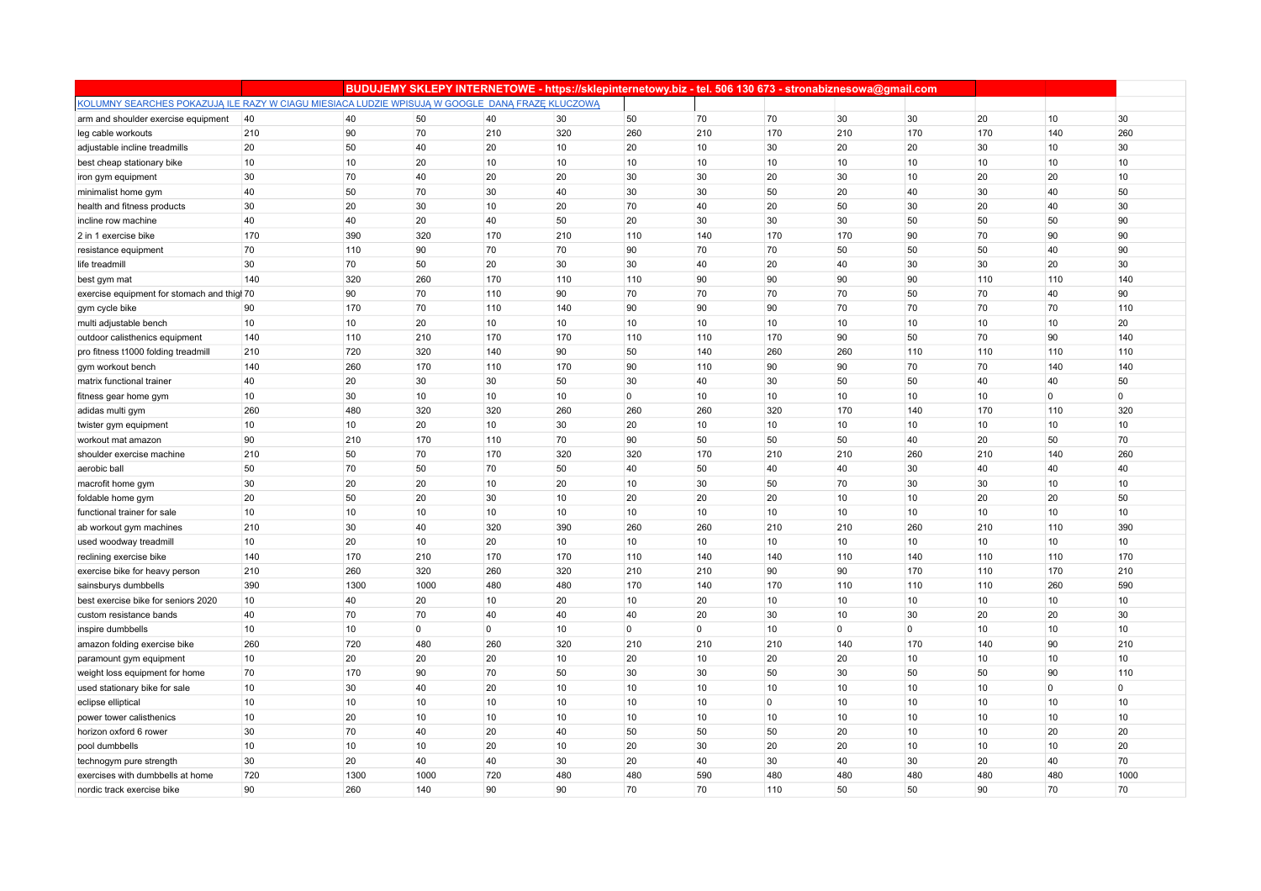|                                                                                                 |     |      |             |                 |     |                |                |             | BUDUJEMY SKLEPY INTERNETOWE - https://sklepinternetowy.biz - tel. 506 130 673 - stronabiznesowa@gmail.com |                 |     |                |             |
|-------------------------------------------------------------------------------------------------|-----|------|-------------|-----------------|-----|----------------|----------------|-------------|-----------------------------------------------------------------------------------------------------------|-----------------|-----|----------------|-------------|
| KOLUMNY SEARCHES POKAZUJĄ ILE RAZY W CIAGU MIESIACA LUDZIE WPISUJĄ W GOOGLE DANĄ FRAZĘ KLUCZOWĄ |     |      |             |                 |     |                |                |             |                                                                                                           |                 |     |                |             |
| arm and shoulder exercise equipment                                                             | 40  | 40   | 50          | 40              | 30  | 50             | 70             | 70          | 30                                                                                                        | 30              | 20  | 10             | 30          |
| leg cable workouts                                                                              | 210 | 90   | 70          | 210             | 320 | 260            | 210            | 170         | 210                                                                                                       | 170             | 170 | 140            | 260         |
| adjustable incline treadmills                                                                   | 20  | 50   | 40          | 20              | 10  | 20             | 10             | 30          | 20                                                                                                        | 20              | 30  | 10             | 30          |
| best cheap stationary bike                                                                      | 10  | 10   | 20          | 10              | 10  | 10             | 10             | 10          | 10                                                                                                        | 10              | 10  | 10             | 10          |
| iron gym equipment                                                                              | 30  | 70   | 40          | 20              | 20  | 30             | 30             | 20          | 30                                                                                                        | 10              | 20  | 20             | 10          |
| minimalist home gym                                                                             | 40  | 50   | 70          | 30              | 40  | 30             | 30             | 50          | 20                                                                                                        | 40              | 30  | 40             | 50          |
| health and fitness products                                                                     | 30  | 20   | 30          | 10              | 20  | 70             | 40             | 20          | 50                                                                                                        | 30              | 20  | 40             | 30          |
| incline row machine                                                                             | 40  | 40   | 20          | 40              | 50  | 20             | 30             | 30          | 30                                                                                                        | 50              | 50  | 50             | 90          |
| 2 in 1 exercise bike                                                                            | 170 | 390  | 320         | 170             | 210 | 110            | 140            | 170         | 170                                                                                                       | 90              | 70  | 90             | 90          |
| resistance equipment                                                                            | 70  | 110  | 90          | 70              | 70  | 90             | 70             | 70          | 50                                                                                                        | 50              | 50  | 40             | 90          |
| life treadmill                                                                                  | 30  | 70   | 50          | 20              | 30  | 30             | 40             | 20          | 40                                                                                                        | 30              | 30  | 20             | 30          |
| best gym mat                                                                                    | 140 | 320  | 260         | 170             | 110 | 110            | 90             | 90          | 90                                                                                                        | 90              | 110 | 110            | 140         |
| exercise equipment for stomach and thigh 70                                                     |     | 90   | 70          | 110             | 90  | 70             | 70             | 70          | 70                                                                                                        | 50              | 70  | 40             | 90          |
| gym cycle bike                                                                                  | 90  | 170  | 70          | 110             | 140 | 90             | 90             | 90          | 70                                                                                                        | 70              | 70  | 70             | 110         |
| multi adjustable bench                                                                          | 10  | 10   | 20          | 10 <sup>1</sup> | 10  | 10             | 10             | 10          | 10                                                                                                        | 10 <sup>1</sup> | 10  | 10             | 20          |
| outdoor calisthenics equipment                                                                  | 140 | 110  | 210         | 170             | 170 | 110            | 110            | 170         | 90                                                                                                        | 50              | 70  | 90             | 140         |
| pro fitness t1000 folding treadmill                                                             | 210 | 720  | 320         | 140             | 90  | 50             | 140            | 260         | 260                                                                                                       | 110             | 110 | 110            | 110         |
| gym workout bench                                                                               | 140 | 260  | 170         | 110             | 170 | 90             | 110            | 90          | 90                                                                                                        | 70              | 70  | 140            | 140         |
| matrix functional trainer                                                                       | 40  | 20   | 30          | 30              | 50  | 30             | 40             | 30          | 50                                                                                                        | 50              | 40  | 40             | 50          |
| fitness gear home gym                                                                           | 10  | 30   | 10          | 10              | 10  | $\overline{0}$ | 10             | 10          | 10                                                                                                        | 10              | 10  | $\Omega$       | $\mathbf 0$ |
| adidas multi gym                                                                                | 260 | 480  | 320         | 320             | 260 | 260            | 260            | 320         | 170                                                                                                       | 140             | 170 | 110            | 320         |
| twister gym equipment                                                                           | 10  | 10   | 20          | 10              | 30  | 20             | 10             | 10          | 10                                                                                                        | 10              | 10  | 10             | 10          |
| workout mat amazon                                                                              | 90  | 210  | 170         | 110             | 70  | 90             | 50             | 50          | 50                                                                                                        | 40              | 20  | 50             | 70          |
| shoulder exercise machine                                                                       | 210 | 50   | 70          | 170             | 320 | 320            | 170            | 210         | 210                                                                                                       | 260             | 210 | 140            | 260         |
| aerobic ball                                                                                    | 50  | 70   | 50          | 70              | 50  | 40             | 50             | 40          | 40                                                                                                        | 30              | 40  | 40             | 40          |
| macrofit home gym                                                                               | 30  | 20   | 20          | 10              | 20  | 10             | 30             | 50          | 70                                                                                                        | 30              | 30  | 10             | 10          |
| foldable home gym                                                                               | 20  | 50   | 20          | 30              | 10  | 20             | 20             | 20          | 10                                                                                                        | 10              | 20  | 20             | 50          |
| functional trainer for sale                                                                     | 10  | 10   | 10          | 10              | 10  | 10             | 10             | 10          | 10                                                                                                        | 10              | 10  | 10             | 10          |
| ab workout gym machines                                                                         | 210 | 30   | 40          | 320             | 390 | 260            | 260            | 210         | 210                                                                                                       | 260             | 210 | 110            | 390         |
| used woodway treadmill                                                                          | 10  | 20   | 10          | 20              | 10  | 10             | 10             | 10          | 10                                                                                                        | 10              | 10  | 10             | 10          |
| reclining exercise bike                                                                         | 140 | 170  | 210         | 170             | 170 | 110            | 140            | 140         | 110                                                                                                       | 140             | 110 | 110            | 170         |
| exercise bike for heavy person                                                                  | 210 | 260  | 320         | 260             | 320 | 210            | 210            | 90          | 90                                                                                                        | 170             | 110 | 170            | 210         |
| sainsburys dumbbells                                                                            | 390 | 1300 | 1000        | 480             | 480 | 170            | 140            | 170         | 110                                                                                                       | 110             | 110 | 260            | 590         |
| best exercise bike for seniors 2020                                                             | 10  | 40   | 20          | 10              | 20  | 10             | 20             | 10          | 10                                                                                                        | 10              | 10  | 10             | 10          |
| custom resistance bands                                                                         | 40  | 70   | 70          | 40              | 40  | 40             | 20             | 30          | 10                                                                                                        | 30              | 20  | 20             | 30          |
| inspire dumbbells                                                                               | 10  | 10   | $\mathbf 0$ | $\overline{0}$  | 10  | $\overline{0}$ | $\overline{0}$ | 10          | $\overline{0}$                                                                                            | $\overline{0}$  | 10  | 10             | 10          |
| amazon folding exercise bike                                                                    | 260 | 720  | 480         | 260             | 320 | 210            | 210            | 210         | 140                                                                                                       | 170             | 140 | 90             | 210         |
| paramount gym equipment                                                                         | 10  | 20   | 20          | 20              | 10  | 20             | 10             | 20          | 20                                                                                                        | 10              | 10  | 10             | 10          |
| weight loss equipment for home                                                                  | 70  | 170  | 90          | 70              | 50  | 30             | 30             | 50          | 30                                                                                                        | 50              | 50  | 90             | 110         |
| used stationary bike for sale                                                                   | 10  | 30   | 40          | 20              | 10  | 10             | 10             | 10          | 10                                                                                                        | 10              | 10  | $\overline{0}$ | $\mathbf 0$ |
| eclipse elliptical                                                                              | 10  | 10   | 10          | 10              | 10  | 10             | 10             | $\mathbf 0$ | 10                                                                                                        | 10              | 10  | 10             | 10          |
| power tower calisthenics                                                                        | 10  | 20   | 10          | 10              | 10  | 10             | 10             | 10          | 10                                                                                                        | 10              | 10  | 10             | 10          |
| horizon oxford 6 rower                                                                          | 30  | 70   | 40          | 20              | 40  | 50             | 50             | 50          | 20                                                                                                        | 10              | 10  | 20             | 20          |
| pool dumbbells                                                                                  | 10  | 10   | 10          | 20              | 10  | 20             | 30             | 20          | 20                                                                                                        | 10              | 10  | 10             | 20          |
| technogym pure strength                                                                         | 30  | 20   | 40          | 40              | 30  | 20             | 40             | 30          | 40                                                                                                        | 30              | 20  | 40             | 70          |
| exercises with dumbbells at home                                                                | 720 | 1300 | 1000        | 720             | 480 | 480            | 590            | 480         | 480                                                                                                       | 480             | 480 | 480            | 1000        |
| nordic track exercise bike                                                                      | 90  | 260  | 140         | 90              | 90  | 70             | 70             | 110         | 50                                                                                                        | 50              | 90  | 70             | 70          |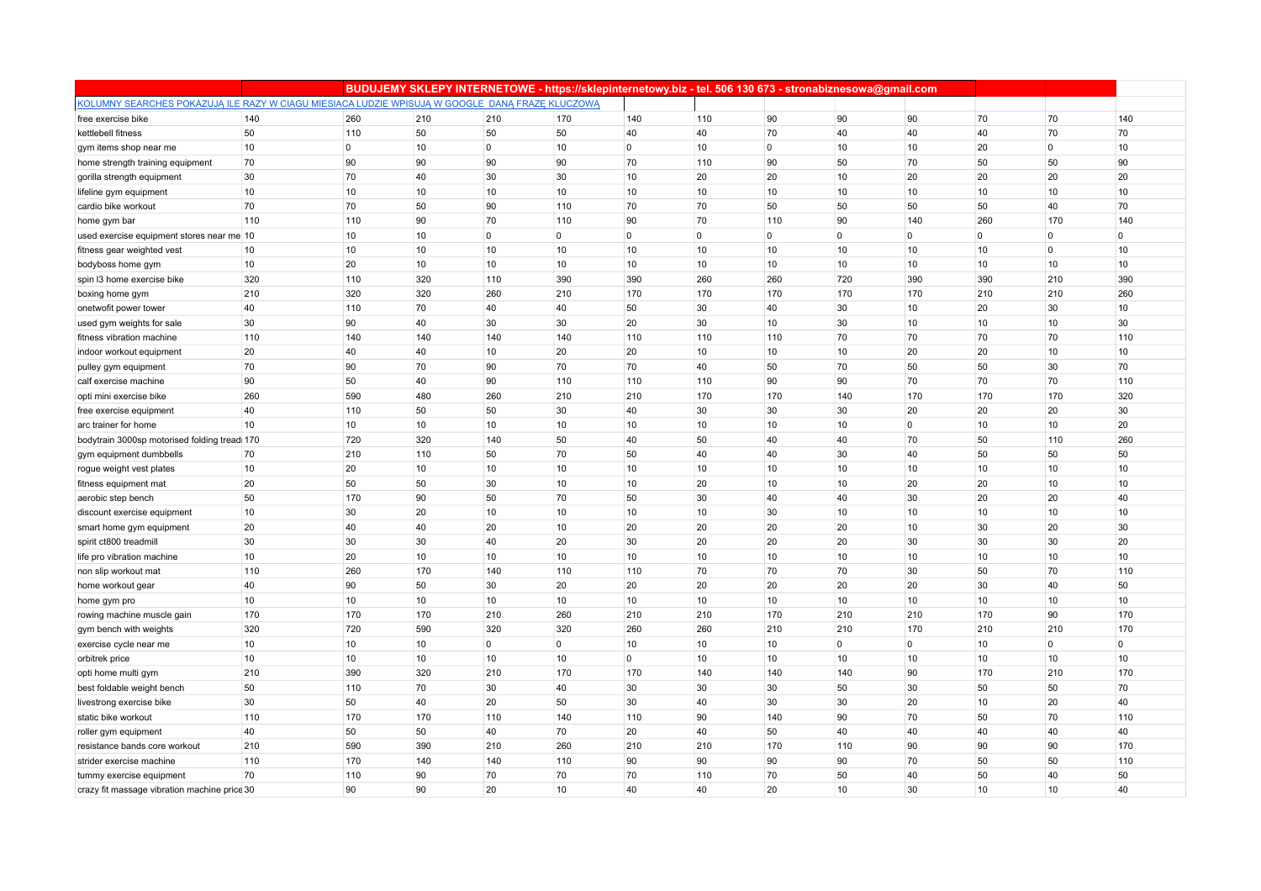|                                                                                                 |     |                |     |                |                |                | BUDUJEMY SKLEPY INTERNETOWE - https://sklepinternetowy.biz - tel. 506 130 673 - stronabiznesowa@gmail.com |             |                |                |              |                |                |
|-------------------------------------------------------------------------------------------------|-----|----------------|-----|----------------|----------------|----------------|-----------------------------------------------------------------------------------------------------------|-------------|----------------|----------------|--------------|----------------|----------------|
| KOLUMNY SEARCHES POKAZUJĄ ILE RAZY W CIAGU MIESIACA LUDZIE WPISUJĄ W GOOGLE DANĄ FRAZĘ KLUCZOWĄ |     |                |     |                |                |                |                                                                                                           |             |                |                |              |                |                |
| free exercise bike                                                                              | 140 | 260            | 210 | 210            | 170            | 140            | 110                                                                                                       | 90          | 90             | 90             | 70           | 70             | 140            |
| kettlebell fitness                                                                              | 50  | 110            | 50  | 50             | 50             | 40             | 40                                                                                                        | 70          | 40             | 40             | 40           | 70             | 70             |
| gym items shop near me                                                                          | 10  | $\overline{0}$ | 10  | $\mathbf 0$    | 10             | $\overline{0}$ | 10                                                                                                        | $\mathbf 0$ | 10             | 10             | 20           | $\mathbf 0$    | 10             |
| home strength training equipment                                                                | 70  | 90             | 90  | 90             | 90             | 70             | 110                                                                                                       | 90          | 50             | 70             | 50           | 50             | 90             |
| gorilla strength equipment                                                                      | 30  | 70             | 40  | 30             | 30             | 10             | 20                                                                                                        | 20          | 10             | 20             | 20           | 20             | 20             |
| lifeline gym equipment                                                                          | 10  | 10             | 10  | 10             | 10             | 10             | 10                                                                                                        | 10          | 10             | 10             | 10           | 10             | 10             |
| cardio bike workout                                                                             | 70  | 70             | 50  | 90             | 110            | 70             | 70                                                                                                        | 50          | 50             | 50             | 50           | 40             | 70             |
| home gym bar                                                                                    | 110 | 110            | 90  | 70             | 110            | 90             | 70                                                                                                        | 110         | 90             | 140            | 260          | 170            | 140            |
| used exercise equipment stores near me 10                                                       |     | 10             | 10  | $\overline{0}$ | $\overline{0}$ | $\overline{0}$ | $\overline{0}$                                                                                            | 0           | $\overline{0}$ | $\overline{0}$ | $\mathbf{0}$ | $\overline{0}$ | $\overline{0}$ |
| fitness gear weighted vest                                                                      | 10  | 10             | 10  | 10             | 10             | 10             | 10                                                                                                        | 10          | 10             | 10             | 10           | $\overline{0}$ | 10             |
| bodyboss home gym                                                                               | 10  | 20             | 10  | 10             | 10             | 10             | 10                                                                                                        | 10          | 10             | 10             | 10           | 10             | 10             |
| spin I3 home exercise bike                                                                      | 320 | 110            | 320 | 110            | 390            | 390            | 260                                                                                                       | 260         | 720            | 390            | 390          | 210            | 390            |
| boxing home gym                                                                                 | 210 | 320            | 320 | 260            | 210            | 170            | 170                                                                                                       | 170         | 170            | 170            | 210          | 210            | 260            |
| onetwofit power tower                                                                           | 40  | 110            | 70  | 40             | 40             | 50             | 30                                                                                                        | 40          | 30             | 10             | 20           | 30             | 10             |
| used gym weights for sale                                                                       | 30  | 90             | 40  | 30             | 30             | 20             | 30                                                                                                        | 10          | 30             | 10             | 10           | 10             | 30             |
| fitness vibration machine                                                                       | 110 | 140            | 140 | 140            | 140            | 110            | 110                                                                                                       | 110         | 70             | 70             | 70           | 70             | 110            |
| indoor workout equipment                                                                        | 20  | 40             | 40  | 10             | 20             | 20             | 10                                                                                                        | 10          | 10             | 20             | 20           | 10             | 10             |
| pulley gym equipment                                                                            | 70  | 90             | 70  | 90             | 70             | 70             | 40                                                                                                        | 50          | 70             | 50             | 50           | 30             | 70             |
| calf exercise machine                                                                           | 90  | 50             | 40  | 90             | 110            | 110            | 110                                                                                                       | 90          | 90             | 70             | 70           | 70             | 110            |
| opti mini exercise bike                                                                         | 260 | 590            | 480 | 260            | 210            | 210            | 170                                                                                                       | 170         | 140            | 170            | 170          | 170            | 320            |
| free exercise equipment                                                                         | 40  | 110            | 50  | 50             | 30             | 40             | 30                                                                                                        | 30          | 30             | 20             | 20           | 20             | 30             |
| arc trainer for home                                                                            | 10  | 10             | 10  | 10             | 10             | 10             | 10                                                                                                        | 10          | 10             | $\overline{0}$ | 10           | 10             | 20             |
| bodytrain 3000sp motorised folding tread 170                                                    |     | 720            | 320 | 140            | 50             | 40             | 50                                                                                                        | 40          | 40             | 70             | 50           | 110            | 260            |
| gym equipment dumbbells                                                                         | 70  | 210            | 110 | 50             | 70             | 50             | 40                                                                                                        | 40          | 30             | 40             | 50           | 50             | 50             |
| rogue weight vest plates                                                                        | 10  | 20             | 10  | 10             | 10             | 10             | 10                                                                                                        | 10          | 10             | 10             | 10           | 10             | 10             |
| fitness equipment mat                                                                           | 20  | 50             | 50  | 30             | 10             | 10             | 20                                                                                                        | 10          | 10             | 20             | 20           | 10             | 10             |
| aerobic step bench                                                                              | 50  | 170            | 90  | 50             | 70             | 50             | 30                                                                                                        | 40          | 40             | 30             | 20           | 20             | 40             |
| discount exercise equipment                                                                     | 10  | 30             | 20  | 10             | 10             | 10             | 10                                                                                                        | 30          | 10             | 10             | 10           | 10             | 10             |
| smart home gym equipment                                                                        | 20  | 40             | 40  | 20             | 10             | 20             | 20                                                                                                        | 20          | 20             | 10             | 30           | 20             | 30             |
| spirit ct800 treadmill                                                                          | 30  | 30             | 30  | 40             | 20             | 30             | 20                                                                                                        | 20          | 20             | 30             | 30           | 30             | 20             |
| life pro vibration machine                                                                      | 10  | 20             | 10  | 10             | 10             | 10             | 10                                                                                                        | 10          | 10             | 10             | 10           | 10             | 10             |
| non slip workout mat                                                                            | 110 | 260            | 170 | 140            | 110            | 110            | 70                                                                                                        | 70          | 70             | 30             | 50           | 70             | 110            |
| home workout gear                                                                               | 40  | 90             | 50  | 30             | 20             | 20             | 20                                                                                                        | 20          | 20             | 20             | 30           | 40             | 50             |
| home gym pro                                                                                    | 10  | 10             | 10  | 10             | 10             | 10             | 10                                                                                                        | 10          | 10             | 10             | 10           | 10             | 10             |
| rowing machine muscle gain                                                                      | 170 | 170            | 170 | 210            | 260            | 210            | 210                                                                                                       | 170         | 210            | 210            | 170          | 90             | 170            |
| gym bench with weights                                                                          | 320 | 720            | 590 | 320            | 320            | 260            | 260                                                                                                       | 210         | 210            | 170            | 210          | 210            | 170            |
| exercise cycle near me                                                                          | 10  | 10             | 10  | $\overline{0}$ | $\overline{0}$ | 10             | 10                                                                                                        | 10          | $\mathbf{0}$   | $\overline{0}$ | 10           | $\mathbf 0$    | 0              |
| orbitrek price                                                                                  | 10  | 10             | 10  | 10             | 10             | $\overline{0}$ | 10                                                                                                        | 10          | 10             | 10             | 10           | 10             | 10             |
| opti home multi gym                                                                             | 210 | 390            | 320 | 210            | 170            | 170            | 140                                                                                                       | 140         | 140            | 90             | 170          | 210            | 170            |
| best foldable weight bench                                                                      | 50  | 110            | 70  | 30             | 40             | 30             | 30                                                                                                        | 30          | 50             | 30             | 50           | 50             | 70             |
| livestrong exercise bike                                                                        | 30  | 50             | 40  | 20             | 50             | 30             | 40                                                                                                        | 30          | 30             | 20             | 10           | 20             | 40             |
| static bike workout                                                                             | 110 | 170            | 170 | 110            | 140            | 110            | 90                                                                                                        | 140         | 90             | 70             | 50           | 70             | 110            |
| roller gym equipment                                                                            | 40  | 50             | 50  | 40             | 70             | 20             | 40                                                                                                        | 50          | 40             | 40             | 40           | 40             | 40             |
| resistance bands core workout                                                                   | 210 | 590            | 390 | 210            | 260            | 210            | 210                                                                                                       | 170         | 110            | 90             | 90           | 90             | 170            |
| strider exercise machine                                                                        | 110 | 170            | 140 | 140            | 110            | 90             | 90                                                                                                        | 90          | 90             | 70             | 50           | 50             | 110            |
| tummy exercise equipment                                                                        | 70  | 110            | 90  | 70             | 70             | 70             | 110                                                                                                       | 70          | 50             | 40             | 50           | 40             | 50             |
| crazy fit massage vibration machine price 30                                                    |     | 90             | 90  | 20             | 10             | 40             | 40                                                                                                        | 20          | 10             | 30             | 10           | 10             | 40             |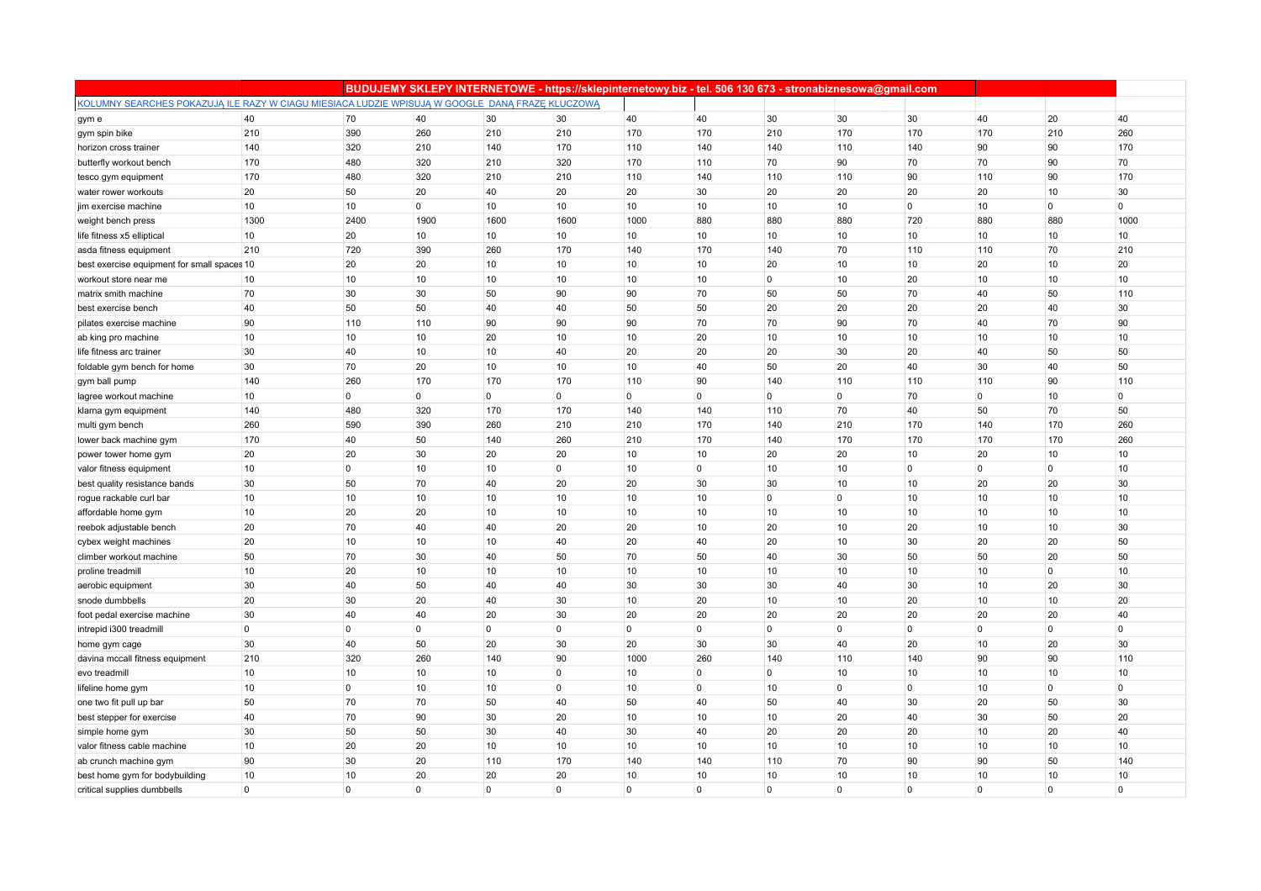|                                                                                                 |                |             |                 |                | BUDUJEMY SKLEPY INTERNETOWE - https://sklepinternetowy.biz - tel. 506 130 673 - stronabiznesowa@gmail.com |                |              |                |                |                |          |              |                  |
|-------------------------------------------------------------------------------------------------|----------------|-------------|-----------------|----------------|-----------------------------------------------------------------------------------------------------------|----------------|--------------|----------------|----------------|----------------|----------|--------------|------------------|
| KOLUMNY SEARCHES POKAZUJĄ ILE RAZY W CIAGU MIESIACA LUDZIE WPISUJĄ W GOOGLE DANĄ FRAZĘ KLUCZOWĄ |                |             |                 |                |                                                                                                           |                |              |                |                |                |          |              |                  |
| gym e                                                                                           | 40             | 70          | 40              | 30             | 30                                                                                                        | 40             | 40           | 30             | 30             | 30             | 40       | 20           | 40               |
| gym spin bike                                                                                   | 210            | 390         | 260             | 210            | 210                                                                                                       | 170            | 170          | 210            | 170            | 170            | 170      | 210          | 260              |
| horizon cross trainer                                                                           | 140            | 320         | 210             | 140            | 170                                                                                                       | 110            | 140          | 140            | 110            | 140            | 90       | 90           | 170              |
| butterfly workout bench                                                                         | 170            | 480         | 320             | 210            | 320                                                                                                       | 170            | 110          | 70             | 90             | 70             | 70       | 90           | 70               |
| tesco gym equipment                                                                             | 170            | 480         | 320             | 210            | 210                                                                                                       | 110            | 140          | 110            | 110            | 90             | 110      | 90           | 170              |
| water rower workouts                                                                            | 20             | 50          | 20              | 40             | 20                                                                                                        | 20             | 30           | 20             | 20             | 20             | 20       | 10           | 30               |
| jim exercise machine                                                                            | 10             | 10          | $\overline{0}$  | 10             | 10                                                                                                        | 10             | 10           | 10             | 10             | $\overline{0}$ | 10       | $\mathbf 0$  | $\overline{0}$   |
| weight bench press                                                                              | 1300           | 2400        | 1900            | 1600           | 1600                                                                                                      | 1000           | 880          | 880            | 880            | 720            | 880      | 880          | 1000             |
| life fitness x5 elliptical                                                                      | 10             | 20          | 10              | 10             | 10                                                                                                        | 10             | 10           | 10             | 10             | 10             | 10       | 10           | 10               |
| asda fitness equipment                                                                          | 210            | 720         | 390             | 260            | 170                                                                                                       | 140            | 170          | 140            | 70             | 110            | 110      | 70           | 210              |
| best exercise equipment for small spaces 10                                                     |                | 20          | 20              | 10             | 10                                                                                                        | 10             | 10           | 20             | 10             | 10             | 20       | 10           | 20               |
| workout store near me                                                                           | 10             | 10          | 10              | 10             | 10                                                                                                        | 10             | 10           | $\overline{0}$ | 10             | 20             | 10       | 10           | 10               |
| matrix smith machine                                                                            | 70             | 30          | 30              | 50             | 90                                                                                                        | 90             | 70           | 50             | 50             | 70             | 40       | 50           | 110              |
| best exercise bench                                                                             | 40             | 50          | 50              | 40             | 40                                                                                                        | 50             | 50           | 20             | 20             | 20             | 20       | 40           | 30               |
| pilates exercise machine                                                                        | 90             | 110         | 110             | 90             | 90                                                                                                        | 90             | 70           | 70             | 90             | 70             | 40       | 70           | 90               |
| ab king pro machine                                                                             | 10             | 10          | 10              | 20             | 10                                                                                                        | 10             | 20           | 10             | 10             | 10             | 10       | 10           | 10               |
| life fitness arc trainer                                                                        | 30             | 40          | 10              | 10             | 40                                                                                                        | 20             | 20           | 20             | 30             | 20             | 40       | 50           | 50               |
| foldable gym bench for home                                                                     | 30             | 70          | 20              | 10             | 10                                                                                                        | 10             | 40           | 50             | 20             | 40             | 30       | 40           | 50               |
| gym ball pump                                                                                   | 140            | 260         | 170             | 170            | 170                                                                                                       | 110            | 90           | 140            | 110            | 110            | 110      | 90           | 110              |
| lagree workout machine                                                                          | 10             | $\mathbf 0$ | $\overline{0}$  | $\overline{0}$ | $\overline{0}$                                                                                            | $\overline{0}$ | $\mathbf{0}$ | $\overline{0}$ | $\overline{0}$ | 70             | 0        | 10           | $\overline{0}$   |
| klarna gym equipment                                                                            | 140            | 480         | 320             | 170            | 170                                                                                                       | 140            | 140          | 110            | 70             | 40             | 50       | 70           | 50               |
| multi gym bench                                                                                 | 260            | 590         | 390             | 260            | 210                                                                                                       | 210            | 170          | 140            | 210            | 170            | 140      | 170          | 260              |
| lower back machine gym                                                                          | 170            | 40          | 50              | 140            | 260                                                                                                       | 210            | 170          | 140            | 170            | 170            | 170      | 170          | 260              |
| power tower home gym                                                                            | 20             | 20          | 30              | 20             | 20                                                                                                        | 10             | 10           | 20             | 20             | 10             | 20       | 10           | 10               |
| valor fitness equipment                                                                         | 10             | $\mathbf 0$ | 10              | 10             | $\overline{0}$                                                                                            | 10             | $\mathbf 0$  | 10             | 10             | $\overline{0}$ | $\Omega$ | $\mathbf{0}$ | 10               |
| best quality resistance bands                                                                   | 30             | 50          | 70              | 40             | 20                                                                                                        | 20             | 30           | 30             | 10             | 10             | 20       | 20           | 30               |
| rogue rackable curl bar                                                                         | 10             | 10          | 10              | 10             | 10                                                                                                        | 10             | 10           | $\overline{0}$ | $\overline{0}$ | 10             | 10       | 10           | 10               |
| affordable home gym                                                                             | 10             | 20          | 20              | 10             | 10                                                                                                        | 10             | 10           | 10             | 10             | 10             | 10       | 10           | 10               |
| reebok adjustable bench                                                                         | 20             | 70          | 40              | 40             | 20                                                                                                        | 20             | 10           | 20             | 10             | 20             | 10       | 10           | 30               |
| cybex weight machines                                                                           | 20             | 10          | 10              | 10             | 40                                                                                                        | 20             | 40           | 20             | 10             | 30             | 20       | 20           | 50               |
| climber workout machine                                                                         | 50             | 70          | 30              | 40             | 50                                                                                                        | 70             | 50           | 40             | 30             | 50             | 50       | 20           | 50               |
| proline treadmill                                                                               | 10             | 20          | 10 <sup>1</sup> | 10             | 10                                                                                                        | 10             | 10           | 10             | 10             | 10             | 10       | $\mathbf{0}$ | 10 <sup>10</sup> |
| aerobic equipment                                                                               | 30             | 40          | 50              | 40             | 40                                                                                                        | 30             | 30           | 30             | 40             | 30             | 10       | 20           | 30               |
| snode dumbbells                                                                                 | 20             | 30          | 20              | 40             | 30                                                                                                        | 10             | 20           | 10             | 10             | 20             | 10       | 10           | 20               |
| foot pedal exercise machine                                                                     | 30             | 40          | 40              | 20             | 30                                                                                                        | 20             | 20           | 20             | 20             | 20             | 20       | 20           | 40               |
| intrepid i300 treadmill                                                                         | $\overline{0}$ | $\mathbf 0$ | $\overline{0}$  | $\overline{0}$ | $\overline{0}$                                                                                            | $\overline{0}$ | $\mathbf 0$  | $\overline{0}$ | $\overline{0}$ | $\overline{0}$ | $\Omega$ | $\mathbf 0$  | $\overline{0}$   |
| home gym cage                                                                                   | 30             | 40          | 50              | 20             | 30                                                                                                        | 20             | 30           | 30             | 40             | 20             | 10       | 20           | 30               |
| davina mccall fitness equipment                                                                 | 210            | 320         | 260             | 140            | 90                                                                                                        | 1000           | 260          | 140            | 110            | 140            | 90       | 90           | 110              |
| evo treadmill                                                                                   | 10             | 10          | 10              | 10             | $\overline{0}$                                                                                            | 10             | $\mathbf 0$  | $\overline{0}$ | 10             | 10             | 10       | 10           | 10               |
| lifeline home gym                                                                               | 10             | $\mathbf 0$ | 10              | 10             | $\overline{0}$                                                                                            | 10             | $\mathbf 0$  | 10             | $\overline{0}$ | $\overline{0}$ | 10       | $\mathbf{0}$ | $\overline{0}$   |
| one two fit pull up bar                                                                         | 50             | 70          | 70              | 50             | 40                                                                                                        | 50             | 40           | 50             | 40             | 30             | 20       | 50           | 30               |
| best stepper for exercise                                                                       | 40             | 70          | 90              | 30             | 20                                                                                                        | 10             | 10           | 10             | 20             | 40             | 30       | 50           | 20               |
| simple home gym                                                                                 | 30             | $50\,$      | 50              | 30             | 40                                                                                                        | 30             | 40           | 20             | 20             | 20             | 10       | 20           | 40               |
| valor fitness cable machine                                                                     | 10             | 20          | 20              | 10             | 10                                                                                                        | 10             | 10           | 10             | 10             | 10             | 10       | 10           | 10               |
| ab crunch machine gym                                                                           | 90             | 30          | 20              | 110            | 170                                                                                                       | 140            | 140          | 110            | 70             | 90             | 90       | 50           | 140              |
| best home gym for bodybuilding                                                                  | 10             | 10          | 20              | 20             | 20                                                                                                        | 10             | $10$         | 10             | 10             | 10             | 10       | 10           | 10               |
| critical supplies dumbbells                                                                     | $\Omega$       | $\Omega$    | $\overline{0}$  | $\Omega$       | $\Omega$                                                                                                  | $\Omega$       | $\Omega$     | $\Omega$       | $\Omega$       | $\Omega$       | $\Omega$ | $\Omega$     | $\Omega$         |